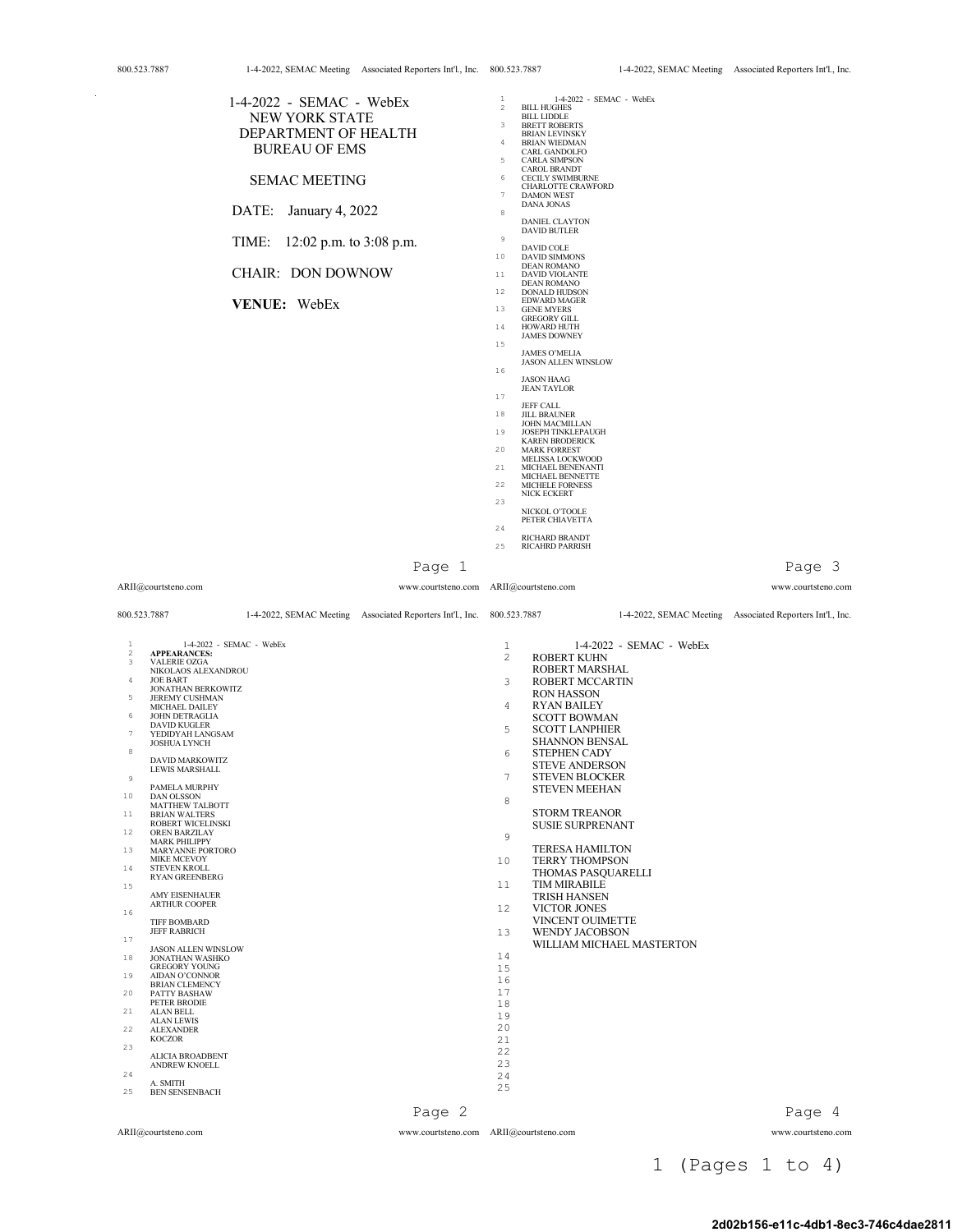|                                                                                                                                                                                                                                                                                                                                                                                                                                                                                                                                                                                                                                                                                                                                                                                                                   | <b>NEW YORK STATE</b><br>DEPARTMENT OF HEALTH<br><b>BUREAU OF EMS</b><br><b>SEMAC MEETING</b><br>DATE:<br>January 4, 2022<br>TIME:<br><b>CHAIR: DON DOWNOW</b><br>VENUE: WebEx | 1-4-2022 - SEMAC - WebEx<br>12:02 p.m. to 3:08 p.m.<br>Page 1          | $\mathbf{1}$<br>$\overline{2}$<br><b>BILL HUGHES</b><br><b>BILL LIDDLE</b><br>3<br><b>BRETT ROBERTS</b><br><b>BRIAN LEVINSKY</b><br><b>BRIAN WIEDMAN</b><br>4<br>CARL GANDOLFO<br>5<br><b>CARLA SIMPSON</b><br>CAROL BRANDT<br>6<br><b>CECILY SWIMBURNE</b><br><b>CHARLOTTE CRAWFORD</b><br>$\tau$<br><b>DAMON WEST</b><br>DANA JONAS<br>8<br><b>DANIEL CLAYTON</b><br><b>DAVID BUTLER</b><br>9<br>DAVID COLE<br>10<br><b>DAVID SIMMONS</b><br><b>DEAN ROMANO</b><br>11<br><b>DAVID VIOLANTE</b><br><b>DEAN ROMANO</b><br>12<br><b>DONALD HUDSON</b><br><b>EDWARD MAGER</b><br>13<br><b>GENE MYERS</b><br><b>GREGORY GILL</b><br>HOWARD HUTH<br>14<br><b>JAMES DOWNEY</b><br>15<br><b>JAMES O'MELIA</b><br><b>JASON ALLEN WINSLOW</b><br>16<br><b>JASON HAAG</b><br><b>JEAN TAYLOR</b><br>17<br><b>JEFF CALL</b><br>18<br><b>JILL BRAUNER</b><br><b>JOHN MACMILLAN</b><br>19<br><b>JOSEPH TINKLEPAUGH</b><br><b>KAREN BRODERICK</b><br>20<br><b>MARK FORREST</b><br>MELISSA LOCKWOOD<br>21<br>MICHAEL BENENANTI<br>MICHAEL BENNETTE<br>MICHELE FORNESS<br>22<br><b>NICK ECKERT</b><br>23<br>NICKOL O'TOOLE<br>PETER CHIAVETTA<br>24<br>RICHARD BRANDT<br>25<br><b>RICAHRD PARRISH</b> | 1-4-2022 - SEMAC - WebEx  | Page 3                                                                          |
|-------------------------------------------------------------------------------------------------------------------------------------------------------------------------------------------------------------------------------------------------------------------------------------------------------------------------------------------------------------------------------------------------------------------------------------------------------------------------------------------------------------------------------------------------------------------------------------------------------------------------------------------------------------------------------------------------------------------------------------------------------------------------------------------------------------------|--------------------------------------------------------------------------------------------------------------------------------------------------------------------------------|------------------------------------------------------------------------|---------------------------------------------------------------------------------------------------------------------------------------------------------------------------------------------------------------------------------------------------------------------------------------------------------------------------------------------------------------------------------------------------------------------------------------------------------------------------------------------------------------------------------------------------------------------------------------------------------------------------------------------------------------------------------------------------------------------------------------------------------------------------------------------------------------------------------------------------------------------------------------------------------------------------------------------------------------------------------------------------------------------------------------------------------------------------------------------------------------------------------------------------------------------------------------|---------------------------|---------------------------------------------------------------------------------|
| ARII@courtsteno.com<br>800.523.7887                                                                                                                                                                                                                                                                                                                                                                                                                                                                                                                                                                                                                                                                                                                                                                               |                                                                                                                                                                                | 1-4-2022, SEMAC Meeting Associated Reporters Int'l., Inc. 800.523.7887 | www.courtsteno.com ARII@courtsteno.com                                                                                                                                                                                                                                                                                                                                                                                                                                                                                                                                                                                                                                                                                                                                                                                                                                                                                                                                                                                                                                                                                                                                                |                           | www.courtsteno.com<br>1-4-2022, SEMAC Meeting Associated Reporters Int'l., Inc. |
| 1<br>2<br><b>APPEARANCES:</b><br><b>VALERIE OZGA</b><br>3<br>NIKOLAOS ALEXANDROU<br>$\overline{4}$<br><b>JOE BART</b><br><b>JONATHAN BERKOWITZ</b><br>5<br><b>JEREMY CUSHMAN</b><br>MICHAEL DAILEY<br>6<br><b>JOHN DETRAGLIA</b><br>DAVID KUGLER<br>7<br>YEDIDYAH LANGSAM<br><b>JOSHUA LYNCH</b>                                                                                                                                                                                                                                                                                                                                                                                                                                                                                                                  | 1-4-2022 - SEMAC - WebEx                                                                                                                                                       |                                                                        | 1<br>$\overline{c}$<br><b>ROBERT KUHN</b><br>ROBERT MARSHAL<br>3<br>ROBERT MCCARTIN<br><b>RON HASSON</b>                                                                                                                                                                                                                                                                                                                                                                                                                                                                                                                                                                                                                                                                                                                                                                                                                                                                                                                                                                                                                                                                              | 1-4-2022 - SEMAC - WebEx  |                                                                                 |
| 8<br><b>DAVID MARKOWITZ</b><br><b>LEWIS MARSHALL</b><br>$\,9$<br>PAMELA MURPHY<br>10<br><b>DAN OLSSON</b><br>MATTHEW TALBOTT<br><b>BRIAN WALTERS</b><br>11<br>ROBERT WICELINSKI<br>12<br>OREN BARZILAY<br><b>MARK PHILIPPY</b><br>13<br>MARYANNE PORTORO<br><b>MIKE MCEVOY</b><br>14<br><b>STEVEN KROLL</b><br><b>RYAN GREENBERG</b><br>15<br><b>AMY EISENHAUER</b><br><b>ARTHUR COOPER</b><br>16<br><b>TIFF BOMBARD</b><br><b>JEFF RABRICH</b><br>17<br><b>JASON ALLEN WINSLOW</b><br>18<br>JONATHAN WASHKO<br><b>GREGORY YOUNG</b><br>19<br>AIDAN O'CONNOR<br><b>BRIAN CLEMENCY</b><br>PATTY BASHAW<br>20<br>PETER BRODIE<br>ALAN BELL<br>21<br><b>ALAN LEWIS</b><br>22<br><b>ALEXANDER</b><br><b>KOCZOR</b><br>23<br><b>ALICIA BROADBENT</b><br>ANDREW KNOELL<br>24<br>A. SMITH<br>25<br><b>BEN SENSENBACH</b> |                                                                                                                                                                                |                                                                        | 4<br><b>RYAN BAILEY</b><br><b>SCOTT BOWMAN</b><br>5<br><b>SCOTT LANPHIER</b><br><b>SHANNON BENSAL</b><br>6<br><b>STEPHEN CADY</b><br><b>STEVE ANDERSON</b><br><b>STEVEN BLOCKER</b><br><b>STEVEN MEEHAN</b><br>8<br><b>STORM TREANOR</b><br><b>SUSIE SURPRENANT</b><br>$\overline{9}$<br><b>TERESA HAMILTON</b><br><b>TERRY THOMPSON</b><br>10<br>THOMAS PASQUARELLI<br>11<br>TIM MIRABILE<br><b>TRISH HANSEN</b><br>12<br>VICTOR JONES<br>VINCENT OUIMETTE<br>13<br><b>WENDY JACOBSON</b><br>14<br>15<br>16<br>17<br>18<br>19<br>20<br>21<br>22<br>23<br>24<br>25                                                                                                                                                                                                                                                                                                                                                                                                                                                                                                                                                                                                                    | WILLIAM MICHAEL MASTERTON |                                                                                 |

| www.courtsteno.com ARII@courtsteno.com |
|----------------------------------------|
|                                        |

1 (Pages 1 to 4)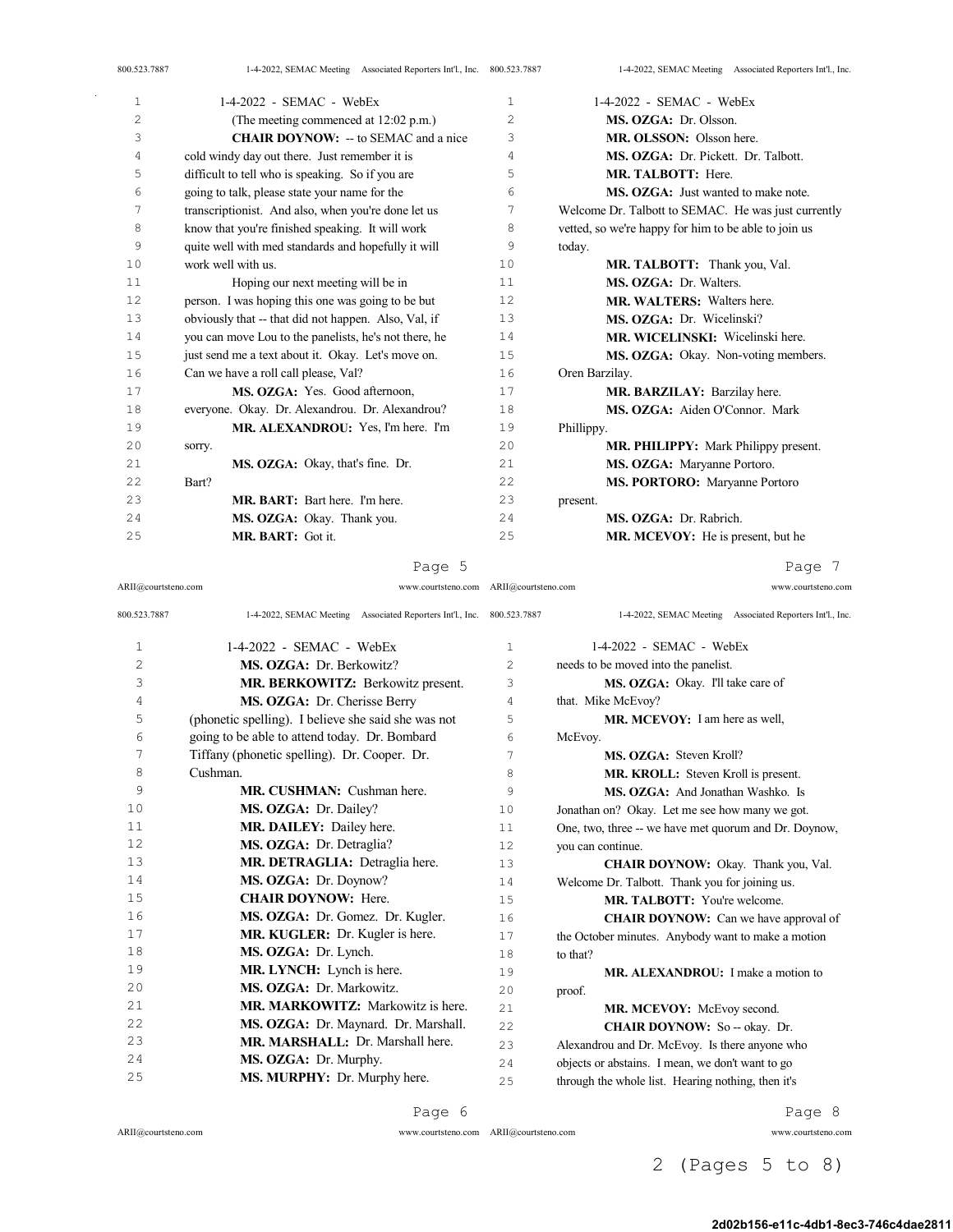| 800.523.7887   | 1-4-2022, SEMAC Meeting Associated Reporters Int'l., Inc. 800.523.7887 |                | 1-4-2022, SEMAC Meeting Associated Reporters Int'l., Inc. |
|----------------|------------------------------------------------------------------------|----------------|-----------------------------------------------------------|
| $\mathbf 1$    | $1-4-2022$ - SEMAC - WebEx                                             | 1              | $1-4-2022$ - SEMAC - WebEx                                |
| $\overline{c}$ | (The meeting commenced at 12:02 p.m.)                                  | $\overline{c}$ | MS. OZGA: Dr. Olsson.                                     |
| 3              | <b>CHAIR DOYNOW:</b> -- to SEMAC and a nice                            | 3              | MR. OLSSON: Olsson here.                                  |
| 4              | cold windy day out there. Just remember it is                          | 4              | MS. OZGA: Dr. Pickett. Dr. Talbott.                       |
| 5              | difficult to tell who is speaking. So if you are                       | 5              | MR. TALBOTT: Here.                                        |
| 6              | going to talk, please state your name for the                          | 6              | <b>MS. OZGA:</b> Just wanted to make note.                |
| 7              | transcriptionist. And also, when you're done let us                    | 7              | Welcome Dr. Talbott to SEMAC. He was just currently       |
| 8              | know that you're finished speaking. It will work                       | 8              | vetted, so we're happy for him to be able to join us      |
| 9              | quite well with med standards and hopefully it will                    | 9              | today.                                                    |
| 10             | work well with us.                                                     | 10             | MR. TALBOTT: Thank you, Val.                              |
| 11             | Hoping our next meeting will be in                                     | 11             | MS. OZGA: Dr. Walters.                                    |
| 12             | person. I was hoping this one was going to be but                      | 12             | <b>MR. WALTERS:</b> Walters here.                         |
| 13             | obviously that -- that did not happen. Also, Val, if                   | 13             | MS. OZGA: Dr. Wicelinski?                                 |
| 14             | you can move Lou to the panelists, he's not there, he                  | 14             | MR. WICELINSKI: Wicelinski here.                          |
| 15             | just send me a text about it. Okay. Let's move on.                     | 15             | MS. OZGA: Okay. Non-voting members.                       |
| 16             | Can we have a roll call please, Val?                                   | 16             | Oren Barzilay.                                            |
| 17             | MS. OZGA: Yes. Good afternoon,                                         | 17             | MR. BARZILAY: Barzilay here.                              |
| 18             | everyone. Okay. Dr. Alexandrou. Dr. Alexandrou?                        | 18             | MS. OZGA: Aiden O'Connor. Mark                            |
| 19             | MR. ALEXANDROU: Yes, I'm here. I'm                                     | 19             | Phillippy.                                                |
| 20             | sorry.                                                                 | 20             | <b>MR. PHILIPPY:</b> Mark Philippy present.               |
| 21             | MS. OZGA: Okay, that's fine. Dr.                                       | 21             | MS. OZGA: Maryanne Portoro.                               |

| 71<br>a, |
|----------|
|----------|

MR. BART: Bart here. I'm here.

MS. OZGA: Okay. Thank you.

MR. BART: Got it.

Page 7

**MS. PORTORO:** Maryanne Portoro

**MR. MCEVOY:** He is present, but he

MS. OZGA: Dr. Rabrich.

present.

| ARII@courtsteno.com | www.courtsteno.com ARII@courtsteno.com                                 |                | www.courtsteno.com                                        |
|---------------------|------------------------------------------------------------------------|----------------|-----------------------------------------------------------|
| 800.523.7887        | 1-4-2022, SEMAC Meeting Associated Reporters Int'l., Inc. 800.523.7887 |                | 1-4-2022, SEMAC Meeting Associated Reporters Int'l., Inc. |
| 1                   | $1-4-2022$ - SEMAC - WebEx                                             | $\mathbf{1}$   | $1-4-2022$ - SEMAC - WebEx                                |
| $\overline{c}$      | MS. OZGA: Dr. Berkowitz?                                               | $\overline{c}$ | needs to be moved into the panelist.                      |
| 3                   | MR. BERKOWITZ: Berkowitz present.                                      | 3              | MS. OZGA: Okay. I'll take care of                         |
| 4                   | MS. OZGA: Dr. Cherisse Berry                                           | 4              | that. Mike McEvoy?                                        |
| 5                   | (phonetic spelling). I believe she said she was not                    | 5              | MR. MCEVOY: I am here as well,                            |
| 6                   | going to be able to attend today. Dr. Bombard                          | 6              | McEvoy.                                                   |
| 7                   | Tiffany (phonetic spelling). Dr. Cooper. Dr.                           | 7              | MS. OZGA: Steven Kroll?                                   |
| 8                   | Cushman.                                                               | 8              | MR. KROLL: Steven Kroll is present.                       |
| 9                   | <b>MR. CUSHMAN:</b> Cushman here.                                      | 9              | MS. OZGA: And Jonathan Washko. Is                         |
| 10                  | MS. OZGA: Dr. Dailey?                                                  | 10             | Jonathan on? Okay. Let me see how many we got.            |
| 11                  | MR. DAILEY: Dailey here.                                               | 11             | One, two, three -- we have met quorum and Dr. Doynow,     |
| 12                  | MS. OZGA: Dr. Detraglia?                                               | 12             | you can continue.                                         |
| 13                  | MR. DETRAGLIA: Detraglia here.                                         | 13             | CHAIR DOYNOW: Okay. Thank you, Val.                       |
| 14                  | MS. OZGA: Dr. Doynow?                                                  | 14             | Welcome Dr. Talbott. Thank you for joining us.            |
| 15                  | <b>CHAIR DOYNOW: Here.</b>                                             | 1.5            | <b>MR. TALBOTT:</b> You're welcome.                       |
| 16                  | MS. OZGA: Dr. Gomez. Dr. Kugler.                                       | 16             | <b>CHAIR DOYNOW:</b> Can we have approval of              |
| 17                  | MR. KUGLER: Dr. Kugler is here.                                        | 17             | the October minutes. Anybody want to make a motion        |
| 18                  | MS. OZGA: Dr. Lynch.                                                   | 18             | to that?                                                  |
| 19                  | MR. LYNCH: Lynch is here.                                              | 19             | MR. ALEXANDROU: I make a motion to                        |
| 20                  | MS. OZGA: Dr. Markowitz.                                               | 20             | proof.                                                    |
| 2.1                 | <b>MR. MARKOWITZ:</b> Markowitz is here.                               | 2.1            | MR. MCEVOY: McEvoy second.                                |
| 2.2                 | MS. OZGA: Dr. Maynard. Dr. Marshall.                                   | 22             | CHAIR DOYNOW: So -- okay. Dr.                             |
| 23                  | MR. MARSHALL: Dr. Marshall here.                                       | 23             | Alexandrou and Dr. McEvoy. Is there anyone who            |
| 24                  | MS. OZGA: Dr. Murphy.                                                  | 24             | objects or abstains. I mean, we don't want to go          |
| 25                  | MS. MURPHY: Dr. Murphy here.                                           | 25             | through the whole list. Hearing nothing, then it's        |

ARII@courtsteno.com

Bart?

Page 6

ARII@courtsteno.com www.courtsteno.com

Page 8

2 (Pages 5 to 8)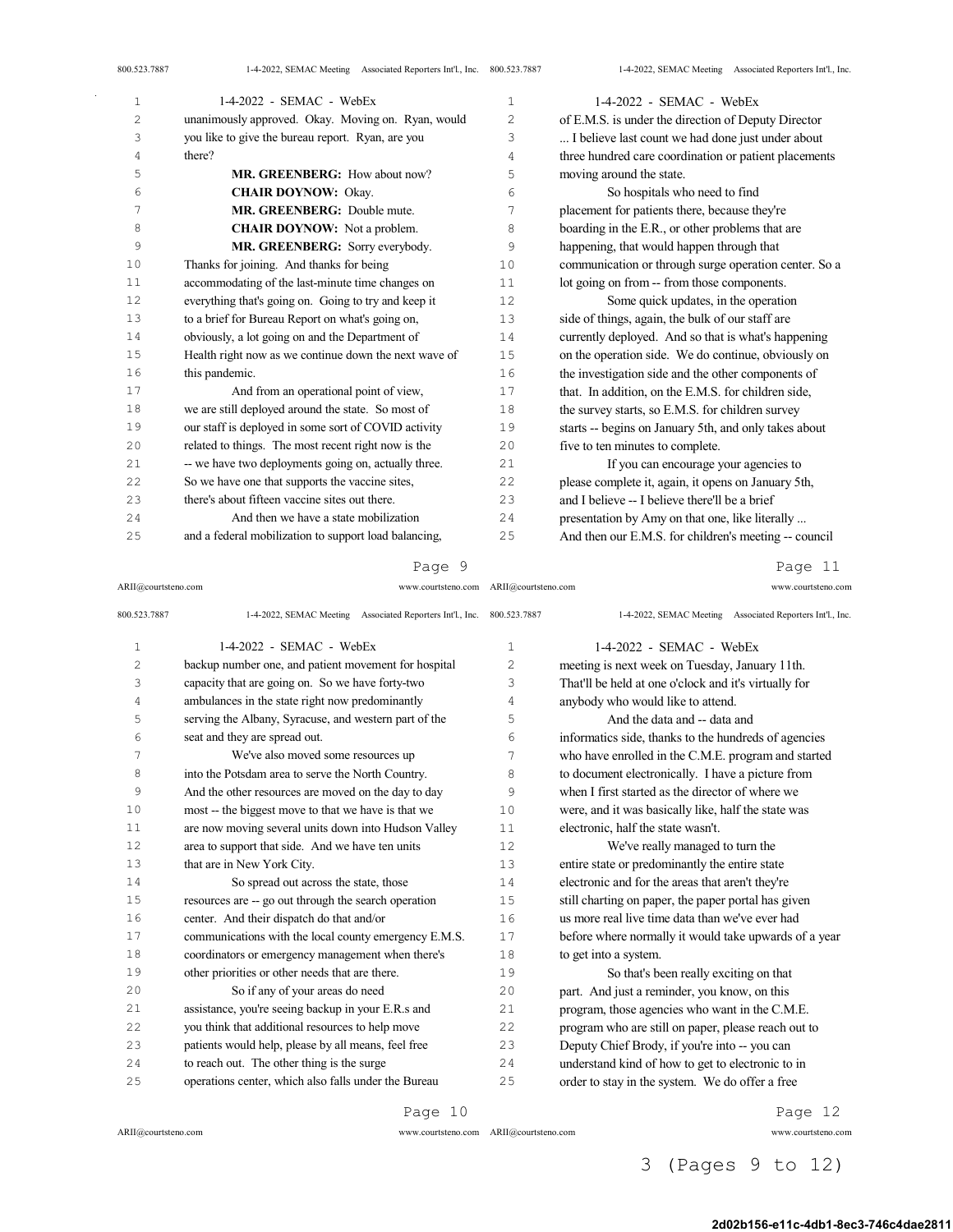| $\mathbf{1}$          | 1-4-2022 - SEMAC - WebEx                              | $\mathbf 1$    | $1-4-2022$ - SEMAC - WebEx                            |
|-----------------------|-------------------------------------------------------|----------------|-------------------------------------------------------|
| $\mathbf{2}^{\prime}$ | unanimously approved. Okay. Moving on. Ryan, would    | $\overline{c}$ | of E.M.S. is under the direction of Deputy Director   |
| 3                     | you like to give the bureau report. Ryan, are you     | 3              | I believe last count we had done just under about     |
| 4                     | there?                                                | 4              | three hundred care coordination or patient placements |
| 5                     | MR. GREENBERG: How about now?                         | 5              | moving around the state.                              |
| 6                     | <b>CHAIR DOYNOW: Okay.</b>                            | 6              | So hospitals who need to find                         |
| 7                     | MR. GREENBERG: Double mute.                           | 7              | placement for patients there, because they're         |
| 8                     | <b>CHAIR DOYNOW:</b> Not a problem.                   | 8              | boarding in the E.R., or other problems that are      |
| 9                     | MR. GREENBERG: Sorry everybody.                       | 9              | happening, that would happen through that             |
| 10                    | Thanks for joining. And thanks for being              | 10             | communication or through surge operation center. So a |
| 11                    | accommodating of the last-minute time changes on      | 11             | lot going on from -- from those components.           |
| 12                    | everything that's going on. Going to try and keep it  | 12             | Some quick updates, in the operation                  |
| 13                    | to a brief for Bureau Report on what's going on,      | 13             | side of things, again, the bulk of our staff are      |
| 14                    | obviously, a lot going on and the Department of       | 14             | currently deployed. And so that is what's happening   |
| 15                    | Health right now as we continue down the next wave of | 15             | on the operation side. We do continue, obviously on   |
| 16                    | this pandemic.                                        | 16             | the investigation side and the other components of    |
| 17                    | And from an operational point of view,                | 17             | that. In addition, on the E.M.S. for children side,   |
| 18                    | we are still deployed around the state. So most of    | 18             | the survey starts, so E.M.S. for children survey      |
| 19                    | our staff is deployed in some sort of COVID activity  | 19             | starts -- begins on January 5th, and only takes about |
| 20                    | related to things. The most recent right now is the   | 20             | five to ten minutes to complete.                      |
| 21                    | -- we have two deployments going on, actually three.  | 21             | If you can encourage your agencies to                 |
| 22                    | So we have one that supports the vaccine sites,       | 22             | please complete it, again, it opens on January 5th,   |
| 23                    | there's about fifteen vaccine sites out there.        | 23             | and I believe -- I believe there'll be a brief        |
| 24                    | And then we have a state mobilization                 | 24             | presentation by Amy on that one, like literally       |
| 25                    | and a federal mobilization to support load balancing, | 25             | And then our E.M.S. for children's meeting -- council |

#### Page 9

ARII@courtsteno.com www.courtsteno.com ARII@courtsteno.com www.courtsteno.com

Page 11

| 800.523.7887   | 1-4-2022, SEMAC Meeting Associated Reporters Int'l., Inc. 800.523.7887 |                | 1-4-2022, SEMAC Meeting Associated Reporters Int'l., Inc. |
|----------------|------------------------------------------------------------------------|----------------|-----------------------------------------------------------|
| $\mathbf{1}$   | $1-4-2022$ - SEMAC - WebEx                                             | $\mathbf{1}$   | 1-4-2022 - SEMAC - WebEx                                  |
| $\overline{c}$ | backup number one, and patient movement for hospital                   | $\overline{c}$ | meeting is next week on Tuesday, January 11th.            |
| 3              | capacity that are going on. So we have forty-two                       | 3              | That'll be held at one o'clock and it's virtually for     |
| 4              | ambulances in the state right now predominantly                        | 4              | anybody who would like to attend.                         |
| 5              | serving the Albany, Syracuse, and western part of the                  | 5              | And the data and -- data and                              |
| 6              | seat and they are spread out.                                          | 6              | informatics side, thanks to the hundreds of agencies      |
| 7              | We've also moved some resources up                                     | 7              | who have enrolled in the C.M.E. program and started       |
| 8              | into the Potsdam area to serve the North Country.                      | 8              | to document electronically. I have a picture from         |
| 9              | And the other resources are moved on the day to day                    | 9              | when I first started as the director of where we          |
| 10             | most -- the biggest move to that we have is that we                    | 10             | were, and it was basically like, half the state was       |
| 11             | are now moving several units down into Hudson Valley                   | 11             | electronic, half the state wasn't.                        |
| 12             | area to support that side. And we have ten units                       | 12.            | We've really managed to turn the                          |
| 13             | that are in New York City.                                             | 13             | entire state or predominantly the entire state            |
| 14             | So spread out across the state, those                                  | 14             | electronic and for the areas that aren't they're          |
| 15             | resources are -- go out through the search operation                   | 1.5            | still charting on paper, the paper portal has given       |
| 16             | center. And their dispatch do that and/or                              | 16             | us more real live time data than we've ever had           |
| 17             | communications with the local county emergency E.M.S.                  | 17             | before where normally it would take upwards of a year     |
| 18             | coordinators or emergency management when there's                      | 18             | to get into a system.                                     |
| 19             | other priorities or other needs that are there.                        | 19             | So that's been really exciting on that                    |
| 2.0            | So if any of your areas do need                                        | 20             | part. And just a reminder, you know, on this              |
| 2.1            | assistance, you're seeing backup in your E.R.s and                     | 2.1            | program, those agencies who want in the C.M.E.            |
| 22             | you think that additional resources to help move                       | 2.2.           | program who are still on paper, please reach out to       |
| 23             | patients would help, please by all means, feel free                    | 2.3            | Deputy Chief Brody, if you're into -- you can             |
| 2.4            | to reach out. The other thing is the surge                             | 24             | understand kind of how to get to electronic to in         |
| 25             | operations center, which also falls under the Bureau                   | 25             | order to stay in the system. We do offer a free           |

Page 10

ARII@courtsteno.com www.courtsteno.com

Page 12

ARII@courtsteno.com www.courtsteno.com

3 (Pages 9 to 12)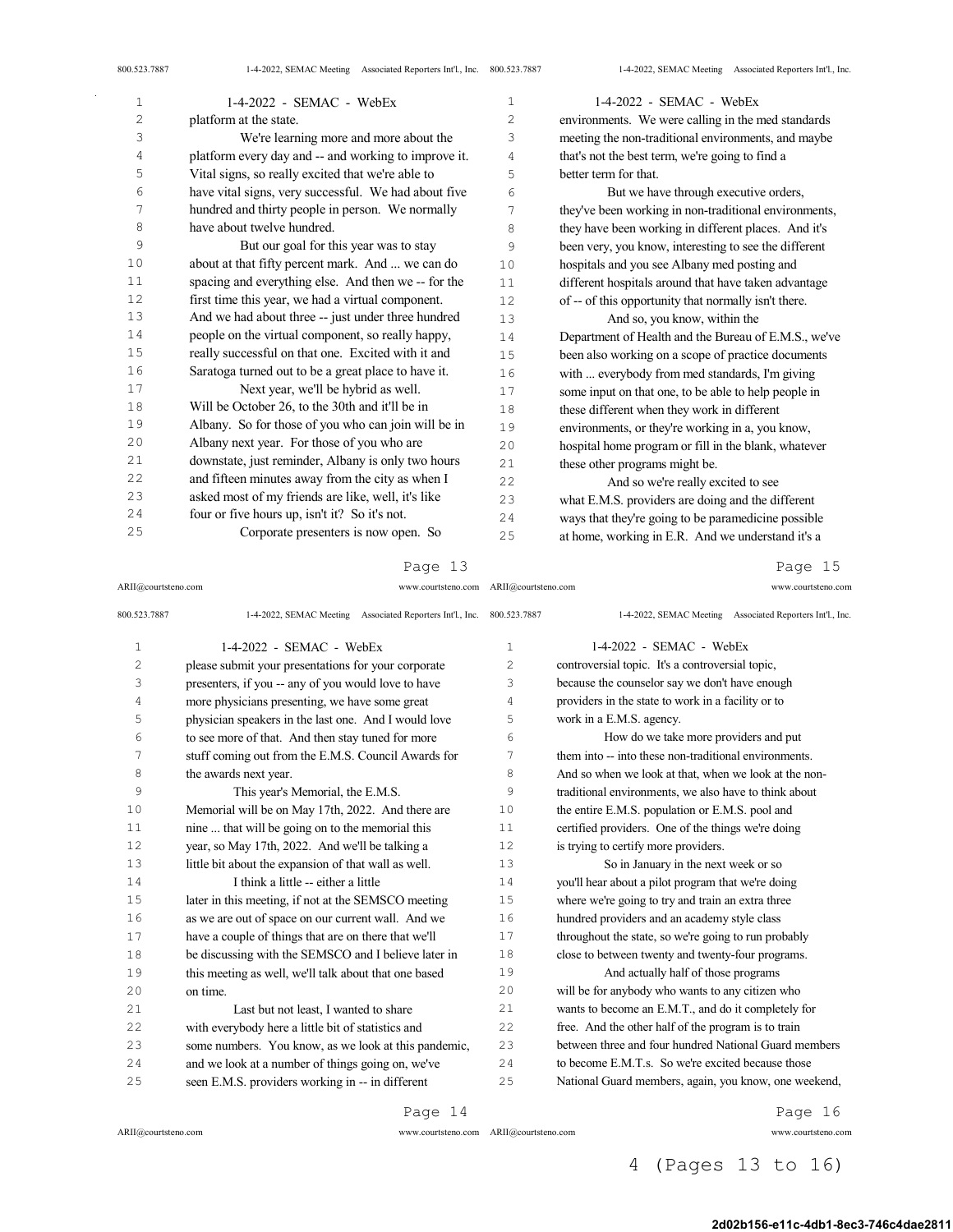| 1  | 1-4-2022 - SEMAC - WebEx                             | 1  | 1-4-2022 - SEMAC - WebEx                              |
|----|------------------------------------------------------|----|-------------------------------------------------------|
| 2  | platform at the state.                               | 2  | environments. We were calling in the med standards    |
| 3  | We're learning more and more about the               | 3  | meeting the non-traditional environments, and maybe   |
| 4  | platform every day and -- and working to improve it. | 4  | that's not the best term, we're going to find a       |
| 5  | Vital signs, so really excited that we're able to    | 5  | better term for that.                                 |
| 6  | have vital signs, very successful. We had about five | 6  | But we have through executive orders,                 |
| 7  | hundred and thirty people in person. We normally     | 7  | they've been working in non-traditional environments, |
| 8  | have about twelve hundred.                           | 8  | they have been working in different places. And it's  |
| 9  | But our goal for this year was to stay               | 9  | been very, you know, interesting to see the different |
| 10 | about at that fifty percent mark. And  we can do     | 10 | hospitals and you see Albany med posting and          |
| 11 | spacing and everything else. And then we -- for the  | 11 | different hospitals around that have taken advantage  |
| 12 | first time this year, we had a virtual component.    | 12 | of -- of this opportunity that normally isn't there.  |
| 13 | And we had about three -- just under three hundred   | 13 | And so, you know, within the                          |
| 14 | people on the virtual component, so really happy,    | 14 | Department of Health and the Bureau of E.M.S., we've  |
| 15 | really successful on that one. Excited with it and   | 15 | been also working on a scope of practice documents    |
| 16 | Saratoga turned out to be a great place to have it.  | 16 | with  everybody from med standards, I'm giving        |
| 17 | Next year, we'll be hybrid as well.                  | 17 | some input on that one, to be able to help people in  |
| 18 | Will be October 26, to the 30th and it'll be in      | 18 | these different when they work in different           |
| 19 | Albany. So for those of you who can join will be in  | 19 | environments, or they're working in a, you know,      |
| 20 | Albany next year. For those of you who are           | 20 | hospital home program or fill in the blank, whatever  |
| 21 | downstate, just reminder, Albany is only two hours   | 21 | these other programs might be.                        |
| 22 | and fifteen minutes away from the city as when I     | 22 | And so we're really excited to see                    |
| 23 | asked most of my friends are like, well, it's like   | 23 | what E.M.S. providers are doing and the different     |
| 24 | four or five hours up, isn't it? So it's not.        | 24 | ways that they're going to be paramedicine possible   |
| 25 | Corporate presenters is now open. So                 | 25 | at home, working in E.R. And we understand it's a     |

Page 13

ARII@courtsteno.com www.courtsteno.com ARII@courtsteno.com www.courtsteno.com

Page 15

| 800.523.7887   | 1-4-2022, SEMAC Meeting Associated Reporters Int'l., Inc. | 800.523.7887   | 1-4-2022, SEMAC Meeting Associated Reporters Int'l., Inc. |
|----------------|-----------------------------------------------------------|----------------|-----------------------------------------------------------|
| $\mathbf{1}$   | $1-4-2022$ - SEMAC - WebEx                                | $\mathbf{1}$   | $1-4-2022$ - SEMAC - WebEx                                |
| $\overline{c}$ | please submit your presentations for your corporate       | $\overline{c}$ | controversial topic. It's a controversial topic,          |
| 3              | presenters, if you -- any of you would love to have       | 3              | because the counselor say we don't have enough            |
| 4              | more physicians presenting, we have some great            | 4              | providers in the state to work in a facility or to        |
| 5              | physician speakers in the last one. And I would love      | 5              | work in a E.M.S. agency.                                  |
| 6              | to see more of that. And then stay tuned for more         | 6              | How do we take more providers and put                     |
| 7              | stuff coming out from the E.M.S. Council Awards for       | 7              | them into -- into these non-traditional environments.     |
| 8              | the awards next year.                                     | 8              | And so when we look at that, when we look at the non-     |
| 9              | This year's Memorial, the E.M.S.                          | 9              | traditional environments, we also have to think about     |
| 10             | Memorial will be on May 17th, 2022. And there are         | 10             | the entire E.M.S. population or E.M.S. pool and           |
| 11             | nine  that will be going on to the memorial this          | 11             | certified providers. One of the things we're doing        |
| 12             | year, so May 17th, 2022. And we'll be talking a           | 12             | is trying to certify more providers.                      |
| 13             | little bit about the expansion of that wall as well.      | 13             | So in January in the next week or so                      |
| 14             | I think a little -- either a little                       | 14             | you'll hear about a pilot program that we're doing        |
| 15             | later in this meeting, if not at the SEMSCO meeting       | 15             | where we're going to try and train an extra three         |
| 16             | as we are out of space on our current wall. And we        | 16             | hundred providers and an academy style class              |
| 17             | have a couple of things that are on there that we'll      | 17             | throughout the state, so we're going to run probably      |
| 18             | be discussing with the SEMSCO and I believe later in      | 18             | close to between twenty and twenty-four programs.         |
| 19             | this meeting as well, we'll talk about that one based     | 19             | And actually half of those programs                       |
| 2.0            | on time.                                                  | 2.0            | will be for anybody who wants to any citizen who          |
| 2.1            | Last but not least. I wanted to share                     | 2.1            | wants to become an E.M.T., and do it completely for       |
| 22             | with everybody here a little bit of statistics and        | 22             | free. And the other half of the program is to train       |
| 23             | some numbers. You know, as we look at this pandemic,      | 23             | between three and four hundred National Guard members     |
| 2.4            | and we look at a number of things going on, we've         | 2.4            | to become E.M.T.s. So we're excited because those         |
| 25             | seen E.M.S. providers working in -- in different          | 25             | National Guard members, again, you know, one weekend,     |

 $ARII@{\mbox{conrtsteno.com}}$ 

ARII@courtsteno.com www.courtsteno.com

Page 14

Page 16

4 (Pages 13 to 16)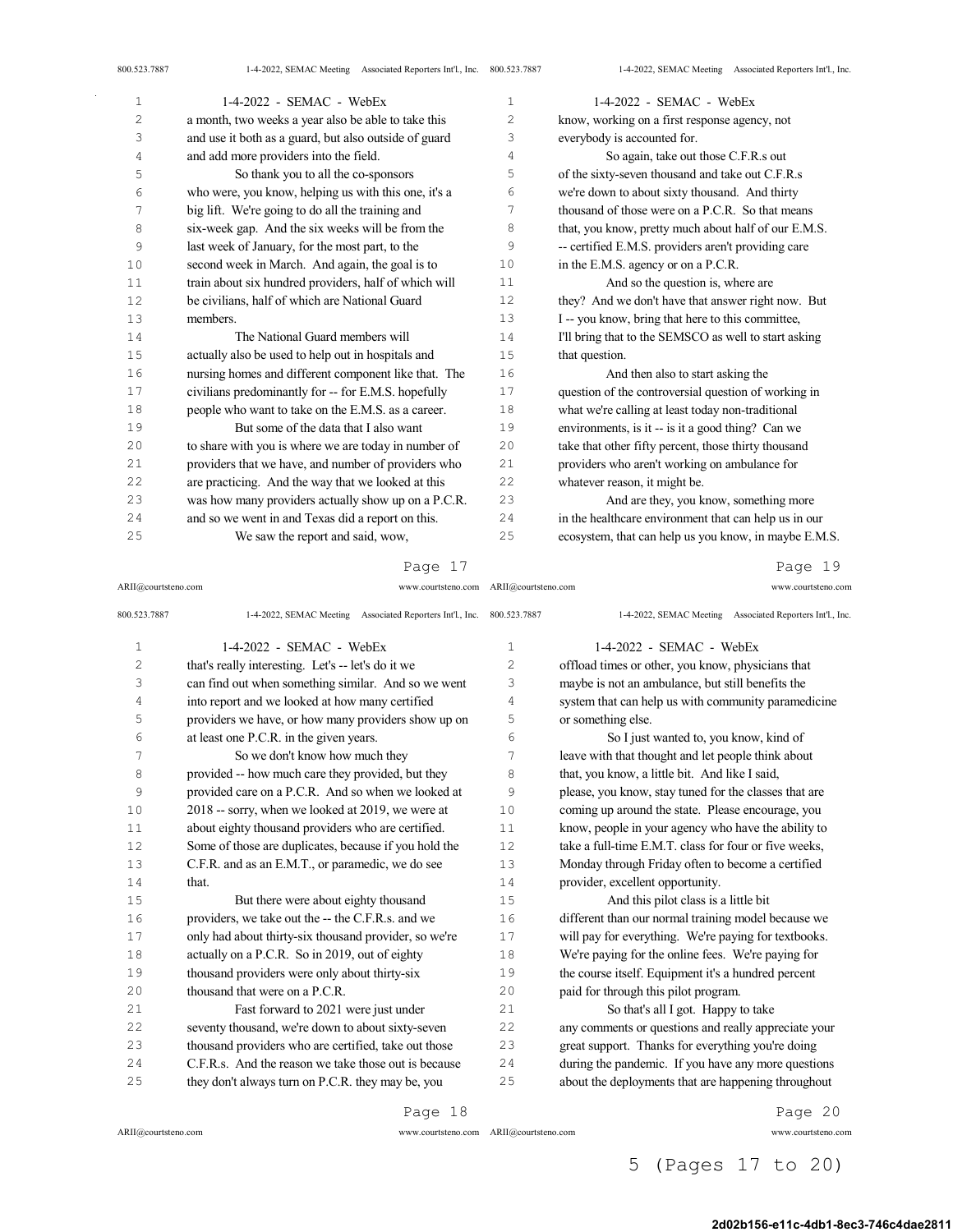| $\mathbf{1}$   | 1-4-2022 - SEMAC - WebEx                              | $\mathbf 1$    | 1-4-2022 - SEMAC - WebEx                              |
|----------------|-------------------------------------------------------|----------------|-------------------------------------------------------|
| $\overline{c}$ | a month, two weeks a year also be able to take this   | $\overline{c}$ | know, working on a first response agency, not         |
| 3              | and use it both as a guard, but also outside of guard | 3              | everybody is accounted for.                           |
| 4              | and add more providers into the field.                | 4              | So again, take out those C.F.R.s out                  |
| 5              | So thank you to all the co-sponsors                   | 5              | of the sixty-seven thousand and take out C.F.R.s      |
| 6              | who were, you know, helping us with this one, it's a  | 6              | we're down to about sixty thousand. And thirty        |
| 7              | big lift. We're going to do all the training and      | 7              | thousand of those were on a P.C.R. So that means      |
| 8              | six-week gap. And the six weeks will be from the      | 8              | that, you know, pretty much about half of our E.M.S.  |
| 9              | last week of January, for the most part, to the       | 9              | -- certified E.M.S. providers aren't providing care   |
| 10             | second week in March. And again, the goal is to       | 10             | in the E.M.S. agency or on a P.C.R.                   |
| 11             | train about six hundred providers, half of which will | 11             | And so the question is, where are                     |
| 12             | be civilians, half of which are National Guard        | 12             | they? And we don't have that answer right now. But    |
| 13             | members.                                              | 13             | I -- you know, bring that here to this committee,     |
| 14             | The National Guard members will                       | 14             | I'll bring that to the SEMSCO as well to start asking |
| 15             | actually also be used to help out in hospitals and    | 15             | that question.                                        |
| 16             | nursing homes and different component like that. The  | 16             | And then also to start asking the                     |
| 17             | civilians predominantly for -- for E.M.S. hopefully   | 17             | question of the controversial question of working in  |
| 18             | people who want to take on the E.M.S. as a career.    | 18             | what we're calling at least today non-traditional     |
| 19             | But some of the data that I also want                 | 19             | environments, is it -- is it a good thing? Can we     |
| 20             | to share with you is where we are today in number of  | 20             | take that other fifty percent, those thirty thousand  |
| 21             | providers that we have, and number of providers who   | 21             | providers who aren't working on ambulance for         |
| 22             | are practicing. And the way that we looked at this    | 22             | whatever reason, it might be.                         |
| 23             | was how many providers actually show up on a P.C.R.   | 23             | And are they, you know, something more                |
| 24             | and so we went in and Texas did a report on this.     | 24             | in the healthcare environment that can help us in our |
| 25             | We saw the report and said, wow,                      | 25             | ecosystem, that can help us you know, in maybe E.M.S. |

### Page 17

ARII@courtsteno.com www.courtsteno.com ARII@courtsteno.com www.courtsteno.com

Page 19

| 800.523.7887   | 1-4-2022, SEMAC Meeting Associated Reporters Int'l., Inc. 800.523.7887 |    | 1-4-2022, SEMAC Meeting Associated Reporters Int'l., Inc. |
|----------------|------------------------------------------------------------------------|----|-----------------------------------------------------------|
| $\mathbf{1}$   | 1-4-2022 - SEMAC - WebEx                                               | 1  | 1-4-2022 - SEMAC - WebEx                                  |
| $\overline{c}$ | that's really interesting. Let's -- let's do it we                     | 2  | offload times or other, you know, physicians that         |
| 3              | can find out when something similar. And so we went                    | 3  | maybe is not an ambulance, but still benefits the         |
| 4              | into report and we looked at how many certified                        | 4  | system that can help us with community paramedicine       |
| 5              | providers we have, or how many providers show up on                    | 5  | or something else.                                        |
| 6              | at least one P.C.R. in the given years.                                | 6  | So I just wanted to, you know, kind of                    |
| 7              | So we don't know how much they                                         | 7  | leave with that thought and let people think about        |
| 8              | provided -- how much care they provided, but they                      | 8  | that, you know, a little bit. And like I said,            |
| 9              | provided care on a P.C.R. And so when we looked at                     | 9  | please, you know, stay tuned for the classes that are     |
| 10             | 2018 -- sorry, when we looked at 2019, we were at                      | 10 | coming up around the state. Please encourage, you         |
| 11             | about eighty thousand providers who are certified.                     | 11 | know, people in your agency who have the ability to       |
| 12             | Some of those are duplicates, because if you hold the                  | 12 | take a full-time E.M.T. class for four or five weeks,     |
| 13             | C.F.R. and as an E.M.T., or paramedic, we do see                       | 13 | Monday through Friday often to become a certified         |
| 14             | that.                                                                  | 14 | provider, excellent opportunity.                          |
| 15             | But there were about eighty thousand                                   | 15 | And this pilot class is a little bit                      |
| 16             | providers, we take out the -- the C.F.R.s. and we                      | 16 | different than our normal training model because we       |
| 17             | only had about thirty-six thousand provider, so we're                  | 17 | will pay for everything. We're paying for textbooks.      |
| 18             | actually on a P.C.R. So in 2019, out of eighty                         | 18 | We're paying for the online fees. We're paying for        |
| 19             | thousand providers were only about thirty-six                          | 19 | the course itself. Equipment it's a hundred percent       |
| 20             | thousand that were on a P.C.R.                                         | 20 | paid for through this pilot program.                      |
| 21             | Fast forward to 2021 were just under                                   | 21 | So that's all I got. Happy to take                        |
| 22             | seventy thousand, we're down to about sixty-seven                      | 22 | any comments or questions and really appreciate your      |
| 23             | thousand providers who are certified, take out those                   | 23 | great support. Thanks for everything you're doing         |
| 24             | C.F.R.s. And the reason we take those out is because                   | 24 | during the pandemic. If you have any more questions       |
| 25             | they don't always turn on P.C.R. they may be, you                      | 25 | about the deployments that are happening throughout       |
|                | Page 18                                                                |    | Page 20                                                   |

 $ARII@{\mbox{conrtsteno.com}}$ 

ARII@courtsteno.com www.courtsteno.com

Page 20

5 (Pages 17 to 20)

2d02b156-e11c-4db1-8ec3-746c4dae2811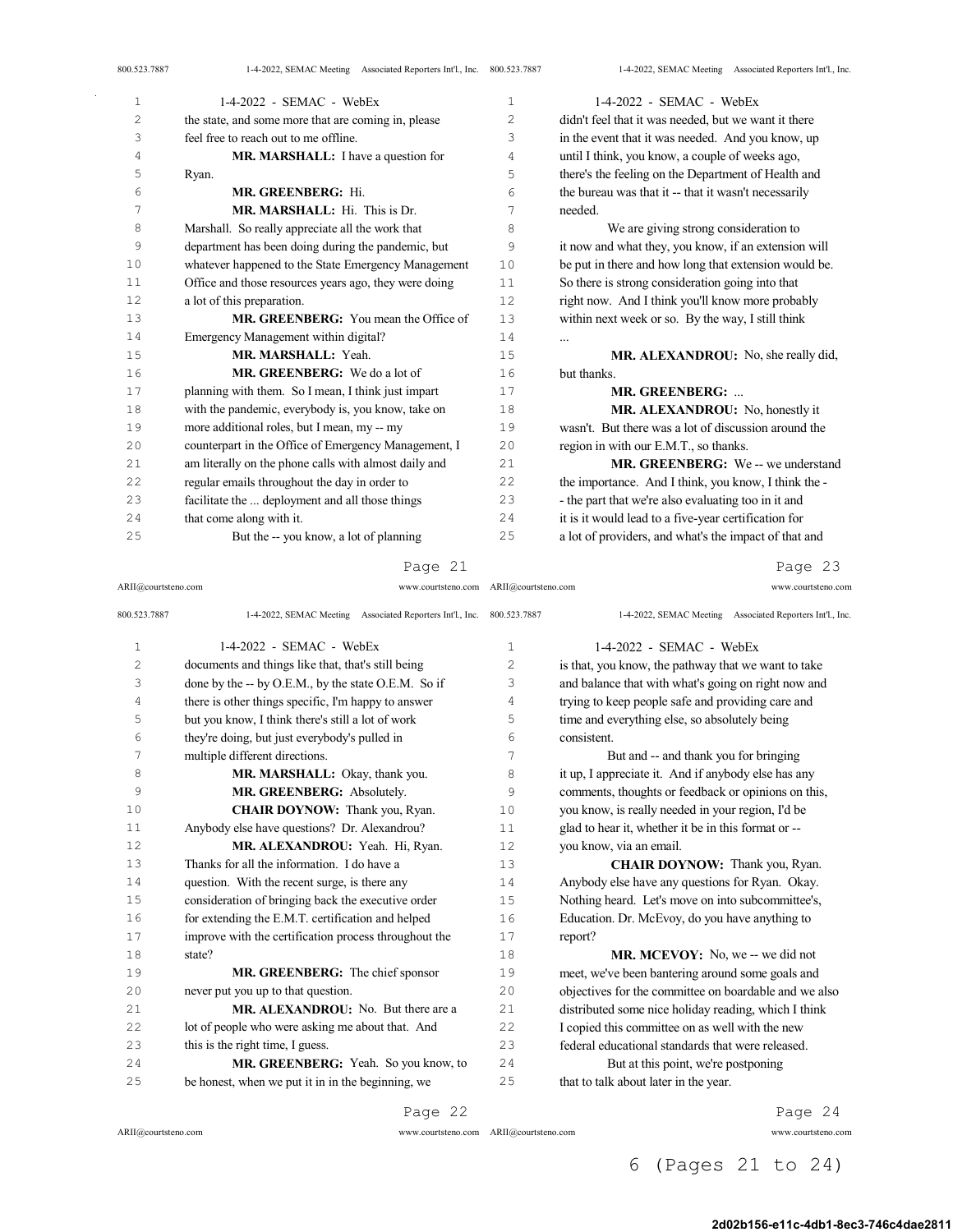| 1              | $1-4-2022$ - SEMAC - WebEx                            | 1  | 1-4-2022 - SEMAC - WebEx                              |
|----------------|-------------------------------------------------------|----|-------------------------------------------------------|
| $\overline{c}$ | the state, and some more that are coming in, please   | 2  | didn't feel that it was needed, but we want it there  |
| 3              | feel free to reach out to me offline.                 | 3  | in the event that it was needed. And you know, up     |
| 4              | MR. MARSHALL: I have a question for                   | 4  | until I think, you know, a couple of weeks ago,       |
| 5              | Ryan.                                                 | 5  | there's the feeling on the Department of Health and   |
| 6              | MR. GREENBERG: Hi.                                    | 6  | the bureau was that it -- that it wasn't necessarily  |
| 7              | MR. MARSHALL: Hi. This is Dr.                         | 7  | needed.                                               |
| 8              | Marshall. So really appreciate all the work that      | 8  | We are giving strong consideration to                 |
| 9              | department has been doing during the pandemic, but    | 9  | it now and what they, you know, if an extension will  |
| 10             | whatever happened to the State Emergency Management   | 10 | be put in there and how long that extension would be. |
| 11             | Office and those resources years ago, they were doing | 11 | So there is strong consideration going into that      |
| 12             | a lot of this preparation.                            | 12 | right now. And I think you'll know more probably      |
| 13             | <b>MR. GREENBERG:</b> You mean the Office of          | 13 | within next week or so. By the way, I still think     |
| 14             | Emergency Management within digital?                  | 14 | $\cdots$                                              |
| 15             | MR. MARSHALL: Yeah.                                   | 15 | MR. ALEXANDROU: No, she really did,                   |
| 16             | MR. GREENBERG: We do a lot of                         | 16 | but thanks.                                           |
| 17             | planning with them. So I mean, I think just impart    | 17 | <b>MR. GREENBERG: </b>                                |
| 18             | with the pandemic, everybody is, you know, take on    | 18 | MR. ALEXANDROU: No, honestly it                       |
| 19             | more additional roles, but I mean, my -- my           | 19 | wasn't. But there was a lot of discussion around the  |
| 20             | counterpart in the Office of Emergency Management, I  | 20 | region in with our E.M.T., so thanks.                 |
| 21             | am literally on the phone calls with almost daily and | 21 | MR. GREENBERG: We -- we understand                    |
| 22             | regular emails throughout the day in order to         | 22 | the importance. And I think, you know, I think the -  |
| 23             | facilitate the  deployment and all those things       | 23 | - the part that we're also evaluating too in it and   |
| 24             | that come along with it.                              | 24 | it is it would lead to a five-year certification for  |
| 25             | But the -- you know, a lot of planning                | 25 | a lot of providers, and what's the impact of that and |

### Page 21

ARII@courtsteno.com www.courtsteno.com ARII@courtsteno.com www.courtsteno.com

Page 23

| 800.523.7887   | 1-4-2022, SEMAC Meeting Associated Reporters Int'l., Inc. 800.523.7887 |                | 1-4-2022, SEMAC Meeting Associated Reporters Int'l., Inc. |
|----------------|------------------------------------------------------------------------|----------------|-----------------------------------------------------------|
| $\mathbf{1}$   | $1-4-2022$ - SEMAC - WebEx                                             | $\mathbf{1}$   | 1-4-2022 - SEMAC - WebEx                                  |
| $\overline{2}$ | documents and things like that, that's still being                     | $\overline{c}$ | is that, you know, the pathway that we want to take       |
| 3              | done by the -- by O.E.M., by the state O.E.M. So if                    | 3              | and balance that with what's going on right now and       |
| 4              | there is other things specific, I'm happy to answer                    | 4              | trying to keep people safe and providing care and         |
| 5              | but you know, I think there's still a lot of work                      | 5              | time and everything else, so absolutely being             |
| 6              | they're doing, but just everybody's pulled in                          | 6              | consistent.                                               |
| 7              | multiple different directions.                                         | 7              | But and -- and thank you for bringing                     |
| 8              | MR. MARSHALL: Okay, thank you.                                         | 8              | it up, I appreciate it. And if anybody else has any       |
| 9              | MR. GREENBERG: Absolutely.                                             | 9              | comments, thoughts or feedback or opinions on this,       |
| 10             | CHAIR DOYNOW: Thank you, Ryan.                                         | 10             | you know, is really needed in your region, I'd be         |
| 11             | Anybody else have questions? Dr. Alexandrou?                           | 11             | glad to hear it, whether it be in this format or --       |
| 12             | MR. ALEXANDROU: Yeah. Hi, Ryan.                                        | 12             | you know, via an email.                                   |
| 13             | Thanks for all the information. I do have a                            | 13             | <b>CHAIR DOYNOW:</b> Thank you, Ryan.                     |
| 14             | question. With the recent surge, is there any                          | 14             | Anybody else have any questions for Ryan. Okay.           |
| 15             | consideration of bringing back the executive order                     | 15             | Nothing heard. Let's move on into subcommittee's,         |
| 16             | for extending the E.M.T. certification and helped                      | 16             | Education. Dr. McEvoy, do you have anything to            |
| 17             | improve with the certification process throughout the                  | 17             | report?                                                   |
| 18             | state?                                                                 | 18             | <b>MR. MCEVOY:</b> No, we -- we did not                   |
| 19             | MR. GREENBERG: The chief sponsor                                       | 19             | meet, we've been bantering around some goals and          |
| 20             | never put you up to that question.                                     | 20             | objectives for the committee on boardable and we also     |
| 21             | MR. ALEXANDROU: No. But there are a                                    | 21             | distributed some nice holiday reading, which I think      |
| 22             | lot of people who were asking me about that. And                       | 22             | I copied this committee on as well with the new           |
| 23             | this is the right time, I guess.                                       | 23             | federal educational standards that were released.         |
| 24             | MR. GREENBERG: Yeah. So you know, to                                   | 24             | But at this point, we're postponing                       |
| 25             | be honest, when we put it in in the beginning, we                      | 25             | that to talk about later in the year.                     |
|                |                                                                        |                |                                                           |

Page 22

 $ARII@{\mbox{conrtsteno.com}}$ 

ARII@courtsteno.com www.courtsteno.com

Page 24

6 (Pages 21 to 24)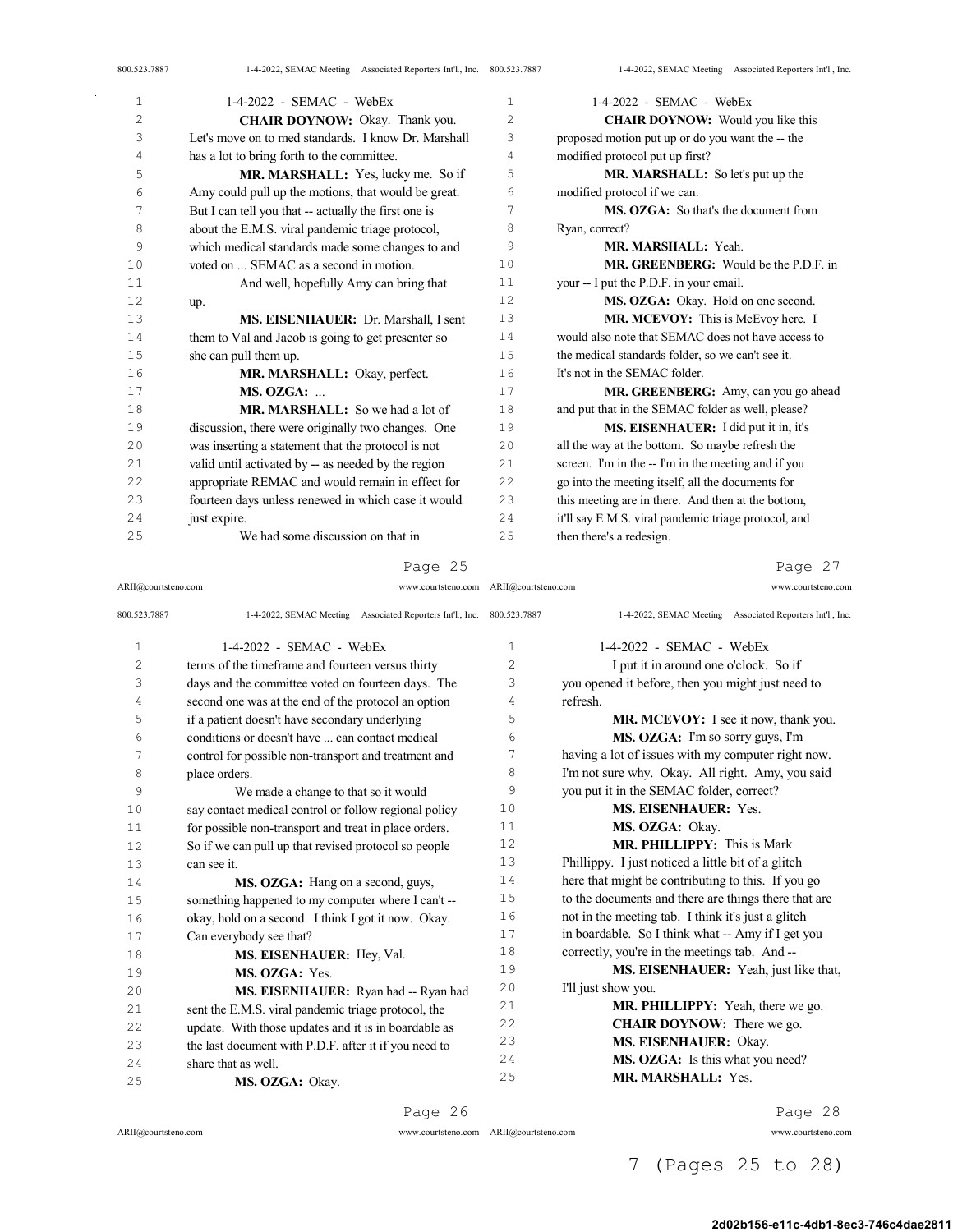| $\mathbf{1}$ | $1-4-2022$ - SEMAC - WebEx                           | 1   | $1-4-2022$ - SEMAC - WebEx                           |
|--------------|------------------------------------------------------|-----|------------------------------------------------------|
| 2            | <b>CHAIR DOYNOW:</b> Okay. Thank you.                | 2   | <b>CHAIR DOYNOW:</b> Would you like this             |
| 3            | Let's move on to med standards. I know Dr. Marshall  | 3   | proposed motion put up or do you want the -- the     |
| 4            | has a lot to bring forth to the committee.           | 4   | modified protocol put up first?                      |
| 5            | MR. MARSHALL: Yes, lucky me. So if                   | 5   | MR. MARSHALL: So let's put up the                    |
| 6            | Amy could pull up the motions, that would be great.  | 6   | modified protocol if we can.                         |
| 7            | But I can tell you that -- actually the first one is | 7   | MS. OZGA: So that's the document from                |
| 8            | about the E.M.S. viral pandemic triage protocol,     | 8   | Ryan, correct?                                       |
| 9            | which medical standards made some changes to and     | 9   | MR. MARSHALL: Yeah.                                  |
| 10           | voted on  SEMAC as a second in motion.               | 10  | <b>MR. GREENBERG:</b> Would be the P.D.F. in         |
| 11           | And well, hopefully Amy can bring that               | 11  | your -- I put the P.D.F. in your email.              |
| 12           | up.                                                  | 12  | MS. OZGA: Okay. Hold on one second.                  |
| 13           | MS. EISENHAUER: Dr. Marshall, I sent                 | 13  | MR. MCEVOY: This is McEvoy here. I                   |
| 14           | them to Val and Jacob is going to get presenter so   | 14  | would also note that SEMAC does not have access to   |
| 15           | she can pull them up.                                | 15  | the medical standards folder, so we can't see it.    |
| 16           | MR. MARSHALL: Okay, perfect.                         | 16  | It's not in the SEMAC folder.                        |
| 17           | MS. OZGA:                                            | 17  | MR. GREENBERG: Amy, can you go ahead                 |
| 18           | MR. MARSHALL: So we had a lot of                     | 18  | and put that in the SEMAC folder as well, please?    |
| 19           | discussion, there were originally two changes. One   | 19  | MS. EISENHAUER: I did put it in, it's                |
| 20           | was inserting a statement that the protocol is not   | 2.0 | all the way at the bottom. So maybe refresh the      |
| 2.1          | valid until activated by -- as needed by the region  | 2.1 | screen. I'm in the -- I'm in the meeting and if you  |
| 22           | appropriate REMAC and would remain in effect for     | 22  | go into the meeting itself, all the documents for    |
| 23           | fourteen days unless renewed in which case it would  | 23  | this meeting are in there. And then at the bottom,   |
| 24           | just expire.                                         | 24  | it'll say E.M.S. viral pandemic triage protocol, and |
| 25           | We had some discussion on that in                    | 25  | then there's a redesign.                             |
|              |                                                      |     |                                                      |

ARII@courtsteno.com www.courtsteno.com ARII@courtsteno.com www.courtsteno.com

Page 27

| 800.523.7887   | 1-4-2022, SEMAC Meeting Associated Reporters Int'l., Inc. 800.523.7887 |                | 1-4-2022, SEMAC Meeting Associated Reporters Int'l., Inc. |
|----------------|------------------------------------------------------------------------|----------------|-----------------------------------------------------------|
| $\mathbf{1}$   | $1-4-2022$ - SEMAC - WebEx                                             | 1              | $1-4-2022$ - SEMAC - WebEx                                |
| $\overline{c}$ | terms of the timeframe and fourteen versus thirty                      | $\overline{c}$ | I put it in around one o'clock. So if                     |
| 3              | days and the committee voted on fourteen days. The                     | 3              | you opened it before, then you might just need to         |
| 4              | second one was at the end of the protocol an option                    | 4              | refresh.                                                  |
| 5              | if a patient doesn't have secondary underlying                         | 5              | MR. MCEVOY: I see it now, thank you.                      |
| 6              | conditions or doesn't have  can contact medical                        | 6              | MS. OZGA: I'm so sorry guys, I'm                          |
| 7              | control for possible non-transport and treatment and                   | 7              | having a lot of issues with my computer right now.        |
| 8              | place orders.                                                          | 8              | I'm not sure why. Okay. All right. Amy, you said          |
| 9              | We made a change to that so it would                                   | 9              | you put it in the SEMAC folder, correct?                  |
| 10             | say contact medical control or follow regional policy                  | 10             | <b>MS. EISENHAUER: Yes.</b>                               |
| 11             | for possible non-transport and treat in place orders.                  | 11             | MS. OZGA: Okay.                                           |
| 12             | So if we can pull up that revised protocol so people                   | 12             | <b>MR. PHILLIPPY:</b> This is Mark                        |
| 13             | can see it.                                                            | 13             | Phillippy. I just noticed a little bit of a glitch        |
| 14             | MS. OZGA: Hang on a second, guys,                                      | 14             | here that might be contributing to this. If you go        |
| 15             | something happened to my computer where I can't --                     | 15             | to the documents and there are things there that are      |
| 16             | okay, hold on a second. I think I got it now. Okay.                    | 16             | not in the meeting tab. I think it's just a glitch        |
| 17             | Can everybody see that?                                                | 17             | in boardable. So I think what -- Amy if I get you         |
| 18             | MS. EISENHAUER: Hey, Val.                                              | 18             | correctly, you're in the meetings tab. And --             |
| 19             | MS. OZGA: Yes.                                                         | 19             | MS. EISENHAUER: Yeah, just like that,                     |
| 20             | MS. EISENHAUER: Ryan had -- Ryan had                                   | 20             | I'll just show you.                                       |
| 21             | sent the E.M.S. viral pandemic triage protocol, the                    | 21             | MR. PHILLIPPY: Yeah, there we go.                         |
| 22             | update. With those updates and it is in boardable as                   | 22             | <b>CHAIR DOYNOW:</b> There we go.                         |
| 23             | the last document with P.D.F. after it if you need to                  | 23             | MS. EISENHAUER: Okay.                                     |
| 24             | share that as well.                                                    | 2.4            | MS. OZGA: Is this what you need?                          |
| 25             | MS. OZGA: Okay.                                                        | 25             | MR. MARSHALL: Yes.                                        |

Page 26

 $ARII@{\mbox{conrtsteno.com}}$ 

 $\bar{z}$ 

ARII@courtsteno.com www.courtsteno.com

Page 28

7 (Pages 25 to 28)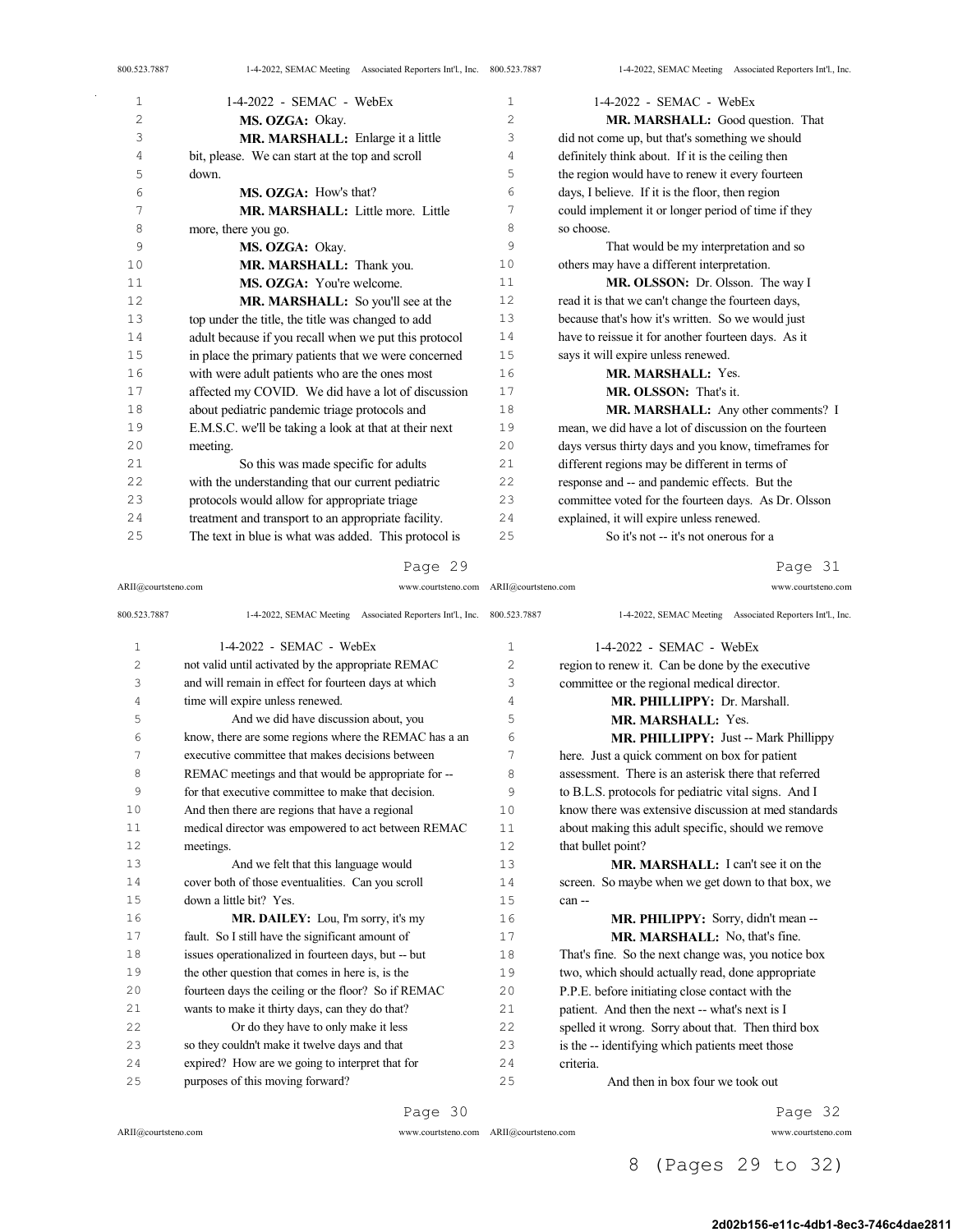| 800.523.7887 | 1-4-2022, SEMAC Meeting Associated Reporters Int'l., Inc. 800.523.7887 |                | 1-4-2022, SEMAC Meeting Associated Reporters Int'l., Inc. |
|--------------|------------------------------------------------------------------------|----------------|-----------------------------------------------------------|
| 1            | $1-4-2022$ - SEMAC - WebEx                                             | 1              | $1-4-2022$ - SEMAC - WebEx                                |
| 2            | MS. OZGA: Okay.                                                        | $\overline{c}$ | MR. MARSHALL: Good question. That                         |
| 3            | MR. MARSHALL: Enlarge it a little                                      | 3              | did not come up, but that's something we should           |
| 4            | bit, please. We can start at the top and scroll                        | 4              | definitely think about. If it is the ceiling then         |
| 5            | down.                                                                  | 5              | the region would have to renew it every fourteen          |
| 6            | MS. OZGA: How's that?                                                  | 6              | days, I believe. If it is the floor, then region          |
| 7            | MR. MARSHALL: Little more. Little                                      | 7              | could implement it or longer period of time if they       |
| 8            | more, there you go.                                                    | 8              | so choose.                                                |
| 9            | MS. OZGA: Okay.                                                        | 9              | That would be my interpretation and so                    |
| 10           | MR. MARSHALL: Thank you.                                               | 10             | others may have a different interpretation.               |
| 11           | MS. OZGA: You're welcome.                                              | 11             | MR. OLSSON: Dr. Olsson. The way I                         |
| 12           | MR. MARSHALL: So you'll see at the                                     | 12             | read it is that we can't change the fourteen days,        |
| 13           | top under the title, the title was changed to add                      | 13             | because that's how it's written. So we would just         |
| 14           | adult because if you recall when we put this protocol                  | 14             | have to reissue it for another fourteen days. As it       |
| 15           | in place the primary patients that we were concerned                   | 15             | says it will expire unless renewed.                       |
| 16           | with were adult patients who are the ones most                         | 16             | MR. MARSHALL: Yes.                                        |
| 17           | affected my COVID. We did have a lot of discussion                     | 17             | MR. OLSSON: That's it.                                    |
| 18           | about pediatric pandemic triage protocols and                          | 18             | MR. MARSHALL: Any other comments? I                       |
| 19           | E.M.S.C. we'll be taking a look at that at their next                  | 19             | mean, we did have a lot of discussion on the fourteen     |
| 20           | meeting.                                                               | 20             | days versus thirty days and you know, timeframes for      |
| 21           | So this was made specific for adults                                   | 21             | different regions may be different in terms of            |
| 22           | with the understanding that our current pediatric                      | 22             | response and -- and pandemic effects. But the             |
| 23           | protocols would allow for appropriate triage                           | 23             | committee voted for the fourteen days. As Dr. Olsson      |
| 24           | treatment and transport to an appropriate facility.                    | 24             | explained, it will expire unless renewed.                 |
| 25           | The text in blue is what was added. This protocol is                   | 25             | So it's not -- it's not onerous for a                     |

Page 31

| ARII@courtsteno.com | www.courtsteno.com ARII@courtsteno.com                    |              | www.courtsteno.com                                        |
|---------------------|-----------------------------------------------------------|--------------|-----------------------------------------------------------|
| 800.523.7887        | 1-4-2022, SEMAC Meeting Associated Reporters Int'l., Inc. | 800.523.7887 | 1-4-2022, SEMAC Meeting Associated Reporters Int'l., Inc. |
| $\mathbf{1}$        | $1-4-2022$ - SEMAC - WebEx                                | $\mathbf 1$  | 1-4-2022 - SEMAC - WebEx                                  |
| 2                   | not valid until activated by the appropriate REMAC        | 2            | region to renew it. Can be done by the executive          |
| 3                   | and will remain in effect for fourteen days at which      | 3            | committee or the regional medical director.               |
| 4                   | time will expire unless renewed.                          | 4            | MR. PHILLIPPY: Dr. Marshall.                              |
| 5                   | And we did have discussion about, you                     | 5            | MR. MARSHALL: Yes.                                        |
| 6                   | know, there are some regions where the REMAC has a an     | 6            | MR. PHILLIPPY: Just -- Mark Phillippy                     |
| 7                   | executive committee that makes decisions between          | 7            | here. Just a quick comment on box for patient             |
| 8                   | REMAC meetings and that would be appropriate for --       | 8            | assessment. There is an asterisk there that referred      |
| 9                   | for that executive committee to make that decision.       | 9            | to B.L.S. protocols for pediatric vital signs. And I      |
| 10                  | And then there are regions that have a regional           | 10           | know there was extensive discussion at med standards      |
| 11                  | medical director was empowered to act between REMAC       | 11           | about making this adult specific, should we remove        |
| 12                  | meetings.                                                 | 12           | that bullet point?                                        |
| 13                  | And we felt that this language would                      | 13           | MR. MARSHALL: I can't see it on the                       |
| 14                  | cover both of those eventualities. Can you scroll         | 14           | screen. So maybe when we get down to that box, we         |
| 15                  | down a little bit? Yes.                                   | 15           | can-                                                      |
| 16                  | MR. DAILEY: Lou, I'm sorry, it's my                       | 16           | MR. PHILIPPY: Sorry, didn't mean --                       |
| 17                  | fault. So I still have the significant amount of          | 17           | MR. MARSHALL: No, that's fine.                            |
| 18                  | issues operationalized in fourteen days, but -- but       | 18           | That's fine. So the next change was, you notice box       |
| 19                  | the other question that comes in here is, is the          | 19           | two, which should actually read, done appropriate         |
| 20                  | fourteen days the ceiling or the floor? So if REMAC       | 20           | P.P.E. before initiating close contact with the           |
| 21                  | wants to make it thirty days, can they do that?           | 21           | patient. And then the next -- what's next is I            |
| 22                  | Or do they have to only make it less                      | 22           | spelled it wrong. Sorry about that. Then third box        |
| 23                  | so they couldn't make it twelve days and that             | 23           | is the -- identifying which patients meet those           |
| 24                  | expired? How are we going to interpret that for           | 24           | criteria.                                                 |
| 25                  | purposes of this moving forward?                          | 25           | And then in box four we took out                          |

ARII@courtsteno.com

 $\mathcal{L}^{\text{max}}$ 

Page 30

ARII@courtsteno.com www.courtsteno.com

Page 32

## 8 (Pages 29 to 32)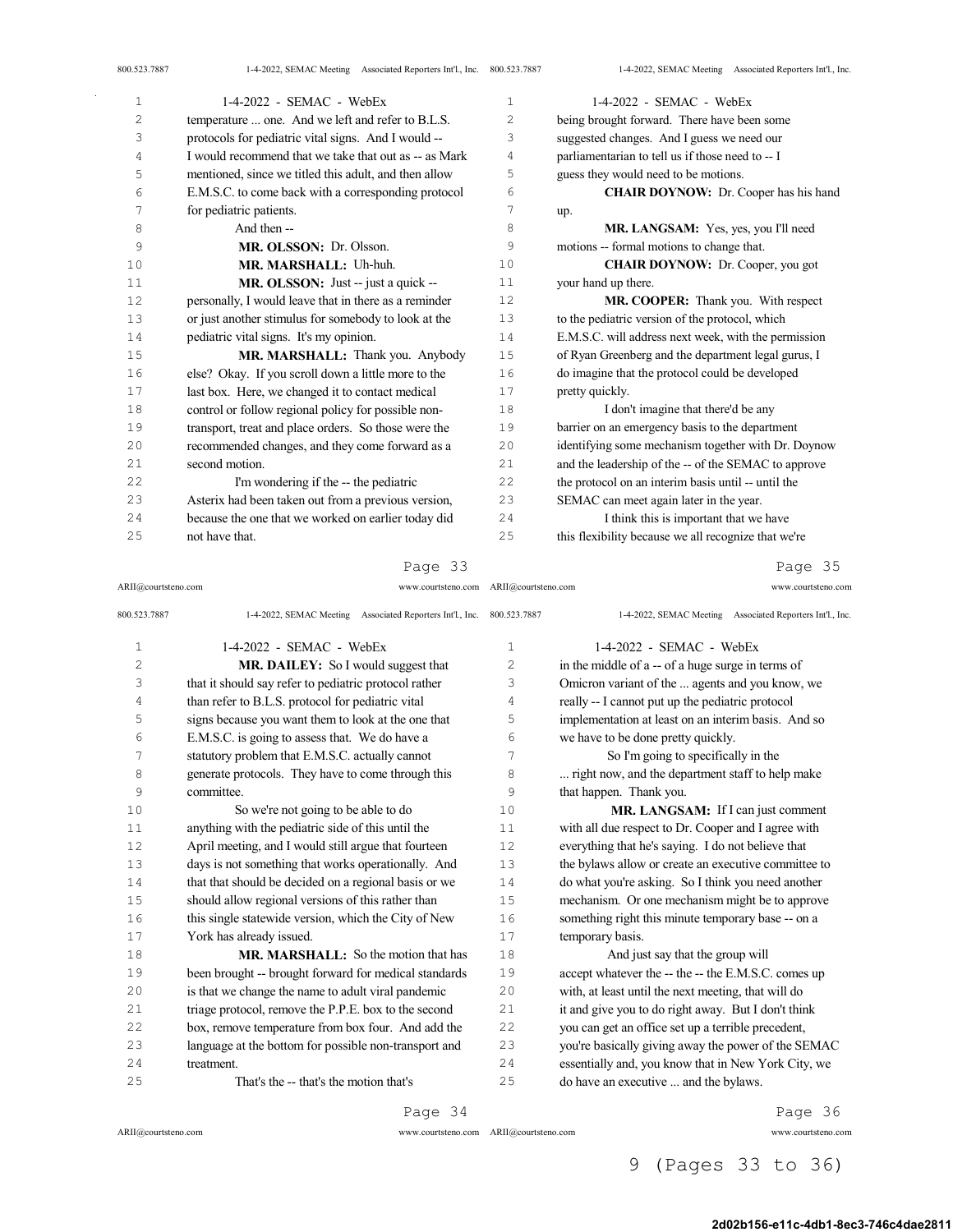| 800.523.7887   | 1-4-2022, SEMAC Meeting Associated Reporters Int'l., Inc. 800.523.7887 |                | 1-4-2022, SEMAC Meeting Associated Reporters Int'l., Inc |
|----------------|------------------------------------------------------------------------|----------------|----------------------------------------------------------|
| $\mathbf{1}$   | 1-4-2022 - SEMAC - WebEx                                               | $\mathbf{1}$   | $1-4-2022$ - SEMAC - WebEx                               |
| $\overline{c}$ | temperature  one. And we left and refer to B.L.S.                      | 2              | being brought forward. There have been some              |
| 3              | protocols for pediatric vital signs. And I would --                    | 3              | suggested changes. And I guess we need our               |
| 4              | I would recommend that we take that out as -- as Mark                  | $\overline{4}$ | parliamentarian to tell us if those need to -- I         |
| 5              | mentioned, since we titled this adult, and then allow                  | 5              | guess they would need to be motions.                     |
| 6              | E.M.S.C. to come back with a corresponding protocol                    | 6              | <b>CHAIR DOYNOW:</b> Dr. Cooper has his hand             |
| 7              | for pediatric patients.                                                | 7              | up.                                                      |
| 8              | And then --                                                            | 8              | MR. LANGSAM: Yes, yes, you I'll need                     |
| 9              | MR. OLSSON: Dr. Olsson.                                                | 9              | motions -- formal motions to change that.                |
| 10             | MR. MARSHALL: Uh-huh.                                                  | 1 <sub>0</sub> | <b>CHAIR DOYNOW:</b> Dr. Cooper, you got                 |
| 11             | MR. OLSSON: Just -- just a quick --                                    | 11             | your hand up there.                                      |
| 12             | personally, I would leave that in there as a reminder                  | 12             | MR. COOPER: Thank you. With respect                      |
| 13             | or just another stimulus for somebody to look at the                   | 13             | to the pediatric version of the protocol, which          |
| 14             | pediatric vital signs. It's my opinion.                                | 14             | E.M.S.C. will address next week, with the permission     |
| 15             | MR. MARSHALL: Thank you. Anybody                                       | 15             | of Ryan Greenberg and the department legal gurus, I      |
| 16             | else? Okay. If you scroll down a little more to the                    | 16             | do imagine that the protocol could be developed          |
| 17             | last box. Here, we changed it to contact medical                       | 17             | pretty quickly.                                          |
| 18             | control or follow regional policy for possible non-                    | 18             | I don't imagine that there'd be any                      |
| 19             | transport, treat and place orders. So those were the                   | 19             | barrier on an emergency basis to the department          |
| 20             | recommended changes, and they come forward as a                        | 20             | identifying some mechanism together with Dr. Doynow      |
| 21             | second motion.                                                         | 2.1            | and the leadership of the -- of the SEMAC to approve     |
| 22             | I'm wondering if the -- the pediatric                                  | 22             | the protocol on an interim basis until -- until the      |
| 23             | Asterix had been taken out from a previous version,                    | 23             | SEMAC can meet again later in the year.                  |
| 24             | because the one that we worked on earlier today did                    | 24             | I think this is important that we have                   |
| 25             | not have that.                                                         | 25             | this flexibility because we all recognize that we're     |
|                |                                                                        |                |                                                          |

#### Page 33 ARII@courtsteno.com www.courtsteno.com

### Page 35

| 800.523.7887   | 1-4-2022, SEMAC Meeting Associated Reporters Int'l., Inc. | 800.523.7887   | 1-4-2022, SEMAC Meeting Associated Reporters Int'l., Inc. |
|----------------|-----------------------------------------------------------|----------------|-----------------------------------------------------------|
| 1              | $1-4-2022$ - SEMAC - WebEx                                | $\mathbf{1}$   | 1-4-2022 - SEMAC - WebEx                                  |
| $\overline{2}$ | MR. DAILEY: So I would suggest that                       | $\overline{2}$ | in the middle of a -- of a huge surge in terms of         |
| 3              | that it should say refer to pediatric protocol rather     | 3              | Omicron variant of the  agents and you know, we           |
| 4              | than refer to B.L.S. protocol for pediatric vital         | 4              | really -- I cannot put up the pediatric protocol          |
| 5              | signs because you want them to look at the one that       | 5              | implementation at least on an interim basis. And so       |
| 6              | E.M.S.C. is going to assess that. We do have a            | 6              | we have to be done pretty quickly.                        |
| 7              | statutory problem that E.M.S.C. actually cannot           | 7              | So I'm going to specifically in the                       |
| 8              | generate protocols. They have to come through this        | 8              | right now, and the department staff to help make          |
| 9              | committee.                                                | 9              | that happen. Thank you.                                   |
| 10             | So we're not going to be able to do                       | 10             | MR. LANGSAM: If I can just comment                        |
| 11             | anything with the pediatric side of this until the        | 11             | with all due respect to Dr. Cooper and I agree with       |
| 12             | April meeting, and I would still argue that fourteen      | 12.            | everything that he's saying. I do not believe that        |
| 13             | days is not something that works operationally. And       | 13             | the bylaws allow or create an executive committee to      |
| 14             | that that should be decided on a regional basis or we     | 14             | do what you're asking. So I think you need another        |
| 15             | should allow regional versions of this rather than        | 15             | mechanism. Or one mechanism might be to approve           |
| 16             | this single statewide version, which the City of New      | 16             | something right this minute temporary base -- on a        |
| 17             | York has already issued.                                  | 17             | temporary basis.                                          |
| 18             | <b>MR. MARSHALL:</b> So the motion that has               | 18             | And just say that the group will                          |
| 19             | been brought -- brought forward for medical standards     | 19             | accept whatever the -- the -- the E.M.S.C. comes up       |
| 20             | is that we change the name to adult viral pandemic        | 20             | with, at least until the next meeting, that will do       |
| 21             | triage protocol, remove the P.P.E. box to the second      | 2.1            | it and give you to do right away. But I don't think       |
| 2.2            | box, remove temperature from box four. And add the        | 2.2.           | you can get an office set up a terrible precedent,        |
| 23             | language at the bottom for possible non-transport and     | 23             | you're basically giving away the power of the SEMAC       |
| 24             | treatment.                                                | 24             | essentially and, you know that in New York City, we       |
| 25             | That's the -- that's the motion that's                    | 25             | do have an executive  and the bylaws.                     |
|                |                                                           |                |                                                           |

Page 34

ARII@courtsteno.com

ARII@courtsteno.com www.courtsteno.com

Page 36

## 9 (Pages 33 to 36)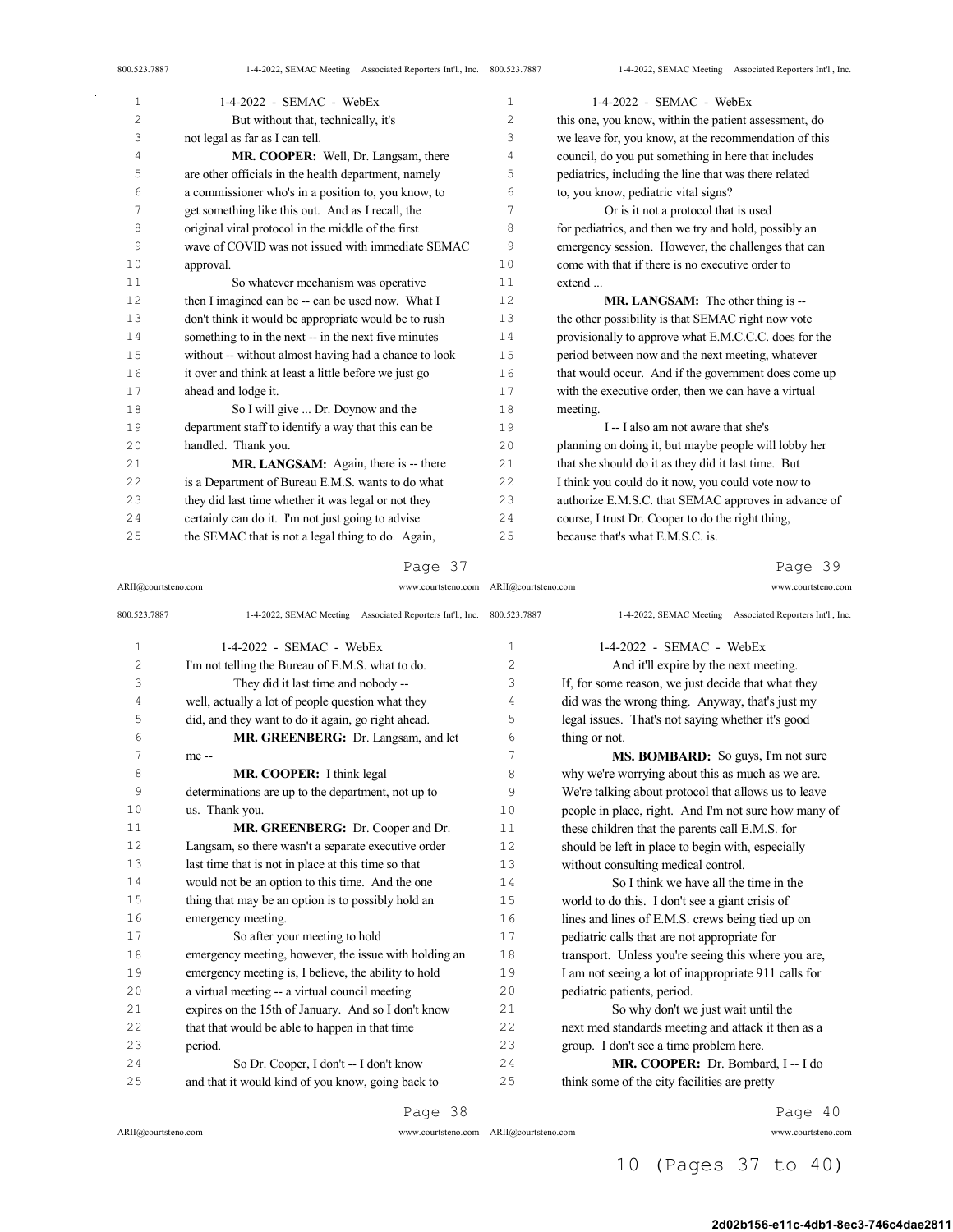| $\mathbf{1}$ | $1-4-2022$ - SEMAC - WebEx                            | $\mathbf{1}$ | $1-4-2022$ - SEMAC - WebEx                            |
|--------------|-------------------------------------------------------|--------------|-------------------------------------------------------|
| $\mathbf{2}$ | But without that, technically, it's                   | 2            | this one, you know, within the patient assessment, do |
| 3            | not legal as far as I can tell.                       | 3            | we leave for, you know, at the recommendation of this |
| 4            | MR. COOPER: Well, Dr. Langsam, there                  | 4            | council, do you put something in here that includes   |
| 5            | are other officials in the health department, namely  | 5            | pediatrics, including the line that was there related |
| 6            | a commissioner who's in a position to, you know, to   | 6            | to, you know, pediatric vital signs?                  |
| 7            | get something like this out. And as I recall, the     | 7            | Or is it not a protocol that is used                  |
| 8            | original viral protocol in the middle of the first    | 8            | for pediatrics, and then we try and hold, possibly an |
| 9            | wave of COVID was not issued with immediate SEMAC     | 9            | emergency session. However, the challenges that can   |
| 10           | approval.                                             | 10           | come with that if there is no executive order to      |
| 11           | So whatever mechanism was operative                   | 11           | extend                                                |
| 12           | then I imagined can be -- can be used now. What I     | 12           | MR. LANGSAM: The other thing is --                    |
| 13           | don't think it would be appropriate would be to rush  | 13           | the other possibility is that SEMAC right now vote    |
| 14           | something to in the next -- in the next five minutes  | 14           | provisionally to approve what E.M.C.C.C. does for the |
| 15           | without -- without almost having had a chance to look | 15           | period between now and the next meeting, whatever     |
| 16           | it over and think at least a little before we just go | 16           | that would occur. And if the government does come up  |
| 17           | ahead and lodge it.                                   | 17           | with the executive order, then we can have a virtual  |
| 18           | So I will give  Dr. Doynow and the                    | 18           | meeting.                                              |
| 19           | department staff to identify a way that this can be   | 19           | I -- I also am not aware that she's                   |
| 20           | handled. Thank you.                                   | 20           | planning on doing it, but maybe people will lobby her |
| 21           | MR. LANGSAM: Again, there is -- there                 | 21           | that she should do it as they did it last time. But   |
| 22           | is a Department of Bureau E.M.S. wants to do what     | 22           | I think you could do it now, you could vote now to    |
| 23           | they did last time whether it was legal or not they   | 23           | authorize E.M.S.C. that SEMAC approves in advance of  |
| 24           | certainly can do it. I'm not just going to advise     | 24           | course, I trust Dr. Cooper to do the right thing,     |
| 25           | the SEMAC that is not a legal thing to do. Again,     | 25           | because that's what E.M.S.C. is.                      |

ARII@courtsteno.com www.courtsteno.com ARII@courtsteno.com www.courtsteno.com

## Page 39

| 800.523.7887 | 1-4-2022, SEMAC Meeting Associated Reporters Int'l., Inc. 800.523.7887 |    | 1-4-2022, SEMAC Meeting Associated Reporters Int'l., Inc. |
|--------------|------------------------------------------------------------------------|----|-----------------------------------------------------------|
| $\mathbf{1}$ | $1-4-2022$ - SEMAC - WebEx                                             | 1  | $1-4-2022$ - SEMAC - WebEx                                |
| 2            | I'm not telling the Bureau of E.M.S. what to do.                       | 2  | And it'll expire by the next meeting.                     |
| 3            | They did it last time and nobody --                                    | 3  | If, for some reason, we just decide that what they        |
| 4            | well, actually a lot of people question what they                      | 4  | did was the wrong thing. Anyway, that's just my           |
| 5            | did, and they want to do it again, go right ahead.                     | 5  | legal issues. That's not saying whether it's good         |
| 6            | MR. GREENBERG: Dr. Langsam, and let                                    | 6  | thing or not.                                             |
| 7            | me --                                                                  | 7  | MS. BOMBARD: So guys, I'm not sure                        |
| 8            | MR. COOPER: I think legal                                              | 8  | why we're worrying about this as much as we are.          |
| 9            | determinations are up to the department, not up to                     | 9  | We're talking about protocol that allows us to leave      |
| 10           | us. Thank you.                                                         | 10 | people in place, right. And I'm not sure how many of      |
| 11           | MR. GREENBERG: Dr. Cooper and Dr.                                      | 11 | these children that the parents call E.M.S. for           |
| 12           | Langsam, so there wasn't a separate executive order                    | 12 | should be left in place to begin with, especially         |
| 13           | last time that is not in place at this time so that                    | 13 | without consulting medical control.                       |
| 14           | would not be an option to this time. And the one                       | 14 | So I think we have all the time in the                    |
| 15           | thing that may be an option is to possibly hold an                     | 15 | world to do this. I don't see a giant crisis of           |
| 16           | emergency meeting.                                                     | 16 | lines and lines of E.M.S. crews being tied up on          |
| 17           | So after your meeting to hold                                          | 17 | pediatric calls that are not appropriate for              |
| 18           | emergency meeting, however, the issue with holding an                  | 18 | transport. Unless you're seeing this where you are,       |
| 19           | emergency meeting is, I believe, the ability to hold                   | 19 | I am not seeing a lot of inappropriate 911 calls for      |
| 20           | a virtual meeting -- a virtual council meeting                         | 20 | pediatric patients, period.                               |
| 21           | expires on the 15th of January. And so I don't know                    | 21 | So why don't we just wait until the                       |
| 22           | that that would be able to happen in that time                         | 22 | next med standards meeting and attack it then as a        |
| 23           | period.                                                                | 23 | group. I don't see a time problem here.                   |
| 24           | So Dr. Cooper, I don't -- I don't know                                 | 24 | MR. COOPER: Dr. Bombard, I -- I do                        |
| 25           | and that it would kind of you know, going back to                      | 25 | think some of the city facilities are pretty              |

 $\bar{z}$ 

ARII@courtsteno.com www.courtsteno.com

Page 38

Page 40

## 10 (Pages 37 to 40)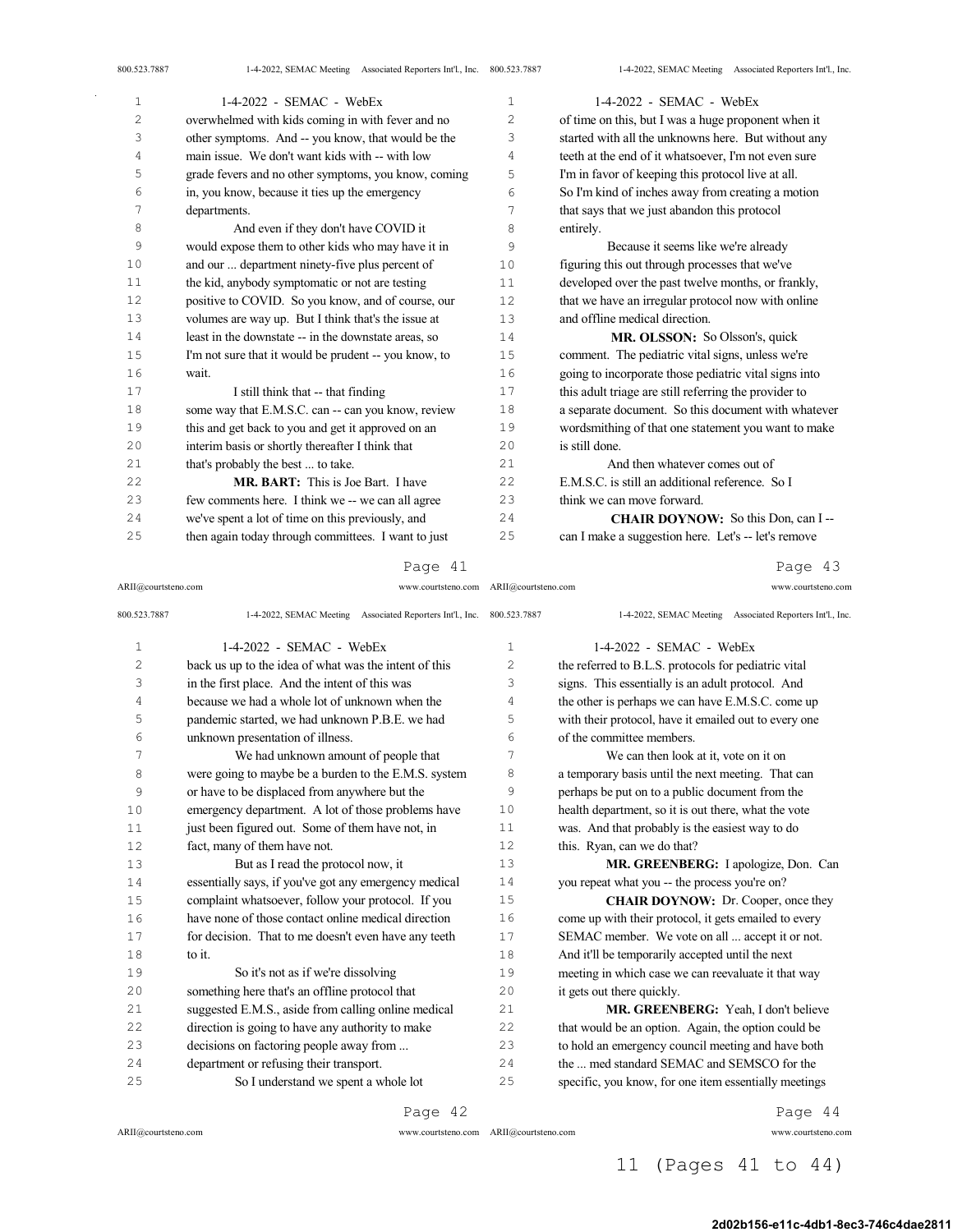| 1              | $1-4-2022$ - SEMAC - WebEx                            | $\mathbf 1$    | $1-4-2022$ - SEMAC - WebEx                            |
|----------------|-------------------------------------------------------|----------------|-------------------------------------------------------|
| $\overline{c}$ | overwhelmed with kids coming in with fever and no     | $\overline{c}$ | of time on this, but I was a huge proponent when it   |
| 3              | other symptoms. And -- you know, that would be the    | 3              | started with all the unknowns here. But without any   |
| 4              | main issue. We don't want kids with -- with low       | 4              | teeth at the end of it whatsoever, I'm not even sure  |
| 5              | grade fevers and no other symptoms, you know, coming  | 5              | I'm in favor of keeping this protocol live at all.    |
| 6              | in, you know, because it ties up the emergency        | 6              | So I'm kind of inches away from creating a motion     |
| 7              | departments.                                          | 7              | that says that we just abandon this protocol          |
| 8              | And even if they don't have COVID it                  | 8              | entirely.                                             |
| 9              | would expose them to other kids who may have it in    | 9              | Because it seems like we're already                   |
| 10             | and our  department ninety-five plus percent of       | 10             | figuring this out through processes that we've        |
| 11             | the kid, anybody symptomatic or not are testing       | 11             | developed over the past twelve months, or frankly,    |
| 12             | positive to COVID. So you know, and of course, our    | 12             | that we have an irregular protocol now with online    |
| 13             | volumes are way up. But I think that's the issue at   | 13             | and offline medical direction.                        |
| 14             | least in the downstate -- in the downstate areas, so  | 14             | <b>MR. OLSSON:</b> So Olsson's, quick                 |
| 15             | I'm not sure that it would be prudent -- you know, to | 15             | comment. The pediatric vital signs, unless we're      |
| 16             | wait.                                                 | 16             | going to incorporate those pediatric vital signs into |
| 17             | I still think that -- that finding                    | 17             | this adult triage are still referring the provider to |
| 18             | some way that E.M.S.C. can -- can you know, review    | 18             | a separate document. So this document with whatever   |
| 19             | this and get back to you and get it approved on an    | 19             | wordsmithing of that one statement you want to make   |
| 20             | interim basis or shortly thereafter I think that      | 20             | is still done.                                        |
| 21             | that's probably the best  to take.                    | 21             | And then whatever comes out of                        |
| 22             | MR. BART: This is Joe Bart. I have                    | 22             | E.M.S.C. is still an additional reference. So I       |
| 23             | few comments here. I think we -- we can all agree     | 23             | think we can move forward.                            |
| 24             | we've spent a lot of time on this previously, and     | 24             | <b>CHAIR DOYNOW:</b> So this Don, can I --            |
| 25             | then again today through committees. I want to just   | 25             | can I make a suggestion here. Let's -- let's remove   |
|                |                                                       |                |                                                       |

ARII@courtsteno.com www.courtsteno.com ARII@courtsteno.com www.courtsteno.com

Page 43

| 800.523.7887   | 1-4-2022, SEMAC Meeting Associated Reporters Int'l., Inc. 800.523.7887 |     | 1-4-2022, SEMAC Meeting Associated Reporters Int'l., Inc. |
|----------------|------------------------------------------------------------------------|-----|-----------------------------------------------------------|
| $\mathbf{1}$   | $1-4-2022$ - SEMAC - WebEx                                             | 1   | $1-4-2022$ - SEMAC - WebEx                                |
| $\overline{c}$ | back us up to the idea of what was the intent of this                  | 2   | the referred to B.L.S. protocols for pediatric vital      |
| 3              | in the first place. And the intent of this was                         | 3   | signs. This essentially is an adult protocol. And         |
| 4              | because we had a whole lot of unknown when the                         | 4   | the other is perhaps we can have E.M.S.C. come up         |
| 5              | pandemic started, we had unknown P.B.E. we had                         | 5   | with their protocol, have it emailed out to every one     |
| 6              | unknown presentation of illness.                                       | 6   | of the committee members.                                 |
| 7              | We had unknown amount of people that                                   | 7   | We can then look at it, vote on it on                     |
| 8              | were going to maybe be a burden to the E.M.S. system                   | 8   | a temporary basis until the next meeting. That can        |
| 9              | or have to be displaced from anywhere but the                          | 9   | perhaps be put on to a public document from the           |
| 10             | emergency department. A lot of those problems have                     | 10  | health department, so it is out there, what the vote      |
| 11             | just been figured out. Some of them have not, in                       | 11  | was. And that probably is the easiest way to do           |
| 12             | fact, many of them have not.                                           | 12. | this. Ryan, can we do that?                               |
| 13             | But as I read the protocol now, it                                     | 13  | MR. GREENBERG: I apologize, Don. Can                      |
| 14             | essentially says, if you've got any emergency medical                  | 14  | you repeat what you -- the process you're on?             |
| 15             | complaint whatsoever, follow your protocol. If you                     | 15  | <b>CHAIR DOYNOW:</b> Dr. Cooper, once they                |
| 16             | have none of those contact online medical direction                    | 16  | come up with their protocol, it gets emailed to every     |
| 17             | for decision. That to me doesn't even have any teeth                   | 17  | SEMAC member. We vote on all  accept it or not.           |
| 18             | to it.                                                                 | 18  | And it'll be temporarily accepted until the next          |
| 19             | So it's not as if we're dissolving                                     | 19  | meeting in which case we can reevaluate it that way       |
| 20             | something here that's an offline protocol that                         | 20  | it gets out there quickly.                                |
| 21             | suggested E.M.S., aside from calling online medical                    | 21  | MR. GREENBERG: Yeah, I don't believe                      |
| 22             | direction is going to have any authority to make                       | 22  | that would be an option. Again, the option could be       |
| 23             | decisions on factoring people away from                                | 23  | to hold an emergency council meeting and have both        |
| 24             | department or refusing their transport.                                | 2.4 | the  med standard SEMAC and SEMSCO for the                |
| 25             | So I understand we spent a whole lot                                   | 25  | specific, you know, for one item essentially meetings     |

Page 42

 $ARII@{\mbox{conrtsteno.com}}$ 

ARII@courtsteno.com www.courtsteno.com

Page 44

11 (Pages 41 to 44)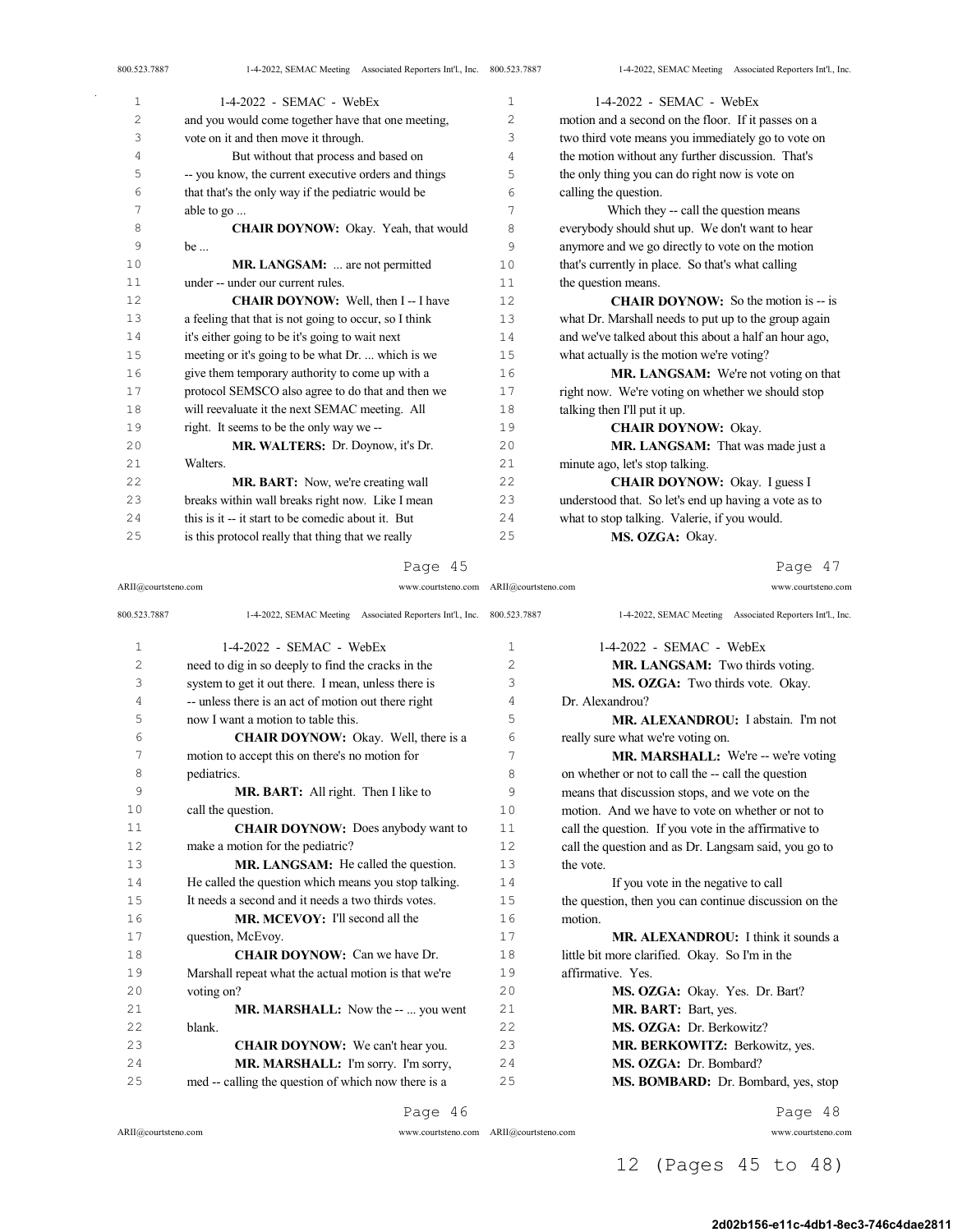| Ζ  | and you would come together have that one meeting,    | $\angle$ | motion and a second on the floor. If it passes on a   |
|----|-------------------------------------------------------|----------|-------------------------------------------------------|
| 3  | vote on it and then move it through.                  | 3        | two third vote means you immediately go to vote on    |
| 4  | But without that process and based on                 | 4        | the motion without any further discussion. That's     |
| 5  | -- you know, the current executive orders and things  | 5        | the only thing you can do right now is vote on        |
| 6  | that that's the only way if the pediatric would be    | 6        | calling the question.                                 |
| 7  | able to go                                            | 7        | Which they -- call the question means                 |
| 8  | <b>CHAIR DOYNOW:</b> Okay. Yeah, that would           | 8        | everybody should shut up. We don't want to hear       |
| 9  | be                                                    | 9        | anymore and we go directly to vote on the motion      |
| 10 | MR. LANGSAM:  are not permitted                       | 10       | that's currently in place. So that's what calling     |
| 11 | under -- under our current rules.                     | 11       | the question means.                                   |
| 12 | <b>CHAIR DOYNOW:</b> Well, then I--I have             | 12       | <b>CHAIR DOYNOW:</b> So the motion is $-$ is          |
| 13 | a feeling that that is not going to occur, so I think | 13       | what Dr. Marshall needs to put up to the group again  |
| 14 | it's either going to be it's going to wait next       | 14       | and we've talked about this about a half an hour ago, |
| 15 | meeting or it's going to be what Dr.  which is we     | 15       | what actually is the motion we're voting?             |
| 16 | give them temporary authority to come up with a       | 16       | MR. LANGSAM: We're not voting on that                 |
| 17 | protocol SEMSCO also agree to do that and then we     | 17       | right now. We're voting on whether we should stop     |
| 18 | will reevaluate it the next SEMAC meeting. All        | 18       | talking then I'll put it up.                          |
| 19 | right. It seems to be the only way we --              | 19       | <b>CHAIR DOYNOW: Okay.</b>                            |
| 20 | MR. WALTERS: Dr. Doynow, it's Dr.                     | 20       | MR. LANGSAM: That was made just a                     |
| 21 | Walters.                                              | 21       | minute ago, let's stop talking.                       |
| 22 | MR. BART: Now, we're creating wall                    | 22       | <b>CHAIR DOYNOW:</b> Okay. I guess I                  |
| 23 | breaks within wall breaks right now. Like I mean      | 23       | understood that. So let's end up having a vote as to  |
| 24 | this is it -- it start to be comedic about it. But    | 24       | what to stop talking. Valerie, if you would.          |
| 25 | is this protocol really that thing that we really     | 25       | MS. OZGA: Okay.                                       |
|    |                                                       |          |                                                       |

Page 45

ARII@courtsteno.com www.courtsteno.com ARII@courtsteno.com www.courtsteno.com

Page 47

| 800.523.7887   | 1-4-2022, SEMAC Meeting Associated Reporters Int'l., Inc. 800.523.7887 |     | 1-4-2022, SEMAC Meeting Associated Reporters Int'l., Inc. |
|----------------|------------------------------------------------------------------------|-----|-----------------------------------------------------------|
| $\mathbf{1}$   | $1-4-2022$ - SEMAC - WebEx                                             | 1   | $1-4-2022$ - SEMAC - WebEx                                |
| $\overline{c}$ | need to dig in so deeply to find the cracks in the                     | 2   | MR. LANGSAM: Two thirds voting.                           |
| 3              | system to get it out there. I mean, unless there is                    | 3   | MS. OZGA: Two thirds vote. Okay.                          |
| 4              | -- unless there is an act of motion out there right                    | 4   | Dr. Alexandrou?                                           |
| 5              | now I want a motion to table this.                                     | 5   | MR. ALEXANDROU: I abstain. I'm not                        |
| 6              | CHAIR DOYNOW: Okay. Well, there is a                                   | 6   | really sure what we're voting on.                         |
| 7              | motion to accept this on there's no motion for                         | 7   | MR. MARSHALL: We're -- we're voting                       |
| 8              | pediatrics.                                                            | 8   | on whether or not to call the -- call the question        |
| 9              | MR. BART: All right. Then I like to                                    | 9   | means that discussion stops, and we vote on the           |
| 10             | call the question.                                                     | 10  | motion. And we have to vote on whether or not to          |
| 11             | <b>CHAIR DOYNOW:</b> Does anybody want to                              | 11  | call the question. If you vote in the affirmative to      |
| 12             | make a motion for the pediatric?                                       | 12. | call the question and as Dr. Langsam said, you go to      |
| 13             | MR. LANGSAM: He called the question.                                   | 13  | the vote.                                                 |
| 14             | He called the question which means you stop talking.                   | 14  | If you vote in the negative to call                       |
| 15             | It needs a second and it needs a two thirds votes.                     | 1.5 | the question, then you can continue discussion on the     |
| 16             | <b>MR. MCEVOY:</b> I'll second all the                                 | 16  | motion.                                                   |
| 17             | question, McEvoy.                                                      | 17  | MR. ALEXANDROU: I think it sounds a                       |
| 18             | <b>CHAIR DOYNOW:</b> Can we have Dr.                                   | 18  | little bit more clarified. Okay. So I'm in the            |
| 19             | Marshall repeat what the actual motion is that we're                   | 19  | affirmative. Yes.                                         |
| 20             | voting on?                                                             | 20  | MS. OZGA: Okay. Yes. Dr. Bart?                            |
| 2.1            | <b>MR. MARSHALL:</b> Now the --  you went                              | 21  | MR. BART: Bart, yes.                                      |
| 22             | blank.                                                                 | 22  | MS. OZGA: Dr. Berkowitz?                                  |
| 23             | <b>CHAIR DOYNOW:</b> We can't hear you.                                | 23  | <b>MR. BERKOWITZ: Berkowitz, yes.</b>                     |
| 24             | MR. MARSHALL: I'm sorry. I'm sorry,                                    | 24  | MS. OZGA: Dr. Bombard?                                    |
| 25             | med -- calling the question of which now there is a                    | 25  | MS. BOMBARD: Dr. Bombard, yes, stop                       |
|                |                                                                        |     |                                                           |

 $\sim$ 

Page 46

ARII@courtsteno.com www.courtsteno.com

Page 48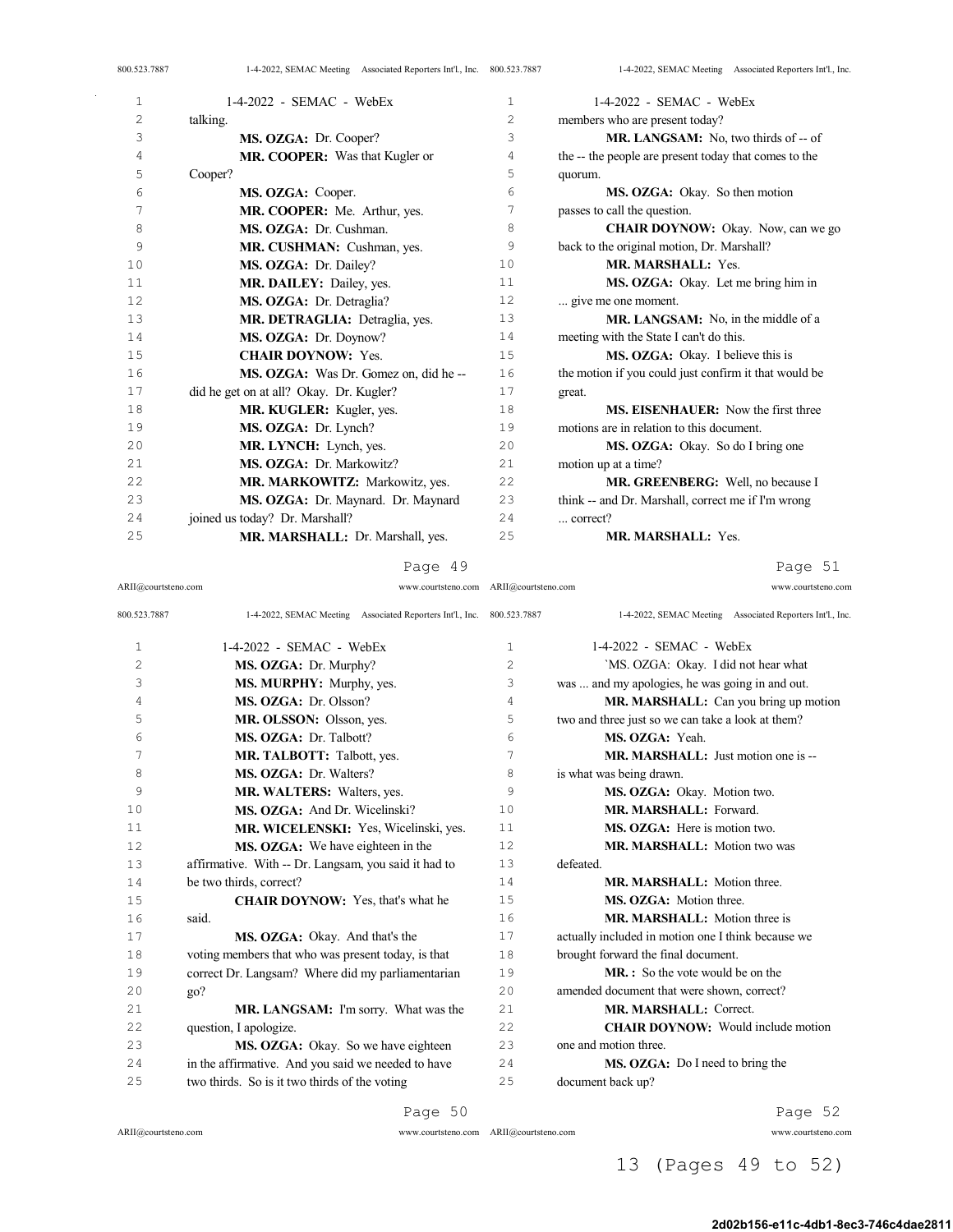| 1              | $1-4-2022$ - SEMAC - WebEx              | $\mathbf{1}$   | $1-4-2022$ - SEMAC - WebEx                            |
|----------------|-----------------------------------------|----------------|-------------------------------------------------------|
| $\overline{c}$ | talking.                                | $\overline{c}$ | members who are present today?                        |
| 3              | MS. OZGA: Dr. Cooper?                   | 3              | MR. LANGSAM: No, two thirds of -- of                  |
| 4              | MR. COOPER: Was that Kugler or          | 4              | the -- the people are present today that comes to the |
| 5              | Cooper?                                 | 5              | quorum.                                               |
| 6              | MS. OZGA: Cooper.                       | 6              | MS. OZGA: Okay. So then motion                        |
| 7              | MR. COOPER: Me. Arthur, yes.            | 7              | passes to call the question.                          |
| 8              | MS. OZGA: Dr. Cushman.                  | 8              | <b>CHAIR DOYNOW:</b> Okay. Now, can we go             |
| 9              | MR. CUSHMAN: Cushman, yes.              | 9              | back to the original motion, Dr. Marshall?            |
| 10             | MS. OZGA: Dr. Dailey?                   | 10             | MR. MARSHALL: Yes.                                    |
| 11             | MR. DAILEY: Dailey, yes.                | 11             | MS. OZGA: Okay. Let me bring him in                   |
| 12             | MS. OZGA: Dr. Detraglia?                | 12             | give me one moment.                                   |
| 13             | MR. DETRAGLIA: Detraglia, yes.          | 13             | MR. LANGSAM: No, in the middle of a                   |
| 14             | MS. OZGA: Dr. Doynow?                   | 14             | meeting with the State I can't do this.               |
| 15             | <b>CHAIR DOYNOW: Yes.</b>               | 15             | MS. OZGA: Okay. I believe this is                     |
| 16             | MS. OZGA: Was Dr. Gomez on, did he-     | 16             | the motion if you could just confirm it that would be |
| 17             | did he get on at all? Okay. Dr. Kugler? | 17             | great.                                                |
| 18             | MR. KUGLER: Kugler, yes.                | 18             | <b>MS. EISENHAUER:</b> Now the first three            |
| 19             | MS. OZGA: Dr. Lynch?                    | 19             | motions are in relation to this document.             |
| 20             | MR. LYNCH: Lynch, yes.                  | 20             | MS. OZGA: Okay. So do I bring one                     |
| 21             | MS. OZGA: Dr. Markowitz?                | 21             | motion up at a time?                                  |
| 22             | MR. MARKOWITZ: Markowitz, yes.          | 22             | MR. GREENBERG: Well, no because I                     |
| 23             | MS. OZGA: Dr. Maynard. Dr. Maynard      | 23             | think -- and Dr. Marshall, correct me if I'm wrong    |
| 24             | joined us today? Dr. Marshall?          | 24             | correct?                                              |
| 25             | MR. MARSHALL: Dr. Marshall, yes.        | 25             | <b>MR. MARSHALL: Yes.</b>                             |
|                |                                         |                |                                                       |

Page 51

| ARII@courtsteno.com | www.courtsteno.com | ARII@courtsteno.com | www.courtsteno.com |
|---------------------|--------------------|---------------------|--------------------|

| 800.523.7887 | 1-4-2022, SEMAC Meeting Associated Reporters Int'l., Inc. | 800.523.7887   | 1-4-2022, SEMAC Meeting Associated Reporters Int'l., Inc. |
|--------------|-----------------------------------------------------------|----------------|-----------------------------------------------------------|
| 1            | $1-4-2022$ - SEMAC - WebEx                                | $\mathbf{1}$   | $1-4-2022$ - SEMAC - WebEx                                |
| 2            | MS. OZGA: Dr. Murphy?                                     | $\overline{c}$ | 'MS. OZGA: Okay. I did not hear what                      |
| 3            | MS. MURPHY: Murphy, yes.                                  | 3              | was  and my apologies, he was going in and out.           |
| 4            | MS. OZGA: Dr. Olsson?                                     | 4              | MR. MARSHALL: Can you bring up motion                     |
| 5            | MR. OLSSON: Olsson, yes.                                  | 5              | two and three just so we can take a look at them?         |
| 6            | MS. OZGA: Dr. Talbott?                                    | 6              | MS. OZGA: Yeah.                                           |
| 7            | MR. TALBOTT: Talbott, yes.                                | 7              | MR. MARSHALL: Just motion one is --                       |
| 8            | MS. OZGA: Dr. Walters?                                    | 8              | is what was being drawn.                                  |
| 9            | MR. WALTERS: Walters, yes.                                | 9              | MS. OZGA: Okay. Motion two.                               |
| 10           | MS. OZGA: And Dr. Wicelinski?                             | 10             | MR. MARSHALL: Forward.                                    |
| 11           | MR. WICELENSKI: Yes, Wicelinski, yes.                     | 11             | MS. OZGA: Here is motion two.                             |
| 12           | <b>MS. OZGA:</b> We have eighteen in the                  | 12             | <b>MR. MARSHALL:</b> Motion two was                       |
| 13           | affirmative. With -- Dr. Langsam, you said it had to      | 13             | defeated.                                                 |
| 14           | be two thirds, correct?                                   | 14             | <b>MR. MARSHALL:</b> Motion three.                        |
| 15           | <b>CHAIR DOYNOW:</b> Yes, that's what he                  | 15             | MS. OZGA: Motion three.                                   |
| 16           | said.                                                     | 16             | <b>MR. MARSHALL:</b> Motion three is                      |
| 17           | MS. OZGA: Okay. And that's the                            | 17             | actually included in motion one I think because we        |
| 18           | voting members that who was present today, is that        | 18             | brought forward the final document.                       |
| 19           | correct Dr. Langsam? Where did my parliamentarian         | 19             | <b>MR.</b> : So the vote would be on the                  |
| 20           | go?                                                       | 2.0            | amended document that were shown, correct?                |
| 21           | MR. LANGSAM: I'm sorry. What was the                      | 2.1            | MR. MARSHALL: Correct.                                    |
| 22           | question, I apologize.                                    | 22             | <b>CHAIR DOYNOW:</b> Would include motion                 |
| 23           | MS. OZGA: Okay. So we have eighteen                       | 23             | one and motion three.                                     |
| 24           | in the affirmative. And you said we needed to have        | 2.4            | MS. OZGA: Do I need to bring the                          |
| 25           | two thirds. So is it two thirds of the voting             | 25             | document back up?                                         |

Page 50

 $\bar{z}$ 

ARII@courtsteno.com www.courtsteno.com ARII@courtsteno.com www.courtsteno.com

Page 52

## 13 (Pages 49 to 52)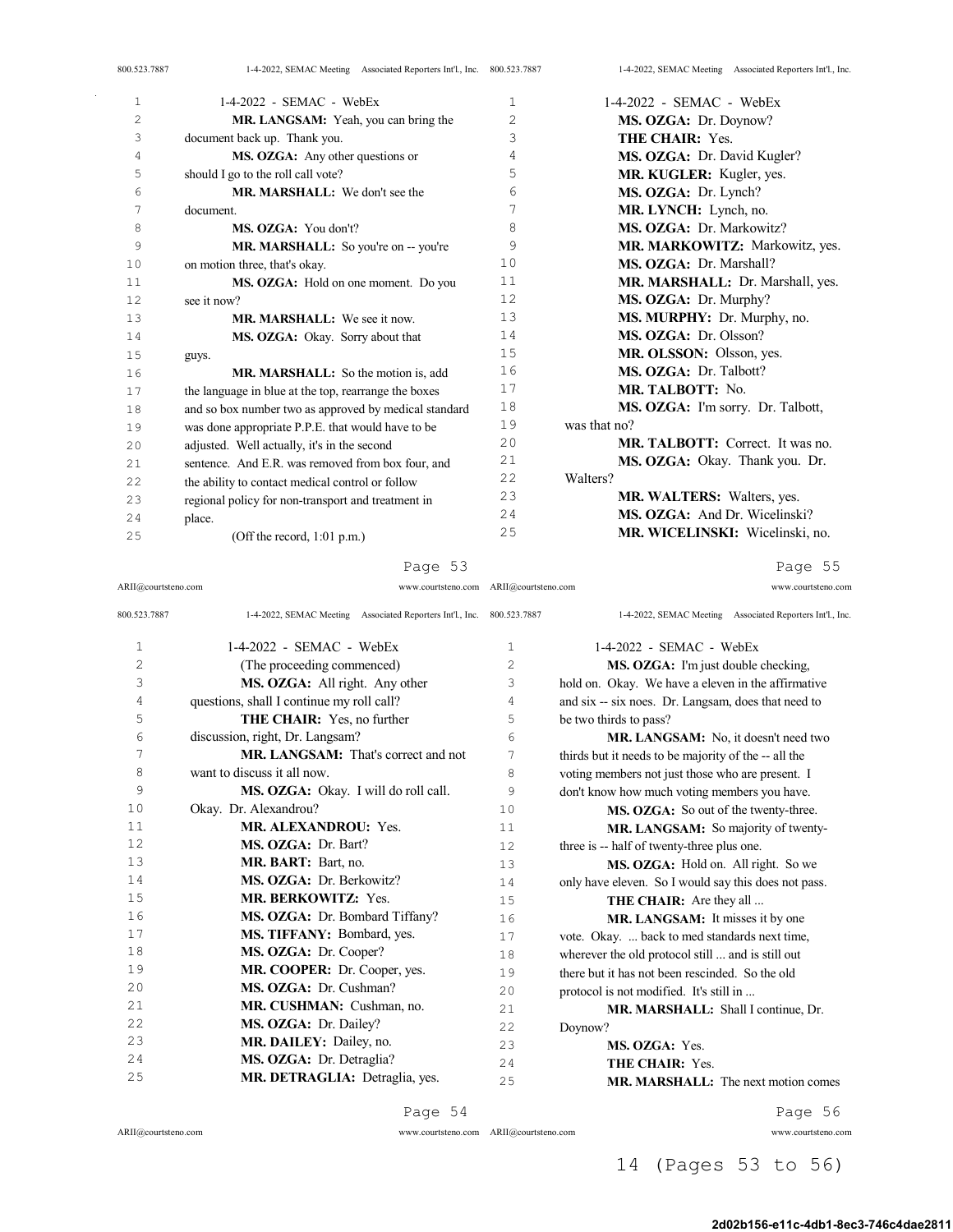| 800.523.7887   | 1-4-2022, SEMAC Meeting Associated Reporters Int'l., Inc. 800.523.7887 |                | 1-4-2022, SEMAC Meeting Associated Reporters Int'l., Inc. |
|----------------|------------------------------------------------------------------------|----------------|-----------------------------------------------------------|
| 1              | $1-4-2022$ - SEMAC - WebEx                                             | 1              | $1-4-2022$ - SEMAC - WebEx                                |
| $\overline{2}$ | MR. LANGSAM: Yeah, you can bring the                                   | $\overline{2}$ | MS. OZGA: Dr. Doynow?                                     |
| 3              | document back up. Thank you.                                           | 3              | THE CHAIR: Yes.                                           |
| 4              | MS. OZGA: Any other questions or                                       | 4              | MS. OZGA: Dr. David Kugler?                               |
| 5              | should I go to the roll call vote?                                     | 5              | MR. KUGLER: Kugler, yes.                                  |
| 6              | MR. MARSHALL: We don't see the                                         | 6              | MS. OZGA: Dr. Lynch?                                      |
| 7              | document.                                                              | 7              | MR. LYNCH: Lynch, no.                                     |
| 8              | MS. OZGA: You don't?                                                   | 8              | MS. OZGA: Dr. Markowitz?                                  |
| 9              | MR. MARSHALL: So you're on -- you're                                   | 9              | MR. MARKOWITZ: Markowitz, yes.                            |
| 10             | on motion three, that's okay.                                          | 10             | MS. OZGA: Dr. Marshall?                                   |
| 11             | MS. OZGA: Hold on one moment. Do you                                   | 11             | MR. MARSHALL: Dr. Marshall, yes.                          |
| 12             | see it now?                                                            | 12             | MS. OZGA: Dr. Murphy?                                     |
| 13             | <b>MR. MARSHALL:</b> We see it now.                                    | 13             | MS. MURPHY: Dr. Murphy, no.                               |
| 14             | MS. OZGA: Okay. Sorry about that                                       | 14             | MS. OZGA: Dr. Olsson?                                     |
| 15             | guys.                                                                  | 15             | MR. OLSSON: Olsson, yes.                                  |
| 16             | MR. MARSHALL: So the motion is, add                                    | 16             | MS. OZGA: Dr. Talbott?                                    |
| 17             | the language in blue at the top, rearrange the boxes                   | 17             | MR. TALBOTT: No.                                          |
| 18             | and so box number two as approved by medical standard                  | 18             | MS. OZGA: I'm sorry. Dr. Talbott,                         |
| 19             | was done appropriate P.P.E. that would have to be                      | 19             | was that no?                                              |
| 20             | adjusted. Well actually, it's in the second                            | 20             | <b>MR. TALBOTT:</b> Correct. It was no.                   |
| 2.1            | sentence. And E.R. was removed from box four, and                      | 21             | MS. OZGA: Okay. Thank you. Dr.                            |
| 2.2.           | the ability to contact medical control or follow                       | 22             | Walters?                                                  |
| 23             | regional policy for non-transport and treatment in                     | 23             | MR. WALTERS: Walters, yes.                                |
| 2.4            | place.                                                                 | 24             | MS. OZGA: And Dr. Wicelinski?                             |
| 25             | (Off the record, $1:01$ p.m.)                                          | 25             | MR. WICELINSKI: Wicelinski, no.                           |

Page 55

ARII@courtsteno.com

| 800.523.7887 | 1-4-2022, SEMAC Meeting Associated Reporters Int'l., Inc. 800.523.7887 |             | 1-4-2022, SEMAC Meeting Associated Reporters Int'l., Inc. |
|--------------|------------------------------------------------------------------------|-------------|-----------------------------------------------------------|
| 1            | $1-4-2022$ - SEMAC - WebEx                                             | $\mathbf 1$ | $1-4-2022$ - SEMAC - WebEx                                |
| 2            | (The proceeding commenced)                                             | 2           | MS. OZGA: I'm just double checking,                       |
| 3            | MS. OZGA: All right. Any other                                         | 3           | hold on. Okay. We have a eleven in the affirmative        |
| 4            | questions, shall I continue my roll call?                              | 4           | and six -- six noes. Dr. Langsam, does that need to       |
| 5            | THE CHAIR: Yes, no further                                             | 5           | be two thirds to pass?                                    |
| 6            | discussion, right, Dr. Langsam?                                        | 6           | MR. LANGSAM: No. it doesn't need two                      |
| 7            | <b>MR. LANGSAM:</b> That's correct and not                             | 7           | thirds but it needs to be majority of the -- all the      |
| 8            | want to discuss it all now.                                            | 8           | voting members not just those who are present. I          |
| 9            | MS. OZGA: Okay. I will do roll call.                                   | 9           | don't know how much voting members you have.              |
| 10           | Okay. Dr. Alexandrou?                                                  | 10          | MS. OZGA: So out of the twenty-three.                     |
| 11           | <b>MR. ALEXANDROU: Yes.</b>                                            | 11          | MR. LANGSAM: So majority of twenty-                       |
| 12           | MS. OZGA: Dr. Bart?                                                    | 12          | three is -- half of twenty-three plus one.                |
| 13           | MR. BART: Bart, no.                                                    | 13          | MS. OZGA: Hold on. All right. So we                       |
| 14           | MS. OZGA: Dr. Berkowitz?                                               | 14          | only have eleven. So I would say this does not pass.      |
| 15           | <b>MR. BERKOWITZ: Yes.</b>                                             | 15          | THE CHAIR: Are they all                                   |
| 16           | MS. OZGA: Dr. Bombard Tiffany?                                         | 16          | MR. LANGSAM: It misses it by one                          |
| 17           | MS. TIFFANY: Bombard, yes.                                             | 17          | vote. Okay.  back to med standards next time,             |
| 18           | MS. OZGA: Dr. Cooper?                                                  | 18          | wherever the old protocol still  and is still out         |
| 19           | MR. COOPER: Dr. Cooper, yes.                                           | 19          | there but it has not been rescinded. So the old           |
| 20           | MS. OZGA: Dr. Cushman?                                                 | 20          | protocol is not modified. It's still in                   |
| 21           | MR. CUSHMAN: Cushman, no.                                              | 2.1         | MR. MARSHALL: Shall I continue, Dr.                       |
| 22           | MS. OZGA: Dr. Dailey?                                                  | 22          | Doynow?                                                   |
| 23           | MR. DAILEY: Dailey, no.                                                | 23          | MS. OZGA: Yes.                                            |
| 24           | MS. OZGA: Dr. Detraglia?                                               | 24          | <b>THE CHAIR: Yes.</b>                                    |

# **MR. MARSHALL:** The next motion comes

ARII@courtsteno.com www.courtsteno.com

ARII@courtsteno.com

25 MR. DETRAGLIA: Detraglia, yes.

ARII@courtsteno.com www.courtsteno.com

Page 56

14 (Pages 53 to 56)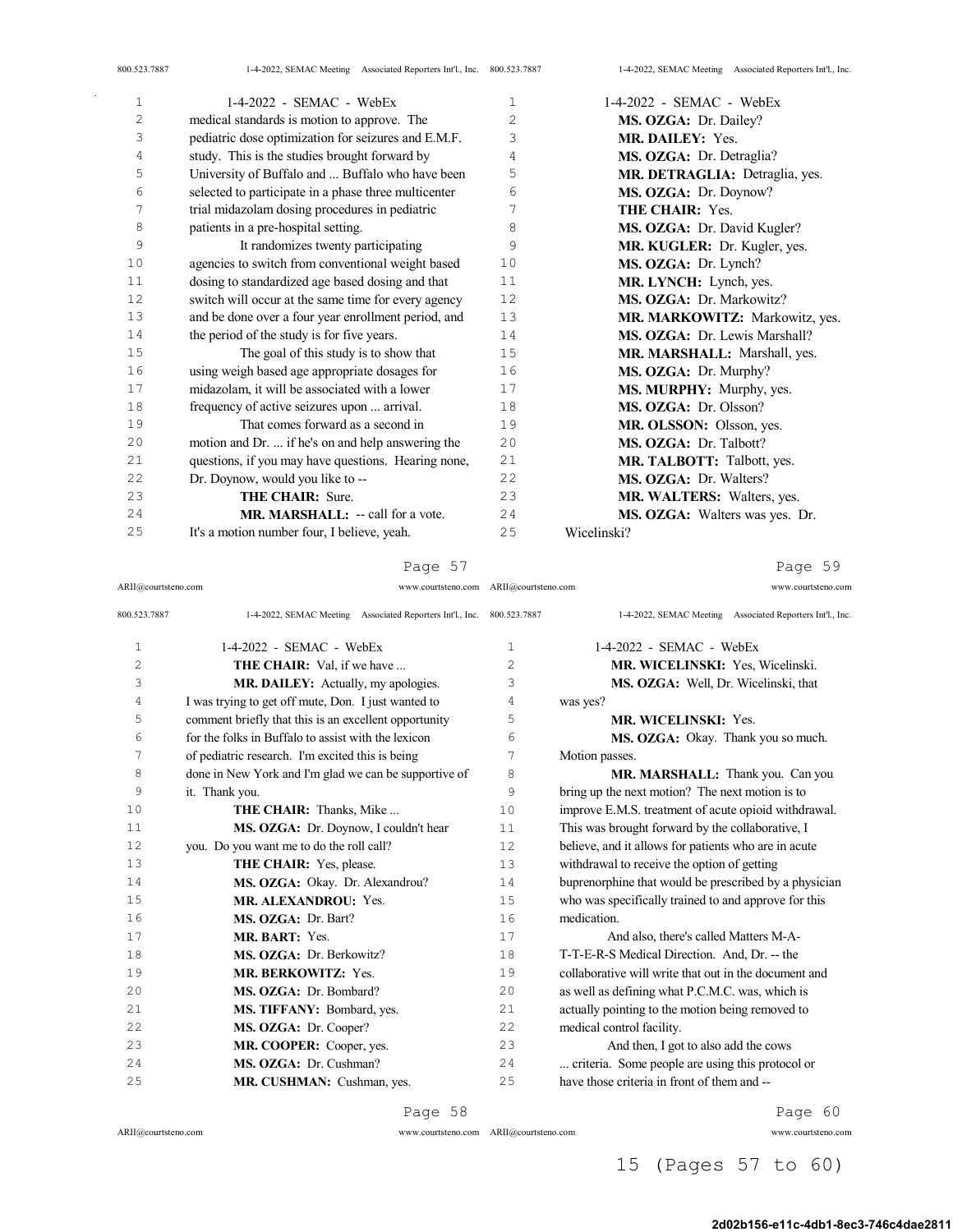| $\mathbf{1}$   | $1-4-2022$ - SEMAC - WebEx                           | $\mathbf{1}$   | $1-4-2022$ - SEMAC - WebEx        |
|----------------|------------------------------------------------------|----------------|-----------------------------------|
| $\overline{c}$ | medical standards is motion to approve. The          | $\overline{2}$ | MS. OZGA: Dr. Dailey?             |
| 3              | pediatric dose optimization for seizures and E.M.F.  | 3              | MR. DAILEY: Yes.                  |
| 4              | study. This is the studies brought forward by        | 4              | MS. OZGA: Dr. Detraglia?          |
| 5              | University of Buffalo and  Buffalo who have been     | 5              | MR. DETRAGLIA: Detraglia, yes.    |
| 6              | selected to participate in a phase three multicenter | 6              | MS. OZGA: Dr. Doynow?             |
| 7              | trial midazolam dosing procedures in pediatric       | 7              | <b>THE CHAIR: Yes.</b>            |
| 8              | patients in a pre-hospital setting.                  | 8              | MS. OZGA: Dr. David Kugler?       |
| 9              | It randomizes twenty participating                   | 9              | MR. KUGLER: Dr. Kugler, yes.      |
| 10             | agencies to switch from conventional weight based    | 10             | MS. OZGA: Dr. Lynch?              |
| 11             | dosing to standardized age based dosing and that     | 11             | MR. LYNCH: Lynch, yes.            |
| 12             | switch will occur at the same time for every agency  | 12             | MS. OZGA: Dr. Markowitz?          |
| 13             | and be done over a four year enrollment period, and  | 13             | MR. MARKOWITZ: Markowitz, yes.    |
| 14             | the period of the study is for five years.           | 14             | MS. OZGA: Dr. Lewis Marshall?     |
| 15             | The goal of this study is to show that               | 15             | MR. MARSHALL: Marshall, yes.      |
| 16             | using weigh based age appropriate dosages for        | 16             | MS. OZGA: Dr. Murphy?             |
| 17             | midazolam, it will be associated with a lower        | 17             | MS. MURPHY: Murphy, yes.          |
| 18             | frequency of active seizures upon  arrival.          | 18             | MS. OZGA: Dr. Olsson?             |
| 19             | That comes forward as a second in                    | 19             | MR. OLSSON: Olsson, yes.          |
| 20             | motion and Dr.  if he's on and help answering the    | 20             | MS. OZGA: Dr. Talbott?            |
| 21             | questions, if you may have questions. Hearing none,  | 21             | MR. TALBOTT: Talbott, yes.        |
| 22             | Dr. Doynow, would you like to --                     | 22             | <b>MS. OZGA:</b> Dr. Walters?     |
| 23             | <b>THE CHAIR: Sure.</b>                              | 23             | <b>MR. WALTERS:</b> Walters, yes. |
| 24             | MR. MARSHALL: -- call for a vote.                    | 24             | MS. OZGA: Walters was yes. Dr.    |
| 25             | It's a motion number four, I believe, yeah.          | 25             | Wicelinski?                       |

Page 57

ARII@courtsteno.com www.courtsteno.com ARII@courtsteno.com www.courtsteno.com

Page 59

| 800.523.7887 | 1-4-2022, SEMAC Meeting Associated Reporters Int'l., Inc. 800.523.7887 |                | 1-4-2022, SEMAC Meeting Associated Reporters Int'l., Inc. |
|--------------|------------------------------------------------------------------------|----------------|-----------------------------------------------------------|
| $\mathbf{1}$ | $1-4-2022$ - SEMAC - WebEx                                             | $\mathbf{1}$   | $1-4-2022$ - SEMAC - WebEx                                |
| 2            | <b>THE CHAIR:</b> Val, if we have                                      | $\overline{c}$ | MR. WICELINSKI: Yes, Wicelinski.                          |
| 3            | MR. DAILEY: Actually, my apologies.                                    | 3              | MS. OZGA: Well, Dr. Wicelinski, that                      |
| 4            | I was trying to get off mute, Don. I just wanted to                    | 4              | was yes?                                                  |
| 5            | comment briefly that this is an excellent opportunity                  | 5              | <b>MR. WICELINSKI: Yes.</b>                               |
| 6            | for the folks in Buffalo to assist with the lexicon                    | 6              | MS. OZGA: Okay. Thank you so much.                        |
| 7            | of pediatric research. I'm excited this is being                       | 7              | Motion passes.                                            |
| 8            | done in New York and I'm glad we can be supportive of                  | 8              | MR. MARSHALL: Thank you. Can you                          |
| 9            | it. Thank you.                                                         | 9              | bring up the next motion? The next motion is to           |
| 10           | THE CHAIR: Thanks, Mike                                                | 10             | improve E.M.S. treatment of acute opioid withdrawal.      |
| 11           | MS. OZGA: Dr. Doynow, I couldn't hear                                  | 11             | This was brought forward by the collaborative, I          |
| 12           | you. Do you want me to do the roll call?                               | 12.            | believe, and it allows for patients who are in acute      |
| 13           | THE CHAIR: Yes, please.                                                | 13             | withdrawal to receive the option of getting               |
| 14           | MS. OZGA: Okay. Dr. Alexandrou?                                        | 14             | buprenorphine that would be prescribed by a physician     |
| 15           | <b>MR. ALEXANDROU: Yes.</b>                                            | 15             | who was specifically trained to and approve for this      |
| 16           | MS. OZGA: Dr. Bart?                                                    | 16             | medication.                                               |
| 17           | MR. BART: Yes.                                                         | 17             | And also, there's called Matters M-A-                     |
| 18           | MS. OZGA: Dr. Berkowitz?                                               | 18             | T-T-E-R-S Medical Direction. And, Dr. -- the              |
| 19           | <b>MR. BERKOWITZ: Yes.</b>                                             | 19             | collaborative will write that out in the document and     |
| 2.0          | MS. OZGA: Dr. Bombard?                                                 | 20             | as well as defining what P.C.M.C. was, which is           |
| 21           | MS. TIFFANY: Bombard, yes.                                             | 2.1            | actually pointing to the motion being removed to          |
| 2.2          | MS. OZGA: Dr. Cooper?                                                  | 2.2.           | medical control facility.                                 |
| 2.3          | MR. COOPER: Cooper, yes.                                               | 23             | And then, I got to also add the cows                      |
| 24           | MS. OZGA: Dr. Cushman?                                                 | 24             | criteria. Some people are using this protocol or          |
| 2.5          | MR. CUSHMAN: Cushman, yes.                                             | 25             | have those criteria in front of them and --               |
|              |                                                                        |                |                                                           |

#### $ARII@{\mbox{conrtsteno.com}}$

Page 58

ARII@courtsteno.com www.courtsteno.com

Page 60

## 15 (Pages 57 to 60)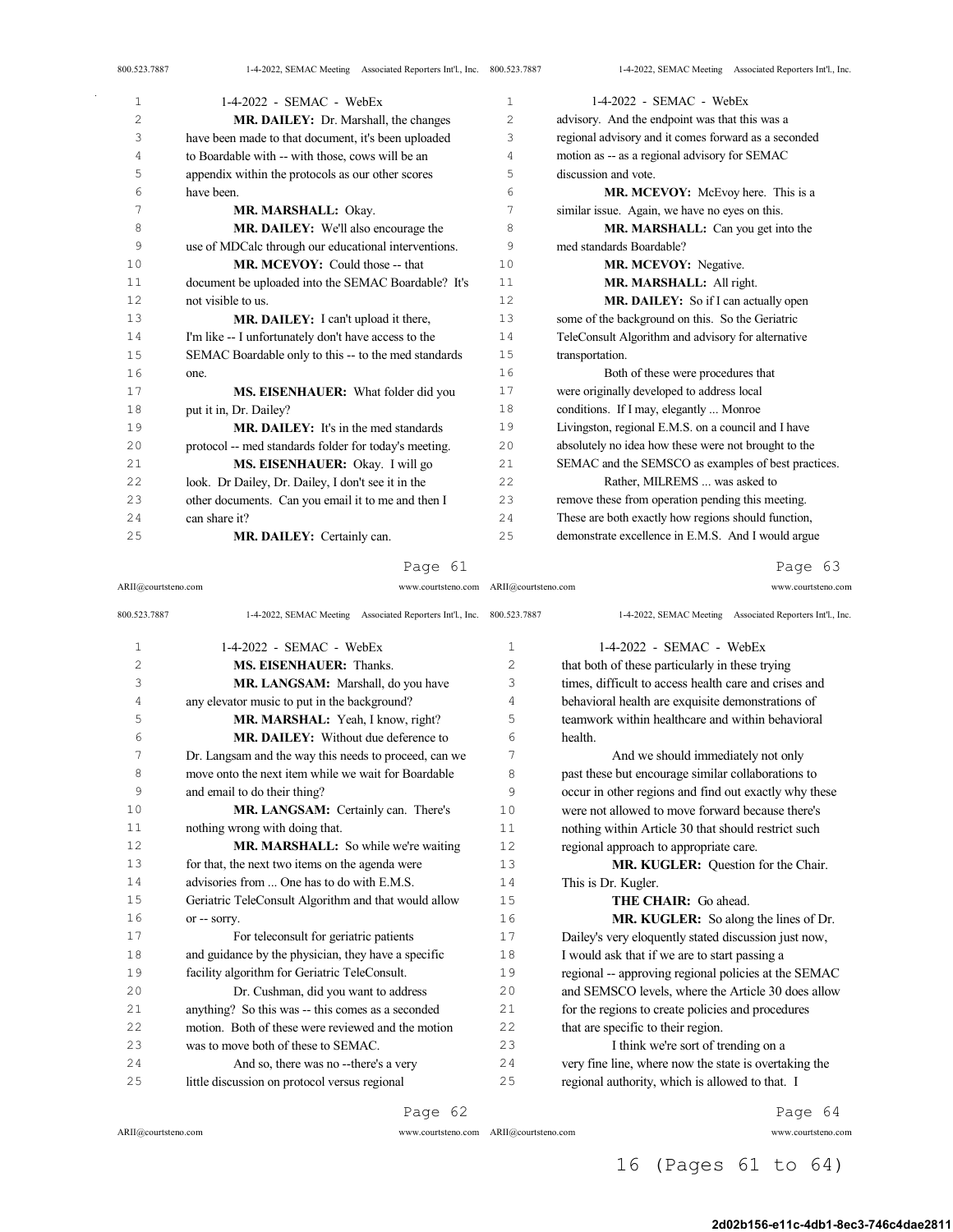| 800.523.7887 | 1-4-2022, SEMAC Meeting Associated Reporters Int'l., Inc. 800.523.7887 |              | 1-4-2022, SEMAC Meeting Associated Reporters Int'l., Inc. |
|--------------|------------------------------------------------------------------------|--------------|-----------------------------------------------------------|
| 1            | $1-4-2022$ - SEMAC - WebEx                                             | $\mathbf{1}$ | $1-4-2022$ - SEMAC - WebEx                                |
| 2            | MR. DAILEY: Dr. Marshall, the changes                                  | 2            | advisory. And the endpoint was that this was a            |
| 3            | have been made to that document, it's been uploaded                    | 3            | regional advisory and it comes forward as a seconded      |
| 4            | to Boardable with -- with those, cows will be an                       | 4            | motion as -- as a regional advisory for SEMAC             |
| 5            | appendix within the protocols as our other scores                      | 5            | discussion and vote.                                      |
| 6            | have been.                                                             | 6            | MR. MCEVOY: McEvoy here. This is a                        |
| 7            | MR. MARSHALL: Okay.                                                    | 7            | similar issue. Again, we have no eyes on this.            |
| 8            | MR. DAILEY: We'll also encourage the                                   | 8            | MR. MARSHALL: Can you get into the                        |
| 9            | use of MDCalc through our educational interventions.                   | 9            | med standards Boardable?                                  |
| 10           | MR. MCEVOY: Could those -- that                                        | 10           | MR. MCEVOY: Negative.                                     |
| 11           | document be uploaded into the SEMAC Boardable? It's                    | 11           | MR. MARSHALL: All right.                                  |
| 12           | not visible to us.                                                     | 12           | MR. DAILEY: So if I can actually open                     |
| 13           | MR. DAILEY: I can't upload it there,                                   | 13           | some of the background on this. So the Geriatric          |
| 14           | I'm like -- I unfortunately don't have access to the                   | 14           | TeleConsult Algorithm and advisory for alternative        |
| 15           | SEMAC Boardable only to this -- to the med standards                   | 15           | transportation.                                           |
| 16           | one.                                                                   | 16           | Both of these were procedures that                        |
| 17           | MS. EISENHAUER: What folder did you                                    | 17           | were originally developed to address local                |
| 18           | put it in, Dr. Dailey?                                                 | 18           | conditions. If I may, elegantly  Monroe                   |
| 19           | <b>MR. DAILEY:</b> It's in the med standards                           | 19           | Livingston, regional E.M.S. on a council and I have       |
| 20           | protocol -- med standards folder for today's meeting.                  | 20           | absolutely no idea how these were not brought to the      |
| 21           | MS. EISENHAUER: Okay. I will go                                        | 21           | SEMAC and the SEMSCO as examples of best practices.       |
| 22           | look. Dr Dailey, Dr. Dailey, I don't see it in the                     | 22           | Rather, MILREMS  was asked to                             |
| 23           | other documents. Can you email it to me and then I                     | 23           | remove these from operation pending this meeting.         |
| 2.4          | can share it?                                                          | 2.4          | These are both exactly how regions should function,       |
| 25           | MR. DAILEY: Certainly can.                                             | 25           | demonstrate excellence in E.M.S. And I would argue        |

ARII@courtsteno.com www.courtsteno.com ARII@courtsteno.com www.courtsteno.com

Page 63

| 800.523.7887   | 1-4-2022, SEMAC Meeting Associated Reporters Int'l., Inc. 800.523.7887 |                | 1-4-2022, SEMAC Meeting Associated Reporters Int'l., Inc. |
|----------------|------------------------------------------------------------------------|----------------|-----------------------------------------------------------|
| $\mathbf{1}$   | $1-4-2022$ - SEMAC - WebEx                                             | 1              | $1-4-2022$ - SEMAC - WebEx                                |
| $\overline{c}$ | MS. EISENHAUER: Thanks.                                                | $\overline{c}$ | that both of these particularly in these trying           |
| 3              | MR. LANGSAM: Marshall, do you have                                     | 3              | times, difficult to access health care and crises and     |
| 4              | any elevator music to put in the background?                           | 4              | behavioral health are exquisite demonstrations of         |
| 5              | MR. MARSHAL: Yeah, I know, right?                                      | 5              | teamwork within healthcare and within behavioral          |
| 6              | MR. DAILEY: Without due deference to                                   | 6              | health.                                                   |
| 7              | Dr. Langsam and the way this needs to proceed, can we                  | 7              | And we should immediately not only                        |
| 8              | move onto the next item while we wait for Boardable                    | 8              | past these but encourage similar collaborations to        |
| 9              | and email to do their thing?                                           | 9              | occur in other regions and find out exactly why these     |
| 10             | MR. LANGSAM: Certainly can. There's                                    | 10             | were not allowed to move forward because there's          |
| 11             | nothing wrong with doing that.                                         | 11             | nothing within Article 30 that should restrict such       |
| 12             | MR. MARSHALL: So while we're waiting                                   | 12             | regional approach to appropriate care.                    |
| 13             | for that, the next two items on the agenda were                        | 13             | MR. KUGLER: Question for the Chair.                       |
| 14             | advisories from  One has to do with E.M.S.                             | 14             | This is Dr. Kugler.                                       |
| 15             | Geriatric TeleConsult Algorithm and that would allow                   | 15             | <b>THE CHAIR:</b> Go ahead.                               |
| 16             | or -- sorry.                                                           | 16             | MR. KUGLER: So along the lines of Dr.                     |
| 17             | For teleconsult for geriatric patients                                 | 17             | Dailey's very eloquently stated discussion just now,      |
| 18             | and guidance by the physician, they have a specific                    | 18             | I would ask that if we are to start passing a             |
| 19             | facility algorithm for Geriatric TeleConsult.                          | 19             | regional -- approving regional policies at the SEMAC      |
| 20             | Dr. Cushman, did you want to address                                   | 20             | and SEMSCO levels, where the Article 30 does allow        |
| 21             | anything? So this was -- this comes as a seconded                      | 21             | for the regions to create policies and procedures         |
| 22             | motion. Both of these were reviewed and the motion                     | 22             | that are specific to their region.                        |
| 23             | was to move both of these to SEMAC.                                    | 23             | I think we're sort of trending on a                       |
| 24             | And so, there was no --there's a very                                  | 24             | very fine line, where now the state is overtaking the     |
| 25             | little discussion on protocol versus regional                          | 25             | regional authority, which is allowed to that. I           |

Page 62

 $\bar{z}$ 

ARII@courtsteno.com www.courtsteno.com

Page 64

## 16 (Pages 61 to 64)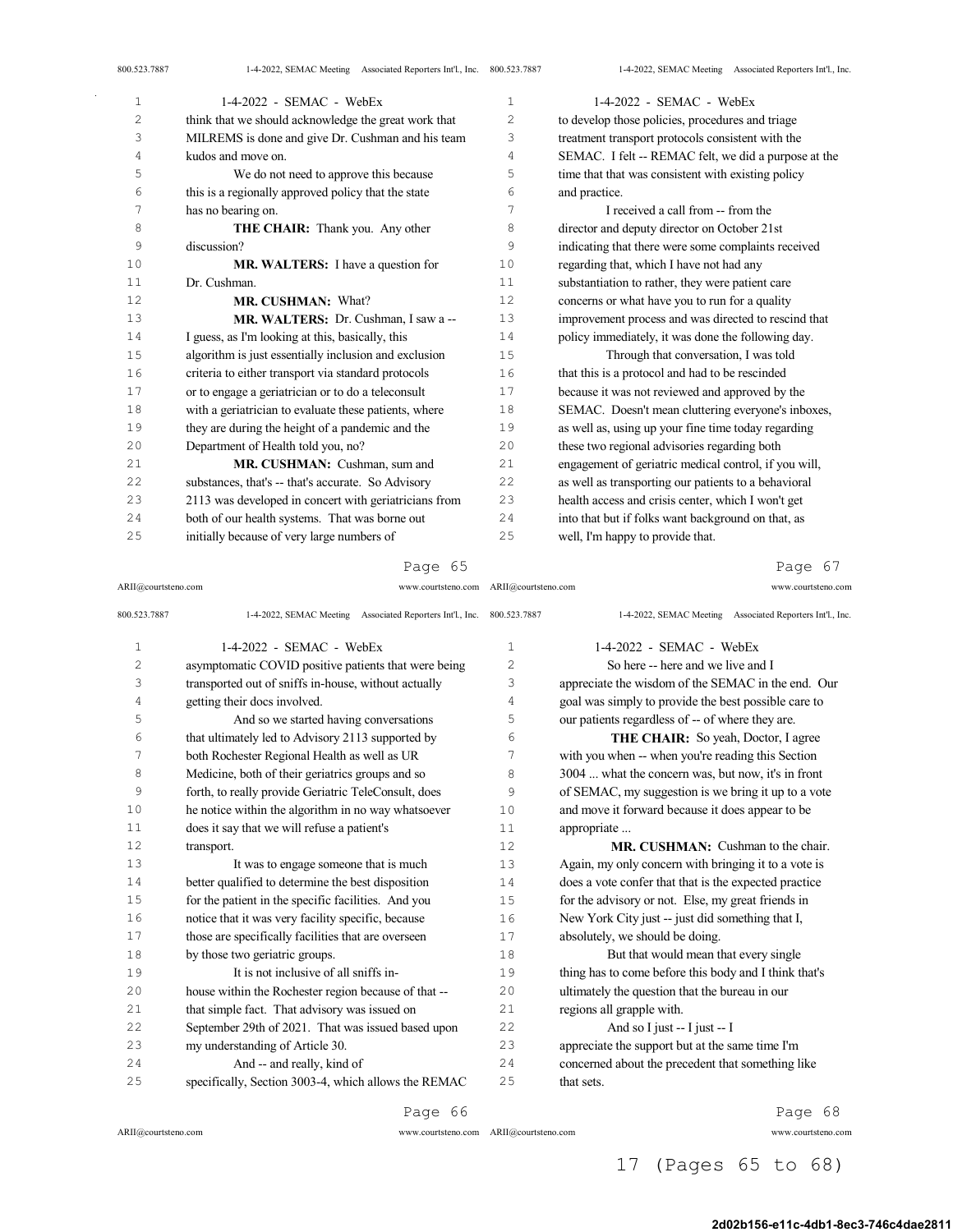| 1  | 1-4-2022 - SEMAC - WebEx                              | $\mathbf{1}$      | 1-4-2022 - SEMAC - WebEx                              |
|----|-------------------------------------------------------|-------------------|-------------------------------------------------------|
| 2  | think that we should acknowledge the great work that  | $\overline{2}$    | to develop those policies, procedures and triage      |
| 3  | MILREMS is done and give Dr. Cushman and his team     | 3                 | treatment transport protocols consistent with the     |
| 4  | kudos and move on.                                    | 4                 | SEMAC. I felt -- REMAC felt, we did a purpose at the  |
| 5  | We do not need to approve this because                | 5                 | time that that was consistent with existing policy    |
| 6  | this is a regionally approved policy that the state   | 6                 | and practice.                                         |
| 7  | has no bearing on.                                    | 7                 | I received a call from -- from the                    |
| 8  | THE CHAIR: Thank you. Any other                       | 8                 | director and deputy director on October 21st          |
| 9  | discussion?                                           | 9                 | indicating that there were some complaints received   |
| 10 | MR. WALTERS: I have a question for                    | 10                | regarding that, which I have not had any              |
| 11 | Dr. Cushman.                                          | 11                | substantiation to rather, they were patient care      |
| 12 | MR. CUSHMAN: What?                                    | $12 \overline{ }$ | concerns or what have you to run for a quality        |
| 13 | MR. WALTERS: Dr. Cushman, I saw a --                  | 13                | improvement process and was directed to rescind that  |
| 14 | I guess, as I'm looking at this, basically, this      | 14                | policy immediately, it was done the following day.    |
| 15 | algorithm is just essentially inclusion and exclusion | 15                | Through that conversation, I was told                 |
| 16 | criteria to either transport via standard protocols   | 16                | that this is a protocol and had to be rescinded       |
| 17 | or to engage a geriatrician or to do a teleconsult    | 17                | because it was not reviewed and approved by the       |
| 18 | with a geriatrician to evaluate these patients, where | 18                | SEMAC. Doesn't mean cluttering everyone's inboxes,    |
| 19 | they are during the height of a pandemic and the      | 19                | as well as, using up your fine time today regarding   |
| 20 | Department of Health told you, no?                    | 20                | these two regional advisories regarding both          |
| 21 | MR. CUSHMAN: Cushman, sum and                         | 21                | engagement of geriatric medical control, if you will, |
| 22 | substances, that's -- that's accurate. So Advisory    | 22                | as well as transporting our patients to a behavioral  |
| 23 | 2113 was developed in concert with geriatricians from | 23                | health access and crisis center, which I won't get    |
| 24 | both of our health systems. That was borne out        | 24                | into that but if folks want background on that, as    |
| 25 | initially because of very large numbers of            | 25                | well, I'm happy to provide that.                      |

ARII@courtsteno.com www.courtsteno.com ARII@courtsteno.com www.courtsteno.com

## Page 67

| 800.523.7887   | 1-4-2022, SEMAC Meeting Associated Reporters Int'l., Inc. 800.523.7887 |                | 1-4-2022, SEMAC Meeting Associated Reporters Int'l., Inc. |
|----------------|------------------------------------------------------------------------|----------------|-----------------------------------------------------------|
| $\mathbf{1}$   | $1-4-2022$ - SEMAC - WebEx                                             | 1              | $1-4-2022$ - SEMAC - WebEx                                |
| $\overline{c}$ | asymptomatic COVID positive patients that were being                   | $\overline{c}$ | So here -- here and we live and I                         |
| 3              | transported out of sniffs in-house, without actually                   | 3              | appreciate the wisdom of the SEMAC in the end. Our        |
| 4              | getting their docs involved.                                           | 4              | goal was simply to provide the best possible care to      |
| 5              | And so we started having conversations                                 | 5              | our patients regardless of -- of where they are.          |
| 6              | that ultimately led to Advisory 2113 supported by                      | 6              | THE CHAIR: So yeah, Doctor, I agree                       |
| 7              | both Rochester Regional Health as well as UR                           | 7              | with you when -- when you're reading this Section         |
| 8              | Medicine, both of their geriatrics groups and so                       | 8              | 3004  what the concern was, but now, it's in front        |
| 9              | forth, to really provide Geriatric TeleConsult, does                   | 9              | of SEMAC, my suggestion is we bring it up to a vote       |
| 10             | he notice within the algorithm in no way whatsoever                    | 10             | and move it forward because it does appear to be          |
| 11             | does it say that we will refuse a patient's                            | 11             | appropriate                                               |
| 12             | transport.                                                             | 12             | <b>MR. CUSHMAN:</b> Cushman to the chair.                 |
| 13             | It was to engage someone that is much                                  | 13             | Again, my only concern with bringing it to a vote is      |
| 14             | better qualified to determine the best disposition                     | 14             | does a vote confer that that is the expected practice     |
| 15             | for the patient in the specific facilities. And you                    | 15             | for the advisory or not. Else, my great friends in        |
| 16             | notice that it was very facility specific, because                     | 16             | New York City just -- just did something that I,          |
| 17             | those are specifically facilities that are overseen                    | 17             | absolutely, we should be doing.                           |
| 18             | by those two geriatric groups.                                         | 18             | But that would mean that every single                     |
| 19             | It is not inclusive of all sniffs in-                                  | 19             | thing has to come before this body and I think that's     |
| 20             | house within the Rochester region because of that --                   | 20             | ultimately the question that the bureau in our            |
| 21             | that simple fact. That advisory was issued on                          | 21             | regions all grapple with.                                 |
| 22             | September 29th of 2021. That was issued based upon                     | 22             | And so I just -- I just -- I                              |
| 23             | my understanding of Article 30.                                        | 23             | appreciate the support but at the same time I'm           |
| 2.4            | And -- and really, kind of                                             | 24             | concerned about the precedent that something like         |
| 25             | specifically, Section 3003-4, which allows the REMAC                   | 25             | that sets.                                                |

Page 66

 $\bar{z}$ 

Page 68

## 17 (Pages 65 to 68)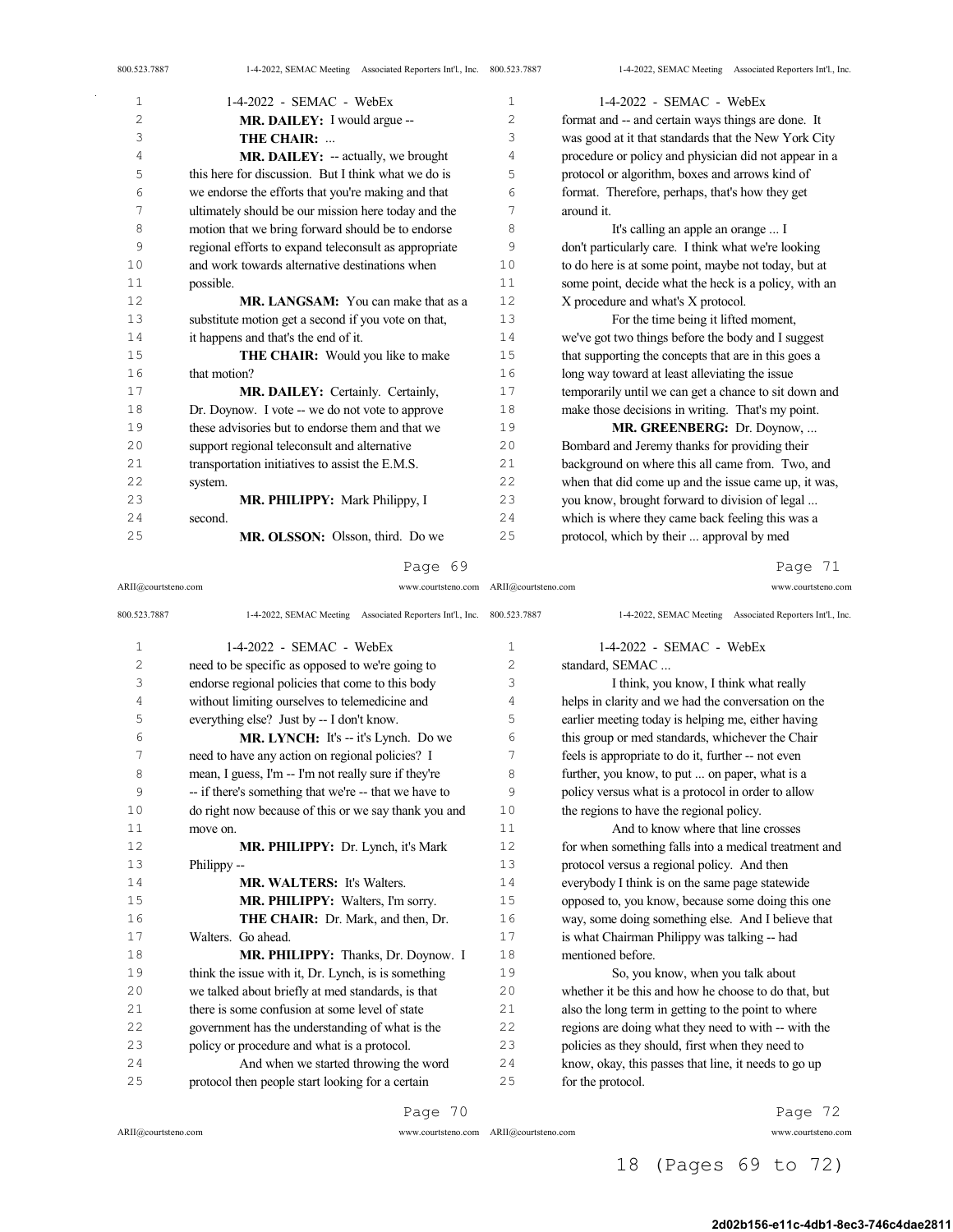| 800.523.7887 | 1-4-2022, SEMAC Meeting Associated Reporters Int'l., Inc. 800.523.7887 |    | 1-4-2022, SEMAC Meeting Associated Reporters Int'l., Inc. |
|--------------|------------------------------------------------------------------------|----|-----------------------------------------------------------|
| $1\,$        | $1-4-2022$ - SEMAC - WebEx                                             | 1  | $1-4-2022$ - SEMAC - WebEx                                |
| $\mathbf{2}$ | MR. DAILEY: I would argue --                                           | 2  | format and -- and certain ways things are done. It        |
| 3            | THE CHAIR:                                                             | 3  | was good at it that standards that the New York City      |
| 4            | MR. DAILEY: -- actually, we brought                                    | 4  | procedure or policy and physician did not appear in a     |
| 5            | this here for discussion. But I think what we do is                    | 5  | protocol or algorithm, boxes and arrows kind of           |
| 6            | we endorse the efforts that you're making and that                     | 6  | format. Therefore, perhaps, that's how they get           |
| 7            | ultimately should be our mission here today and the                    | 7  | around it.                                                |
| 8            | motion that we bring forward should be to endorse                      | 8  | It's calling an apple an orange  I                        |
| 9            | regional efforts to expand teleconsult as appropriate                  | 9  | don't particularly care. I think what we're looking       |
| 10           | and work towards alternative destinations when                         | 10 | to do here is at some point, maybe not today, but at      |
| 11           | possible.                                                              | 11 | some point, decide what the heck is a policy, with an     |
| 12           | <b>MR. LANGSAM:</b> You can make that as a                             | 12 | X procedure and what's X protocol.                        |
| 13           | substitute motion get a second if you vote on that,                    | 13 | For the time being it lifted moment,                      |
| 14           | it happens and that's the end of it.                                   | 14 | we've got two things before the body and I suggest        |
| 15           | <b>THE CHAIR:</b> Would you like to make                               | 15 | that supporting the concepts that are in this goes a      |
| 16           | that motion?                                                           | 16 | long way toward at least alleviating the issue            |
| 17           | MR. DAILEY: Certainly. Certainly,                                      | 17 | temporarily until we can get a chance to sit down and     |
| 18           | Dr. Doynow. I vote -- we do not vote to approve                        | 18 | make those decisions in writing. That's my point.         |
| 19           | these advisories but to endorse them and that we                       | 19 | MR. GREENBERG: Dr. Doynow,                                |
| 20           | support regional teleconsult and alternative                           | 20 | Bombard and Jeremy thanks for providing their             |
| 21           | transportation initiatives to assist the E.M.S.                        | 21 | background on where this all came from. Two, and          |
| 22           | system.                                                                | 22 | when that did come up and the issue came up, it was,      |
| 23           | MR. PHILIPPY: Mark Philippy, I                                         | 23 | you know, brought forward to division of legal            |
| 24           | second.                                                                | 24 | which is where they came back feeling this was a          |
| 25           | MR. OLSSON: Olsson, third. Do we                                       | 25 | protocol, which by their  approval by med                 |

ARII@courtsteno.com www.courtsteno.com ARII@courtsteno.com www.courtsteno.com

Page 71

| 800.523.7887   | 1-4-2022, SEMAC Meeting Associated Reporters Int'l., Inc. 800.523.7887 |    | 1-4-2022, SEMAC Meeting Associated Reporters Int'l., Inc. |
|----------------|------------------------------------------------------------------------|----|-----------------------------------------------------------|
| $\mathbf{1}$   | $1-4-2022$ - SEMAC - WebEx                                             | 1  | $1-4-2022$ - SEMAC - WebEx                                |
| $\overline{c}$ | need to be specific as opposed to we're going to                       | 2  | standard, SEMAC                                           |
| 3              | endorse regional policies that come to this body                       | 3  | I think, you know, I think what really                    |
| 4              | without limiting ourselves to telemedicine and                         | 4  | helps in clarity and we had the conversation on the       |
| 5              | everything else? Just by -- I don't know.                              | 5  | earlier meeting today is helping me, either having        |
| 6              | MR. LYNCH: It's -- it's Lynch. Do we                                   | 6  | this group or med standards, whichever the Chair          |
| 7              | need to have any action on regional policies? I                        | 7  | feels is appropriate to do it, further -- not even        |
| 8              | mean, I guess, I'm -- I'm not really sure if they're                   | 8  | further, you know, to put  on paper, what is a            |
| 9              | -- if there's something that we're -- that we have to                  | 9  | policy versus what is a protocol in order to allow        |
| 10             | do right now because of this or we say thank you and                   | 10 | the regions to have the regional policy.                  |
| 11             | move on.                                                               | 11 | And to know where that line crosses                       |
| 12             | MR. PHILIPPY: Dr. Lynch, it's Mark                                     | 12 | for when something falls into a medical treatment and     |
| 13             | Philippy --                                                            | 13 | protocol versus a regional policy. And then               |
| 14             | <b>MR. WALTERS:</b> It's Walters.                                      | 14 | everybody I think is on the same page statewide           |
| 15             | MR. PHILIPPY: Walters, I'm sorry.                                      | 15 | opposed to, you know, because some doing this one         |
| 16             | <b>THE CHAIR:</b> Dr. Mark, and then, Dr.                              | 16 | way, some doing something else. And I believe that        |
| 17             | Walters. Go ahead.                                                     | 17 | is what Chairman Philippy was talking -- had              |
| 18             | MR. PHILIPPY: Thanks, Dr. Doynow. I                                    | 18 | mentioned before.                                         |
| 19             | think the issue with it, Dr. Lynch, is is something                    | 19 | So, you know, when you talk about                         |
| 20             | we talked about briefly at med standards, is that                      | 20 | whether it be this and how he choose to do that, but      |
| 21             | there is some confusion at some level of state                         | 21 | also the long term in getting to the point to where       |
| 22             | government has the understanding of what is the                        | 22 | regions are doing what they need to with -- with the      |
| 23             | policy or procedure and what is a protocol.                            | 23 | policies as they should, first when they need to          |
| 24             | And when we started throwing the word                                  | 24 | know, okay, this passes that line, it needs to go up      |
| 25             | protocol then people start looking for a certain                       | 25 | for the protocol.                                         |

Page 70

 $\hat{\mathcal{A}}$ 

ARII@courtsteno.com www.courtsteno.com

Page 72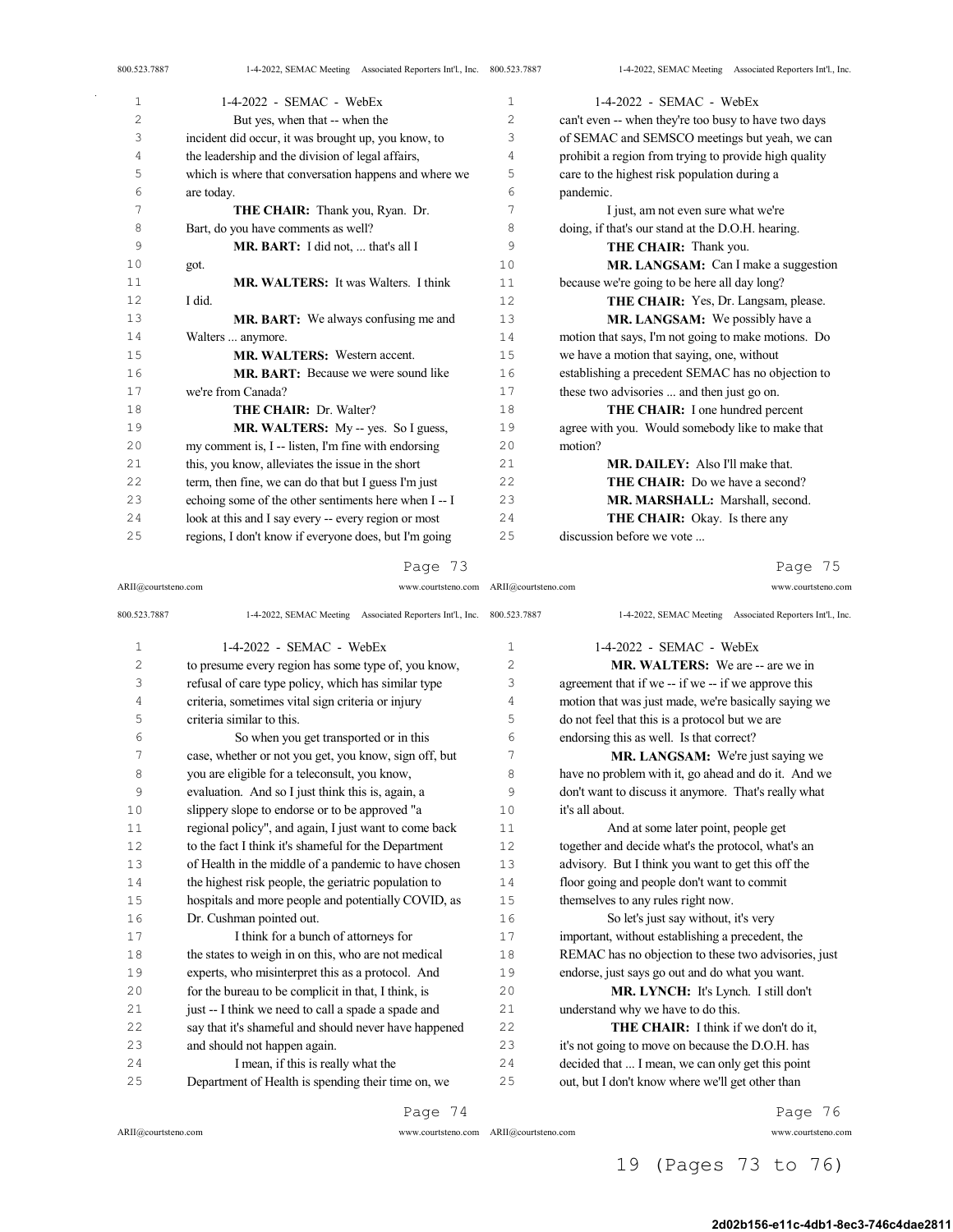| 800.523.7887   | 1-4-2022, SEMAC Meeting Associated Reporters Int'l., Inc. 800.523.7887 |                | 1-4-2022, SEMAC Meeting Associated Reporters Int'l., Inc. |
|----------------|------------------------------------------------------------------------|----------------|-----------------------------------------------------------|
| $1\,$          | $1-4-2022$ - SEMAC - WebEx                                             | $\mathbf{1}$   | $1-4-2022$ - SEMAC - WebEx                                |
| $\overline{c}$ | But yes, when that -- when the                                         | $\overline{2}$ | can't even -- when they're too busy to have two days      |
| 3              | incident did occur, it was brought up, you know, to                    | 3              | of SEMAC and SEMSCO meetings but yeah, we can             |
| 4              | the leadership and the division of legal affairs,                      | $\overline{4}$ | prohibit a region from trying to provide high quality     |
| 5              | which is where that conversation happens and where we                  | 5              | care to the highest risk population during a              |
| 6              | are today.                                                             | 6              | pandemic.                                                 |
| 7              | THE CHAIR: Thank you, Ryan. Dr.                                        | 7              | I just, am not even sure what we're                       |
| 8              | Bart, do you have comments as well?                                    | 8              | doing, if that's our stand at the D.O.H. hearing.         |
| 9              | MR. BART: I did not,  that's all I                                     | 9              | THE CHAIR: Thank you.                                     |
| 10             | got.                                                                   | 10             | MR. LANGSAM: Can I make a suggestion                      |
| 11             | <b>MR. WALTERS:</b> It was Walters. I think                            | 11             | because we're going to be here all day long?              |
| 12             | I did.                                                                 | 12             | THE CHAIR: Yes, Dr. Langsam, please.                      |
| 13             | MR. BART: We always confusing me and                                   | 13             | MR. LANGSAM: We possibly have a                           |
| 14             | Walters  anymore.                                                      | 14             | motion that says, I'm not going to make motions. Do       |
| 15             | MR. WALTERS: Western accent.                                           | 15             | we have a motion that saying, one, without                |
| 16             | <b>MR. BART:</b> Because we were sound like                            | 16             | establishing a precedent SEMAC has no objection to        |
| 17             | we're from Canada?                                                     | 17             | these two advisories  and then just go on.                |
| 18             | <b>THE CHAIR: Dr. Walter?</b>                                          | 18             | THE CHAIR: I one hundred percent                          |
| 19             | MR. WALTERS: My -- yes. So I guess,                                    | 19             | agree with you. Would somebody like to make that          |
| 20             | my comment is, I -- listen, I'm fine with endorsing                    | 20             | motion?                                                   |
| 21             | this, you know, alleviates the issue in the short                      | 2.1            | <b>MR. DAILEY:</b> Also I'll make that.                   |
| 22             | term, then fine, we can do that but I guess I'm just                   | 22             | <b>THE CHAIR:</b> Do we have a second?                    |
| 23             | echoing some of the other sentiments here when I-- I                   | 23             | MR. MARSHALL: Marshall, second.                           |
| 24             | look at this and I say every -- every region or most                   | 24             | THE CHAIR: Okay. Is there any                             |
| 25             | regions, I don't know if everyone does, but I'm going                  | 25             | discussion before we vote                                 |

Page 75

| ARII@courtsteno.com | www.courtsteno.com ARII@courtsteno.com                                 |              | www.courtsteno.com                                        |
|---------------------|------------------------------------------------------------------------|--------------|-----------------------------------------------------------|
| 800.523.7887        | 1-4-2022, SEMAC Meeting Associated Reporters Int'l., Inc. 800.523.7887 |              | 1-4-2022, SEMAC Meeting Associated Reporters Int'l., Inc. |
| $\mathbf{1}$        | $1-4-2022$ - SEMAC - WebEx                                             | $\mathbf{1}$ | $1-4-2022$ - SEMAC - WebEx                                |
| 2                   | to presume every region has some type of, you know,                    | 2            | <b>MR. WALTERS:</b> We are -- are we in                   |
| 3                   | refusal of care type policy, which has similar type                    | 3            | agreement that if we -- if we -- if we approve this       |
| 4                   | criteria, sometimes vital sign criteria or injury                      | 4            | motion that was just made, we're basically saying we      |
| 5                   | criteria similar to this.                                              | 5            | do not feel that this is a protocol but we are            |
| 6                   | So when you get transported or in this                                 | 6            | endorsing this as well. Is that correct?                  |
| 7                   | case, whether or not you get, you know, sign off, but                  | 7            | MR. LANGSAM: We're just saying we                         |
| 8                   | you are eligible for a teleconsult, you know,                          | 8            | have no problem with it, go ahead and do it. And we       |
| 9                   | evaluation. And so I just think this is, again, a                      | 9            | don't want to discuss it anymore. That's really what      |
| 10                  | slippery slope to endorse or to be approved "a                         | 10           | it's all about.                                           |
| 11                  | regional policy", and again, I just want to come back                  | 11           | And at some later point, people get                       |
| 12                  | to the fact I think it's shameful for the Department                   | 12           | together and decide what's the protocol, what's an        |
| 13                  | of Health in the middle of a pandemic to have chosen                   | 13           | advisory. But I think you want to get this off the        |
| 14                  | the highest risk people, the geriatric population to                   | 14           | floor going and people don't want to commit               |
| 15                  | hospitals and more people and potentially COVID, as                    | 15           | themselves to any rules right now.                        |
| 16                  | Dr. Cushman pointed out.                                               | 16           | So let's just say without, it's very                      |
| 17                  | I think for a bunch of attorneys for                                   | 17           | important, without establishing a precedent, the          |
| 18                  | the states to weigh in on this, who are not medical                    | 18           | REMAC has no objection to these two advisories, just      |
| 19                  | experts, who misinterpret this as a protocol. And                      | 19           | endorse, just says go out and do what you want.           |
| 20                  | for the bureau to be complicit in that, I think, is                    | 20           | MR. LYNCH: It's Lynch. I still don't                      |
| 21                  | just -- I think we need to call a spade a spade and                    | 21           | understand why we have to do this.                        |
| 22                  | say that it's shameful and should never have happened                  | 22           | THE CHAIR: I think if we don't do it,                     |
| 23                  | and should not happen again.                                           | 23           | it's not going to move on because the D.O.H. has          |
| 24                  | I mean, if this is really what the                                     | 24           | decided that  I mean, we can only get this point          |
| 25                  | Department of Health is spending their time on, we                     | 25           | out, but I don't know where we'll get other than          |
|                     | Page 74                                                                |              | Page 76                                                   |

 $\Delta\sim 1$ 

Page 76

ARII@courtsteno.com www.courtsteno.com

## 19 (Pages 73 to 76)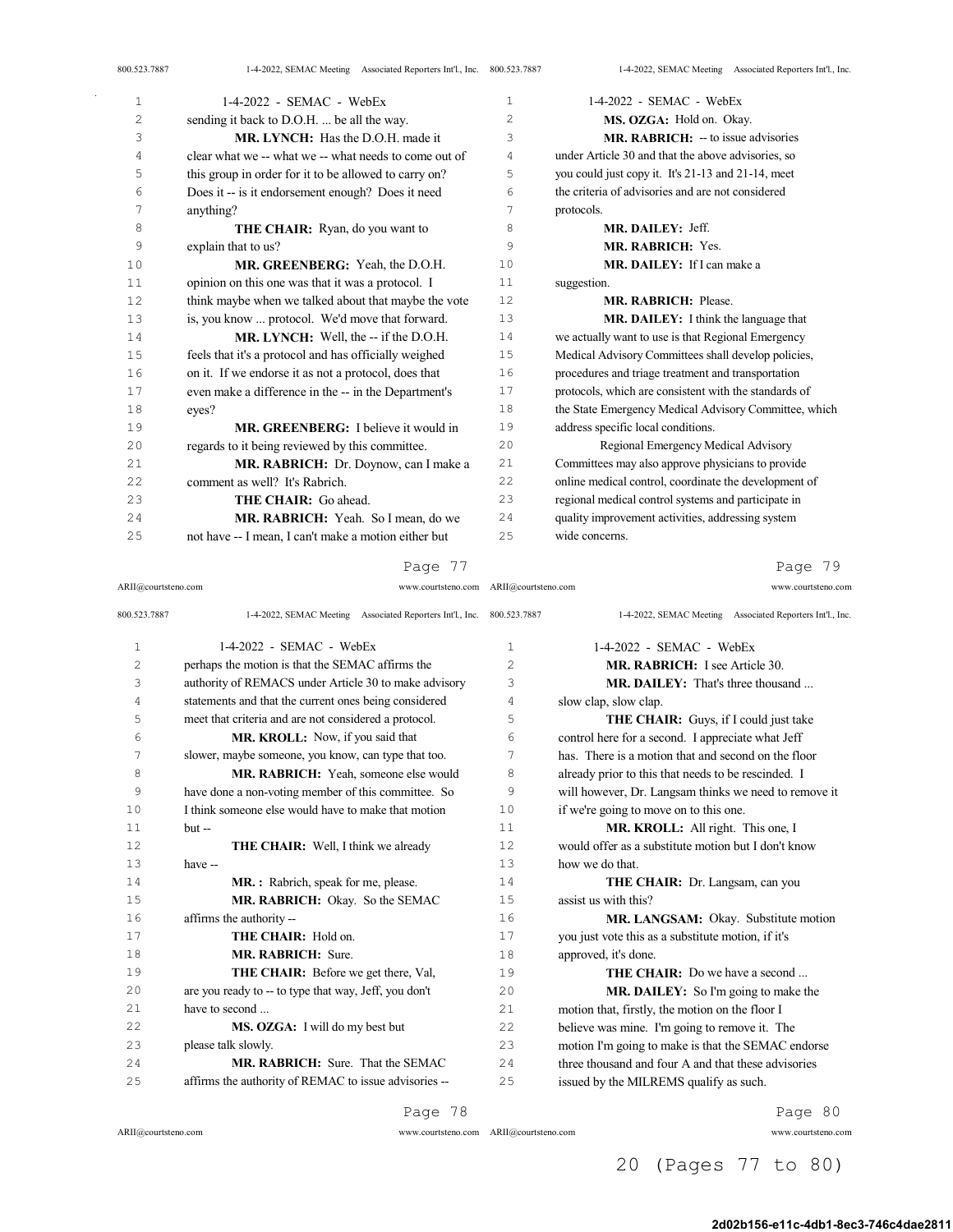|                                                       |    | 1-4-2022, SEMAC Meeting Associated Reporters Int'l., Inc.              |
|-------------------------------------------------------|----|------------------------------------------------------------------------|
| $1-4-2022$ - SEMAC - WebEx                            | 1  | $1-4-2022$ - SEMAC - WebEx                                             |
| sending it back to D.O.H.  be all the way.            | 2  | MS. OZGA: Hold on. Okay.                                               |
| MR. LYNCH: Has the D.O.H. made it                     | 3  | MR. RABRICH: - to issue advisories                                     |
| clear what we -- what we -- what needs to come out of | 4  | under Article 30 and that the above advisories, so                     |
| this group in order for it to be allowed to carry on? | 5  | you could just copy it. It's 21-13 and 21-14, meet                     |
| Does it -- is it endorsement enough? Does it need     | 6  | the criteria of advisories and are not considered                      |
| anything?                                             | 7  | protocols.                                                             |
| <b>THE CHAIR:</b> Ryan, do you want to                | 8  | MR. DAILEY: Jeff.                                                      |
| explain that to us?                                   | 9  | MR. RABRICH: Yes.                                                      |
| MR. GREENBERG: Yeah, the D.O.H.                       | 10 | MR. DAILEY: If I can make a                                            |
| opinion on this one was that it was a protocol. I     | 11 | suggestion.                                                            |
| think maybe when we talked about that maybe the vote  | 12 | <b>MR. RABRICH: Please.</b>                                            |
| is, you know  protocol. We'd move that forward.       | 13 | MR. DAILEY: I think the language that                                  |
| MR. LYNCH: Well, the -- if the D.O.H.                 | 14 | we actually want to use is that Regional Emergency                     |
| feels that it's a protocol and has officially weighed | 15 | Medical Advisory Committees shall develop policies,                    |
| on it. If we endorse it as not a protocol, does that  | 16 | procedures and triage treatment and transportation                     |
| even make a difference in the -- in the Department's  | 17 | protocols, which are consistent with the standards of                  |
| eyes?                                                 | 18 | the State Emergency Medical Advisory Committee, which                  |
| MR. GREENBERG: I believe it would in                  | 19 | address specific local conditions.                                     |
| regards to it being reviewed by this committee.       | 20 | Regional Emergency Medical Advisory                                    |
| MR. RABRICH: Dr. Doynow, can I make a                 | 21 | Committees may also approve physicians to provide                      |
| comment as well? It's Rabrich.                        | 22 | online medical control, coordinate the development of                  |
| THE CHAIR: Go ahead.                                  | 23 | regional medical control systems and participate in                    |
| MR. RABRICH: Yeah. So I mean, do we                   | 24 | quality improvement activities, addressing system                      |
| not have -- I mean, I can't make a motion either but  | 25 | wide concerns.                                                         |
|                                                       |    | 1-4-2022, SEMAC Meeting Associated Reporters Int'l., Inc. 800.523.7887 |

ARII@courtsteno.com www.courtsteno.com ARII@courtsteno.com www.courtsteno.com

## Page 79

| 800.523.7887   | 1-4-2022, SEMAC Meeting Associated Reporters Int'l., Inc. 800.523.7887 |                | 1-4-2022, SEMAC Meeting Associated Reporters Int'l., Inc. |
|----------------|------------------------------------------------------------------------|----------------|-----------------------------------------------------------|
| $\mathbf{1}$   | $1-4-2022$ - SEMAC - WebEx                                             | $\mathbf{1}$   | $1-4-2022$ - SEMAC - WebEx                                |
| $\overline{c}$ | perhaps the motion is that the SEMAC affirms the                       | $\overline{c}$ | <b>MR. RABRICH:</b> I see Article 30.                     |
| 3              | authority of REMACS under Article 30 to make advisory                  | 3              | <b>MR. DAILEY:</b> That's three thousand                  |
| 4              | statements and that the current ones being considered                  | 4              | slow clap, slow clap.                                     |
| 5              | meet that criteria and are not considered a protocol.                  | 5              | THE CHAIR: Guys, if I could just take                     |
| 6              | MR. KROLL: Now, if you said that                                       | 6              | control here for a second. I appreciate what Jeff         |
| 7              | slower, maybe someone, you know, can type that too.                    | 7              | has. There is a motion that and second on the floor       |
| 8              | MR. RABRICH: Yeah, someone else would                                  | 8              | already prior to this that needs to be rescinded. I       |
| 9              | have done a non-voting member of this committee. So                    | 9              | will however, Dr. Langsam thinks we need to remove it     |
| 10             | I think someone else would have to make that motion                    | 10             | if we're going to move on to this one.                    |
| 11             | $but -$                                                                | 11             | MR. KROLL: All right. This one, I                         |
| 12             | <b>THE CHAIR:</b> Well, I think we already                             | 12             | would offer as a substitute motion but I don't know       |
| 13             | have --                                                                | 13             | how we do that.                                           |
| 14             | MR.: Rabrich, speak for me, please.                                    | 14             | THE CHAIR: Dr. Langsam, can you                           |
| 15             | MR. RABRICH: Okay. So the SEMAC                                        | 15             | assist us with this?                                      |
| 16             | affirms the authority --                                               | 16             | MR. LANGSAM: Okay. Substitute motion                      |
| 17             | THE CHAIR: Hold on.                                                    | 17             | you just vote this as a substitute motion, if it's        |
| 18             | MR. RABRICH: Sure.                                                     | 18             | approved, it's done.                                      |
| 19             | <b>THE CHAIR:</b> Before we get there, Val,                            | 19             | <b>THE CHAIR:</b> Do we have a second                     |
| 20             | are you ready to -- to type that way, Jeff, you don't                  | 20             | MR. DAILEY: So I'm going to make the                      |
| 21             | have to second                                                         | 21             | motion that, firstly, the motion on the floor I           |
| 22             | MS. OZGA: I will do my best but                                        | 22             | believe was mine. I'm going to remove it. The             |
| 23             | please talk slowly.                                                    | 23             | motion I'm going to make is that the SEMAC endorse        |
| 24             | <b>MR. RABRICH:</b> Sure. That the SEMAC                               | 2.4            | three thousand and four A and that these advisories       |
| 25             | affirms the authority of REMAC to issue advisories --                  | 25             | issued by the MILREMS qualify as such.                    |

Page 78

 $\bar{z}$ 

ARII@courtsteno.com www.courtsteno.com ARII@courtsteno.com www.courtsteno.com

Page 80

20 (Pages 77 to 80)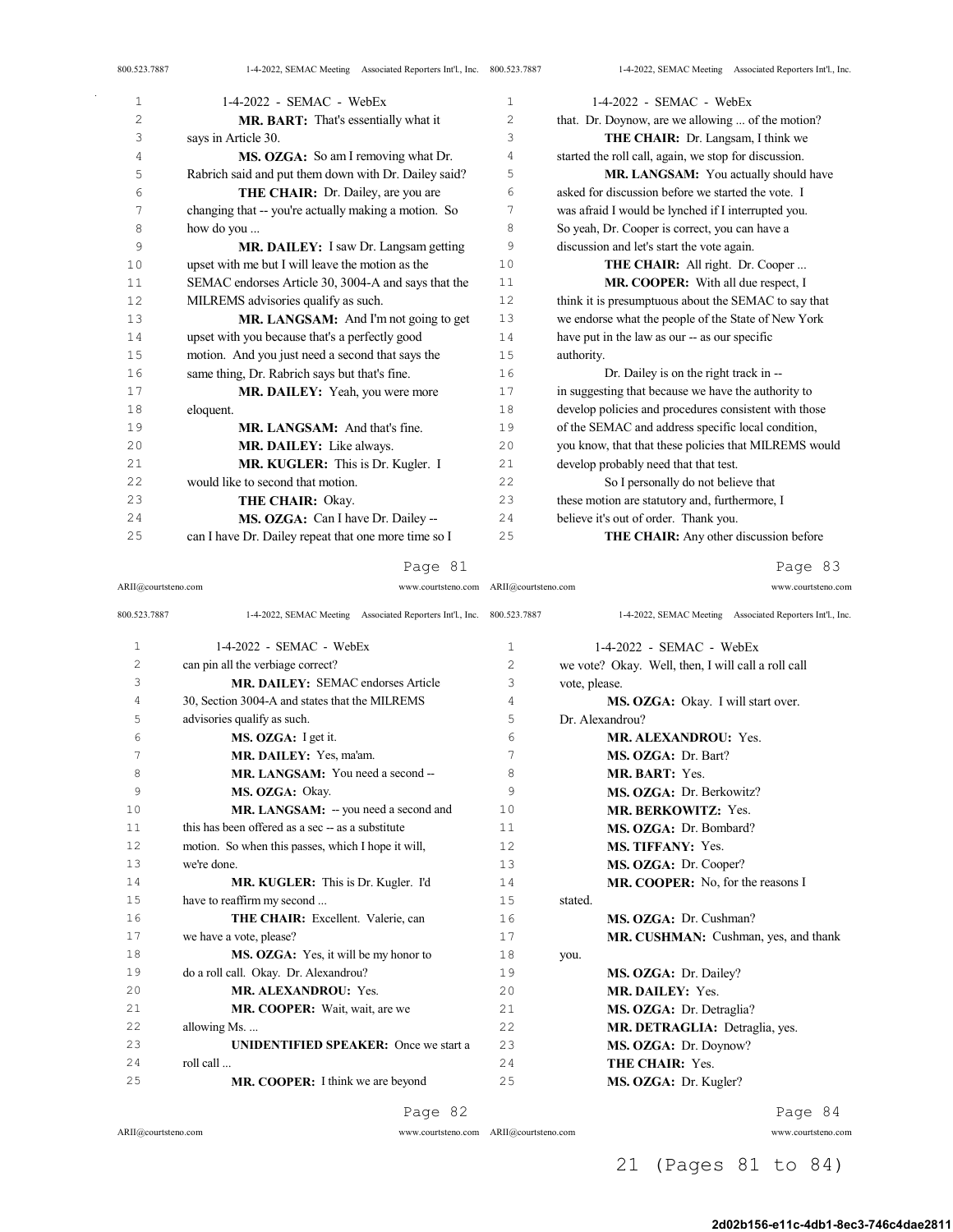| 1              | 1-4-2022 - SEMAC - WebEx                             | $\mathbf{1}$   | 1-4-2022 - SEMAC - WebEx                              |
|----------------|------------------------------------------------------|----------------|-------------------------------------------------------|
| $\overline{c}$ | MR. BART: That's essentially what it                 | $\overline{c}$ | that. Dr. Doynow, are we allowing  of the motion?     |
| 3              | says in Article 30.                                  | 3              | THE CHAIR: Dr. Langsam, I think we                    |
| 4              | MS. OZGA: So am I removing what Dr.                  | 4              | started the roll call, again, we stop for discussion. |
| 5              | Rabrich said and put them down with Dr. Dailey said? | 5              | MR. LANGSAM: You actually should have                 |
| 6              | THE CHAIR: Dr. Dailey, are you are                   | 6              | asked for discussion before we started the vote. I    |
| 7              | changing that -- you're actually making a motion. So | 7              | was afraid I would be lynched if I interrupted you.   |
| 8              | how do you                                           | 8              | So yeah, Dr. Cooper is correct, you can have a        |
| 9              | <b>MR. DAILEY:</b> I saw Dr. Langsam getting         | 9              | discussion and let's start the vote again.            |
| 10             | upset with me but I will leave the motion as the     | 10             | <b>THE CHAIR:</b> All right. Dr. Cooper               |
| 11             | SEMAC endorses Article 30, 3004-A and says that the  | 11             | <b>MR. COOPER:</b> With all due respect, I            |
| 12             | MILREMS advisories qualify as such.                  | 12             | think it is presumptuous about the SEMAC to say that  |
| 13             | MR. LANGSAM: And I'm not going to get                | 13             | we endorse what the people of the State of New York   |
| 14             | upset with you because that's a perfectly good       | 14             | have put in the law as our -- as our specific         |
| 15             | motion. And you just need a second that says the     | 15             | authority.                                            |
| 16             | same thing, Dr. Rabrich says but that's fine.        | 16             | Dr. Dailey is on the right track in --                |
| 17             | MR. DAILEY: Yeah, you were more                      | 17             | in suggesting that because we have the authority to   |
| 18             | eloquent.                                            | 18             | develop policies and procedures consistent with those |
| 19             | MR. LANGSAM: And that's fine.                        | 19             | of the SEMAC and address specific local condition,    |
| 20             | MR. DAILEY: Like always.                             | 20             | you know, that that these policies that MILREMS would |
| 21             | MR. KUGLER: This is Dr. Kugler. I                    | 21             | develop probably need that that test.                 |
| 22             | would like to second that motion.                    | 22             | So I personally do not believe that                   |
| 23             | <b>THE CHAIR: Okay.</b>                              | 23             | these motion are statutory and, furthermore, I        |
| 24             | MS. OZGA: Can I have Dr. Dailey --                   | 24             | believe it's out of order. Thank you.                 |
| 25             | can I have Dr. Dailey repeat that one more time so I | 25             | <b>THE CHAIR:</b> Any other discussion before         |

ARII@courtsteno.com www.courtsteno.com ARII@courtsteno.com www.courtsteno.com

Page 83

| 800.523.7887   | 1-4-2022, SEMAC Meeting Associated Reporters Int'l., Inc. 800.523.7887 |                | 1-4-2022, SEMAC Meeting Associated Reporters Int'l., Inc. |
|----------------|------------------------------------------------------------------------|----------------|-----------------------------------------------------------|
| 1              | $1-4-2022$ - SEMAC - WebEx                                             | 1              | $1-4-2022$ - SEMAC - WebEx                                |
| $\overline{c}$ | can pin all the verbiage correct?                                      | $\overline{c}$ | we vote? Okay. Well, then, I will call a roll call        |
| 3              | <b>MR. DAILEY: SEMAC endorses Article</b>                              | 3              | vote, please.                                             |
| 4              | 30, Section 3004-A and states that the MILREMS                         | $\overline{4}$ | MS. OZGA: Okay. I will start over.                        |
| 5              | advisories qualify as such.                                            | 5              | Dr. Alexandrou?                                           |
| 6              | MS. OZGA: I get it.                                                    | 6              | MR. ALEXANDROU: Yes.                                      |
| 7              | MR. DAILEY: Yes, ma'am.                                                | 7              | MS. OZGA: Dr. Bart?                                       |
| 8              | MR. LANGSAM: You need a second --                                      | 8              | MR. BART: Yes.                                            |
| 9              | MS. OZGA: Okay.                                                        | 9              | MS. OZGA: Dr. Berkowitz?                                  |
| 10             | MR. LANGSAM: -- you need a second and                                  | 10             | <b>MR. BERKOWITZ: Yes.</b>                                |
| 11             | this has been offered as a sec -- as a substitute                      | 11             | MS. OZGA: Dr. Bombard?                                    |
| 12             | motion. So when this passes, which I hope it will,                     | 12.            | <b>MS. TIFFANY: Yes.</b>                                  |
| 13             | we're done.                                                            | 13             | MS. OZGA: Dr. Cooper?                                     |
| 14             | MR. KUGLER: This is Dr. Kugler. I'd                                    | 14             | MR. COOPER: No, for the reasons I                         |
| 15             | have to reaffirm my second                                             | 15             | stated.                                                   |
| 16             | THE CHAIR: Excellent. Valerie, can                                     | 16             | MS. OZGA: Dr. Cushman?                                    |
| 17             | we have a vote, please?                                                | 17             | MR. CUSHMAN: Cushman, yes, and thank                      |
| 18             | MS. OZGA: Yes, it will be my honor to                                  | 18             | you.                                                      |
| 19             | do a roll call. Okay. Dr. Alexandrou?                                  | 19             | MS. OZGA: Dr. Dailey?                                     |
| 20             | MR. ALEXANDROU: Yes.                                                   | 2.0            | MR. DAILEY: Yes.                                          |
| 21             | MR. COOPER: Wait, wait, are we                                         | 2.1            | MS. OZGA: Dr. Detraglia?                                  |
| 22             | allowing Ms                                                            | 2.2.           | MR. DETRAGLIA: Detraglia, yes.                            |
| 23             | <b>UNIDENTIFIED SPEAKER:</b> Once we start a                           | 2.3            | MS. OZGA: Dr. Doynow?                                     |
| 24             | roll call                                                              | 2.4            | <b>THE CHAIR: Yes.</b>                                    |
| 25             | <b>MR. COOPER:</b> I think we are beyond                               | 25             | MS. OZGA: Dr. Kugler?                                     |
|                |                                                                        |                |                                                           |

Page 82

 $ARII@{\mbox{conrtsteno.com}}$ 

 $\bar{z}$ 

ARII@courtsteno.com www.courtsteno.com

Page 84

21 (Pages 81 to 84)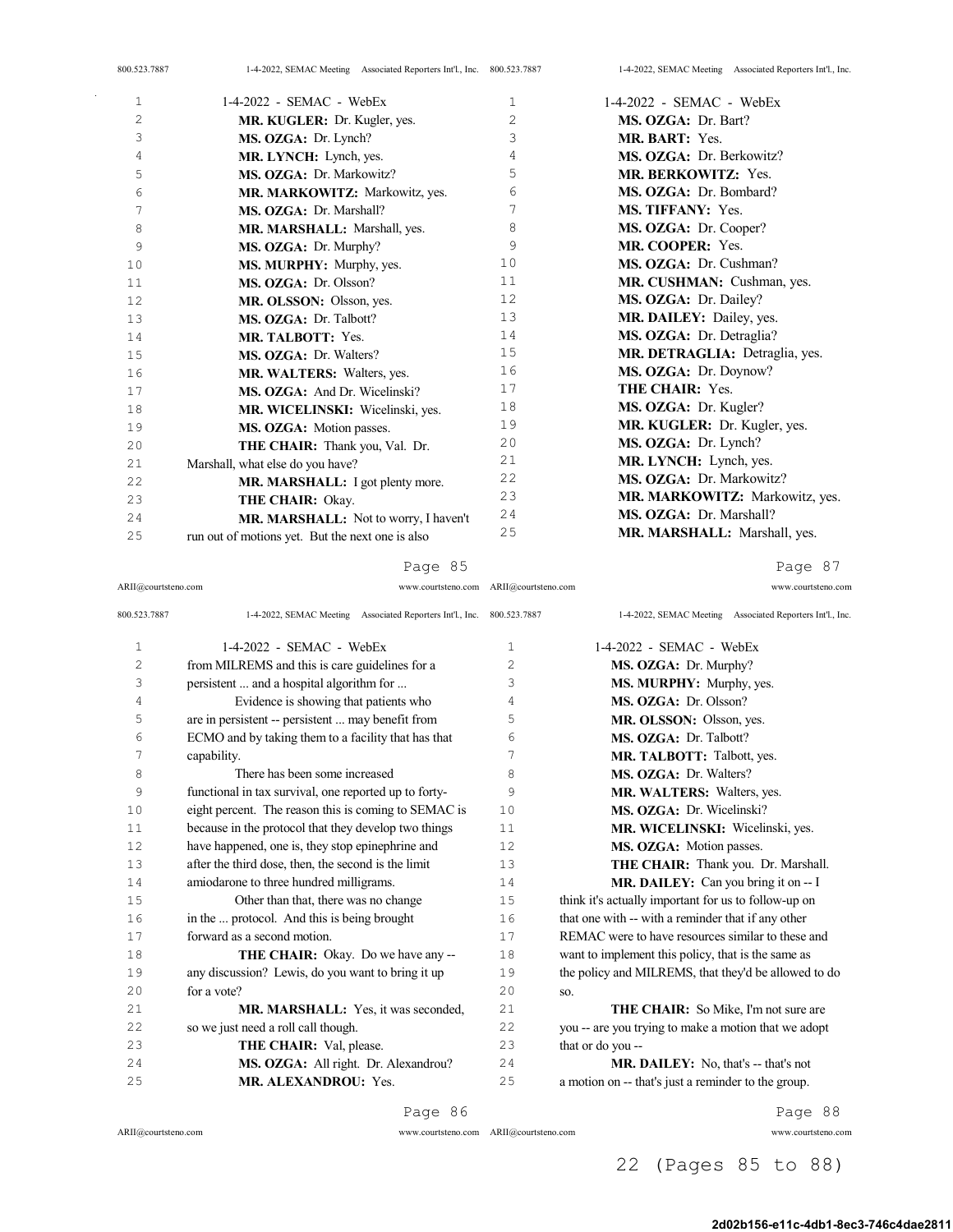| 800.523.7887 | 1-4-2022, SEMAC Meeting Associated Reporters Int'l., Inc. 800.523.7887 |    | 1-4-2022, SEMAC Meeting Associated Reporters Int'l., Inc. |
|--------------|------------------------------------------------------------------------|----|-----------------------------------------------------------|
| $\mathbf 1$  | $1-4-2022$ - SEMAC - WebEx                                             | 1  | $1-4-2022$ - SEMAC - WebEx                                |
| $\mathbf{2}$ | MR. KUGLER: Dr. Kugler, yes.                                           | 2  | MS. OZGA: Dr. Bart?                                       |
| 3            | MS. OZGA: Dr. Lynch?                                                   | 3  | MR. BART: Yes.                                            |
| 4            | MR. LYNCH: Lynch, yes.                                                 | 4  | MS. OZGA: Dr. Berkowitz?                                  |
| 5            | MS. OZGA: Dr. Markowitz?                                               | 5  | <b>MR. BERKOWITZ: Yes.</b>                                |
| 6            | MR. MARKOWITZ: Markowitz, yes.                                         | 6  | MS. OZGA: Dr. Bombard?                                    |
| 7            | MS. OZGA: Dr. Marshall?                                                | 7  | <b>MS. TIFFANY: Yes.</b>                                  |
| 8            | MR. MARSHALL: Marshall, yes.                                           | 8  | MS. OZGA: Dr. Cooper?                                     |
| 9            | MS. OZGA: Dr. Murphy?                                                  | 9  | MR. COOPER: Yes.                                          |
| 10           | MS. MURPHY: Murphy, yes.                                               | 10 | MS. OZGA: Dr. Cushman?                                    |
| 11           | MS. OZGA: Dr. Olsson?                                                  | 11 | MR. CUSHMAN: Cushman, yes.                                |
| 12           | MR. OLSSON: Olsson, yes.                                               | 12 | MS. OZGA: Dr. Dailey?                                     |
| 13           | MS. OZGA: Dr. Talbott?                                                 | 13 | MR. DAILEY: Dailey, yes.                                  |
| 14           | MR. TALBOTT: Yes.                                                      | 14 | MS. OZGA: Dr. Detraglia?                                  |
| 15           | MS. OZGA: Dr. Walters?                                                 | 15 | MR. DETRAGLIA: Detraglia, yes.                            |
| 16           | MR. WALTERS: Walters, yes.                                             | 16 | MS. OZGA: Dr. Doynow?                                     |
| 17           | MS. OZGA: And Dr. Wicelinski?                                          | 17 | THE CHAIR: Yes.                                           |
| 18           | MR. WICELINSKI: Wicelinski, yes.                                       | 18 | MS. OZGA: Dr. Kugler?                                     |
| 19           | MS. OZGA: Motion passes.                                               | 19 | MR. KUGLER: Dr. Kugler, yes.                              |
| 20           | THE CHAIR: Thank you, Val. Dr.                                         | 20 | MS. OZGA: Dr. Lynch?                                      |
| 21           | Marshall, what else do you have?                                       | 21 | MR. LYNCH: Lynch, yes.                                    |
| 22           | MR. MARSHALL: I got plenty more.                                       | 22 | MS. OZGA: Dr. Markowitz?                                  |
| 23           | THE CHAIR: Okay.                                                       | 23 | MR. MARKOWITZ: Markowitz, yes.                            |
| 2.4          | MR. MARSHALL: Not to worry, I haven't                                  | 24 | MS. OZGA: Dr. Marshall?                                   |
| 25           | run out of motions yet. But the next one is also                       | 25 | MR. MARSHALL: Marshall, yes.                              |

ARII@courtsteno.com www.courtsteno.com ARII@courtsteno.com www.courtsteno.com

Page 87

| 800.523.7887   | 1-4-2022, SEMAC Meeting Associated Reporters Int'l., Inc. 800.523.7887 |                | 1-4-2022, SEMAC Meeting Associated Reporters Int'l., Inc. |
|----------------|------------------------------------------------------------------------|----------------|-----------------------------------------------------------|
| 1              | $1-4-2022$ - SEMAC - WebEx                                             | 1              | $1-4-2022$ - SEMAC - WebEx                                |
| $\overline{c}$ | from MILREMS and this is care guidelines for a                         | $\overline{c}$ | MS. OZGA: Dr. Murphy?                                     |
| 3              | persistent  and a hospital algorithm for                               | 3              | MS. MURPHY: Murphy, yes.                                  |
| 4              | Evidence is showing that patients who                                  | 4              | MS. OZGA: Dr. Olsson?                                     |
| 5              | are in persistent -- persistent  may benefit from                      | 5              | MR. OLSSON: Olsson, yes.                                  |
| 6              | ECMO and by taking them to a facility that has that                    | 6              | MS. OZGA: Dr. Talbott?                                    |
| 7              | capability.                                                            | 7              | MR. TALBOTT: Talbott, yes.                                |
| 8              | There has been some increased                                          | 8              | MS. OZGA: Dr. Walters?                                    |
| 9              | functional in tax survival, one reported up to forty-                  | 9              | MR. WALTERS: Walters, yes.                                |
| 10             | eight percent. The reason this is coming to SEMAC is                   | 10             | MS. OZGA: Dr. Wicelinski?                                 |
| 11             | because in the protocol that they develop two things                   | 11             | MR. WICELINSKI: Wicelinski, yes.                          |
| 12             | have happened, one is, they stop epinephrine and                       | 12             | MS. OZGA: Motion passes.                                  |
| 13             | after the third dose, then, the second is the limit                    | 13             | THE CHAIR: Thank you. Dr. Marshall.                       |
| 14             | amiodarone to three hundred milligrams.                                | 14             | <b>MR. DAILEY:</b> Can you bring it on $- I$              |
| 15             | Other than that, there was no change                                   | 15             | think it's actually important for us to follow-up on      |
| 16             | in the  protocol. And this is being brought                            | 16             | that one with -- with a reminder that if any other        |
| 17             | forward as a second motion.                                            | 17             | REMAC were to have resources similar to these and         |
| 18             | <b>THE CHAIR:</b> Okay. Do we have any --                              | 18             | want to implement this policy, that is the same as        |
| 19             | any discussion? Lewis, do you want to bring it up                      | 19             | the policy and MILREMS, that they'd be allowed to do      |
| 20             | for a vote?                                                            | 2.0            | SO.                                                       |
| 21             | MR. MARSHALL: Yes, it was seconded,                                    | 21             | THE CHAIR: So Mike, I'm not sure are                      |
| 22             | so we just need a roll call though.                                    | 22             | you -- are you trying to make a motion that we adopt      |
| 23             | THE CHAIR: Val, please.                                                | 23             | that or do you --                                         |
| 24             | MS. OZGA: All right. Dr. Alexandrou?                                   | 24             | <b>MR. DAILEY:</b> No, that's -- that's not               |
| 25             | MR. ALEXANDROU: Yes.                                                   | 25             | a motion on -- that's just a reminder to the group.       |
|                | Page 86                                                                |                | Page 88                                                   |

 $ARII@{\mbox{conrtsteno.com}}$ 

 $\bar{\gamma}$ 

ARII@courtsteno.com www.courtsteno.com

Page 88

22 (Pages 85 to 88)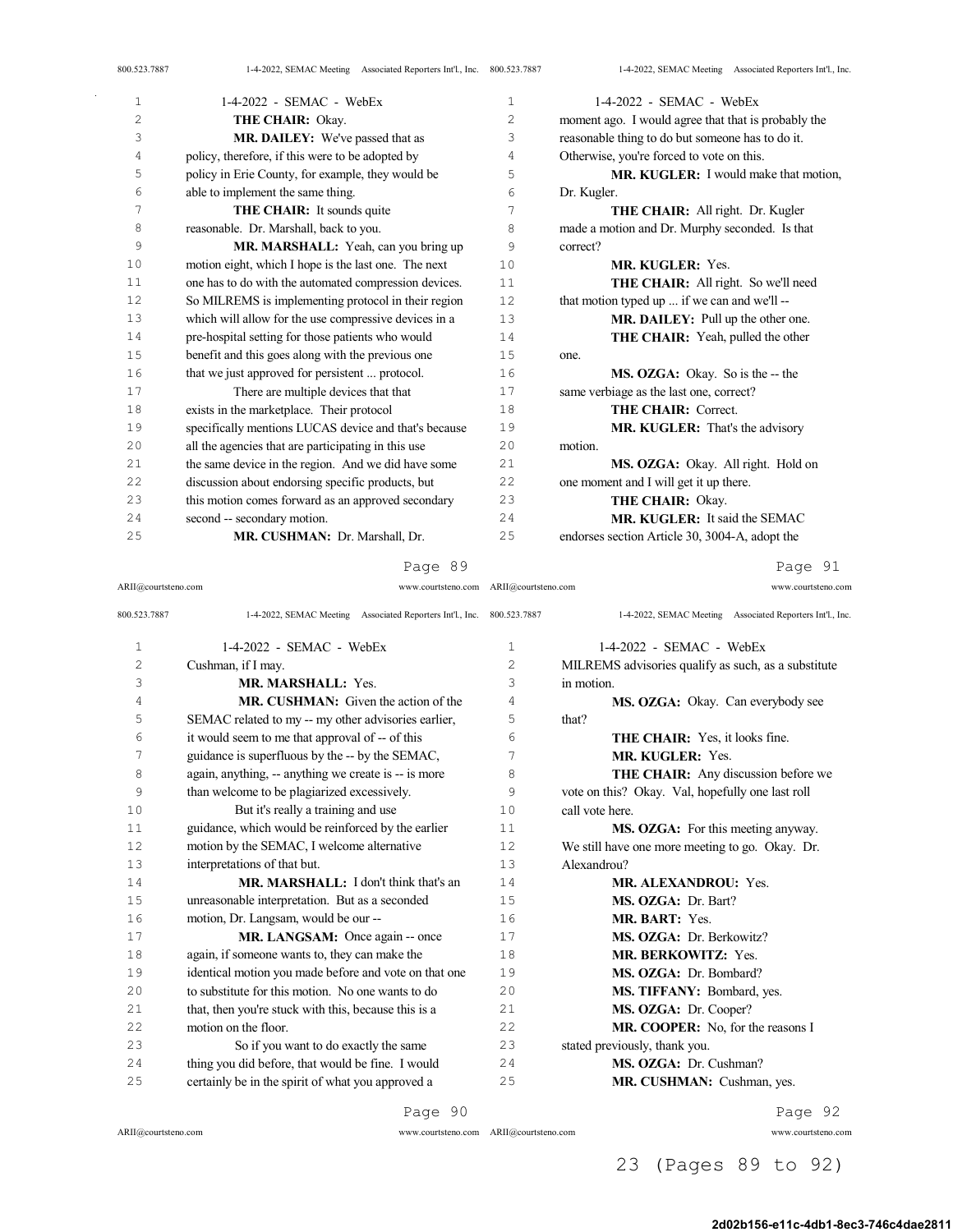| 800.523.7887 | 1-4-2022, SEMAC Meeting Associated Reporters Int'l., Inc. 800.523.7887 |    | 1-4-2022, SEMAC Meeting Associated Reporters Int'l., Inc. |
|--------------|------------------------------------------------------------------------|----|-----------------------------------------------------------|
| 1            | 1-4-2022 - SEMAC - WebEx                                               | 1  | $1-4-2022$ - SEMAC - WebEx                                |
| $\mathbf{2}$ | THE CHAIR: Okay.                                                       | 2  | moment ago. I would agree that that is probably the       |
| 3            | MR. DAILEY: We've passed that as                                       | 3  | reasonable thing to do but someone has to do it.          |
| 4            | policy, therefore, if this were to be adopted by                       | 4  | Otherwise, you're forced to vote on this.                 |
| 5            | policy in Erie County, for example, they would be                      | 5  | MR. KUGLER: I would make that motion,                     |
| 6            | able to implement the same thing.                                      | 6  | Dr. Kugler.                                               |
| 7            | THE CHAIR: It sounds quite                                             | 7  | THE CHAIR: All right. Dr. Kugler                          |
| 8            | reasonable. Dr. Marshall, back to you.                                 | 8  | made a motion and Dr. Murphy seconded. Is that            |
| 9            | MR. MARSHALL: Yeah, can you bring up                                   | 9  | correct?                                                  |
| 10           | motion eight, which I hope is the last one. The next                   | 10 | <b>MR. KUGLER: Yes.</b>                                   |
| 11           | one has to do with the automated compression devices.                  | 11 | THE CHAIR: All right. So we'll need                       |
| 12           | So MILREMS is implementing protocol in their region                    | 12 | that motion typed up  if we can and we'll --              |
| 13           | which will allow for the use compressive devices in a                  | 13 | MR. DAILEY: Pull up the other one.                        |
| 14           | pre-hospital setting for those patients who would                      | 14 | THE CHAIR: Yeah, pulled the other                         |
| 15           | benefit and this goes along with the previous one                      | 15 | one.                                                      |
| 16           | that we just approved for persistent  protocol.                        | 16 | MS. OZGA: Okay. So is the -- the                          |
| 17           | There are multiple devices that that                                   | 17 | same verbiage as the last one, correct?                   |
| 18           | exists in the marketplace. Their protocol                              | 18 | THE CHAIR: Correct.                                       |
| 19           | specifically mentions LUCAS device and that's because                  | 19 | MR. KUGLER: That's the advisory                           |
| 20           | all the agencies that are participating in this use                    | 20 | motion.                                                   |
| 21           | the same device in the region. And we did have some                    | 21 | MS. OZGA: Okay. All right. Hold on                        |
| 22           | discussion about endorsing specific products, but                      | 22 | one moment and I will get it up there.                    |
| 23           | this motion comes forward as an approved secondary                     | 23 | THE CHAIR: Okay.                                          |
| 24           | second -- secondary motion.                                            | 24 | MR. KUGLER: It said the SEMAC                             |
| 25           | MR. CUSHMAN: Dr. Marshall, Dr.                                         | 25 | endorses section Article 30, 3004-A, adopt the            |

ARII@courtsteno.com www.courtsteno.com

ARII@courtsteno.com

 $\Delta \sim 1$ 

Page 91

| 800.523.7887        | 1-4-2022, SEMAC Meeting Associated Reporters Int'l., Inc. 800.523.7887 |                | 1-4-2022, SEMAC Meeting Associated Reporters Int'l., Inc. |
|---------------------|------------------------------------------------------------------------|----------------|-----------------------------------------------------------|
| 1                   | $1-4-2022$ - SEMAC - WebEx                                             | 1              | $1-4-2022$ - SEMAC - WebEx                                |
| $\overline{c}$      | Cushman, if I may.                                                     | $\overline{2}$ | MILREMS advisories qualify as such, as a substitute       |
| 3                   | MR. MARSHALL: Yes.                                                     | 3              | in motion.                                                |
| 4                   | MR. CUSHMAN: Given the action of the                                   | 4              | MS. OZGA: Okay. Can everybody see                         |
| 5                   | SEMAC related to my -- my other advisories earlier,                    | 5              | that?                                                     |
| 6                   | it would seem to me that approval of -- of this                        | 6              | THE CHAIR: Yes, it looks fine.                            |
| 7                   | guidance is superfluous by the -- by the SEMAC,                        | 7              | MR. KUGLER: Yes.                                          |
| 8                   | again, anything, -- anything we create is -- is more                   | 8              | THE CHAIR: Any discussion before we                       |
| 9                   | than welcome to be plagiarized excessively.                            | 9              | vote on this? Okay. Val, hopefully one last roll          |
| 10                  | But it's really a training and use                                     | 10             | call vote here.                                           |
| 11                  | guidance, which would be reinforced by the earlier                     | 11             | MS. OZGA: For this meeting anyway.                        |
| 12                  | motion by the SEMAC, I welcome alternative                             | 12.            | We still have one more meeting to go. Okay. Dr.           |
| 13                  | interpretations of that but.                                           | 13             | Alexandrou?                                               |
| 14                  | MR. MARSHALL: I don't think that's an                                  | 14             | <b>MR. ALEXANDROU: Yes.</b>                               |
| 15                  | unreasonable interpretation. But as a seconded                         | 1.5            | MS. OZGA: Dr. Bart?                                       |
| 16                  | motion, Dr. Langsam, would be our --                                   | 16             | MR. BART: Yes.                                            |
| 17                  | MR. LANGSAM: Once again -- once                                        | 17             | MS. OZGA: Dr. Berkowitz?                                  |
| 18                  | again, if someone wants to, they can make the                          | 18             | <b>MR. BERKOWITZ: Yes.</b>                                |
| 19                  | identical motion you made before and vote on that one                  | 19             | MS. OZGA: Dr. Bombard?                                    |
| 20                  | to substitute for this motion. No one wants to do                      | 20             | MS. TIFFANY: Bombard, yes.                                |
| 2.1                 | that, then you're stuck with this, because this is a                   | 21             | MS. OZGA: Dr. Cooper?                                     |
| 22                  | motion on the floor.                                                   | 22             | MR. COOPER: No, for the reasons I                         |
| 2.3                 | So if you want to do exactly the same                                  | 2.3            | stated previously, thank you.                             |
| 24                  | thing you did before, that would be fine. I would                      | 24             | MS. OZGA: Dr. Cushman?                                    |
| 25                  | certainly be in the spirit of what you approved a                      | 25             | MR. CUSHMAN: Cushman, yes.                                |
|                     | Page 90                                                                |                | Page 92                                                   |
| ARII@courtsteno.com | www.courtsteno.com ARII@courtsteno.com                                 |                | www.courtsteno.com                                        |
|                     |                                                                        |                | $00 + 001$<br>$\cap$ $\cap$ $\cap$ $\sim$ $\sim$ $\sim$   |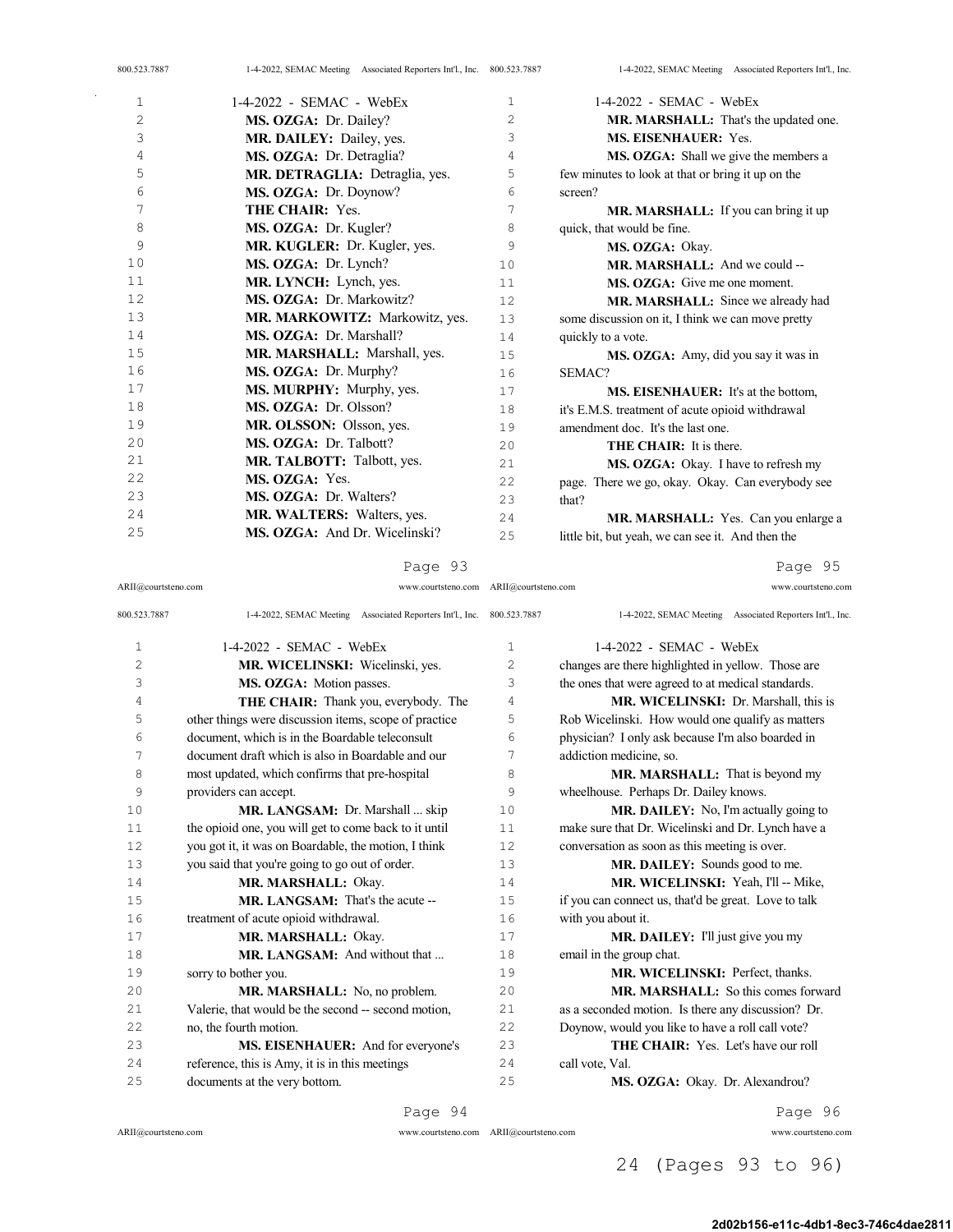| 800.523.7887 | 1-4-2022, SEMAC Meeting Associated Reporters Int'l., Inc. 800.523.7887 |              | 1-4-2022, SEMAC Meeting Associated Reporters Int'l., Inc. |
|--------------|------------------------------------------------------------------------|--------------|-----------------------------------------------------------|
| $\mathbf 1$  | $1-4-2022$ - SEMAC - WebEx                                             | $\mathbf{1}$ | $1-4-2022$ - SEMAC - WebEx                                |
| 2            | MS. OZGA: Dr. Dailey?                                                  | 2            | MR. MARSHALL: That's the updated one.                     |
| 3            | MR. DAILEY: Dailey, yes.                                               | 3            | MS. EISENHAUER: Yes.                                      |
| 4            | MS. OZGA: Dr. Detraglia?                                               | 4            | MS. OZGA: Shall we give the members a                     |
| 5            | MR. DETRAGLIA: Detraglia, yes.                                         | 5            | few minutes to look at that or bring it up on the         |
| 6            | MS. OZGA: Dr. Doynow?                                                  | 6            | screen?                                                   |
| 7            | THE CHAIR: Yes.                                                        | 7            | MR. MARSHALL: If you can bring it up                      |
| 8            | MS. OZGA: Dr. Kugler?                                                  | 8            | quick, that would be fine.                                |
| 9            | MR. KUGLER: Dr. Kugler, yes.                                           | 9            | MS. OZGA: Okay.                                           |
| 10           | MS. OZGA: Dr. Lynch?                                                   | 10           | MR. MARSHALL: And we could --                             |
| 11           | MR. LYNCH: Lynch, yes.                                                 | 11           | MS. OZGA: Give me one moment.                             |
| 12           | MS. OZGA: Dr. Markowitz?                                               | 12           | MR. MARSHALL: Since we already had                        |
| 13           | MR. MARKOWITZ: Markowitz, yes.                                         | 13           | some discussion on it, I think we can move pretty         |
| 14           | MS. OZGA: Dr. Marshall?                                                | 14           | quickly to a vote.                                        |
| 15           | MR. MARSHALL: Marshall, yes.                                           | 15           | MS. OZGA: Amy, did you say it was in                      |
| 16           | MS. OZGA: Dr. Murphy?                                                  | 16           | SEMAC?                                                    |
| 17           | MS. MURPHY: Murphy, yes.                                               | 17           | MS. EISENHAUER: It's at the bottom,                       |
| 18           | MS. OZGA: Dr. Olsson?                                                  | 18           | it's E.M.S. treatment of acute opioid withdrawal          |
| 19           | MR. OLSSON: Olsson, yes.                                               | 19           | amendment doc. It's the last one.                         |
| 20           | MS. OZGA: Dr. Talbott?                                                 | 20           | <b>THE CHAIR:</b> It is there.                            |
| 21           | MR. TALBOTT: Talbott, yes.                                             | 2.1          | MS. OZGA: Okay. I have to refresh my                      |
| 22           | MS. OZGA: Yes.                                                         | 2.2.         | page. There we go, okay. Okay. Can everybody see          |
| 23           | <b>MS. OZGA: Dr. Walters?</b>                                          | 23           | that?                                                     |
| 24           | MR. WALTERS: Walters, yes.                                             | 24           | MR. MARSHALL: Yes. Can you enlarge a                      |
| 25           | MS. OZGA: And Dr. Wicelinski?                                          | 25           | little bit, but yeah, we can see it. And then the         |
|              |                                                                        |              |                                                           |

ARII@courtsteno.com www.courtsteno.com ARII@courtsteno.com www.courtsteno.com

Page 95

| 800.523.7887   | 1-4-2022, SEMAC Meeting Associated Reporters Int'l., Inc. 800.523.7887 |                | 1-4-2022, SEMAC Meeting Associated Reporters Int'l., Inc. |
|----------------|------------------------------------------------------------------------|----------------|-----------------------------------------------------------|
| 1              | $1-4-2022$ - SEMAC - WebEx                                             | $\mathbf{1}$   | $1-4-2022$ - SEMAC - WebEx                                |
| $\overline{c}$ | MR. WICELINSKI: Wicelinski, yes.                                       | $\overline{c}$ | changes are there highlighted in yellow. Those are        |
| 3              | MS. OZGA: Motion passes.                                               | 3              | the ones that were agreed to at medical standards.        |
| 4              | THE CHAIR: Thank you, everybody. The                                   | 4              | MR. WICELINSKI: Dr. Marshall, this is                     |
| 5              | other things were discussion items, scope of practice                  | 5              | Rob Wicelinski. How would one qualify as matters          |
| 6              | document, which is in the Boardable teleconsult                        | 6              | physician? I only ask because I'm also boarded in         |
| 7              | document draft which is also in Boardable and our                      | 7              | addiction medicine, so.                                   |
| 8              | most updated, which confirms that pre-hospital                         | 8              | <b>MR. MARSHALL:</b> That is beyond my                    |
| 9              | providers can accept.                                                  | 9              | wheelhouse. Perhaps Dr. Dailey knows.                     |
| 10             | MR. LANGSAM: Dr. Marshall  skip                                        | 10             | <b>MR. DAILEY:</b> No, I'm actually going to              |
| 11             | the opioid one, you will get to come back to it until                  | 11             | make sure that Dr. Wicelinski and Dr. Lynch have a        |
| 12             | you got it, it was on Boardable, the motion, I think                   | 12             | conversation as soon as this meeting is over.             |
| 13             | you said that you're going to go out of order.                         | 13             | MR. DAILEY: Sounds good to me.                            |
| 14             | MR. MARSHALL: Okay.                                                    | 14             | MR. WICELINSKI: Yeah, I'll -- Mike,                       |
| 15             | <b>MR. LANGSAM:</b> That's the acute --                                | 15             | if you can connect us, that'd be great. Love to talk      |
| 16             | treatment of acute opioid withdrawal.                                  | 16             | with you about it.                                        |
| 17             | MR. MARSHALL: Okay.                                                    | 17             | MR. DAILEY: I'll just give you my                         |
| 18             | MR. LANGSAM: And without that                                          | 18             | email in the group chat.                                  |
| 19             | sorry to bother you.                                                   | 19             | MR. WICELINSKI: Perfect, thanks.                          |
| 20             | MR. MARSHALL: No, no problem.                                          | 20             | <b>MR. MARSHALL:</b> So this comes forward                |
| 21             | Valerie, that would be the second -- second motion,                    | 2.1            | as a seconded motion. Is there any discussion? Dr.        |
| 22             | no, the fourth motion.                                                 | 22             | Doynow, would you like to have a roll call vote?          |
| 23             | MS. EISENHAUER: And for everyone's                                     | 23             | <b>THE CHAIR:</b> Yes. Let's have our roll                |
| 2.4            | reference, this is Amy, it is in this meetings                         | 2.4            | call vote, Val.                                           |
| 25             | documents at the very bottom.                                          | 25             | MS. OZGA: Okay. Dr. Alexandrou?                           |
|                | Page 94                                                                |                | Page 96                                                   |

 $ARII@{\mbox{conrtsteno.com}}$ 

 $\sim$ 

Page 96

ARII@courtsteno.com www.courtsteno.com

## 24 (Pages 93 to 96)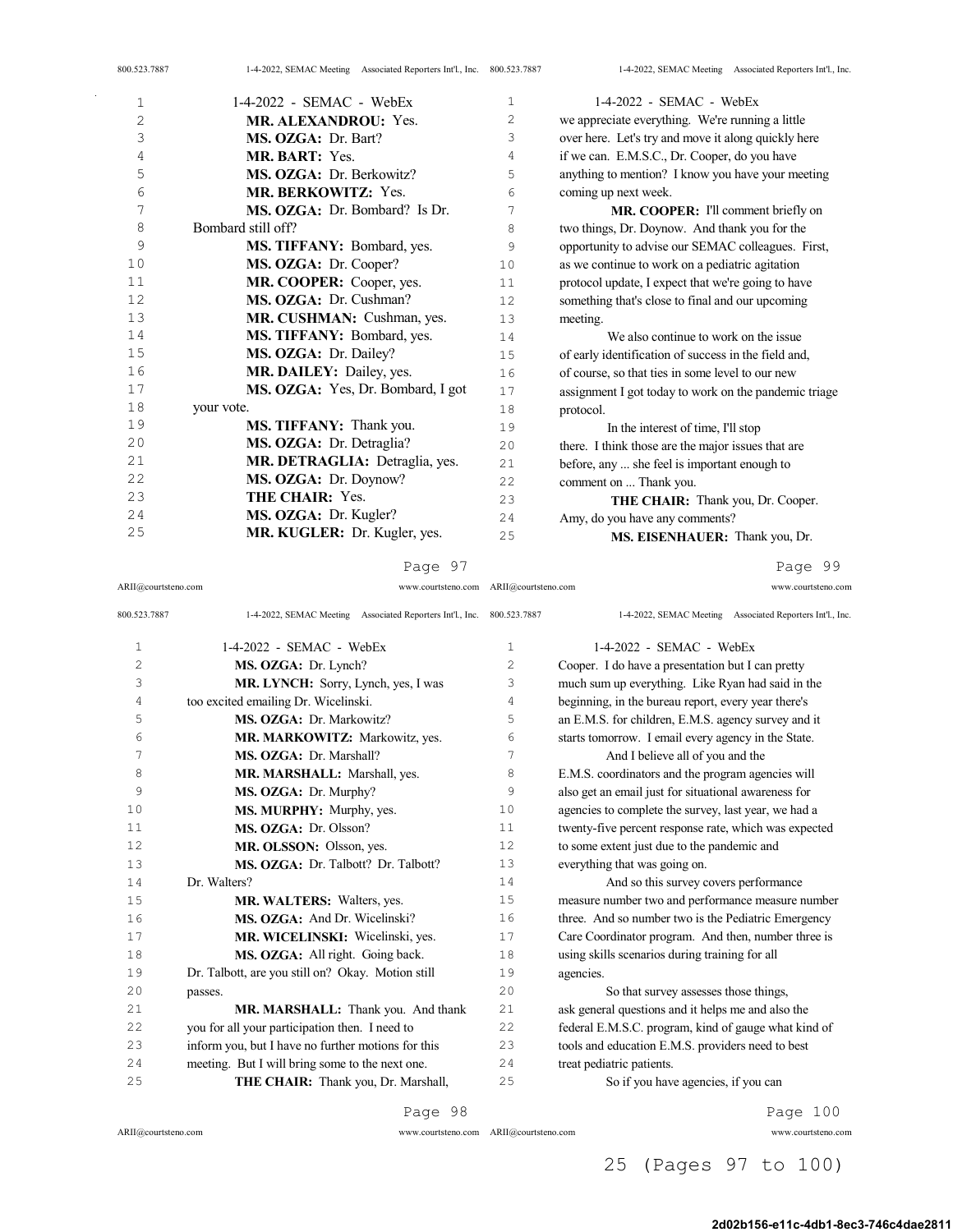| 800.523.7887 | 1-4-2022, SEMAC Meeting Associated Reporters Int'l., Inc. 800.523.7887 |      | 1-4-2022, SEMAC Meeting Associated Reporters Int'l., Inc. |
|--------------|------------------------------------------------------------------------|------|-----------------------------------------------------------|
| 1            | $1-4-2022$ - SEMAC - WebEx                                             | 1    | $1-4-2022$ - SEMAC - WebEx                                |
| 2            | <b>MR. ALEXANDROU: Yes.</b>                                            | 2    | we appreciate everything. We're running a little          |
| 3            | MS. OZGA: Dr. Bart?                                                    | 3    | over here. Let's try and move it along quickly here       |
| 4            | MR. BART: Yes.                                                         | 4    | if we can. E.M.S.C., Dr. Cooper, do you have              |
| 5            | MS. OZGA: Dr. Berkowitz?                                               | 5    | anything to mention? I know you have your meeting         |
| 6            | <b>MR. BERKOWITZ: Yes.</b>                                             | 6    | coming up next week.                                      |
| 7            | MS. OZGA: Dr. Bombard? Is Dr.                                          | 7    | MR. COOPER: I'll comment briefly on                       |
| 8            | Bombard still off?                                                     | 8    | two things, Dr. Doynow. And thank you for the             |
| 9            | <b>MS. TIFFANY: Bombard, yes.</b>                                      | 9    | opportunity to advise our SEMAC colleagues. First,        |
| 10           | MS. OZGA: Dr. Cooper?                                                  | 10   | as we continue to work on a pediatric agitation           |
| 11           | MR. COOPER: Cooper, yes.                                               | 11   | protocol update, I expect that we're going to have        |
| 12           | MS. OZGA: Dr. Cushman?                                                 | 12   | something that's close to final and our upcoming          |
| 13           | MR. CUSHMAN: Cushman, yes.                                             | 13   | meeting.                                                  |
| 14           | MS. TIFFANY: Bombard, yes.                                             | 14   | We also continue to work on the issue                     |
| 15           | MS. OZGA: Dr. Dailey?                                                  | 15   | of early identification of success in the field and,      |
| 16           | MR. DAILEY: Dailey, yes.                                               | 16   | of course, so that ties in some level to our new          |
| 17           | MS. OZGA: Yes, Dr. Bombard, I got                                      | 17   | assignment I got today to work on the pandemic triage     |
| 18           | your vote.                                                             | 18   | protocol.                                                 |
| 19           | MS. TIFFANY: Thank you.                                                | 19   | In the interest of time, I'll stop                        |
| 20           | MS. OZGA: Dr. Detraglia?                                               | 20   | there. I think those are the major issues that are        |
| 21           | MR. DETRAGLIA: Detraglia, yes.                                         | 21   | before, any  she feel is important enough to              |
| 22           | MS. OZGA: Dr. Doynow?                                                  | 2.2. | comment on  Thank you.                                    |
| 23           | THE CHAIR: Yes.                                                        | 23   | THE CHAIR: Thank you, Dr. Cooper.                         |
| 24           | MS. OZGA: Dr. Kugler?                                                  | 24   | Amy, do you have any comments?                            |
| 25           | MR. KUGLER: Dr. Kugler, yes.                                           | 25   | MS. EISENHAUER: Thank you, Dr.                            |
|              |                                                                        |      |                                                           |

ARII@courtsteno.com www.courtsteno.com ARII@courtsteno.com www.courtsteno.com

Page 99

| 800.523.7887 | 1-4-2022, SEMAC Meeting Associated Reporters Int'l., Inc. 800.523.7887 |                | 1-4-2022, SEMAC Meeting Associated Reporters Int'l., Inc. |
|--------------|------------------------------------------------------------------------|----------------|-----------------------------------------------------------|
| $\mathbf{1}$ | $1-4-2022$ - SEMAC - WebEx                                             | $\mathbf{1}$   | $1-4-2022$ - SEMAC - WebEx                                |
| $\mathbf{2}$ | MS. OZGA: Dr. Lynch?                                                   | $\overline{c}$ | Cooper. I do have a presentation but I can pretty         |
| 3            | MR. LYNCH: Sorry, Lynch, yes, I was                                    | 3              | much sum up everything. Like Ryan had said in the         |
| 4            | too excited emailing Dr. Wicelinski.                                   | $\overline{4}$ | beginning, in the bureau report, every year there's       |
| 5            | MS. OZGA: Dr. Markowitz?                                               | 5              | an E.M.S. for children, E.M.S. agency survey and it       |
| 6            | MR. MARKOWITZ: Markowitz, yes.                                         | 6              | starts tomorrow. I email every agency in the State.       |
| 7            | MS. OZGA: Dr. Marshall?                                                | 7              | And I believe all of you and the                          |
| 8            | MR. MARSHALL: Marshall, yes.                                           | 8              | E.M.S. coordinators and the program agencies will         |
| 9            | MS. OZGA: Dr. Murphy?                                                  | 9              | also get an email just for situational awareness for      |
| 10           | MS. MURPHY: Murphy, yes.                                               | 1 <sub>0</sub> | agencies to complete the survey, last year, we had a      |
| 11           | MS. OZGA: Dr. Olsson?                                                  | 11             | twenty-five percent response rate, which was expected     |
| 12           | MR. OLSSON: Olsson, yes.                                               | 12             | to some extent just due to the pandemic and               |
| 13           | MS. OZGA: Dr. Talbott? Dr. Talbott?                                    | 13             | everything that was going on.                             |
| 14           | Dr. Walters?                                                           | 14             | And so this survey covers performance                     |
| 15           | <b>MR. WALTERS:</b> Walters, yes.                                      | 15             | measure number two and performance measure number         |
| 16           | MS. OZGA: And Dr. Wicelinski?                                          | 16             | three. And so number two is the Pediatric Emergency       |
| 17           | MR. WICELINSKI: Wicelinski, yes.                                       | 17             | Care Coordinator program. And then, number three is       |
| 18           | MS. OZGA: All right. Going back.                                       | 18             | using skills scenarios during training for all            |
| 19           | Dr. Talbott, are you still on? Okay. Motion still                      | 19             | agencies.                                                 |
| 20           | passes.                                                                | 2.0            | So that survey assesses those things,                     |
| 2.1          | MR. MARSHALL: Thank you. And thank                                     | 2.1            | ask general questions and it helps me and also the        |
| 22           | you for all your participation then. I need to                         | 22             | federal E.M.S.C. program, kind of gauge what kind of      |
| 2.3          | inform you, but I have no further motions for this                     | 23             | tools and education E.M.S. providers need to best         |
| 2.4          | meeting. But I will bring some to the next one.                        | 24             | treat pediatric patients.                                 |
| 25           | THE CHAIR: Thank you, Dr. Marshall,                                    | 25             | So if you have agencies, if you can                       |

Page 98

 $\mathbb{Z}^2$ 

ARII@courtsteno.com www.courtsteno.com

ARII@courtsteno.com www.courtsteno.com Page 100

25 (Pages 97 to 100)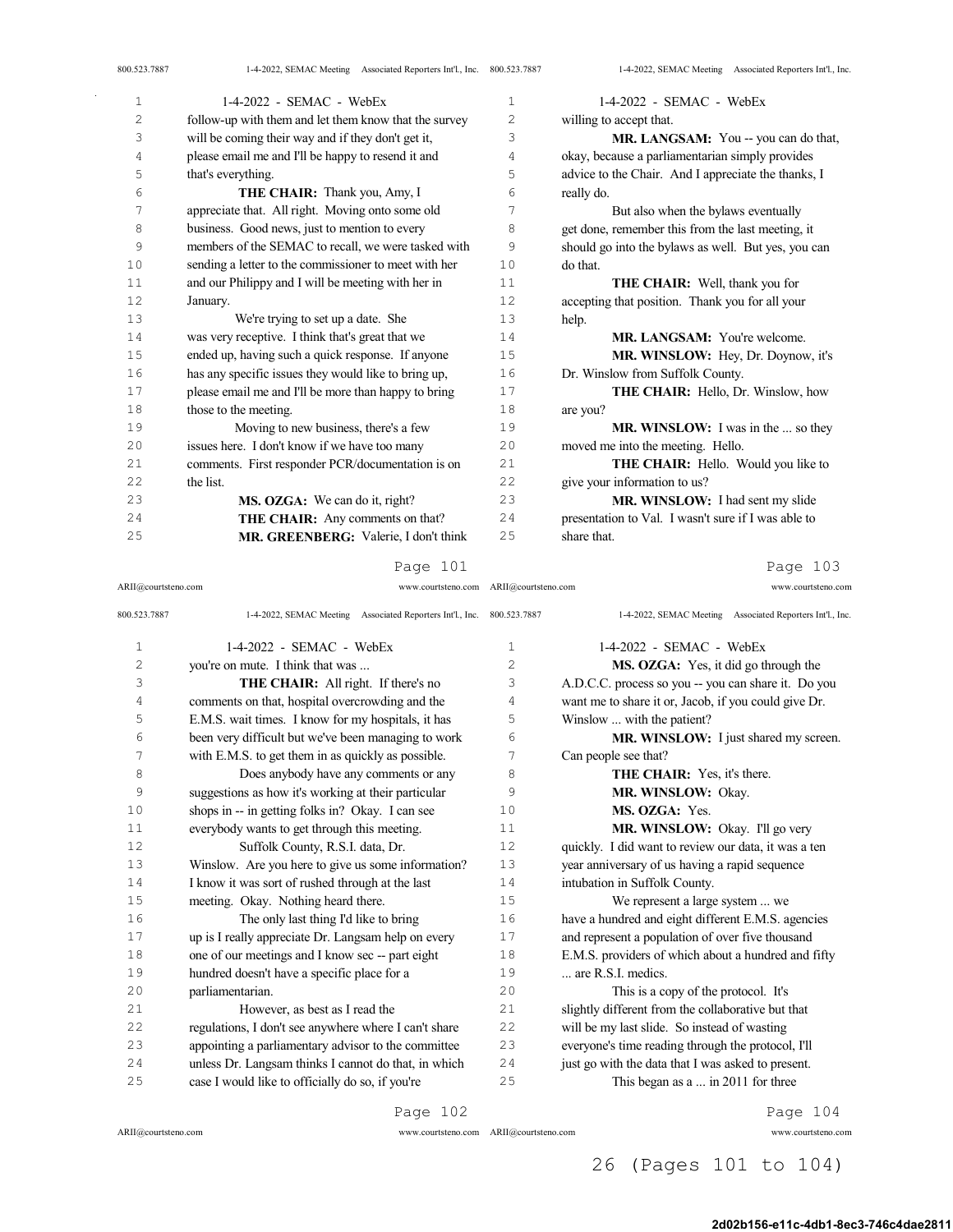| 800.523.7887   | 1-4-2022, SEMAC Meeting Associated Reporters Int'l., Inc. 800.523.7887 |    | 1-4-2022, SEMAC Meeting Associated Reporters Int'l., Inc. |
|----------------|------------------------------------------------------------------------|----|-----------------------------------------------------------|
| 1              | 1-4-2022 - SEMAC - WebEx                                               | 1  | $1-4-2022$ - SEMAC - WebEx                                |
| $\overline{2}$ | follow-up with them and let them know that the survey                  | 2  | willing to accept that.                                   |
| 3              | will be coming their way and if they don't get it,                     | 3  | MR. LANGSAM: You -- you can do that,                      |
| 4              | please email me and I'll be happy to resend it and                     | 4  | okay, because a parliamentarian simply provides           |
| 5              | that's everything.                                                     | 5  | advice to the Chair. And I appreciate the thanks, I       |
| 6              | <b>THE CHAIR:</b> Thank you, Amy, I                                    | 6  | really do.                                                |
| 7              | appreciate that. All right. Moving onto some old                       | 7  | But also when the bylaws eventually                       |
| 8              | business. Good news, just to mention to every                          | 8  | get done, remember this from the last meeting, it         |
| 9              | members of the SEMAC to recall, we were tasked with                    | 9  | should go into the bylaws as well. But yes, you can       |
| 10             | sending a letter to the commissioner to meet with her                  | 10 | do that.                                                  |
| 11             | and our Philippy and I will be meeting with her in                     | 11 | <b>THE CHAIR:</b> Well, thank you for                     |
| 12             | January.                                                               | 12 | accepting that position. Thank you for all your           |
| 13             | We're trying to set up a date. She                                     | 13 | help.                                                     |
| 14             | was very receptive. I think that's great that we                       | 14 | <b>MR. LANGSAM:</b> You're welcome.                       |
| 15             | ended up, having such a quick response. If anyone                      | 15 | MR. WINSLOW: Hey, Dr. Doynow, it's                        |
| 16             | has any specific issues they would like to bring up,                   | 16 | Dr. Winslow from Suffolk County.                          |
| 17             | please email me and I'll be more than happy to bring                   | 17 | <b>THE CHAIR:</b> Hello, Dr. Winslow, how                 |
| 18             | those to the meeting.                                                  | 18 | are you?                                                  |
| 19             | Moving to new business, there's a few                                  | 19 | MR. WINSLOW: I was in the  so they                        |
| 20             | issues here. I don't know if we have too many                          | 20 | moved me into the meeting. Hello.                         |
| 21             | comments. First responder PCR/documentation is on                      | 21 | <b>THE CHAIR:</b> Hello. Would you like to                |
| 22             | the list.                                                              | 22 | give your information to us?                              |
| 23             | MS. OZGA: We can do it, right?                                         | 23 | MR. WINSLOW: I had sent my slide                          |
| 24             | THE CHAIR: Any comments on that?                                       | 24 | presentation to Val. I wasn't sure if I was able to       |
| 25             | MR. GREENBERG: Valerie, I don't think                                  | 25 | share that.                                               |

ARII@courtsteno.com www.courtsteno.com ARII@courtsteno.com www.courtsteno.com

Page 103

| 800.523.7887   | 1-4-2022, SEMAC Meeting Associated Reporters Int'l., Inc. 800.523.7887 |    | 1-4-2022, SEMAC Meeting Associated Reporters Int'l., Inc. |
|----------------|------------------------------------------------------------------------|----|-----------------------------------------------------------|
| $\mathbf{1}$   | $1-4-2022$ - SEMAC - WebEx                                             | 1  | 1-4-2022 - SEMAC - WebEx                                  |
| 2              | you're on mute. I think that was                                       | 2  | MS. OZGA: Yes, it did go through the                      |
| 3              | <b>THE CHAIR:</b> All right. If there's no                             | 3  | A.D.C.C. process so you -- you can share it. Do you       |
| $\overline{4}$ | comments on that, hospital overcrowding and the                        | 4  | want me to share it or, Jacob, if you could give Dr.      |
| 5              | E.M.S. wait times. I know for my hospitals, it has                     | 5  | Winslow  with the patient?                                |
| 6              | been very difficult but we've been managing to work                    | 6  | MR. WINSLOW: I just shared my screen.                     |
| 7              | with E.M.S. to get them in as quickly as possible.                     | 7  | Can people see that?                                      |
| 8              | Does anybody have any comments or any                                  | 8  | <b>THE CHAIR:</b> Yes, it's there.                        |
| 9              | suggestions as how it's working at their particular                    | 9  | MR. WINSLOW: Okay.                                        |
| 10             | shops in -- in getting folks in? Okay. I can see                       | 10 | MS. OZGA: Yes.                                            |
| 11             | everybody wants to get through this meeting.                           | 11 | MR. WINSLOW: Okay. I'll go very                           |
| 12             | Suffolk County, R.S.I. data, Dr.                                       | 12 | quickly. I did want to review our data, it was a ten      |
| 13             | Winslow. Are you here to give us some information?                     | 13 | year anniversary of us having a rapid sequence            |
| 14             | I know it was sort of rushed through at the last                       | 14 | intubation in Suffolk County.                             |
| 15             | meeting. Okay. Nothing heard there.                                    | 15 | We represent a large system  we                           |
| 16             | The only last thing I'd like to bring                                  | 16 | have a hundred and eight different E.M.S. agencies        |
| 17             | up is I really appreciate Dr. Langsam help on every                    | 17 | and represent a population of over five thousand          |
| 18             | one of our meetings and I know sec -- part eight                       | 18 | E.M.S. providers of which about a hundred and fifty       |
| 19             | hundred doesn't have a specific place for a                            | 19 | are R.S.I. medics.                                        |
| 20             | parliamentarian.                                                       | 20 | This is a copy of the protocol. It's                      |
| 21             | However, as best as I read the                                         | 21 | slightly different from the collaborative but that        |
| 22             | regulations, I don't see anywhere where I can't share                  | 22 | will be my last slide. So instead of wasting              |
| 23             | appointing a parliamentary advisor to the committee                    | 23 | everyone's time reading through the protocol, I'll        |
| 24             | unless Dr. Langsam thinks I cannot do that, in which                   | 24 | just go with the data that I was asked to present.        |
| 25             | case I would like to officially do so, if you're                       | 25 | This began as a  in 2011 for three                        |
|                | Page 102                                                               |    | Page 104                                                  |

 $\bar{z}$ 

ARII@courtsteno.com www.courtsteno.com

Page 104

## 26 (Pages 101 to 104)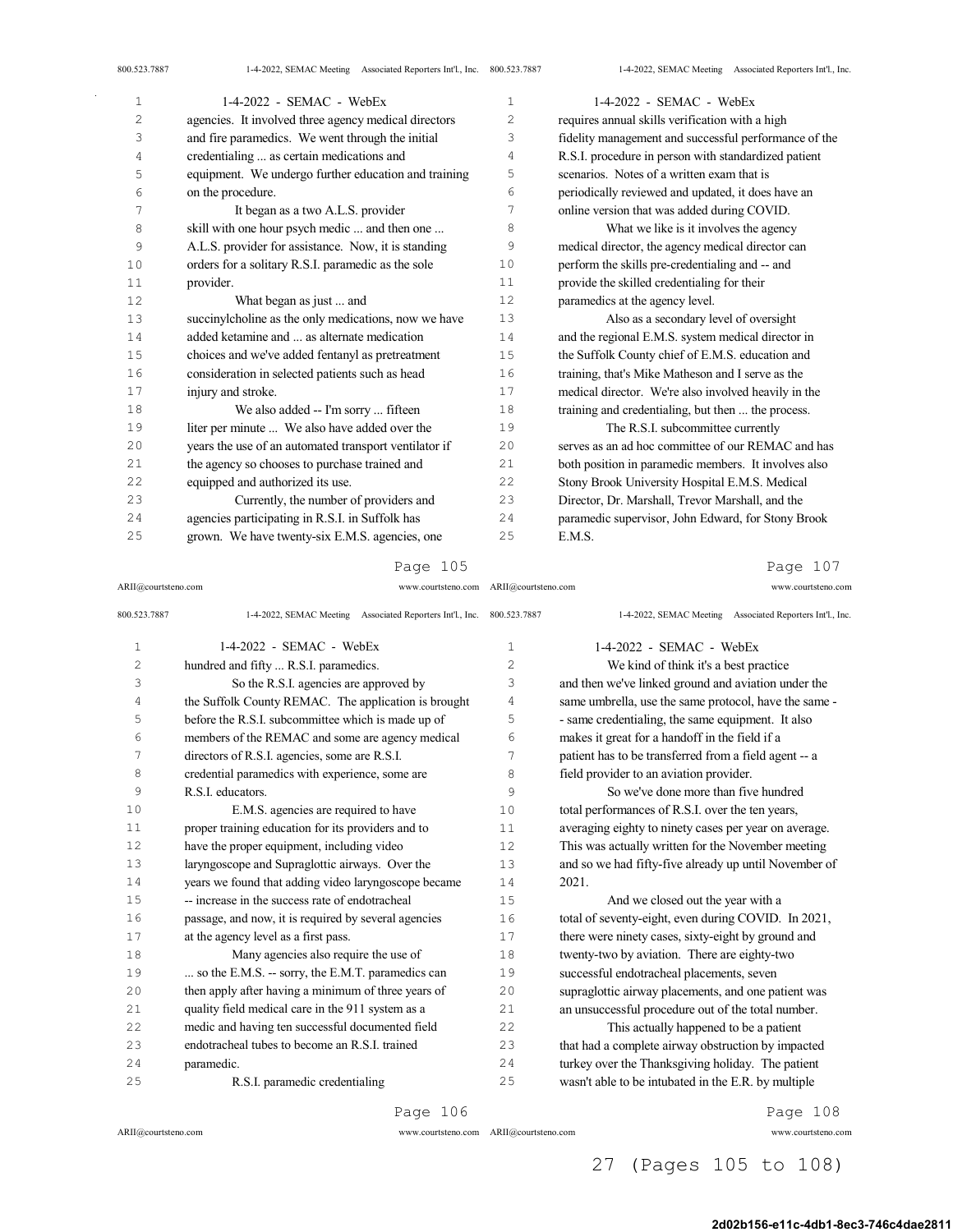| 1  | 1-4-2022 - SEMAC - WebEx                              | 1  | 1-4-2022 - SEMAC - WebEx                              |
|----|-------------------------------------------------------|----|-------------------------------------------------------|
| 2  | agencies. It involved three agency medical directors  | 2  | requires annual skills verification with a high       |
| 3  | and fire paramedics. We went through the initial      | 3  | fidelity management and successful performance of the |
| 4  | credentialing  as certain medications and             | 4  | R.S.I. procedure in person with standardized patient  |
| 5  | equipment. We undergo further education and training  | 5  | scenarios. Notes of a written exam that is            |
| 6  | on the procedure.                                     | 6  | periodically reviewed and updated, it does have an    |
| 7  | It began as a two A.L.S. provider                     | 7  | online version that was added during COVID.           |
| 8  | skill with one hour psych medic  and then one         | 8  | What we like is it involves the agency                |
| 9  | A.L.S. provider for assistance. Now, it is standing   | 9  | medical director, the agency medical director can     |
| 10 | orders for a solitary R.S.I. paramedic as the sole    | 10 | perform the skills pre-credentialing and -- and       |
| 11 | provider.                                             | 11 | provide the skilled credentialing for their           |
| 12 | What began as just  and                               | 12 | paramedics at the agency level.                       |
| 13 | succinylcholine as the only medications, now we have  | 13 | Also as a secondary level of oversight                |
| 14 | added ketamine and  as alternate medication           | 14 | and the regional E.M.S. system medical director in    |
| 15 | choices and we've added fentanyl as pretreatment      | 15 | the Suffolk County chief of E.M.S. education and      |
| 16 | consideration in selected patients such as head       | 16 | training, that's Mike Matheson and I serve as the     |
| 17 | injury and stroke.                                    | 17 | medical director. We're also involved heavily in the  |
| 18 | We also added -- I'm sorry  fifteen                   | 18 | training and credentialing, but then  the process.    |
| 19 | liter per minute  We also have added over the         | 19 | The R.S.I. subcommittee currently                     |
| 20 | years the use of an automated transport ventilator if | 20 | serves as an ad hoc committee of our REMAC and has    |
| 21 | the agency so chooses to purchase trained and         | 21 | both position in paramedic members. It involves also  |
| 22 | equipped and authorized its use.                      | 22 | Stony Brook University Hospital E.M.S. Medical        |
| 23 | Currently, the number of providers and                | 23 | Director, Dr. Marshall, Trevor Marshall, and the      |
| 24 | agencies participating in R.S.I. in Suffolk has       | 24 | paramedic supervisor, John Edward, for Stony Brook    |
| 25 | grown. We have twenty-six E.M.S. agencies, one        | 25 | E.M.S.                                                |

ARII@courtsteno.com www.courtsteno.com ARII@courtsteno.com www.courtsteno.com

## Page 107

| 800.523.7887   | 1-4-2022, SEMAC Meeting Associated Reporters Int'l., Inc. 800.523.7887 |                | 1-4-2022, SEMAC Meeting Associated Reporters Int'l., Inc. |
|----------------|------------------------------------------------------------------------|----------------|-----------------------------------------------------------|
| 1              | 1-4-2022 - SEMAC - WebEx                                               | 1              | 1-4-2022 - SEMAC - WebEx                                  |
| $\overline{c}$ | hundred and fifty  R.S.I. paramedics.                                  | $\overline{c}$ | We kind of think it's a best practice                     |
| 3              | So the R.S.I. agencies are approved by                                 | 3              | and then we've linked ground and aviation under the       |
| 4              | the Suffolk County REMAC. The application is brought                   | 4              | same umbrella, use the same protocol, have the same -     |
| 5              | before the R.S.I. subcommittee which is made up of                     | 5              | - same credentialing, the same equipment. It also         |
| 6              | members of the REMAC and some are agency medical                       | 6              | makes it great for a handoff in the field if a            |
| 7              | directors of R.S.I. agencies, some are R.S.I.                          | 7              | patient has to be transferred from a field agent -- a     |
| 8              | credential paramedics with experience, some are                        | 8              | field provider to an aviation provider.                   |
| 9              | R.S.L educators.                                                       | 9              | So we've done more than five hundred                      |
| 10             | E.M.S. agencies are required to have                                   | 10             | total performances of R.S.I. over the ten years,          |
| 11             | proper training education for its providers and to                     | 11             | averaging eighty to ninety cases per year on average.     |
| 12             | have the proper equipment, including video                             | 12             | This was actually written for the November meeting        |
| 13             | laryngoscope and Supraglottic airways. Over the                        | 13             | and so we had fifty-five already up until November of     |
| 14             | years we found that adding video laryngoscope became                   | 14             | 2021.                                                     |
| 15             | -- increase in the success rate of endotracheal                        | 1.5            | And we closed out the year with a                         |
| 16             | passage, and now, it is required by several agencies                   | 16             | total of seventy-eight, even during COVID. In 2021,       |
| 17             | at the agency level as a first pass.                                   | 17             | there were ninety cases, sixty-eight by ground and        |
| 18             | Many agencies also require the use of                                  | 18             | twenty-two by aviation. There are eighty-two              |
| 19             | so the E.M.S. -- sorry, the E.M.T. paramedics can                      | 19             | successful endotracheal placements, seven                 |
| 20             | then apply after having a minimum of three years of                    | 20             | supraglottic airway placements, and one patient was       |
| 21             | quality field medical care in the 911 system as a                      | 21             | an unsuccessful procedure out of the total number.        |
| 22             | medic and having ten successful documented field                       | 22             | This actually happened to be a patient                    |
| 23             | endotracheal tubes to become an R.S.I. trained                         | 23             | that had a complete airway obstruction by impacted        |
| 24             | paramedic.                                                             | 24             | turkey over the Thanksgiving holiday. The patient         |
| 25             | R.S.I. paramedic credentialing                                         | 25             | wasn't able to be intubated in the E.R. by multiple       |
|                |                                                                        |                |                                                           |

Page 106

ARII@courtsteno.com www.courtsteno.com

ARII@courtsteno.com www.courtsteno.com Page 108

## 27 (Pages 105 to 108)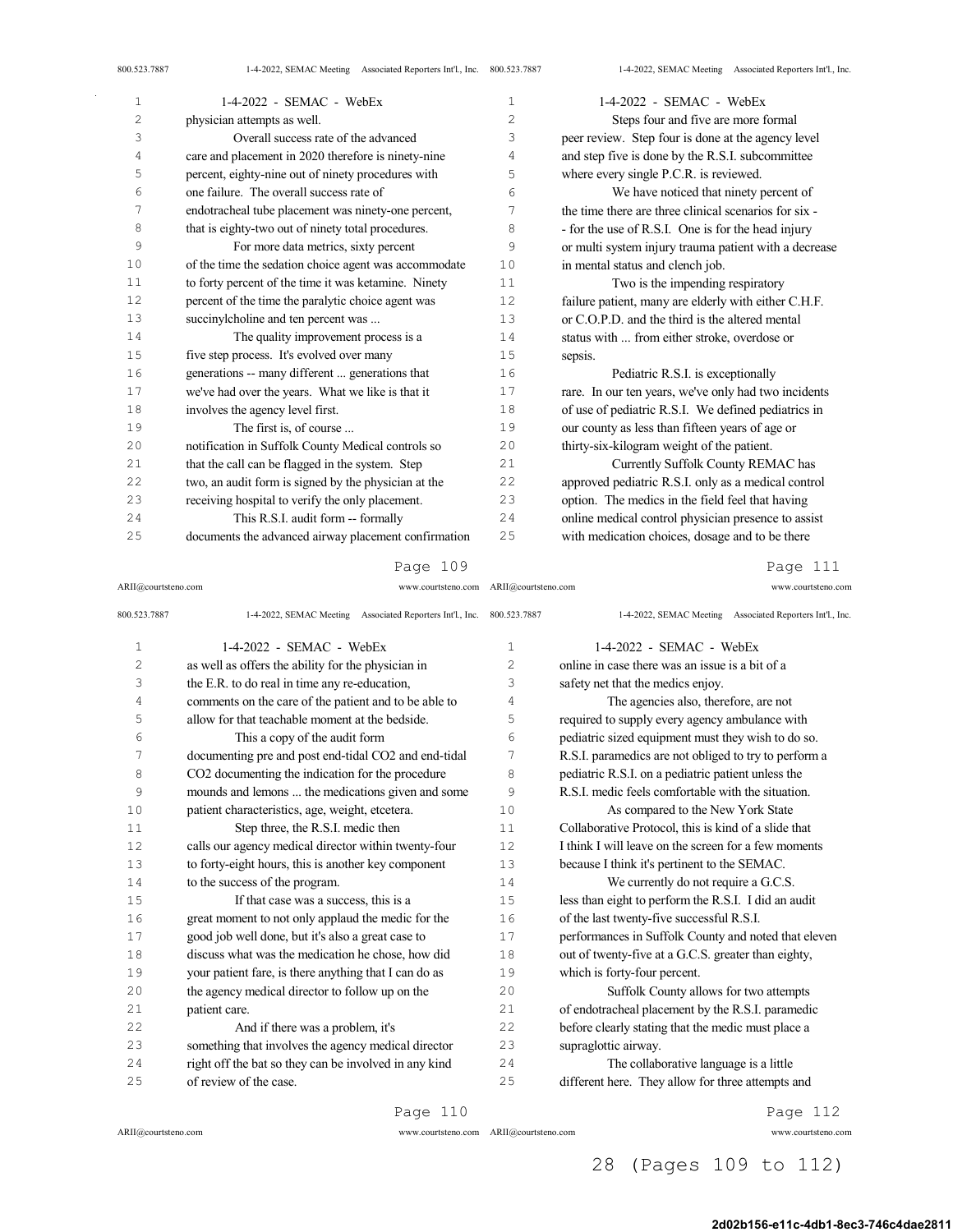| $\mathbf 1$ | $1-4-2022$ - SEMAC - WebEx                            | $\mathbf 1$    | $1-4-2022$ - SEMAC - WebEx                            |
|-------------|-------------------------------------------------------|----------------|-------------------------------------------------------|
| 2           |                                                       | $\overline{c}$ |                                                       |
|             | physician attempts as well.                           |                | Steps four and five are more formal                   |
| 3           | Overall success rate of the advanced                  | 3              | peer review. Step four is done at the agency level    |
| 4           | care and placement in 2020 therefore is ninety-nine   | 4              | and step five is done by the R.S.I. subcommittee      |
| 5           | percent, eighty-nine out of ninety procedures with    | 5              | where every single P.C.R. is reviewed.                |
| 6           | one failure. The overall success rate of              | 6              | We have noticed that ninety percent of                |
| 7           | endotracheal tube placement was ninety-one percent,   | 7              | the time there are three clinical scenarios for six - |
| 8           | that is eighty-two out of ninety total procedures.    | 8              | - for the use of R.S.I. One is for the head injury    |
| 9           | For more data metrics, sixty percent                  | 9              | or multi system injury trauma patient with a decrease |
| 10          | of the time the sedation choice agent was accommodate | 10             | in mental status and clench job.                      |
| 11          | to forty percent of the time it was ketamine. Ninety  | 11             | Two is the impending respiratory                      |
| 12          | percent of the time the paralytic choice agent was    | 12             | failure patient, many are elderly with either C.H.F.  |
| 13          | succinylcholine and ten percent was                   | 13             | or C.O.P.D. and the third is the altered mental       |
| 14          | The quality improvement process is a                  | 14             | status with  from either stroke, overdose or          |
| 15          | five step process. It's evolved over many             | 15             | sepsis.                                               |
| 16          | generations -- many different  generations that       | 16             | Pediatric R.S.I. is exceptionally                     |
| 17          | we've had over the years. What we like is that it     | 17             | rare. In our ten years, we've only had two incidents  |
| 18          | involves the agency level first.                      | 18             | of use of pediatric R.S.I. We defined pediatrics in   |
| 19          | The first is, of course                               | 19             | our county as less than fifteen years of age or       |
| 20          | notification in Suffolk County Medical controls so    | 20             | thirty-six-kilogram weight of the patient.            |
| 21          | that the call can be flagged in the system. Step      | 21             | Currently Suffolk County REMAC has                    |
| 22          | two, an audit form is signed by the physician at the  | 22             | approved pediatric R.S.I. only as a medical control   |
| 23          | receiving hospital to verify the only placement.      | 23             | option. The medics in the field feel that having      |
| 24          | This R.S.I. audit form -- formally                    | 24             | online medical control physician presence to assist   |
| 25          | documents the advanced airway placement confirmation  | 25             | with medication choices, dosage and to be there       |

ARII@courtsteno.com www.courtsteno.com ARII@courtsteno.com www.courtsteno.com

Page 111

| 800.523.7887   | 1-4-2022, SEMAC Meeting Associated Reporters Int'l., Inc. 800.523.7887 |                | 1-4-2022, SEMAC Meeting Associated Reporters Int'l., Inc. |
|----------------|------------------------------------------------------------------------|----------------|-----------------------------------------------------------|
| $\mathbf{1}$   | $1-4-2022$ - SEMAC - WebEx                                             | $\mathbf{1}$   | 1-4-2022 - SEMAC - WebEx                                  |
| $\overline{c}$ | as well as offers the ability for the physician in                     | $\overline{c}$ | online in case there was an issue is a bit of a           |
| 3              | the E.R. to do real in time any re-education,                          | 3              | safety net that the medics enjoy.                         |
| 4              | comments on the care of the patient and to be able to                  | 4              | The agencies also, therefore, are not                     |
| 5              | allow for that teachable moment at the bedside.                        | 5              | required to supply every agency ambulance with            |
| 6              | This a copy of the audit form                                          | 6              | pediatric sized equipment must they wish to do so.        |
| 7              | documenting pre and post end-tidal CO2 and end-tidal                   | 7              | R.S.I. paramedics are not obliged to try to perform a     |
| 8              | CO2 documenting the indication for the procedure                       | 8              | pediatric R.S.I. on a pediatric patient unless the        |
| 9              | mounds and lemons  the medications given and some                      | 9              | R.S.I. medic feels comfortable with the situation.        |
| 10             | patient characteristics, age, weight, etcetera.                        | 10             | As compared to the New York State                         |
| 11             | Step three, the R.S.I. medic then                                      | 11             | Collaborative Protocol, this is kind of a slide that      |
| 12             | calls our agency medical director within twenty-four                   | 12             | I think I will leave on the screen for a few moments      |
| 13             | to forty-eight hours, this is another key component                    | 13             | because I think it's pertinent to the SEMAC.              |
| 14             | to the success of the program.                                         | 14             | We currently do not require a G.C.S.                      |
| 15             | If that case was a success, this is a                                  | 15             | less than eight to perform the R.S.I. I did an audit      |
| 16             | great moment to not only applaud the medic for the                     | 16             | of the last twenty-five successful R.S.I.                 |
| 17             | good job well done, but it's also a great case to                      | 17             | performances in Suffolk County and noted that eleven      |
| 18             | discuss what was the medication he chose, how did                      | 18             | out of twenty-five at a G.C.S. greater than eighty,       |
| 19             | your patient fare, is there anything that I can do as                  | 19             | which is forty-four percent.                              |
| 20             | the agency medical director to follow up on the                        | 20             | Suffolk County allows for two attempts                    |
| 21             | patient care.                                                          | 21             | of endotracheal placement by the R.S.I. paramedic         |
| 22             | And if there was a problem, it's                                       | 22             | before clearly stating that the medic must place a        |
| 23             | something that involves the agency medical director                    | 23             | supraglottic airway.                                      |
| 24             | right off the bat so they can be involved in any kind                  | 24             | The collaborative language is a little                    |
| 25             | of review of the case.                                                 | 25             | different here. They allow for three attempts and         |
|                |                                                                        |                |                                                           |

Page 110

ARII@courtsteno.com www.courtsteno.com

Page 112

## 28 (Pages 109 to 112)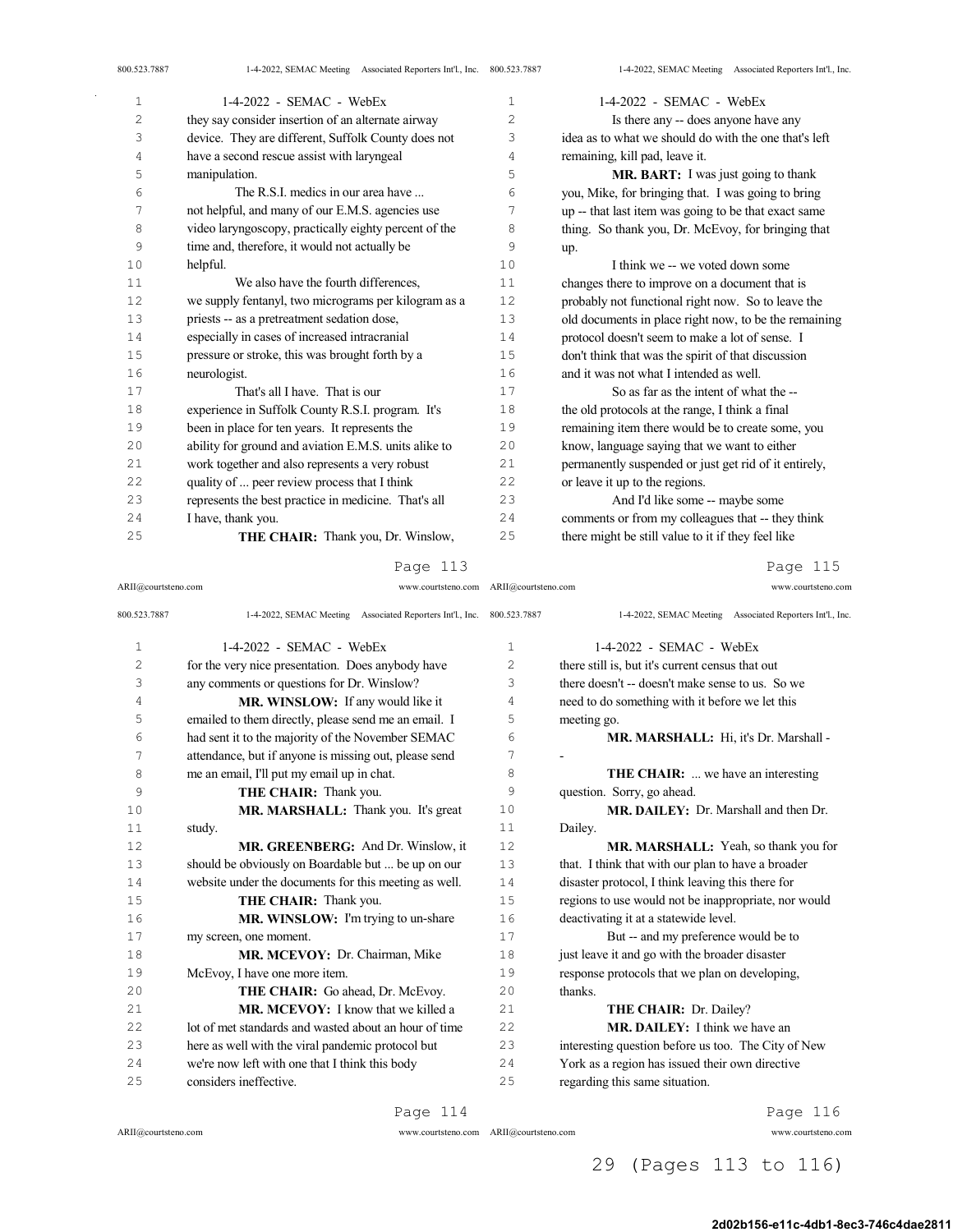| 800.523.7887   | 1-4-2022, SEMAC Meeting Associated Reporters Int'l., Inc. 800.523.7887 |                | 1-4-2022, SEMAC Meeting Associated Reporters Int'l., Inc. |
|----------------|------------------------------------------------------------------------|----------------|-----------------------------------------------------------|
| $\mathbf{1}$   | 1-4-2022 - SEMAC - WebEx                                               | 1              | $1-4-2022$ - SEMAC - WebEx                                |
| $\overline{c}$ | they say consider insertion of an alternate airway                     | $\overline{c}$ | Is there any -- does anyone have any                      |
| 3              | device. They are different, Suffolk County does not                    | 3              | idea as to what we should do with the one that's left     |
| 4              | have a second rescue assist with laryngeal                             | 4              | remaining, kill pad, leave it.                            |
| 5              | manipulation.                                                          | 5              | MR. BART: I was just going to thank                       |
| 6              | The R.S.I. medics in our area have                                     | 6              | you, Mike, for bringing that. I was going to bring        |
| 7              | not helpful, and many of our E.M.S. agencies use                       | 7              | up -- that last item was going to be that exact same      |
| 8              | video laryngoscopy, practically eighty percent of the                  | 8              | thing. So thank you, Dr. McEvoy, for bringing that        |
| 9              | time and, therefore, it would not actually be                          | 9              | up.                                                       |
| 10             | helpful.                                                               | 10             | I think we -- we voted down some                          |
| 11             | We also have the fourth differences,                                   | 11             | changes there to improve on a document that is            |
| 12             | we supply fentanyl, two micrograms per kilogram as a                   | 12             | probably not functional right now. So to leave the        |
| 13             | priests -- as a pretreatment sedation dose,                            | 13             | old documents in place right now, to be the remaining     |
| 14             | especially in cases of increased intracranial                          | 14             | protocol doesn't seem to make a lot of sense. I           |
| 15             | pressure or stroke, this was brought forth by a                        | 15             | don't think that was the spirit of that discussion        |
| 16             | neurologist.                                                           | 16             | and it was not what I intended as well.                   |
| 17             | That's all I have. That is our                                         | 17             | So as far as the intent of what the --                    |
| 18             | experience in Suffolk County R.S.I. program. It's                      | 18             | the old protocols at the range, I think a final           |
| 19             | been in place for ten years. It represents the                         | 19             | remaining item there would be to create some, you         |
| 20             | ability for ground and aviation E.M.S. units alike to                  | 20             | know, language saying that we want to either              |
| 21             | work together and also represents a very robust                        | 21             | permanently suspended or just get rid of it entirely,     |
| 22             | quality of  peer review process that I think                           | 22             | or leave it up to the regions.                            |
| 23             | represents the best practice in medicine. That's all                   | 23             | And I'd like some -- maybe some                           |
| 24             | I have, thank you.                                                     | 24             | comments or from my colleagues that -- they think         |
| 25             | THE CHAIR: Thank you, Dr. Winslow,                                     | 25             | there might be still value to it if they feel like        |

ARII@courtsteno.com www.courtsteno.com ARII@courtsteno.com www.courtsteno.com

Page 115

| 800.523.7887   | 1-4-2022, SEMAC Meeting Associated Reporters Int'l., Inc. 800.523.7887 |              | 1-4-2022, SEMAC Meeting Associated Reporters Int'l., Inc. |
|----------------|------------------------------------------------------------------------|--------------|-----------------------------------------------------------|
| $\mathbf{1}$   | $1-4-2022$ - SEMAC - WebEx                                             | $\mathbf{1}$ | $1-4-2022$ - SEMAC - WebEx                                |
| $\overline{c}$ | for the very nice presentation. Does anybody have                      | 2            | there still is, but it's current census that out          |
| 3              | any comments or questions for Dr. Winslow?                             | 3            | there doesn't -- doesn't make sense to us. So we          |
| 4              | MR. WINSLOW: If any would like it                                      | 4            | need to do something with it before we let this           |
| 5              | emailed to them directly, please send me an email. I                   | 5            | meeting go.                                               |
| 6              | had sent it to the majority of the November SEMAC                      | 6            | MR. MARSHALL: Hi, it's Dr. Marshall -                     |
| 7              | attendance, but if anyone is missing out, please send                  | 7            | $\blacksquare$                                            |
| 8              | me an email, I'll put my email up in chat.                             | 8            | <b>THE CHAIR:</b> we have an interesting                  |
| 9              | THE CHAIR: Thank you.                                                  | 9            | question. Sorry, go ahead.                                |
| 10             | MR. MARSHALL: Thank you. It's great                                    | 10           | MR. DAILEY: Dr. Marshall and then Dr.                     |
| 11             | study.                                                                 | 11           | Dailey.                                                   |
| 12             | MR. GREENBERG: And Dr. Winslow, it                                     | 12.          | MR. MARSHALL: Yeah, so thank you for                      |
| 13             | should be obviously on Boardable but  be up on our                     | 13           | that. I think that with our plan to have a broader        |
| 14             | website under the documents for this meeting as well.                  | 14           | disaster protocol, I think leaving this there for         |
| 15             | THE CHAIR: Thank you.                                                  | 15           | regions to use would not be inappropriate, nor would      |
| 16             | <b>MR. WINSLOW:</b> I'm trying to un-share                             | 16           | deactivating it at a statewide level.                     |
| 17             | my screen, one moment.                                                 | 17           | But -- and my preference would be to                      |
| 18             | MR. MCEVOY: Dr. Chairman, Mike                                         | 18           | just leave it and go with the broader disaster            |
| 19             | McEvoy, I have one more item.                                          | 19           | response protocols that we plan on developing,            |
| 20             | THE CHAIR: Go ahead, Dr. McEvoy.                                       | 2.0          | thanks.                                                   |
| 21             | MR. MCEVOY: I know that we killed a                                    | 21           | THE CHAIR: Dr. Dailey?                                    |
| 22             | lot of met standards and wasted about an hour of time                  | 2.2.         | MR. DAILEY: I think we have an                            |
| 23             | here as well with the viral pandemic protocol but                      | 2.3          | interesting question before us too. The City of New       |
| 24             | we're now left with one that I think this body                         | 24           | York as a region has issued their own directive           |
| 25             | considers ineffective.                                                 | 25           | regarding this same situation.                            |
|                |                                                                        |              |                                                           |

Page 114

 $\bar{\mathcal{A}}$ 

ARII@courtsteno.com www.courtsteno.com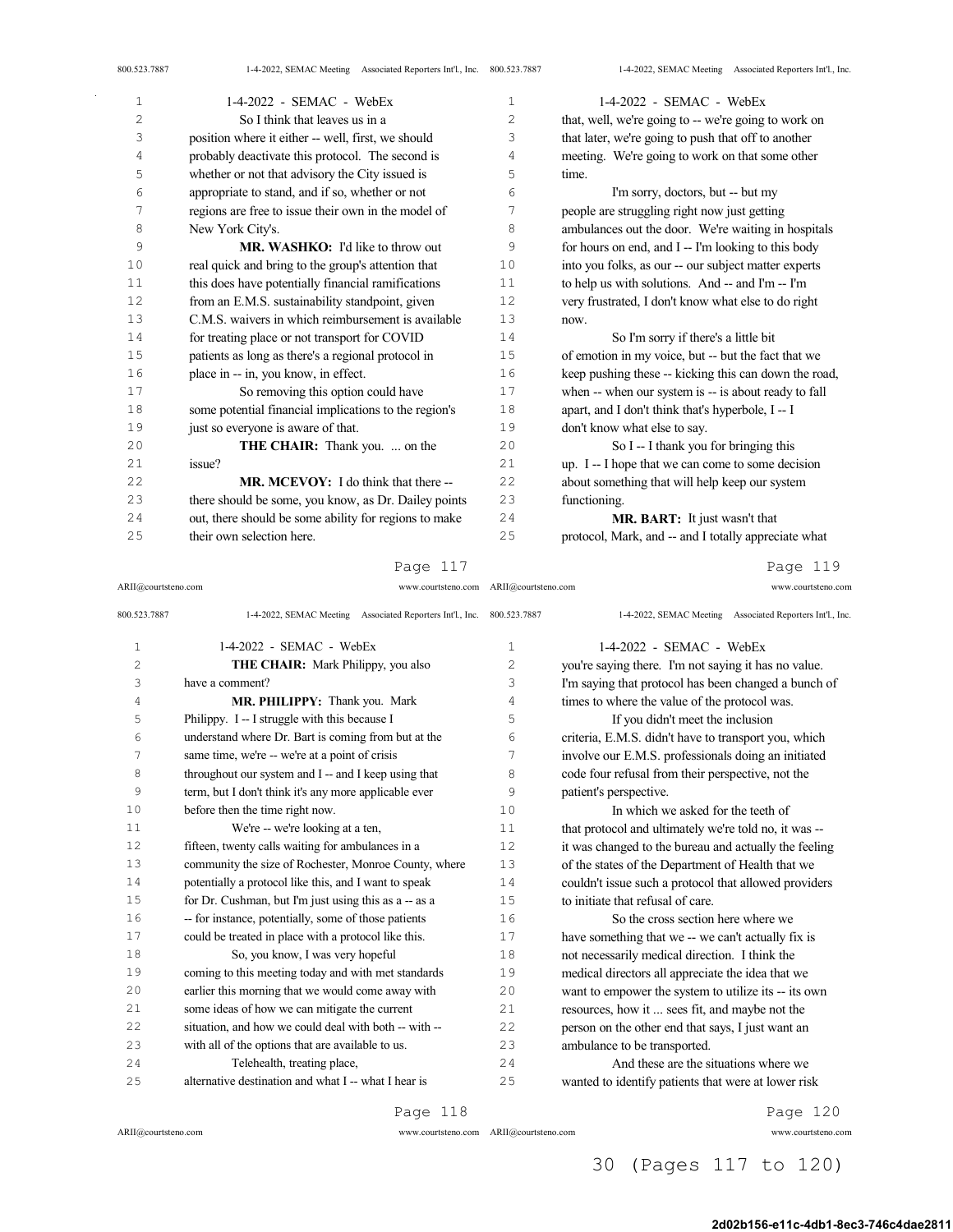| 800.523.7887   | 1-4-2022, SEMAC Meeting Associated Reporters Int'l., Inc. 800.523.7887 |    | 1-4-2022, SEMAC Meeting Associated Reporters Int'l., Inc. |
|----------------|------------------------------------------------------------------------|----|-----------------------------------------------------------|
| $\mathbf 1$    | 1-4-2022 - SEMAC - WebEx                                               | 1  | $1-4-2022$ - SEMAC - WebEx                                |
| $\overline{c}$ | So I think that leaves us in a                                         | 2  | that, well, we're going to -- we're going to work on      |
| 3              | position where it either -- well, first, we should                     | 3  | that later, we're going to push that off to another       |
| 4              | probably deactivate this protocol. The second is                       | 4  | meeting. We're going to work on that some other           |
| 5              | whether or not that advisory the City issued is                        | 5  | time.                                                     |
| 6              | appropriate to stand, and if so, whether or not                        | 6  | I'm sorry, doctors, but -- but my                         |
| 7              | regions are free to issue their own in the model of                    | 7  | people are struggling right now just getting              |
| 8              | New York City's.                                                       | 8  | ambulances out the door. We're waiting in hospitals       |
| 9              | <b>MR. WASHKO:</b> I'd like to throw out                               | 9  | for hours on end, and I -- I'm looking to this body       |
| 10             | real quick and bring to the group's attention that                     | 10 | into you folks, as our -- our subject matter experts      |
| 11             | this does have potentially financial ramifications                     | 11 | to help us with solutions. And -- and I'm -- I'm          |
| 12             | from an E.M.S. sustainability standpoint, given                        | 12 | very frustrated, I don't know what else to do right       |
| 13             | C.M.S. waivers in which reimbursement is available                     | 13 | now.                                                      |
| 14             | for treating place or not transport for COVID                          | 14 | So I'm sorry if there's a little bit                      |
| 15             | patients as long as there's a regional protocol in                     | 15 | of emotion in my voice, but -- but the fact that we       |
| 16             | place in -- in, you know, in effect.                                   | 16 | keep pushing these -- kicking this can down the road,     |
| 17             | So removing this option could have                                     | 17 | when -- when our system is -- is about ready to fall      |
| 18             | some potential financial implications to the region's                  | 18 | apart, and I don't think that's hyperbole, I -- I         |
| 19             | just so everyone is aware of that.                                     | 19 | don't know what else to say.                              |
| 20             | <b>THE CHAIR:</b> Thank you.  on the                                   | 20 | So I -- I thank you for bringing this                     |
| 21             | issue?                                                                 | 21 | up. I -- I hope that we can come to some decision         |
| 22             | <b>MR. MCEVOY:</b> I do think that there --                            | 22 | about something that will help keep our system            |
| 23             | there should be some, you know, as Dr. Dailey points                   | 23 | functioning.                                              |
| 24             | out, there should be some ability for regions to make                  | 24 | MR. BART: It just wasn't that                             |
| 25             | their own selection here.                                              | 25 | protocol, Mark, and -- and I totally appreciate what      |

ARII@courtsteno.com www.courtsteno.com ARII@courtsteno.com www.courtsteno.com

Page 119

| 800.523.7887 | 1-4-2022, SEMAC Meeting Associated Reporters Int'l., Inc. 800.523.7887 |      | 1-4-2022, SEMAC Meeting Associated Reporters Int'l., Inc. |
|--------------|------------------------------------------------------------------------|------|-----------------------------------------------------------|
| $\mathbf{1}$ | $1-4-2022$ - SEMAC - WebEx                                             | 1    | $1-4-2022$ - SEMAC - WebEx                                |
| 2            | <b>THE CHAIR:</b> Mark Philippy, you also                              | 2    | you're saying there. I'm not saying it has no value.      |
| 3            | have a comment?                                                        | 3    | I'm saying that protocol has been changed a bunch of      |
| 4            | MR. PHILIPPY: Thank you. Mark                                          | 4    | times to where the value of the protocol was.             |
| 5            | Philippy. I -- I struggle with this because I                          | 5    | If you didn't meet the inclusion                          |
| 6            | understand where Dr. Bart is coming from but at the                    | 6    | criteria, E.M.S. didn't have to transport you, which      |
| 7            | same time, we're -- we're at a point of crisis                         | 7    | involve our E.M.S. professionals doing an initiated       |
| 8            | throughout our system and I -- and I keep using that                   | 8    | code four refusal from their perspective, not the         |
| 9            | term, but I don't think it's any more applicable ever                  | 9    | patient's perspective.                                    |
| 10           | before then the time right now.                                        | 10   | In which we asked for the teeth of                        |
| 11           | We're -- we're looking at a ten,                                       | 11   | that protocol and ultimately we're told no, it was --     |
| 12           | fifteen, twenty calls waiting for ambulances in a                      | 12   | it was changed to the bureau and actually the feeling     |
| 13           | community the size of Rochester, Monroe County, where                  | 13   | of the states of the Department of Health that we         |
| 14           | potentially a protocol like this, and I want to speak                  | 14   | couldn't issue such a protocol that allowed providers     |
| 15           | for Dr. Cushman, but I'm just using this as a -- as a                  | 1.5  | to initiate that refusal of care.                         |
| 16           | -- for instance, potentially, some of those patients                   | 16   | So the cross section here where we                        |
| 17           | could be treated in place with a protocol like this.                   | 17   | have something that we -- we can't actually fix is        |
| 18           | So, you know, I was very hopeful                                       | 18   | not necessarily medical direction. I think the            |
| 19           | coming to this meeting today and with met standards                    | 19   | medical directors all appreciate the idea that we         |
| 2.0          | earlier this morning that we would come away with                      | 20   | want to empower the system to utilize its -- its own      |
| 21           | some ideas of how we can mitigate the current                          | 21   | resources, how it  sees fit, and maybe not the            |
| 22           | situation, and how we could deal with both -- with --                  | 2.2. | person on the other end that says, I just want an         |
| 23           | with all of the options that are available to us.                      | 23   | ambulance to be transported.                              |
| 2.4          | Telehealth, treating place,                                            | 24   | And these are the situations where we                     |
| 25           | alternative destination and what I -- what I hear is                   | 25   | wanted to identify patients that were at lower risk       |
|              | Page 118                                                               |      | Page 120                                                  |

ARII@courtsteno.com www.courtsteno.com

 $\bar{z}$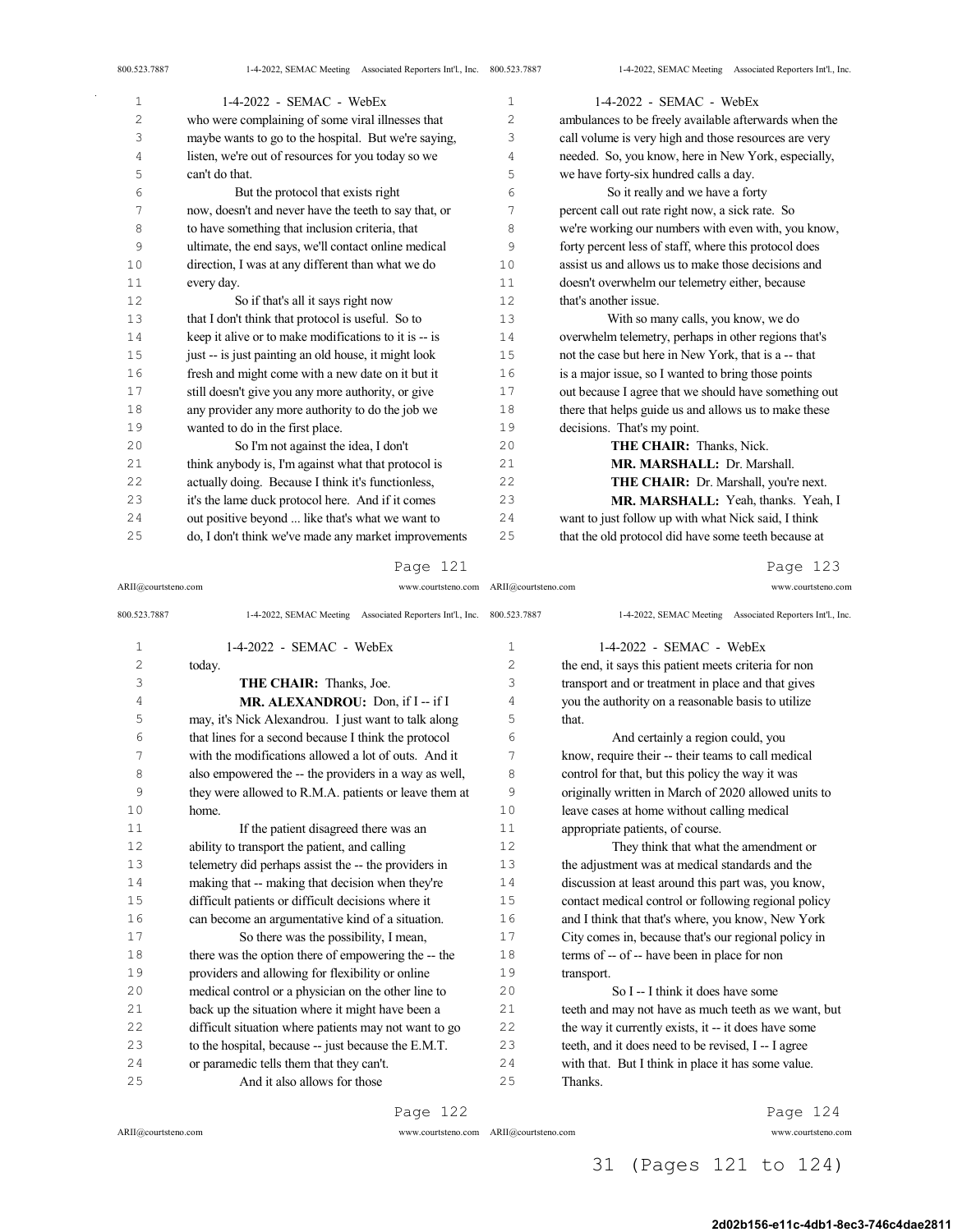| 800.523.7887 | 1-4-2022, SEMAC Meeting Associated Reporters Int'l., Inc. 800.523.7887 |              | 1-4-2022, SEMAC Meeting Associated Reporters Int'l., Inc. |
|--------------|------------------------------------------------------------------------|--------------|-----------------------------------------------------------|
| $\mathbf{1}$ | $1-4-2022$ - SEMAC - WebEx                                             | $\mathbf{1}$ | $1-4-2022$ - SEMAC - WebEx                                |
| 2            | who were complaining of some viral illnesses that                      | 2            | ambulances to be freely available afterwards when the     |
| 3            | maybe wants to go to the hospital. But we're saying,                   | 3            | call volume is very high and those resources are very     |
| 4            | listen, we're out of resources for you today so we                     | 4            | needed. So, you know, here in New York, especially,       |
| 5            | can't do that.                                                         | 5            | we have forty-six hundred calls a day.                    |
| 6            | But the protocol that exists right                                     | 6            | So it really and we have a forty                          |
| 7            | now, doesn't and never have the teeth to say that, or                  | 7            | percent call out rate right now, a sick rate. So          |
| 8            | to have something that inclusion criteria, that                        | 8            | we're working our numbers with even with, you know,       |
| 9            | ultimate, the end says, we'll contact online medical                   | 9            | forty percent less of staff, where this protocol does     |
| 10           | direction, I was at any different than what we do                      | 10           | assist us and allows us to make those decisions and       |
| 11           | every day.                                                             | 11           | doesn't overwhelm our telemetry either, because           |
| 12           | So if that's all it says right now                                     | 12           | that's another issue.                                     |
| 13           | that I don't think that protocol is useful. So to                      | 13           | With so many calls, you know, we do                       |
| 14           | keep it alive or to make modifications to it is -- is                  | 14           | overwhelm telemetry, perhaps in other regions that's      |
| 15           | just -- is just painting an old house, it might look                   | 15           | not the case but here in New York, that is a -- that      |
| 16           | fresh and might come with a new date on it but it                      | 16           | is a major issue, so I wanted to bring those points       |
| 17           | still doesn't give you any more authority, or give                     | 17           | out because I agree that we should have something out     |
| 18           | any provider any more authority to do the job we                       | 18           | there that helps guide us and allows us to make these     |
| 19           | wanted to do in the first place.                                       | 19           | decisions. That's my point.                               |
| 20           | So I'm not against the idea, I don't                                   | 20           | THE CHAIR: Thanks, Nick.                                  |
| 21           | think anybody is, I'm against what that protocol is                    | 21           | MR. MARSHALL: Dr. Marshall.                               |
| 22           | actually doing. Because I think it's functionless,                     | 22           | THE CHAIR: Dr. Marshall, you're next.                     |
| 23           | it's the lame duck protocol here. And if it comes                      | 23           | MR. MARSHALL: Yeah, thanks. Yeah, I                       |
| 24           | out positive beyond  like that's what we want to                       | 24           | want to just follow up with what Nick said, I think       |
| 25           | do, I don't think we've made any market improvements                   | 25           | that the old protocol did have some teeth because at      |
|              |                                                                        |              |                                                           |

ARII@courtsteno.com www.courtsteno.com ARII@courtsteno.com www.courtsteno.com

Page 123

| 800.523.7887   | 1-4-2022, SEMAC Meeting Associated Reporters Int'l., Inc. 800.523.7887 |    | 1-4-2022, SEMAC Meeting Associated Reporters Int'l., Inc. |
|----------------|------------------------------------------------------------------------|----|-----------------------------------------------------------|
| 1              | $1-4-2022$ - SEMAC - WebEx                                             | 1  | $1-4-2022$ - SEMAC - WebEx                                |
| $\overline{c}$ | today.                                                                 | 2  | the end, it says this patient meets criteria for non      |
| 3              | THE CHAIR: Thanks, Joe.                                                | 3  | transport and or treatment in place and that gives        |
| 4              | MR. ALEXANDROU: Don, if I -- if I                                      | 4  | you the authority on a reasonable basis to utilize        |
| 5              | may, it's Nick Alexandrou. I just want to talk along                   | 5  | that.                                                     |
| 6              | that lines for a second because I think the protocol                   | 6  | And certainly a region could, you                         |
| 7              | with the modifications allowed a lot of outs. And it                   | 7  | know, require their -- their teams to call medical        |
| 8              | also empowered the -- the providers in a way as well,                  | 8  | control for that, but this policy the way it was          |
| 9              | they were allowed to R.M.A. patients or leave them at                  | 9  | originally written in March of 2020 allowed units to      |
| 10             | home.                                                                  | 10 | leave cases at home without calling medical               |
| 11             | If the patient disagreed there was an                                  | 11 | appropriate patients, of course.                          |
| 12             | ability to transport the patient, and calling                          | 12 | They think that what the amendment or                     |
| 13             | telemetry did perhaps assist the -- the providers in                   | 13 | the adjustment was at medical standards and the           |
| 14             | making that -- making that decision when they're                       | 14 | discussion at least around this part was, you know,       |
| 15             | difficult patients or difficult decisions where it                     | 15 | contact medical control or following regional policy      |
| 16             | can become an argumentative kind of a situation.                       | 16 | and I think that that's where, you know, New York         |
| 17             | So there was the possibility, I mean,                                  | 17 | City comes in, because that's our regional policy in      |
| 18             | there was the option there of empowering the -- the                    | 18 | terms of -- of -- have been in place for non              |
| 19             | providers and allowing for flexibility or online                       | 19 | transport.                                                |
| 20             | medical control or a physician on the other line to                    | 20 | So I -- I think it does have some                         |
| 21             | back up the situation where it might have been a                       | 21 | teeth and may not have as much teeth as we want, but      |
| 22             | difficult situation where patients may not want to go                  | 22 | the way it currently exists, it -- it does have some      |
| 23             | to the hospital, because -- just because the E.M.T.                    | 23 | teeth, and it does need to be revised, I -- I agree       |
| 24             | or paramedic tells them that they can't.                               | 24 | with that. But I think in place it has some value.        |
| 25             | And it also allows for those                                           | 25 | Thanks.                                                   |

Page 122

 $\bar{\mathcal{A}}$ 

ARII@courtsteno.com www.courtsteno.com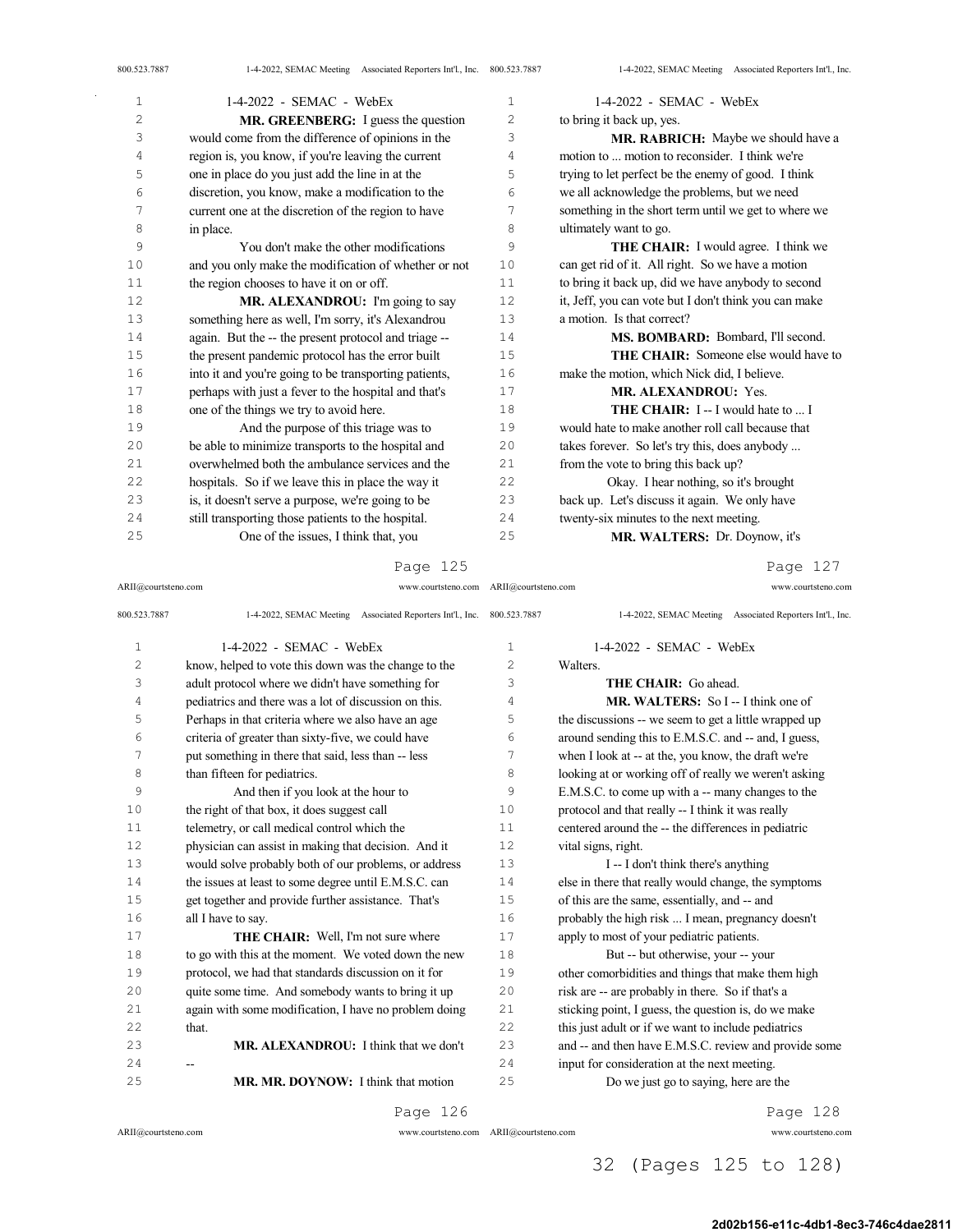$\bar{\gamma}$ 

| $\mathbf 1$    | 1-4-2022 - SEMAC - WebEx                              | $\mathbf 1$    | 1-4-2022 - SEMAC - WebEx                              |
|----------------|-------------------------------------------------------|----------------|-------------------------------------------------------|
| $\overline{c}$ | <b>MR. GREENBERG:</b> I guess the question            | $\overline{c}$ | to bring it back up, yes.                             |
| 3              | would come from the difference of opinions in the     | 3              | MR. RABRICH: Maybe we should have a                   |
| 4              | region is, you know, if you're leaving the current    | 4              | motion to  motion to reconsider. I think we're        |
| 5              | one in place do you just add the line in at the       | 5              | trying to let perfect be the enemy of good. I think   |
| 6              | discretion, you know, make a modification to the      | 6              | we all acknowledge the problems, but we need          |
| 7              | current one at the discretion of the region to have   | 7              | something in the short term until we get to where we  |
| 8              | in place.                                             | 8              | ultimately want to go.                                |
| 9              | You don't make the other modifications                | 9              | <b>THE CHAIR:</b> I would agree. I think we           |
| 10             | and you only make the modification of whether or not  | 10             | can get rid of it. All right. So we have a motion     |
| 11             | the region chooses to have it on or off.              | 11             | to bring it back up, did we have anybody to second    |
| 12             | MR. ALEXANDROU: I'm going to say                      | 12             | it, Jeff, you can vote but I don't think you can make |
| 13             | something here as well, I'm sorry, it's Alexandrou    | 13             | a motion. Is that correct?                            |
| 14             | again. But the -- the present protocol and triage --  | 14             | MS. BOMBARD: Bombard, I'll second.                    |
| 15             | the present pandemic protocol has the error built     | 15             | THE CHAIR: Someone else would have to                 |
| 16             | into it and you're going to be transporting patients, | 16             | make the motion, which Nick did, I believe.           |
| 17             | perhaps with just a fever to the hospital and that's  | 17             | <b>MR. ALEXANDROU: Yes.</b>                           |
| 18             | one of the things we try to avoid here.               | 18             | <b>THE CHAIR:</b> I -- I would hate to  I             |
| 19             | And the purpose of this triage was to                 | 19             | would hate to make another roll call because that     |
| 20             | be able to minimize transports to the hospital and    | 20             | takes forever. So let's try this, does anybody        |
| 21             | overwhelmed both the ambulance services and the       | 2.1            | from the vote to bring this back up?                  |
| 22             | hospitals. So if we leave this in place the way it    | 22             | Okay. I hear nothing, so it's brought                 |
| 23             | is, it doesn't serve a purpose, we're going to be     | 23             | back up. Let's discuss it again. We only have         |
| 24             | still transporting those patients to the hospital.    | 24             | twenty-six minutes to the next meeting.               |
| 25             | One of the issues, I think that, you                  | 25             | MR. WALTERS: Dr. Doynow, it's                         |

Page 125

Page 127

| ARII@courtsteno.com | www.courtsteno.com ARII@courtsteno.com                                 |              | www.courtsteno.com                                        |
|---------------------|------------------------------------------------------------------------|--------------|-----------------------------------------------------------|
| 800.523.7887        | 1-4-2022, SEMAC Meeting Associated Reporters Int'l., Inc. 800.523.7887 |              | 1-4-2022, SEMAC Meeting Associated Reporters Int'l., Inc. |
| $\mathbf 1$         | $1-4-2022$ - SEMAC - WebEx                                             | $\mathbf{1}$ | $1-4-2022$ - SEMAC - WebEx                                |
| $\overline{c}$      | know, helped to vote this down was the change to the                   | 2            | Walters.                                                  |
| 3                   | adult protocol where we didn't have something for                      | 3            | <b>THE CHAIR:</b> Go ahead.                               |
| 4                   | pediatrics and there was a lot of discussion on this.                  | 4            | <b>MR. WALTERS:</b> So I -- I think one of                |
| 5                   | Perhaps in that criteria where we also have an age                     | 5            | the discussions -- we seem to get a little wrapped up     |
| 6                   | criteria of greater than sixty-five, we could have                     | 6            | around sending this to E.M.S.C. and -- and, I guess,      |
| 7                   | put something in there that said, less than -- less                    | 7            | when I look at -- at the, you know, the draft we're       |
| 8                   | than fifteen for pediatrics.                                           | 8            | looking at or working off of really we weren't asking     |
| 9                   | And then if you look at the hour to                                    | 9            | E.M.S.C. to come up with a -- many changes to the         |
| 10                  | the right of that box, it does suggest call                            | 10           | protocol and that really -- I think it was really         |
| 11                  | telemetry, or call medical control which the                           | 11           | centered around the -- the differences in pediatric       |
| 12                  | physician can assist in making that decision. And it                   | 12           | vital signs, right.                                       |
| 13                  | would solve probably both of our problems, or address                  | 13           | I -- I don't think there's anything                       |
| 14                  | the issues at least to some degree until E.M.S.C. can                  | 14           | else in there that really would change, the symptoms      |
| 15                  | get together and provide further assistance. That's                    | 15           | of this are the same, essentially, and -- and             |
| 16                  | all I have to say.                                                     | 16           | probably the high risk  I mean, pregnancy doesn't         |
| 17                  | THE CHAIR: Well, I'm not sure where                                    | 17           | apply to most of your pediatric patients.                 |
| 18                  | to go with this at the moment. We voted down the new                   | 18           | But -- but otherwise, your -- your                        |
| 19                  | protocol, we had that standards discussion on it for                   | 19           | other comorbidities and things that make them high        |
| 20                  | quite some time. And somebody wants to bring it up                     | 20           | risk are -- are probably in there. So if that's a         |
| 21                  | again with some modification, I have no problem doing                  | 21           | sticking point, I guess, the question is, do we make      |
| 22                  | that.                                                                  | 22           | this just adult or if we want to include pediatrics       |
| 23                  | MR. ALEXANDROU: I think that we don't                                  | 23           | and -- and then have E.M.S.C. review and provide some     |
| 24                  | --                                                                     | 24           | input for consideration at the next meeting.              |
| 25                  | MR. MR. DOYNOW: I think that motion                                    | 25           | Do we just go to saying, here are the                     |
|                     | Page 126                                                               |              | Page 128                                                  |

ARII@courtsteno.com www.courtsteno.com

ARII@courtsteno.com www.courtsteno.com

## 32 (Pages 125 to 128)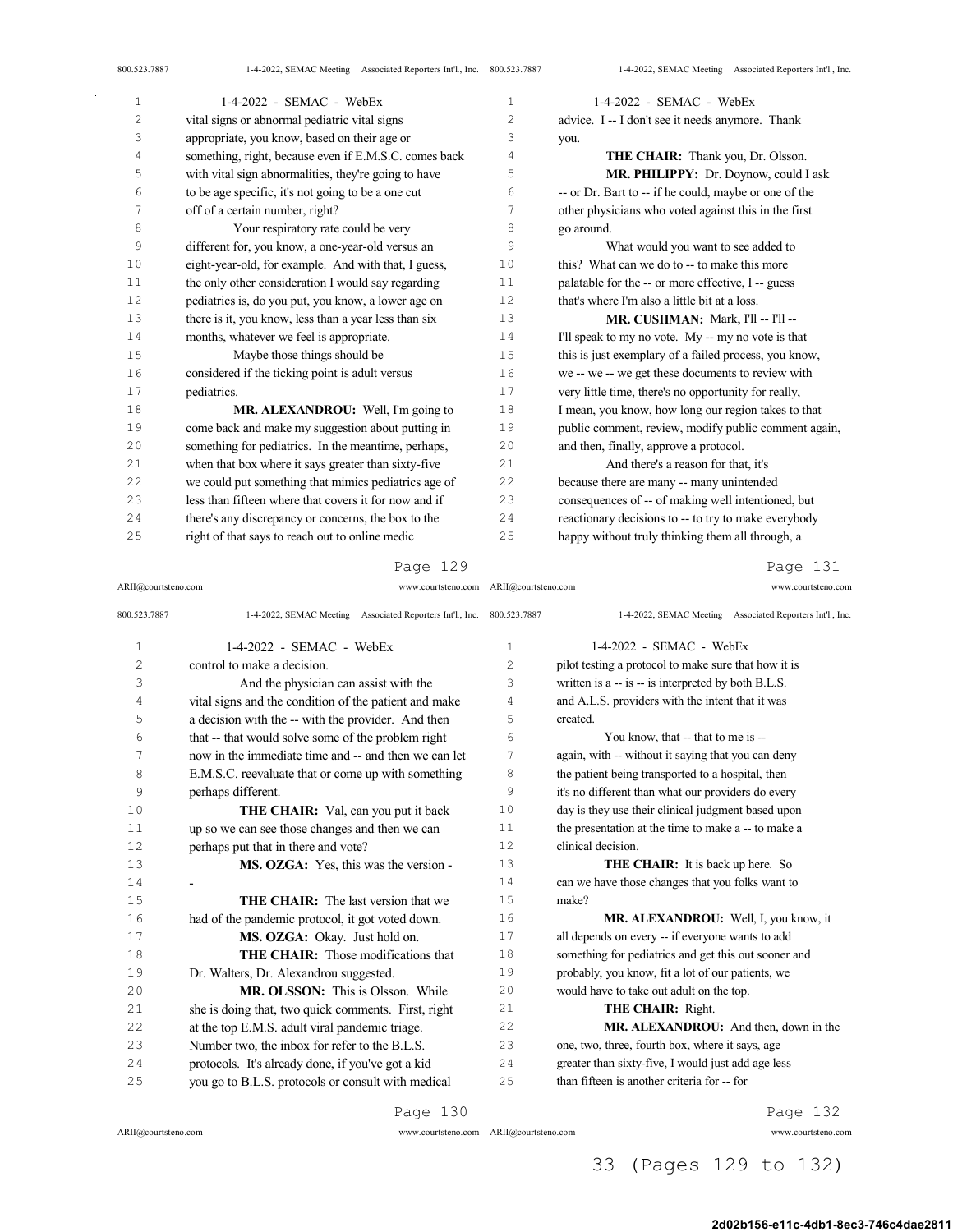| $\mathbf{1}$   | 1-4-2022 - SEMAC - WebEx                              | $\mathbf{1}$   | 1-4-2022 - SEMAC - WebEx                              |
|----------------|-------------------------------------------------------|----------------|-------------------------------------------------------|
| $\overline{c}$ | vital signs or abnormal pediatric vital signs         | $\overline{c}$ | advice. I -- I don't see it needs anymore. Thank      |
| 3              | appropriate, you know, based on their age or          | 3              | you.                                                  |
| 4              | something, right, because even if E.M.S.C. comes back | 4              | THE CHAIR: Thank you, Dr. Olsson.                     |
| 5              | with vital sign abnormalities, they're going to have  | 5              | MR. PHILIPPY: Dr. Doynow, could I ask                 |
| 6              | to be age specific, it's not going to be a one cut    | 6              | -- or Dr. Bart to -- if he could, maybe or one of the |
| 7              | off of a certain number, right?                       | 7              | other physicians who voted against this in the first  |
| 8              | Your respiratory rate could be very                   | 8              | go around.                                            |
| 9              | different for, you know, a one-year-old versus an     | 9              | What would you want to see added to                   |
| 10             | eight-year-old, for example. And with that, I guess,  | 10             | this? What can we do to -- to make this more          |
| 11             | the only other consideration I would say regarding    | 11             | palatable for the -- or more effective, I -- guess    |
| 12             | pediatrics is, do you put, you know, a lower age on   | 12             | that's where I'm also a little bit at a loss.         |
| 13             | there is it, you know, less than a year less than six | 13             | MR. CUSHMAN: Mark, I'll -- I'll --                    |
| 14             | months, whatever we feel is appropriate.              | 14             | I'll speak to my no vote. My -- my no vote is that    |
| 15             | Maybe those things should be                          | 15             | this is just exemplary of a failed process, you know, |
| 16             | considered if the ticking point is adult versus       | 16             | we -- we -- we get these documents to review with     |
| 17             | pediatrics.                                           | 17             | very little time, there's no opportunity for really,  |
| 18             | MR. ALEXANDROU: Well, I'm going to                    | 18             | I mean, you know, how long our region takes to that   |
| 19             | come back and make my suggestion about putting in     | 19             | public comment, review, modify public comment again,  |
| 20             | something for pediatrics. In the meantime, perhaps,   | 20             | and then, finally, approve a protocol.                |
| 21             | when that box where it says greater than sixty-five   | 21             | And there's a reason for that, it's                   |
| 22             | we could put something that mimics pediatrics age of  | 22             | because there are many -- many unintended             |
| 23             | less than fifteen where that covers it for now and if | 23             | consequences of -- of making well intentioned, but    |
| 24             | there's any discrepancy or concerns, the box to the   | 24             | reactionary decisions to -- to try to make everybody  |
| 25             | right of that says to reach out to online medic       | 25             | happy without truly thinking them all through, a      |

ARII@courtsteno.com www.courtsteno.com ARII@courtsteno.com www.courtsteno.com

Page 131

| 800.523.7887   | 1-4-2022, SEMAC Meeting Associated Reporters Int'l., Inc. 800.523.7887 |              | 1-4-2022, SEMAC Meeting Associated Reporters Int'l., Inc. |
|----------------|------------------------------------------------------------------------|--------------|-----------------------------------------------------------|
| $\mathbf{1}$   | $1-4-2022$ - SEMAC - WebEx                                             | $\mathbf{1}$ | $1-4-2022$ - SEMAC - WebEx                                |
| $\overline{c}$ | control to make a decision.                                            | 2            | pilot testing a protocol to make sure that how it is      |
| 3              | And the physician can assist with the                                  | 3            | written is a -- is -- is interpreted by both B.L.S.       |
| 4              | vital signs and the condition of the patient and make                  | 4            | and A.L.S. providers with the intent that it was          |
| 5              | a decision with the -- with the provider. And then                     | 5            | created.                                                  |
| 6              | that -- that would solve some of the problem right                     | 6            | You know, that -- that to me is --                        |
| 7              | now in the immediate time and -- and then we can let                   | 7            | again, with -- without it saying that you can deny        |
| 8              | E.M.S.C. reevaluate that or come up with something                     | 8            | the patient being transported to a hospital, then         |
| 9              | perhaps different.                                                     | 9            | it's no different than what our providers do every        |
| 10             | THE CHAIR: Val, can you put it back                                    | 10           | day is they use their clinical judgment based upon        |
| 11             | up so we can see those changes and then we can                         | 11           | the presentation at the time to make a -- to make a       |
| 12             | perhaps put that in there and vote?                                    | 12           | clinical decision.                                        |
| 13             | MS. OZGA: Yes, this was the version -                                  | 13           | <b>THE CHAIR:</b> It is back up here. So                  |
| 14             |                                                                        | 14           | can we have those changes that you folks want to          |
| 15             | <b>THE CHAIR:</b> The last version that we                             | 15           | make?                                                     |
| 16             | had of the pandemic protocol, it got voted down.                       | 16           | MR. ALEXANDROU: Well, I, you know, it                     |
| 17             | MS. OZGA: Okay. Just hold on.                                          | 17           | all depends on every -- if everyone wants to add          |
| 18             | <b>THE CHAIR:</b> Those modifications that                             | 18           | something for pediatrics and get this out sooner and      |
| 19             | Dr. Walters, Dr. Alexandrou suggested.                                 | 19           | probably, you know, fit a lot of our patients, we         |
| 2.0            | <b>MR. OLSSON:</b> This is Olsson. While                               | 20           | would have to take out adult on the top.                  |
| 2.1            | she is doing that, two quick comments. First, right                    | 2.1          | THE CHAIR: Right.                                         |
| 22             | at the top E.M.S. adult viral pandemic triage.                         | 22           | MR. ALEXANDROU: And then, down in the                     |
| 23             | Number two, the inbox for refer to the B.L.S.                          | 23           | one, two, three, fourth box, where it says, age           |
| 2.4            | protocols. It's already done, if you've got a kid                      | 24           | greater than sixty-five, I would just add age less        |
| 25             | you go to B.L.S. protocols or consult with medical                     | 25           | than fifteen is another criteria for -- for               |

Page 130

ARII@courtsteno.com www.courtsteno.com

ARII@courtsteno.com www.courtsteno.com Page 132

2d02b156-e11c-4db1-8ec3-746c4dae2811

33 (Pages 129 to 132)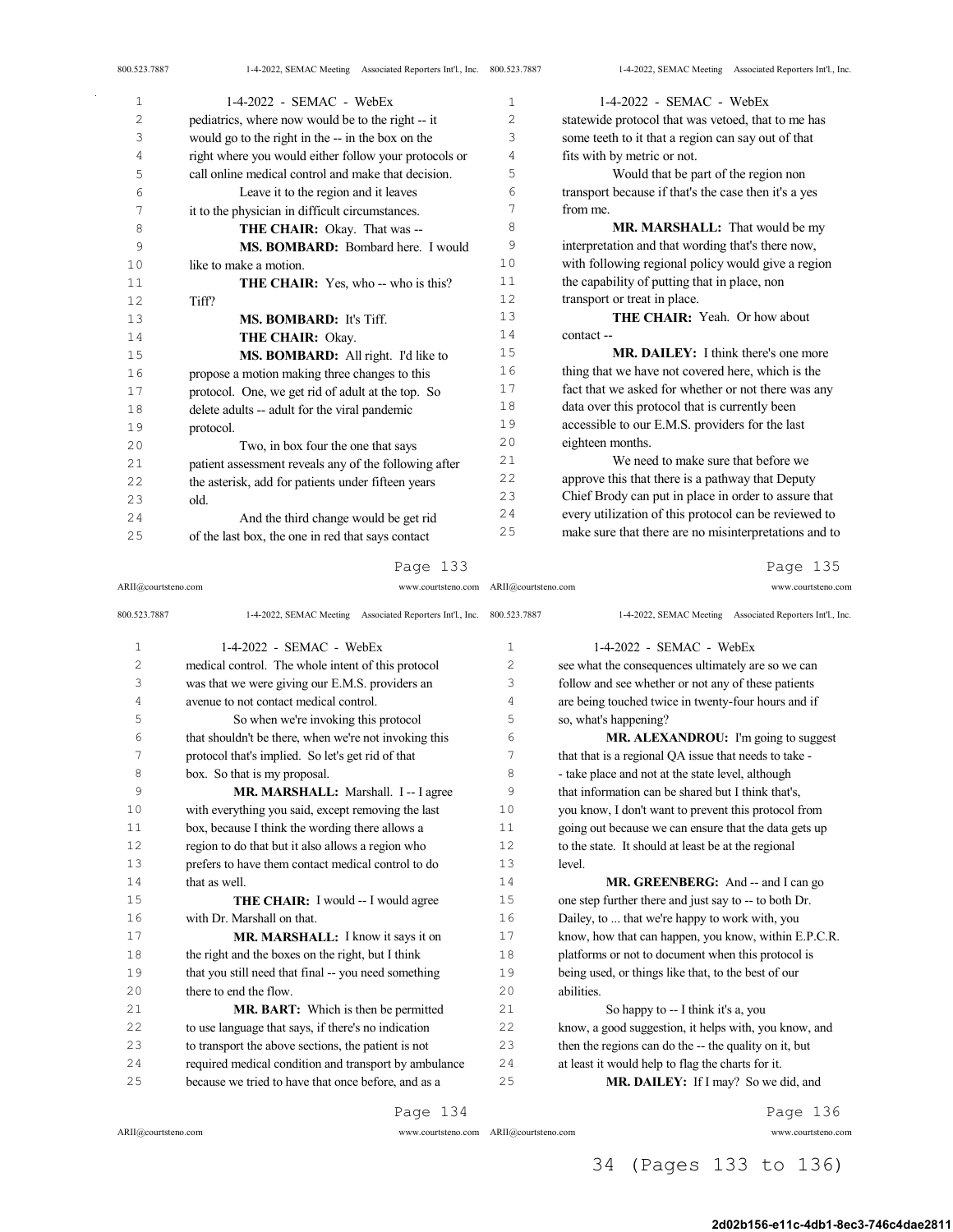| 1  | $1-4-2022$ - SEMAC - WebEx                            | 1  | $1-4-2022$ - SEMAC - WebEx                            |
|----|-------------------------------------------------------|----|-------------------------------------------------------|
| 2  | pediatrics, where now would be to the right -- it     | 2  | statewide protocol that was vetoed, that to me has    |
| 3  | would go to the right in the -- in the box on the     | 3  | some teeth to it that a region can say out of that    |
| 4  | right where you would either follow your protocols or | 4  | fits with by metric or not.                           |
| 5  | call online medical control and make that decision.   | 5  | Would that be part of the region non                  |
| 6  | Leave it to the region and it leaves                  | 6  | transport because if that's the case then it's a yes  |
| 7  | it to the physician in difficult circumstances.       | 7  | from me.                                              |
| 8  | THE CHAIR: Okay. That was --                          | 8  | MR. MARSHALL: That would be my                        |
| 9  | MS. BOMBARD: Bombard here. I would                    | 9  | interpretation and that wording that's there now,     |
| 10 | like to make a motion.                                | 10 | with following regional policy would give a region    |
| 11 | <b>THE CHAIR:</b> Yes, who -- who is this?            | 11 | the capability of putting that in place, non          |
| 12 | Tiff?                                                 | 12 | transport or treat in place.                          |
| 13 | MS. BOMBARD: It's Tiff.                               | 13 | <b>THE CHAIR:</b> Yeah. Or how about                  |
| 14 | THE CHAIR: Okay.                                      | 14 | contact --                                            |
| 15 | MS. BOMBARD: All right. I'd like to                   | 15 | <b>MR. DAILEY:</b> I think there's one more           |
| 16 | propose a motion making three changes to this         | 16 | thing that we have not covered here, which is the     |
| 17 | protocol. One, we get rid of adult at the top. So     | 17 | fact that we asked for whether or not there was any   |
| 18 | delete adults -- adult for the viral pandemic         | 18 | data over this protocol that is currently been        |
| 19 | protocol.                                             | 19 | accessible to our E.M.S. providers for the last       |
| 20 | Two, in box four the one that says                    | 20 | eighteen months.                                      |
| 21 | patient assessment reveals any of the following after | 21 | We need to make sure that before we                   |
| 22 | the asterisk, add for patients under fifteen years    | 22 | approve this that there is a pathway that Deputy      |
| 23 | old.                                                  | 23 | Chief Brody can put in place in order to assure that  |
| 24 | And the third change would be get rid                 | 24 | every utilization of this protocol can be reviewed to |
| 25 | of the last box, the one in red that says contact     | 25 | make sure that there are no misinterpretations and to |

ARII@courtsteno.com www.courtsteno.com ARII@courtsteno.com www.courtsteno.com

Page 135

| 800.523.7887   | 1-4-2022, SEMAC Meeting Associated Reporters Int'l., Inc. 800.523.7887 |                   | 1-4-2022, SEMAC Meeting Associated Reporters Int'l., Inc. |
|----------------|------------------------------------------------------------------------|-------------------|-----------------------------------------------------------|
| $\mathbf 1$    | $1-4-2022$ - SEMAC - WebEx                                             | $\mathbf{1}$      | $1-4-2022$ - SEMAC - WebEx                                |
| $\overline{c}$ | medical control. The whole intent of this protocol                     | $\overline{c}$    | see what the consequences ultimately are so we can        |
| 3              | was that we were giving our E.M.S. providers an                        | 3                 | follow and see whether or not any of these patients       |
| 4              | avenue to not contact medical control.                                 | 4                 | are being touched twice in twenty-four hours and if       |
| 5              | So when we're invoking this protocol                                   | 5                 | so, what's happening?                                     |
| 6              | that shouldn't be there, when we're not invoking this                  | 6                 | MR. ALEXANDROU: I'm going to suggest                      |
| 7              | protocol that's implied. So let's get rid of that                      | 7                 | that that is a regional QA issue that needs to take -     |
| 8              | box. So that is my proposal.                                           | 8                 | - take place and not at the state level, although         |
| 9              | MR. MARSHALL: Marshall. I -- I agree                                   | 9                 | that information can be shared but I think that's.        |
| 10             | with everything you said, except removing the last                     | 10                | you know, I don't want to prevent this protocol from      |
| 11             | box, because I think the wording there allows a                        | 11                | going out because we can ensure that the data gets up     |
| 12             | region to do that but it also allows a region who                      | $12 \overline{ }$ | to the state. It should at least be at the regional       |
| 13             | prefers to have them contact medical control to do                     | 13                | level.                                                    |
| 14             | that as well.                                                          | 14                | MR. GREENBERG: And -- and I can go                        |
| 15             | THE CHAIR: I would -- I would agree                                    | 15                | one step further there and just say to -- to both Dr.     |
| 16             | with Dr. Marshall on that.                                             | 16                | Dailey, to  that we're happy to work with, you            |
| 17             | MR. MARSHALL: I know it says it on                                     | 17                | know, how that can happen, you know, within E.P.C.R.      |
| 18             | the right and the boxes on the right, but I think                      | 18                | platforms or not to document when this protocol is        |
| 19             | that you still need that final -- you need something                   | 19                | being used, or things like that, to the best of our       |
| 20             | there to end the flow.                                                 | 20                | abilities.                                                |
| 21             | MR. BART: Which is then be permitted                                   | 21                | So happy to -- I think it's a, you                        |
| 22             | to use language that says, if there's no indication                    | 22                | know, a good suggestion, it helps with, you know, and     |
| 23             | to transport the above sections, the patient is not                    | 23                | then the regions can do the -- the quality on it, but     |
| 2.4            | required medical condition and transport by ambulance                  | 24                | at least it would help to flag the charts for it.         |
| 25             | because we tried to have that once before, and as a                    | 25                | MR. DAILEY: If I may? So we did, and                      |
|                |                                                                        |                   |                                                           |

Page 134

ARII@courtsteno.com www.courtsteno.com

Page 136

## 34 (Pages 133 to 136)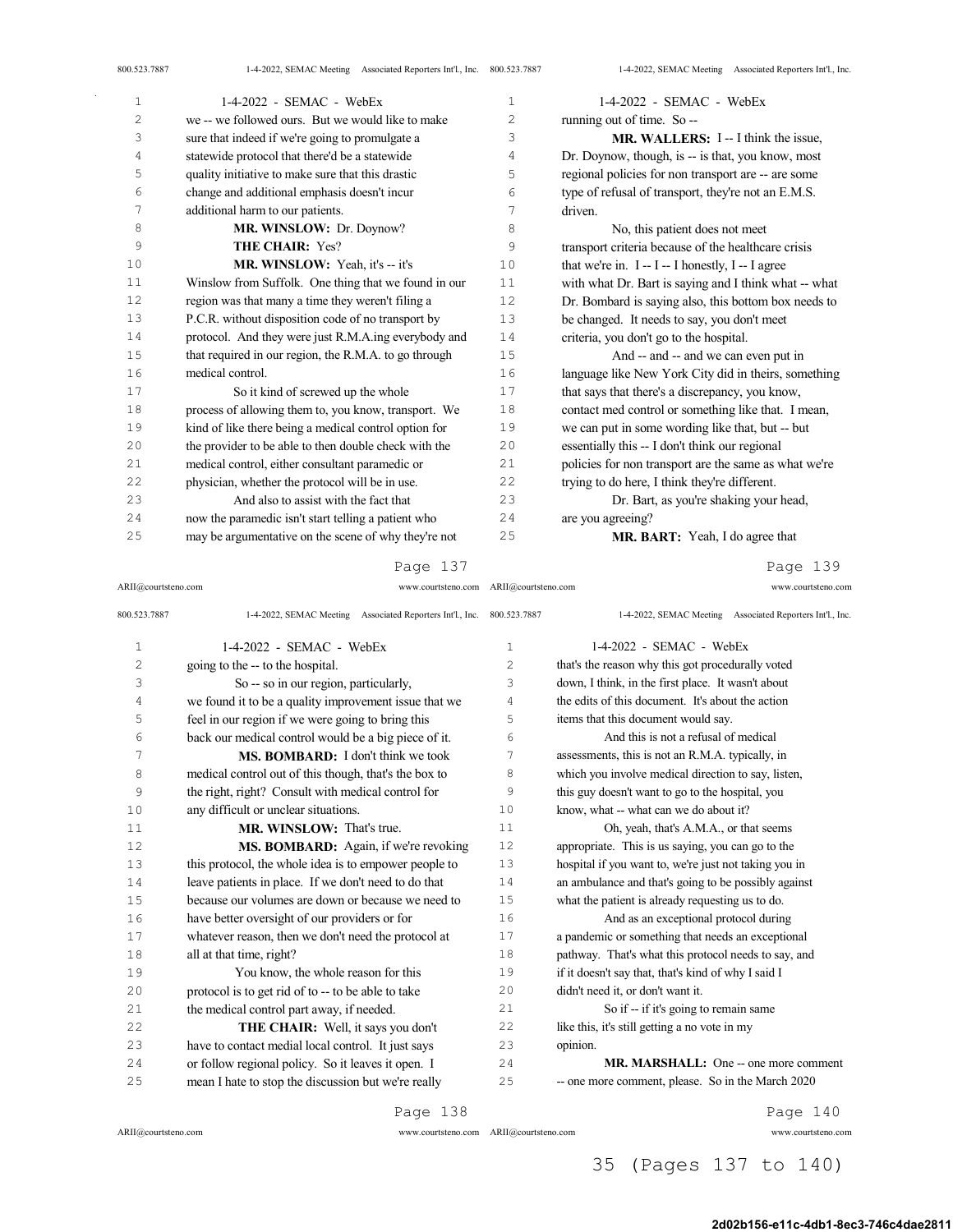| $1-4-2022$ - SEMAC - WebEx                            | $\mathbf{1}$   | $1-4-2022$ - SEMAC - WebEx                            |
|-------------------------------------------------------|----------------|-------------------------------------------------------|
| we -- we followed ours. But we would like to make     | $\overline{c}$ | running out of time. So --                            |
| sure that indeed if we're going to promulgate a       | 3              | <b>MR. WALLERS:</b> I -- I think the issue,           |
| statewide protocol that there'd be a statewide        | 4              | Dr. Doynow, though, is -- is that, you know, most     |
| quality initiative to make sure that this drastic     | 5              | regional policies for non transport are -- are some   |
| change and additional emphasis doesn't incur          | 6              | type of refusal of transport, they're not an E.M.S.   |
| additional harm to our patients.                      | 7              | driven.                                               |
| MR. WINSLOW: Dr. Doynow?                              | 8              | No, this patient does not meet                        |
| THE CHAIR: Yes?                                       | 9              | transport criteria because of the healthcare crisis   |
| MR. WINSLOW: Yeah, it's -- it's                       | 10             | that we're in. $I - I - I$ honestly, $I - I$ agree    |
| Winslow from Suffolk. One thing that we found in our  | 11             | with what Dr. Bart is saying and I think what -- what |
| region was that many a time they weren't filing a     | 12             | Dr. Bombard is saying also, this bottom box needs to  |
| P.C.R. without disposition code of no transport by    | 13             | be changed. It needs to say, you don't meet           |
| protocol. And they were just R.M.A.ing everybody and  | 14             | criteria, you don't go to the hospital.               |
| that required in our region, the R.M.A. to go through | 15             | And -- and -- and we can even put in                  |
| medical control.                                      | 16             | language like New York City did in theirs, something  |
| So it kind of screwed up the whole                    | 17             | that says that there's a discrepancy, you know,       |
| process of allowing them to, you know, transport. We  | 18             | contact med control or something like that. I mean,   |
| kind of like there being a medical control option for | 19             | we can put in some wording like that, but -- but      |
| the provider to be able to then double check with the | 20             | essentially this -- I don't think our regional        |
| medical control, either consultant paramedic or       | 21             | policies for non transport are the same as what we're |
| physician, whether the protocol will be in use.       | 22             | trying to do here, I think they're different.         |
| And also to assist with the fact that                 | 23             | Dr. Bart, as you're shaking your head,                |
| now the paramedic isn't start telling a patient who   | 24             | are you agreeing?                                     |
| may be argumentative on the scene of why they're not  | 25             | MR. BART: Yeah, I do agree that                       |
|                                                       |                |                                                       |

Page 139

| ARII@courtsteno.com | www.courtsteno.com ARII@courtsteno.com                                 |                | www.courtsteno.com                                        |
|---------------------|------------------------------------------------------------------------|----------------|-----------------------------------------------------------|
| 800.523.7887        | 1-4-2022, SEMAC Meeting Associated Reporters Int'l., Inc. 800.523.7887 |                | 1-4-2022, SEMAC Meeting Associated Reporters Int'l., Inc. |
| $\mathbf{1}$        | 1-4-2022 - SEMAC - WebEx                                               | $\mathbf{1}$   | $1-4-2022$ - SEMAC - WebEx                                |
| $\overline{c}$      | going to the -- to the hospital.                                       | $\overline{2}$ | that's the reason why this got procedurally voted         |
| 3                   | So -- so in our region, particularly,                                  | 3              | down, I think, in the first place. It wasn't about        |
| 4                   | we found it to be a quality improvement issue that we                  | 4              | the edits of this document. It's about the action         |
| 5                   | feel in our region if we were going to bring this                      | 5              | items that this document would say.                       |
| 6                   | back our medical control would be a big piece of it.                   | 6              | And this is not a refusal of medical                      |
| 7                   | <b>MS. BOMBARD:</b> I don't think we took                              | 7              | assessments, this is not an R.M.A. typically, in          |
| 8                   | medical control out of this though, that's the box to                  | 8              | which you involve medical direction to say, listen,       |
| 9                   | the right, right? Consult with medical control for                     | 9              | this guy doesn't want to go to the hospital, you          |
| 10                  | any difficult or unclear situations.                                   | 10             | know, what -- what can we do about it?                    |
| 11                  | <b>MR. WINSLOW: That's true.</b>                                       | 11             | Oh, yeah, that's A.M.A., or that seems                    |
| 12                  | MS. BOMBARD: Again, if we're revoking                                  | 12             | appropriate. This is us saying, you can go to the         |
| 13                  | this protocol, the whole idea is to empower people to                  | 13             | hospital if you want to, we're just not taking you in     |
| 14                  | leave patients in place. If we don't need to do that                   | 14             | an ambulance and that's going to be possibly against      |
| 15                  | because our volumes are down or because we need to                     | 15             | what the patient is already requesting us to do.          |
| 16                  | have better oversight of our providers or for                          | 16             | And as an exceptional protocol during                     |
| 17                  | whatever reason, then we don't need the protocol at                    | 17             | a pandemic or something that needs an exceptional         |
| 18                  | all at that time, right?                                               | 18             | pathway. That's what this protocol needs to say, and      |
| 19                  | You know, the whole reason for this                                    | 19             | if it doesn't say that, that's kind of why I said I       |
| 20                  | protocol is to get rid of to -- to be able to take                     | 20             | didn't need it, or don't want it.                         |
| 21                  | the medical control part away, if needed.                              | 21             | So if -- if it's going to remain same                     |
| 22                  | THE CHAIR: Well, it says you don't                                     | 22             | like this, it's still getting a no vote in my             |
| 23                  | have to contact medial local control. It just says                     | 23             | opinion.                                                  |
| 24                  | or follow regional policy. So it leaves it open. I                     | 24             | <b>MR. MARSHALL:</b> One -- one more comment              |
| 25                  | mean I hate to stop the discussion but we're really                    | 25             | -- one more comment, please. So in the March 2020         |
|                     | Page 138                                                               |                | Page 140                                                  |

 $\bar{\gamma}$ 

ARII@courtsteno.com www.courtsteno.com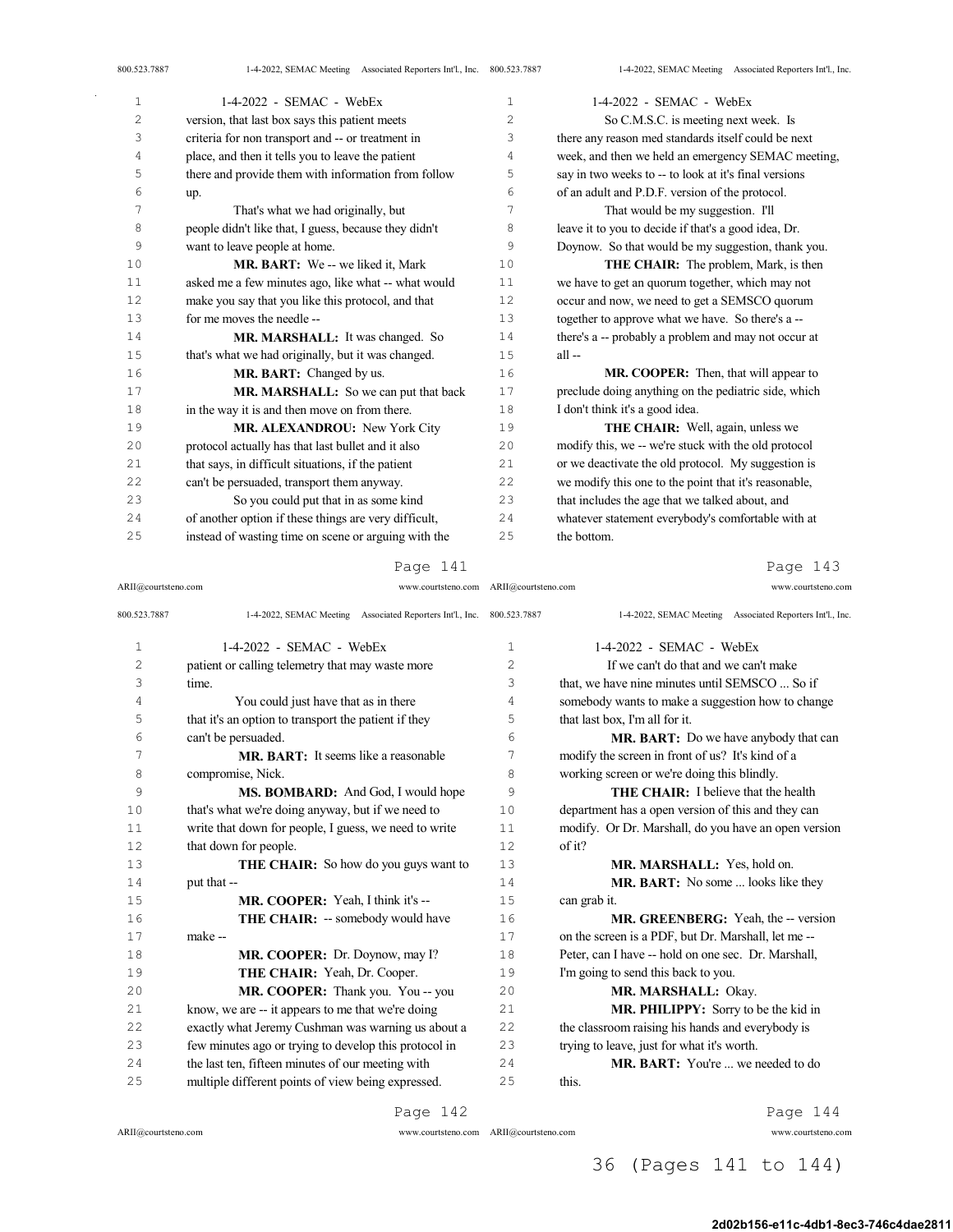| 800.523.7887   | 1-4-2022, SEMAC Meeting Associated Reporters Int'l., Inc. 800.523.7887 |                | 1-4-2022, SEMAC Meeting Associated Reporters Int'l., Inc. |
|----------------|------------------------------------------------------------------------|----------------|-----------------------------------------------------------|
| $\mathbf 1$    | 1-4-2022 - SEMAC - WebEx                                               | $\mathbf{1}$   | $1-4-2022$ - SEMAC - WebEx                                |
| $\overline{c}$ | version, that last box says this patient meets                         | $\overline{c}$ | So C.M.S.C. is meeting next week. Is                      |
| 3              | criteria for non transport and -- or treatment in                      | 3              | there any reason med standards itself could be next       |
| 4              | place, and then it tells you to leave the patient                      | 4              | week, and then we held an emergency SEMAC meeting,        |
| 5              | there and provide them with information from follow                    | 5              | say in two weeks to -- to look at it's final versions     |
| 6              | up.                                                                    | 6              | of an adult and P.D.F. version of the protocol.           |
| 7              | That's what we had originally, but                                     | 7              | That would be my suggestion. I'll                         |
| 8              | people didn't like that, I guess, because they didn't                  | 8              | leave it to you to decide if that's a good idea, Dr.      |
| 9              | want to leave people at home.                                          | 9              | Doynow. So that would be my suggestion, thank you.        |
| 10             | MR. BART: We -- we liked it, Mark                                      | 10             | THE CHAIR: The problem, Mark, is then                     |
| 11             | asked me a few minutes ago, like what -- what would                    | 11             | we have to get an quorum together, which may not          |
| 12             | make you say that you like this protocol, and that                     | 12             | occur and now, we need to get a SEMSCO quorum             |
| 13             | for me moves the needle --                                             | 13             | together to approve what we have. So there's a --         |
| 14             | MR. MARSHALL: It was changed. So                                       | 14             | there's a -- probably a problem and may not occur at      |
| 15             | that's what we had originally, but it was changed.                     | 15             | all-                                                      |
| 16             | MR. BART: Changed by us.                                               | 16             | MR. COOPER: Then, that will appear to                     |
| 17             | MR. MARSHALL: So we can put that back                                  | 17             | preclude doing anything on the pediatric side, which      |
| 18             | in the way it is and then move on from there.                          | 18             | I don't think it's a good idea.                           |
| 19             | MR. ALEXANDROU: New York City                                          | 19             | THE CHAIR: Well, again, unless we                         |
| 20             | protocol actually has that last bullet and it also                     | 20             | modify this, we -- we're stuck with the old protocol      |
| 21             | that says, in difficult situations, if the patient                     | 21             | or we deactivate the old protocol. My suggestion is       |
| 22             | can't be persuaded, transport them anyway.                             | 22             | we modify this one to the point that it's reasonable,     |
| 23             | So you could put that in as some kind                                  | 23             | that includes the age that we talked about, and           |
| 24             | of another option if these things are very difficult,                  | 24             | whatever statement everybody's comfortable with at        |
| 25             | instead of wasting time on scene or arguing with the                   | 25             | the bottom.                                               |
|                |                                                                        |                |                                                           |

ARII@courtsteno.com www.courtsteno.com ARII@courtsteno.com www.courtsteno.com

### Page 143

| 800.523.7887   | 1-4-2022, SEMAC Meeting Associated Reporters Int'l., Inc. 800.523.7887 |                | 1-4-2022, SEMAC Meeting Associated Reporters Int'l., Inc. |
|----------------|------------------------------------------------------------------------|----------------|-----------------------------------------------------------|
| $\mathbf{1}$   | 1-4-2022 - SEMAC - WebEx                                               | 1              | 1-4-2022 - SEMAC - WebEx                                  |
| $\overline{c}$ | patient or calling telemetry that may waste more                       | $\overline{c}$ | If we can't do that and we can't make                     |
| 3              | time.                                                                  | 3              | that, we have nine minutes until SEMSCO  So if            |
| 4              | You could just have that as in there                                   | 4              | somebody wants to make a suggestion how to change         |
| 5              | that it's an option to transport the patient if they                   | 5              | that last box, I'm all for it.                            |
| 6              | can't be persuaded.                                                    | 6              | <b>MR. BART:</b> Do we have anybody that can              |
| 7              | <b>MR. BART:</b> It seems like a reasonable                            | 7              | modify the screen in front of us? It's kind of a          |
| 8              | compromise, Nick.                                                      | 8              | working screen or we're doing this blindly.               |
| 9              | MS. BOMBARD: And God, I would hope                                     | 9              | <b>THE CHAIR:</b> I believe that the health               |
| 10             | that's what we're doing anyway, but if we need to                      | 10             | department has a open version of this and they can        |
| 11             | write that down for people, I guess, we need to write                  | 11             | modify. Or Dr. Marshall, do you have an open version      |
| 12             | that down for people.                                                  | 12.            | of it?                                                    |
| 13             | <b>THE CHAIR:</b> So how do you guys want to                           | 13             | MR. MARSHALL: Yes, hold on.                               |
| 14             | put that --                                                            | 14             | <b>MR. BART:</b> No some  looks like they                 |
| 15             | MR. COOPER: Yeah, I think it's --                                      | 15             | can grab it.                                              |
| 16             | <b>THE CHAIR:</b> -- somebody would have                               | 16             | <b>MR. GREENBERG:</b> Yeah, the -- version                |
| 17             | make --                                                                | 17             | on the screen is a PDF, but Dr. Marshall, let me --       |
| 18             | MR. COOPER: Dr. Doynow, may I?                                         | 18             | Peter, can I have -- hold on one sec. Dr. Marshall,       |
| 19             | THE CHAIR: Yeah, Dr. Cooper.                                           | 19             | I'm going to send this back to you.                       |
| 20             | MR. COOPER: Thank you. You -- you                                      | 20             | MR. MARSHALL: Okay.                                       |
| 21             | know, we are -- it appears to me that we're doing                      | 21             | MR. PHILIPPY: Sorry to be the kid in                      |
| 22             | exactly what Jeremy Cushman was warning us about a                     | 22             | the classroom raising his hands and everybody is          |
| 23             | few minutes ago or trying to develop this protocol in                  | 23             | trying to leave, just for what it's worth.                |
| 24             | the last ten, fifteen minutes of our meeting with                      | 2.4            | <b>MR. BART:</b> You're  we needed to do                  |
| 25             | multiple different points of view being expressed.                     | 25             | this.                                                     |

Page 142

ARII@courtsteno.com www.courtsteno.com

Page 144

## 36 (Pages 141 to 144)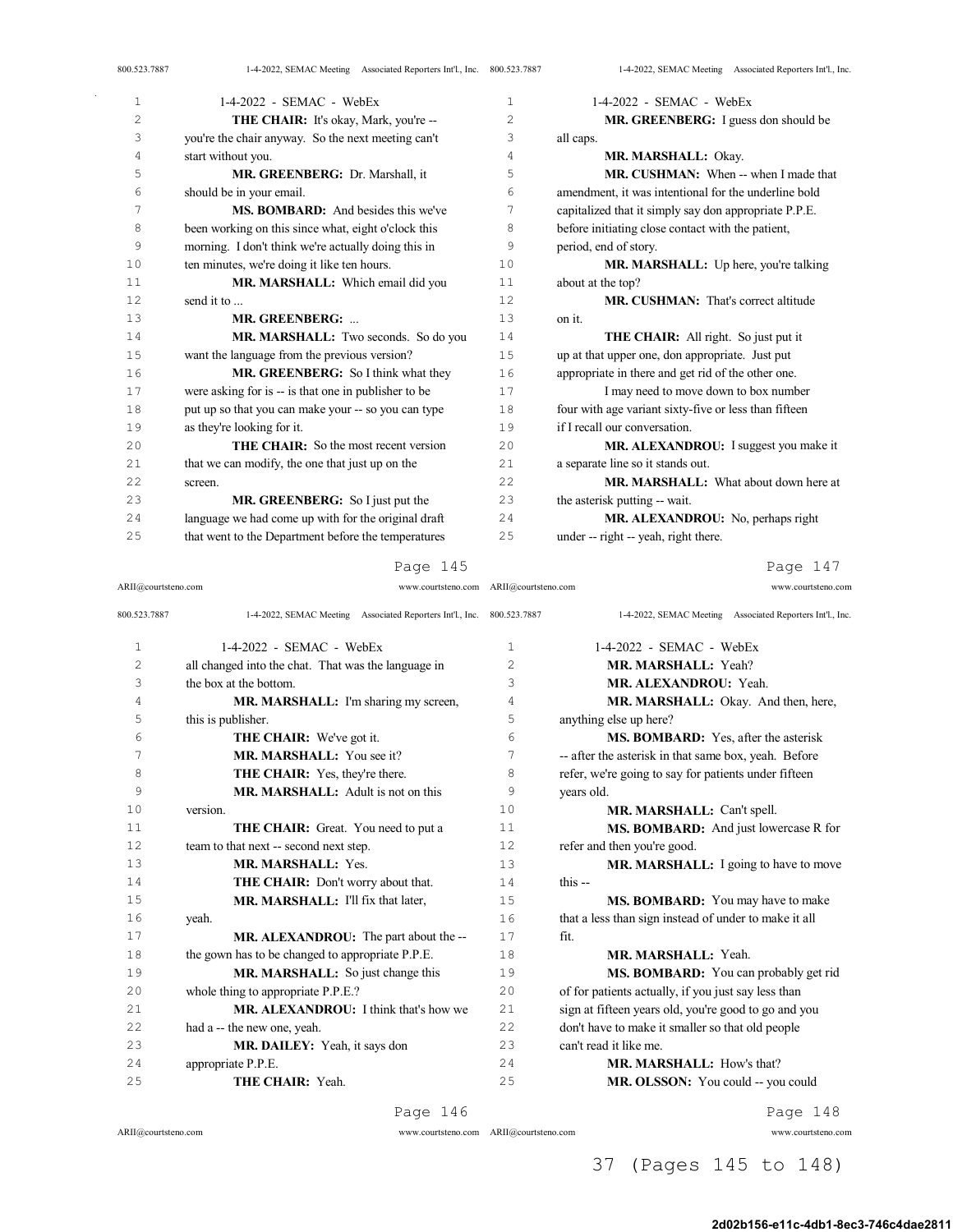| 1  | $1-4-2022$ - SEMAC - WebEx                           | 1              | $1-4-2022$ - SEMAC - WebEx                            |
|----|------------------------------------------------------|----------------|-------------------------------------------------------|
| 2  | <b>THE CHAIR:</b> It's okay, Mark, you're --         | $\overline{c}$ | MR. GREENBERG: I guess don should be                  |
| 3  | you're the chair anyway. So the next meeting can't   | 3              | all caps.                                             |
| 4  | start without you.                                   | 4              | MR. MARSHALL: Okay.                                   |
| 5  | MR. GREENBERG: Dr. Marshall, it                      | 5              | <b>MR. CUSHMAN:</b> When -- when I made that          |
| 6  | should be in your email.                             | 6              | amendment, it was intentional for the underline bold  |
| 7  | <b>MS. BOMBARD:</b> And besides this we've           | 7              | capitalized that it simply say don appropriate P.P.E. |
| 8  | been working on this since what, eight o'clock this  | 8              | before initiating close contact with the patient,     |
| 9  | morning. I don't think we're actually doing this in  | 9              | period, end of story.                                 |
| 10 | ten minutes, we're doing it like ten hours.          | 10             | MR. MARSHALL: Up here, you're talking                 |
| 11 | MR. MARSHALL: Which email did you                    | 11             | about at the top?                                     |
| 12 | send it to                                           | 12             | <b>MR. CUSHMAN:</b> That's correct altitude           |
| 13 | MR. GREENBERG:                                       | 13             | on it.                                                |
| 14 | MR. MARSHALL: Two seconds. So do you                 | 14             | <b>THE CHAIR:</b> All right. So just put it           |
| 15 | want the language from the previous version?         | 15             | up at that upper one, don appropriate. Just put       |
| 16 | MR. GREENBERG: So I think what they                  | 16             | appropriate in there and get rid of the other one.    |
| 17 | were asking for is -- is that one in publisher to be | 17             | I may need to move down to box number                 |
| 18 | put up so that you can make your -- so you can type  | 18             | four with age variant sixty-five or less than fifteen |
| 19 | as they're looking for it.                           | 19             | if I recall our conversation.                         |
| 20 | <b>THE CHAIR:</b> So the most recent version         | 20             | MR. ALEXANDROU: I suggest you make it                 |
| 21 | that we can modify, the one that just up on the      | 21             | a separate line so it stands out.                     |
| 22 | screen.                                              | 22.2           | <b>MR. MARSHALL:</b> What about down here at          |
| 23 | MR. GREENBERG: So I just put the                     | 23             | the asterisk putting -- wait.                         |
| 24 | language we had come up with for the original draft  | 2.4            | MR. ALEXANDROU: No. perhaps right                     |
| 25 | that went to the Department before the temperatures  | 25             | under -- right -- yeah, right there.                  |

ARII@courtsteno.com www.courtsteno.com ARII@courtsteno.com www.courtsteno.com

Page 147

| 800.523.7887   | 1-4-2022, SEMAC Meeting Associated Reporters Int'l., Inc. 800.523.7887 |                | 1-4-2022, SEMAC Meeting Associated Reporters Int'l., Inc. |
|----------------|------------------------------------------------------------------------|----------------|-----------------------------------------------------------|
| $\mathbf{1}$   | $1-4-2022$ - SEMAC - WebEx                                             | $\mathbf{1}$   | $1-4-2022$ - SEMAC - WebEx                                |
| $\overline{c}$ | all changed into the chat. That was the language in                    | $\overline{2}$ | MR. MARSHALL: Yeah?                                       |
| 3              | the box at the bottom.                                                 | 3              | MR. ALEXANDROU: Yeah.                                     |
| 4              | MR. MARSHALL: I'm sharing my screen,                                   | $\overline{4}$ | MR. MARSHALL: Okay. And then, here,                       |
| 5              | this is publisher.                                                     | 5              | anything else up here?                                    |
| 6              | THE CHAIR: We've got it.                                               | 6              | MS. BOMBARD: Yes, after the asterisk                      |
| 7              | MR. MARSHALL: You see it?                                              | 7              | -- after the asterisk in that same box, yeah. Before      |
| 8              | THE CHAIR: Yes, they're there.                                         | 8              | refer, we're going to say for patients under fifteen      |
| 9              | MR. MARSHALL: Adult is not on this                                     | 9              | years old.                                                |
| 10             | version.                                                               | 10             | MR. MARSHALL: Can't spell.                                |
| 11             | THE CHAIR: Great. You need to put a                                    | 11             | MS. BOMBARD: And just lowercase R for                     |
| 12             | team to that next -- second next step.                                 | 12             | refer and then you're good.                               |
| 13             | MR. MARSHALL: Yes.                                                     | 13             | MR. MARSHALL: I going to have to move                     |
| 14             | THE CHAIR: Don't worry about that.                                     | 14             | this $-$                                                  |
| 15             | MR. MARSHALL: I'll fix that later,                                     | 1.5            | MS. BOMBARD: You may have to make                         |
| 16             | yeah.                                                                  | 16             | that a less than sign instead of under to make it all     |
| 17             | MR. ALEXANDROU: The part about the --                                  | 17             | fit.                                                      |
| 18             | the gown has to be changed to appropriate P.P.E.                       | 18             | MR. MARSHALL: Yeah.                                       |
| 19             | MR. MARSHALL: So just change this                                      | 19             | MS. BOMBARD: You can probably get rid                     |
| 20             | whole thing to appropriate P.P.E.?                                     | 20             | of for patients actually, if you just say less than       |
| 21             | <b>MR. ALEXANDROU:</b> I think that's how we                           | 21             | sign at fifteen years old, you're good to go and you      |
| 2.2.           | had a -- the new one, yeah.                                            | 2.2.           | don't have to make it smaller so that old people          |
| 23             | MR. DAILEY: Yeah, it says don                                          | 23             | can't read it like me.                                    |
| 2.4            | appropriate P.P.E.                                                     | 2.4            | MR. MARSHALL: How's that?                                 |
| 25             | <b>THE CHAIR: Yeah.</b>                                                | 25             | MR. OLSSON: You could -- you could                        |

### Page 146

ARII@courtsteno.com www.courtsteno.com

Page 148

ARII@courtsteno.com www.courtsteno.com

37 (Pages 145 to 148)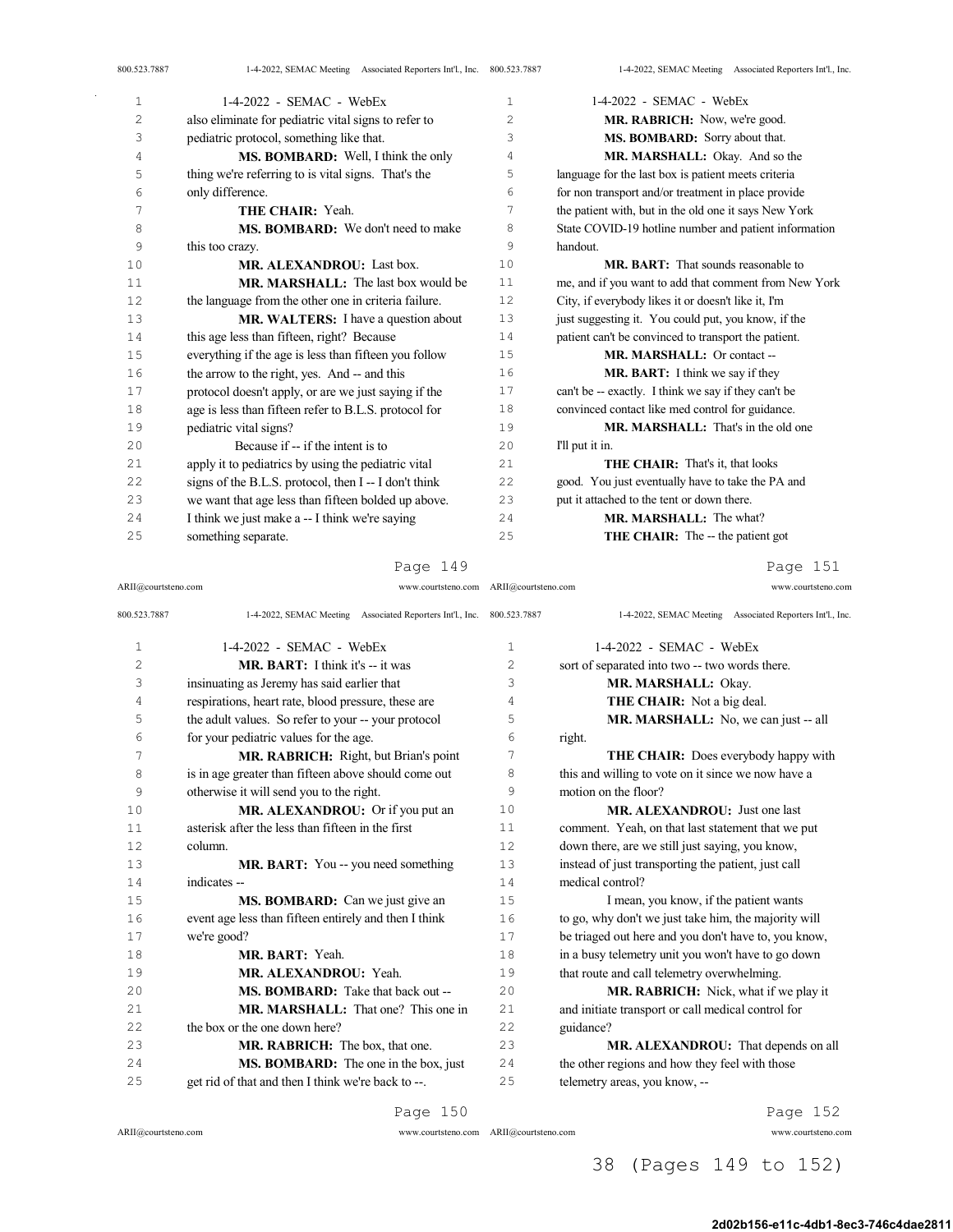| 800.523.7887 | 1-4-2022, SEMAC Meeting Associated Reporters Int'l., Inc. 800.523.7887 |    | 1-4-2022, SEMAC Meeting Associated Reporters Int'l., Inc. |
|--------------|------------------------------------------------------------------------|----|-----------------------------------------------------------|
| 1            | $1-4-2022$ - SEMAC - WebEx                                             | 1  | 1-4-2022 - SEMAC - WebEx                                  |
| 2            | also eliminate for pediatric vital signs to refer to                   | 2  | MR. RABRICH: Now, we're good.                             |
| 3            | pediatric protocol, something like that.                               | 3  | MS. BOMBARD: Sorry about that.                            |
| 4            | MS. BOMBARD: Well, I think the only                                    | 4  | MR. MARSHALL: Okay. And so the                            |
| 5            | thing we're referring to is vital signs. That's the                    | 5  | language for the last box is patient meets criteria       |
| 6            | only difference.                                                       | 6  | for non transport and/or treatment in place provide       |
| 7            | THE CHAIR: Yeah.                                                       | 7  | the patient with, but in the old one it says New York     |
| 8            | <b>MS. BOMBARD:</b> We don't need to make                              | 8  | State COVID-19 hotline number and patient information     |
| 9            | this too crazy.                                                        | 9  | handout.                                                  |
| 10           | MR. ALEXANDROU: Last box.                                              | 10 | <b>MR. BART:</b> That sounds reasonable to                |
| 11           | MR. MARSHALL: The last box would be                                    | 11 | me, and if you want to add that comment from New York     |
| 12           | the language from the other one in criteria failure.                   | 12 | City, if everybody likes it or doesn't like it, I'm       |
| 13           | MR. WALTERS: I have a question about                                   | 13 | just suggesting it. You could put, you know, if the       |
| 14           | this age less than fifteen, right? Because                             | 14 | patient can't be convinced to transport the patient.      |
| 15           | everything if the age is less than fifteen you follow                  | 15 | MR. MARSHALL: Or contact --                               |
| 16           | the arrow to the right, yes. And -- and this                           | 16 | MR. BART: I think we say if they                          |
| 17           | protocol doesn't apply, or are we just saying if the                   | 17 | can't be -- exactly. I think we say if they can't be      |
| 18           | age is less than fifteen refer to B.L.S. protocol for                  | 18 | convinced contact like med control for guidance.          |
| 19           | pediatric vital signs?                                                 | 19 | MR. MARSHALL: That's in the old one                       |
| 20           | Because if -- if the intent is to                                      | 20 | I'll put it in.                                           |
| 21           | apply it to pediatrics by using the pediatric vital                    | 21 | <b>THE CHAIR:</b> That's it, that looks                   |
| 22           | signs of the B.L.S. protocol, then I -- I don't think                  | 22 | good. You just eventually have to take the PA and         |
| 23           | we want that age less than fifteen bolded up above.                    | 23 | put it attached to the tent or down there.                |
| 24           | I think we just make a -- I think we're saying                         | 24 | MR. MARSHALL: The what?                                   |
| 25           | something separate.                                                    | 25 | <b>THE CHAIR:</b> The -- the patient got                  |

ARII@courtsteno.com www.courtsteno.com ARII@courtsteno.com www.courtsteno.com

Page 151

| 800.523.7887   | 1-4-2022, SEMAC Meeting Associated Reporters Int'l., Inc. 800.523.7887 |                | 1-4-2022, SEMAC Meeting Associated Reporters Int'l., Inc. |
|----------------|------------------------------------------------------------------------|----------------|-----------------------------------------------------------|
| $\mathbf{1}$   | $1-4-2022$ - SEMAC - WebEx                                             | $\mathbf{1}$   | $1-4-2022$ - SEMAC - WebEx                                |
| $\overline{c}$ | <b>MR. BART:</b> I think it's $-$ it was                               | $\overline{c}$ | sort of separated into two -- two words there.            |
| 3              | insinuating as Jeremy has said earlier that                            | 3              | MR. MARSHALL: Okay.                                       |
| 4              | respirations, heart rate, blood pressure, these are                    | 4              | THE CHAIR: Not a big deal.                                |
| 5              | the adult values. So refer to your -- your protocol                    | 5              | MR. MARSHALL: No, we can just -- all                      |
| 6              | for your pediatric values for the age.                                 | 6              | right.                                                    |
| 7              | MR. RABRICH: Right, but Brian's point                                  | 7              | <b>THE CHAIR:</b> Does everybody happy with               |
| 8              | is in age greater than fifteen above should come out                   | 8              | this and willing to vote on it since we now have a        |
| 9              | otherwise it will send you to the right.                               | 9              | motion on the floor?                                      |
| 10             | MR. ALEXANDROU: Or if you put an                                       | 10             | MR. ALEXANDROU: Just one last                             |
| 11             | asterisk after the less than fifteen in the first                      | 11             | comment. Yeah, on that last statement that we put         |
| 12             | column.                                                                | 12             | down there, are we still just saying, you know,           |
| 13             | <b>MR. BART:</b> You -- you need something                             | 13             | instead of just transporting the patient, just call       |
| 14             | indicates --                                                           | 14             | medical control?                                          |
| 15             | MS. BOMBARD: Can we just give an                                       | 15             | I mean, you know, if the patient wants                    |
| 16             | event age less than fifteen entirely and then I think                  | 16             | to go, why don't we just take him, the majority will      |
| 17             | we're good?                                                            | 17             | be triaged out here and you don't have to, you know,      |
| 18             | MR. BART: Yeah.                                                        | 18             | in a busy telemetry unit you won't have to go down        |
| 19             | MR. ALEXANDROU: Yeah.                                                  | 19             | that route and call telemetry overwhelming.               |
| 20             | <b>MS. BOMBARD:</b> Take that back out --                              | 2.0            | MR. RABRICH: Nick, what if we play it                     |
| 2.1            | MR. MARSHALL: That one? This one in                                    | 21             | and initiate transport or call medical control for        |
| 22             | the box or the one down here?                                          | 22             | guidance?                                                 |
| 2.3            | MR. RABRICH: The box, that one.                                        | 2.3            | MR. ALEXANDROU: That depends on all                       |
| 24             | MS. BOMBARD: The one in the box, just                                  | 24             | the other regions and how they feel with those            |
| 25             | get rid of that and then I think we're back to --.                     | 25             | telemetry areas, you know, --                             |
|                |                                                                        |                |                                                           |

Page 150

 $\mathbb{Z}^2$ 

ARII@courtsteno.com www.courtsteno.com

Page 152

38 (Pages 149 to 152)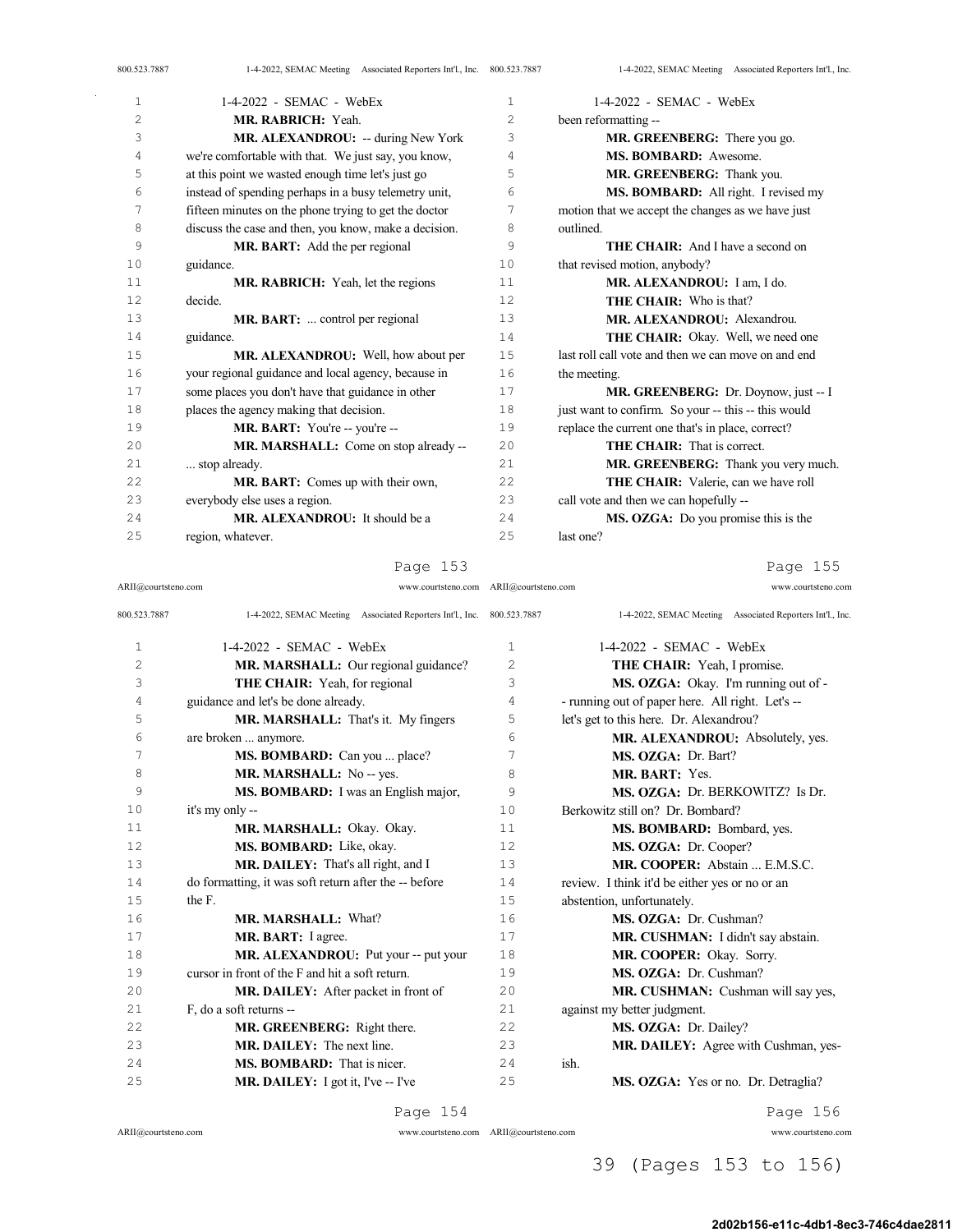| 800.523.7887 | 1-4-2022, SEMAC Meeting Associated Reporters Int'l., Inc. 800.523.7887 |                | 1-4-2022, SEMAC Meeting Associated Reporters Int'l., Inc |
|--------------|------------------------------------------------------------------------|----------------|----------------------------------------------------------|
| $\mathbf 1$  | $1-4-2022$ - SEMAC - WebEx                                             | 1              | $1-4-2022$ - SEMAC - WebEx                               |
| 2            | MR. RABRICH: Yeah.                                                     | $\overline{c}$ | been reformatting --                                     |
| 3            | MR. ALEXANDROU: -- during New York                                     | 3              | MR. GREENBERG: There you go.                             |
| 4            | we're comfortable with that. We just say, you know,                    | 4              | MS. BOMBARD: Awesome.                                    |
| 5            | at this point we wasted enough time let's just go                      | 5              | MR. GREENBERG: Thank you.                                |
| 6            | instead of spending perhaps in a busy telemetry unit,                  | 6              | MS. BOMBARD: All right. I revised my                     |
| 7            | fifteen minutes on the phone trying to get the doctor                  | 7              | motion that we accept the changes as we have just        |
| 8            | discuss the case and then, you know, make a decision.                  | 8              | outlined.                                                |
| 9            | MR. BART: Add the per regional                                         | 9              | <b>THE CHAIR:</b> And I have a second on                 |
| 10           | guidance.                                                              | 10             | that revised motion, anybody?                            |
| 11           | MR. RABRICH: Yeah, let the regions                                     | 11             | MR. ALEXANDROU: I am, I do.                              |
| 12           | decide.                                                                | 12             | <b>THE CHAIR:</b> Who is that?                           |
| 13           | MR. BART:  control per regional                                        | 13             | MR. ALEXANDROU: Alexandrou.                              |
| 14           | guidance.                                                              | 14             | THE CHAIR: Okay. Well, we need one                       |
| 15           | MR. ALEXANDROU: Well, how about per                                    | 15             | last roll call vote and then we can move on and end      |
| 16           | your regional guidance and local agency, because in                    | 16             | the meeting.                                             |
| 17           | some places you don't have that guidance in other                      | 17             | MR. GREENBERG: Dr. Doynow, just -- I                     |
| 18           | places the agency making that decision.                                | 18             | just want to confirm. So your -- this -- this would      |
| 19           | MR. BART: You're -- you're --                                          | 19             | replace the current one that's in place, correct?        |
| 20           | MR. MARSHALL: Come on stop already --                                  | 20             | <b>THE CHAIR:</b> That is correct.                       |
| 21           | stop already.                                                          | 21             | MR. GREENBERG: Thank you very much.                      |
| 22           | MR. BART: Comes up with their own,                                     | 22             | THE CHAIR: Valerie, can we have roll                     |
| 23           | everybody else uses a region.                                          | 23             | call vote and then we can hopefully --                   |
| 2.4          | MR. ALEXANDROU: It should be a                                         | 2.4            | MS. OZGA: Do you promise this is the                     |
| 25           | region, whatever.                                                      | 25             | last one?                                                |

ARII@courtsteno.com www.courtsteno.com ARII@courtsteno.com www.courtsteno.com

Page 155

| 800.523.7887   | 1-4-2022, SEMAC Meeting Associated Reporters Int'l., Inc. 800.523.7887 |              | 1-4-2022, SEMAC Meeting Associated Reporters Int'l., Inc. |
|----------------|------------------------------------------------------------------------|--------------|-----------------------------------------------------------|
| 1              | $1-4-2022$ - SEMAC - WebEx                                             | $\mathbf{1}$ | $1-4-2022$ - SEMAC - WebEx                                |
| $\overline{c}$ | MR. MARSHALL: Our regional guidance?                                   | 2            | <b>THE CHAIR:</b> Yeah, I promise.                        |
| 3              | <b>THE CHAIR:</b> Yeah, for regional                                   | 3            | MS. OZGA: Okay. I'm running out of -                      |
| 4              | guidance and let's be done already.                                    | 4            | - running out of paper here. All right. Let's --          |
| 5              | MR. MARSHALL: That's it. My fingers                                    | 5            | let's get to this here. Dr. Alexandrou?                   |
| 6              | are broken  anymore.                                                   | 6            | MR. ALEXANDROU: Absolutely, yes.                          |
| 7              | MS. BOMBARD: Can you  place?                                           | 7            | MS. OZGA: Dr. Bart?                                       |
| 8              | MR. MARSHALL: No -- yes.                                               | 8            | MR. BART: Yes.                                            |
| 9              | MS. BOMBARD: I was an English major,                                   | 9            | MS. OZGA: Dr. BERKOWITZ? Is Dr.                           |
| 10             | it's my only --                                                        | 10           | Berkowitz still on? Dr. Bombard?                          |
| 11             | MR. MARSHALL: Okay. Okay.                                              | 11           | MS. BOMBARD: Bombard, yes.                                |
| 12             | MS. BOMBARD: Like, okay.                                               | 12           | MS. OZGA: Dr. Cooper?                                     |
| 13             | MR. DAILEY: That's all right, and I                                    | 13           | MR. COOPER: Abstain  E.M.S.C.                             |
| 14             | do formatting, it was soft return after the -- before                  | 14           | review. I think it'd be either yes or no or an            |
| 15             | the F.                                                                 | 15           | abstention, unfortunately.                                |
| 16             | MR. MARSHALL: What?                                                    | 16           | MS. OZGA: Dr. Cushman?                                    |
| 17             | MR. BART: I agree.                                                     | 17           | MR. CUSHMAN: I didn't say abstain.                        |
| 18             | MR. ALEXANDROU: Put your -- put your                                   | 18           | MR. COOPER: Okay. Sorry.                                  |
| 19             | cursor in front of the F and hit a soft return.                        | 19           | MS. OZGA: Dr. Cushman?                                    |
| 20             | MR. DAILEY: After packet in front of                                   | 20           | MR. CUSHMAN: Cushman will say yes,                        |
| 21             | F, do a soft returns --                                                | 21           | against my better judgment.                               |
| 22             | MR. GREENBERG: Right there.                                            | 22           | MS. OZGA: Dr. Dailey?                                     |
| 23             | MR. DAILEY: The next line.                                             | 23           | MR. DAILEY: Agree with Cushman, yes-                      |
| 2.4            | <b>MS. BOMBARD:</b> That is nicer.                                     | 24           | ish.                                                      |
| 25             | MR. DAILEY: I got it, I've -- I've                                     | 25           | MS. OZGA: Yes or no. Dr. Detraglia?                       |

### Page 154

 $\bar{\gamma}$ 

ARII@courtsteno.com www.courtsteno.com

ARII@courtsteno.com www.courtsteno.com Page 156

# 39 (Pages 153 to 156)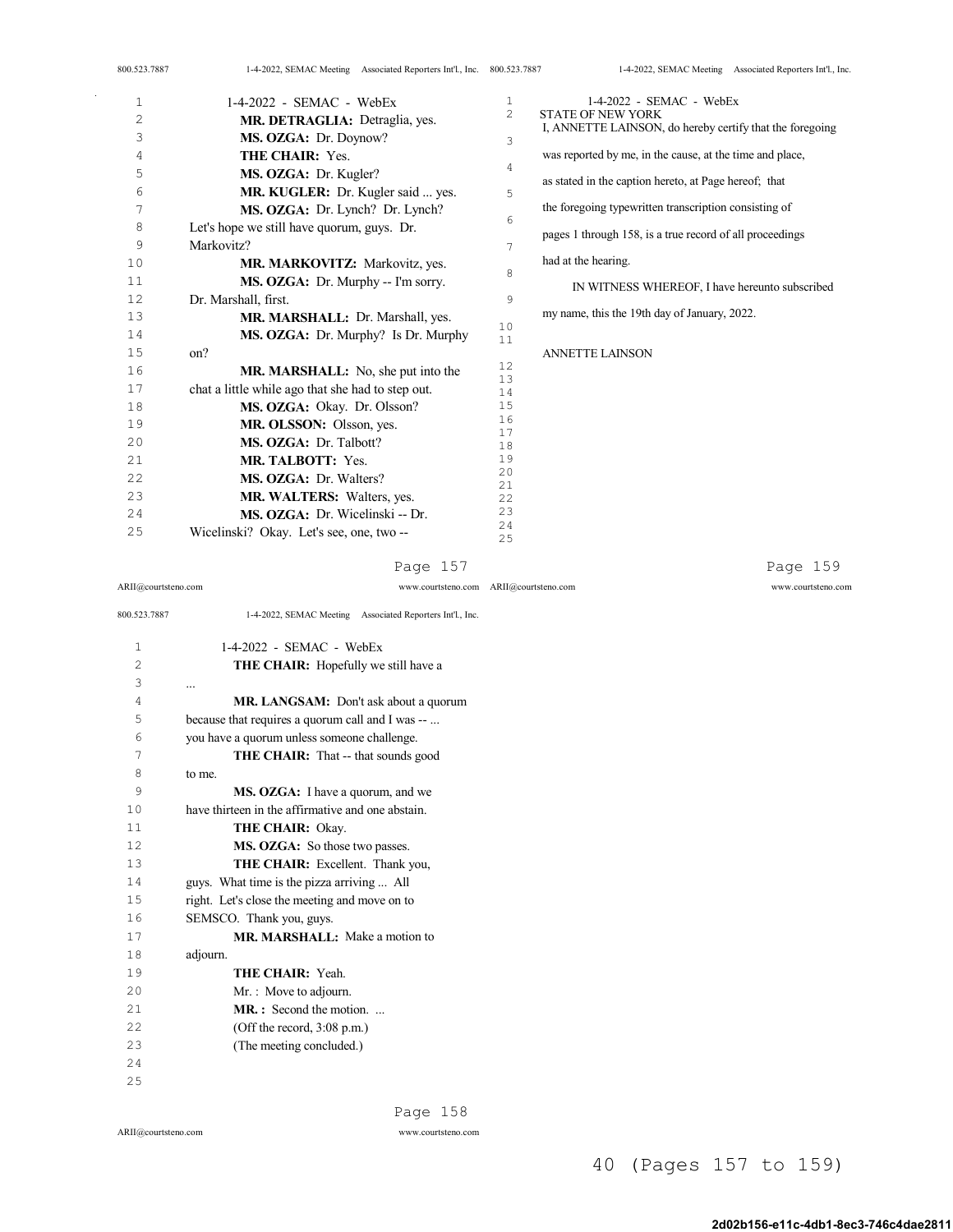| 800.523.7887 | 1-4-2022, SEMAC Meeting Associated Reporters Int'l., Inc. 800.523.7887 |                | 1-4-2022, SEMAC Meeting Associated Reporters Int'l., Inc. |
|--------------|------------------------------------------------------------------------|----------------|-----------------------------------------------------------|
| $\mathbf{1}$ | $1-4-2022$ - SEMAC - WebEx                                             | 1              | 1-4-2022 - SEMAC - WebEx                                  |
| 2            | MR. DETRAGLIA: Detraglia, yes.                                         | $\overline{2}$ | <b>STATE OF NEW YORK</b>                                  |
| 3            | MS. OZGA: Dr. Doynow?                                                  | 3              | I, ANNETTE LAINSON, do hereby certify that the foregoing  |
| 4            | <b>THE CHAIR: Yes.</b>                                                 |                | was reported by me, in the cause, at the time and place,  |
| 5            | MS. OZGA: Dr. Kugler?                                                  | 4              | as stated in the caption hereto, at Page hereof; that     |
| 6            | MR. KUGLER: Dr. Kugler said  yes.                                      | 5              |                                                           |
| 7            | MS. OZGA: Dr. Lynch? Dr. Lynch?                                        |                | the foregoing typewritten transcription consisting of     |
| 8            | Let's hope we still have quorum, guys. Dr.                             | 6              | pages 1 through 158, is a true record of all proceedings  |
| 9            | Markovitz?                                                             | 7              |                                                           |
| 10           | MR. MARKOVITZ: Markovitz, yes.                                         |                | had at the hearing.                                       |
| 11           | MS. OZGA: Dr. Murphy -- I'm sorry.                                     | 8              | IN WITNESS WHEREOF, I have hereunto subscribed            |
| 12           | Dr. Marshall, first.                                                   | 9              |                                                           |
| 13           | MR. MARSHALL: Dr. Marshall, yes.                                       |                | my name, this the 19th day of January, 2022.              |
| 14           | MS. OZGA: Dr. Murphy? Is Dr. Murphy                                    | 10<br>11       |                                                           |
| 15           | on?                                                                    |                | <b>ANNETTE LAINSON</b>                                    |
| 16           | MR. MARSHALL: No, she put into the                                     | 12             |                                                           |
| 17           | chat a little while ago that she had to step out.                      | 13<br>14       |                                                           |
| 18           | MS. OZGA: Okay. Dr. Olsson?                                            | 15             |                                                           |
| 19           | MR. OLSSON: Olsson, yes.                                               | 16             |                                                           |
| 20           | MS. OZGA: Dr. Talbott?                                                 | 17<br>18       |                                                           |
| 21           | <b>MR. TALBOTT: Yes.</b>                                               | 19             |                                                           |
| 22           | MS. OZGA: Dr. Walters?                                                 | 20             |                                                           |
| 23           | <b>MR. WALTERS: Walters, yes.</b>                                      | 21<br>22       |                                                           |
| 24           | MS. OZGA: Dr. Wicelinski -- Dr.                                        | 23             |                                                           |
| 25           | Wicelinski? Okay. Let's see, one, two --                               | 24<br>25       |                                                           |

Page 157

Page 159

ARII@courtsteno.com www.courtsteno.com ARII@courtsteno.com www.courtsteno.com

| 800.523.7887   | 1-4-2022, SEMAC Meeting Associated Reporters Int'l., Inc. |
|----------------|-----------------------------------------------------------|
| 1              | 1-4-2022 - SEMAC - WebEx                                  |
| $\overline{c}$ | <b>THE CHAIR:</b> Hopefully we still have a               |
| 3              |                                                           |
| 4              | MR. LANGSAM: Don't ask about a quorum                     |
| 5              | because that requires a quorum call and I was --          |
| 6              | you have a quorum unless someone challenge.               |
| 7              | <b>THE CHAIR:</b> That -- that sounds good                |
| 8              | to me.                                                    |
| 9              | MS. OZGA: I have a quorum, and we                         |
| 10             | have thirteen in the affirmative and one abstain.         |
| 11             | <b>THE CHAIR: Okay.</b>                                   |
| 12             | MS. OZGA: So those two passes.                            |
| 13             | THE CHAIR: Excellent. Thank you,                          |
| 14             | guys. What time is the pizza arriving  All                |
| 15             | right. Let's close the meeting and move on to             |
| 16             | SEMSCO. Thank you, guys.                                  |
| 17             | MR. MARSHALL: Make a motion to                            |
| 18             | adjourn.                                                  |
| 19             | THE CHAIR: Yeah.                                          |
| 20             | Mr. : Move to adjourn.                                    |
| 21             | <b>MR.</b> : Second the motion.                           |
| 2.2.           | (Off the record, $3:08$ p.m.)                             |
| 23             | (The meeting concluded.)                                  |
| 24             |                                                           |
| 25             |                                                           |

 $\bar{\gamma}$ 

Page 158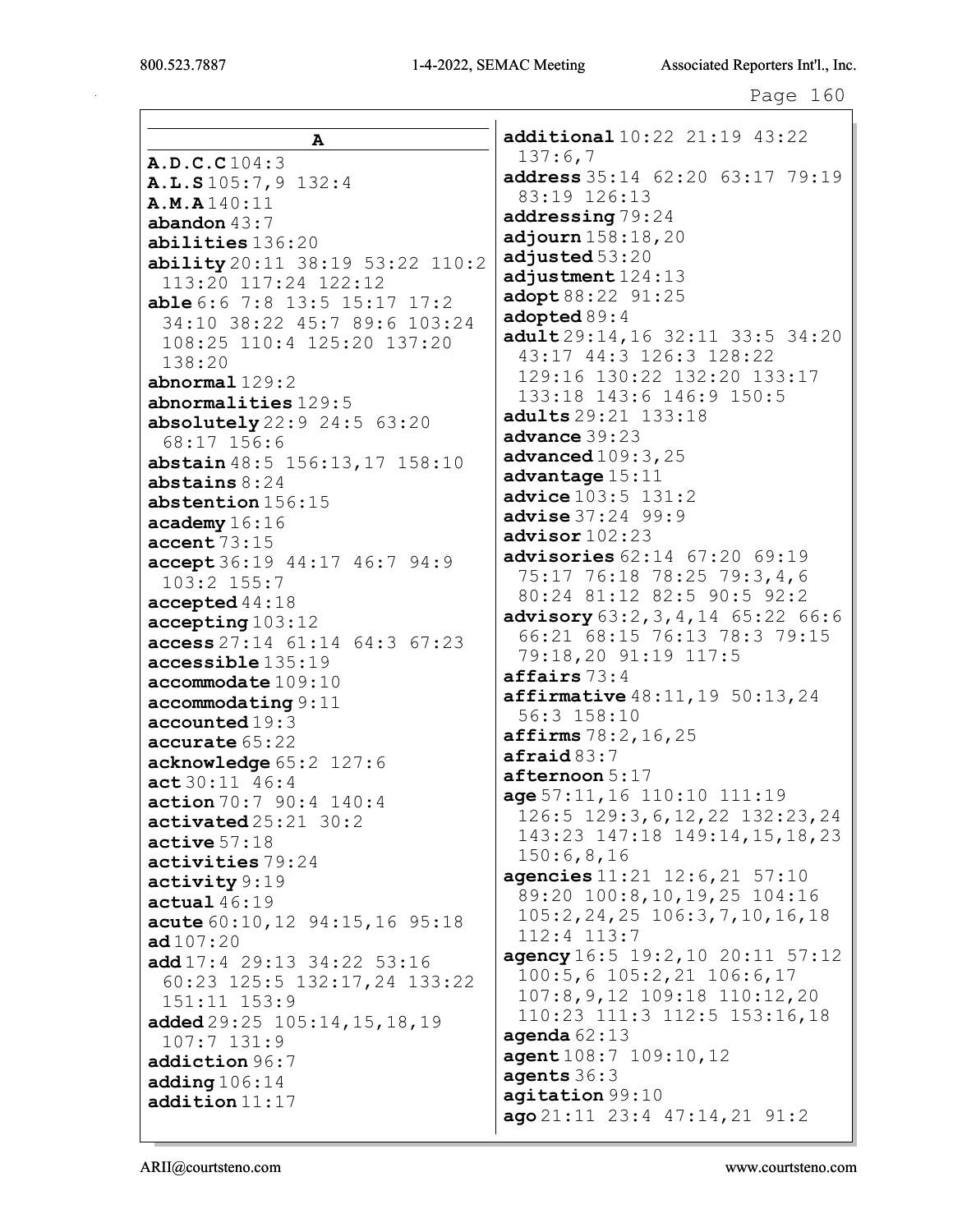Г

21:19 43:22

| А                                                              | additional 10:22                |
|----------------------------------------------------------------|---------------------------------|
|                                                                | 137:6,7                         |
| A.D.C.C 104:3                                                  | address $35:14$ 62              |
| A.L.S.105:7,9.132:4                                            | 83:19 126:13                    |
| A.M.A140:11                                                    | addressing 79:24                |
| abandon $43:7$                                                 | adjourn $158:18, 2$             |
| abilities 136:20                                               | adjusted 53:20                  |
| ability 20:11 38:19 53:22 110:2                                | adjustment $124:1$              |
| 113:20 117:24 122:12<br>able 6:6 7:8 13:5 15:17 17:2           | adopt 88:22 91:2                |
| 34:10 38:22 45:7 89:6 103:24                                   | adopted 89:4                    |
| 108:25 110:4 125:20 137:20                                     | $adult29:14,16$ 3               |
| 138:20                                                         | 43:17 44:3 126                  |
| $abnormal$ $129:2$                                             | 129:16 130:22                   |
| abnormalities 129:5                                            | 133:18 143:6 1                  |
| <b>absolutely</b> $22:9$ $24:5$ $63:20$                        | <b>adults</b> 29:21 133         |
| 68:17 156:6                                                    | advance 39:23                   |
| abstain 48:5 156:13, 17 158:10                                 | advanced $109:3$ , $2$          |
| abstains $8:24$                                                | advantage 15:11                 |
| abstention 156:15                                              | advice 103:5 131                |
| $\texttt{academy} 16:16$                                       | advise 37:24 99:                |
| $\texttt{accept} \, 73:15$                                     | advisor $102:23$                |
| accept 36:19 44:17 46:7 94:9                                   | advisories $62:14$              |
| 103:2 155:7                                                    | 75:17 76:18 78                  |
| $\texttt{accepted}$ 44:18                                      | 80:24 81:12 82                  |
| accepting 103:12                                               | advisory $63:2,3,$              |
| access 27:14 61:14 64:3 67:23                                  | 66:21 68:15 76                  |
| accessible 135:19                                              | 79:18,20 91:19                  |
| accommodate 109:10                                             | affairs 73:4                    |
| $\texttt{accommodating} 9:11$                                  | $\texttt{affirmative}~48:1$     |
| accounted19:3                                                  | 56:3 158:10                     |
| accurate 65:22                                                 | affirms 78:2,16,                |
| acknowledge 65:2 127:6                                         | $\texttt{afinal83:7}$           |
| act30:11 46:4                                                  | $after$ noon $5:17$             |
| action 70:7 90:4 140:4                                         | age 57:11, 16 110               |
| $\texttt{activated25:21}$ 30:2                                 | 126:5 129:3,6,<br>143:23 147:18 |
| active 57:18                                                   | 150:6,8,16                      |
| activities 79:24                                               | agencies $11:21$ 1              |
| $\texttt{activity} 9:19$                                       | 89:20 100:8,10                  |
| actual46:19                                                    | 105:2,24,25 10                  |
| acute 60:10, 12 94:15, 16 95:18                                | $112:4$ $113:7$                 |
| ad107:20                                                       | agency 16:5 19:2                |
| add 17:4 29:13 34:22 53:16                                     | $100:5, 6$ 105:2,               |
| 60:23 125:5 132:17,24 133:22                                   | $107:8,9,12$ 109                |
| 151:11 153:9                                                   | 110:23 111:3 1                  |
| added $29:25$ $105:14$ , $15$ , $18$ , $19$<br>$107:7$ $131:9$ | agenda $62:13$                  |
| addiction 96:7                                                 | agent 108:7 109:                |
| adding $106:14$                                                | agents $36:3$                   |
| addition 11:17                                                 | agitation 99:10                 |
|                                                                | ago21:11 23:4 4                 |
|                                                                |                                 |

 $: 2063:1779:19$  $\mathsf{O}$ 3 5  $2:11$  33:5 34:20  $:3$  128:22 132:20 133:17 46:9 150:5  $:18$ 5  $: 2$ 9  $67:20$   $69:19$  $: 25$  79:3,4,6  $:5$  90:5 92:2 4,14 65:22 66:6 :13 78:3 79:15  $117:5$  $1, 19, 50:13, 24$ 25 :10 111:19 12, 22 132: 23, 24 149:14, 15, 18, 23  $2:6,21$  57:10  $, 19, 25$  104:16  $6:3,7,10,16,18$  $,10$  20:11 57:12 21 106:6,17  $: 18$  110:12,20  $12:5$  153:16,18 10,12  $7:14,21$  91:2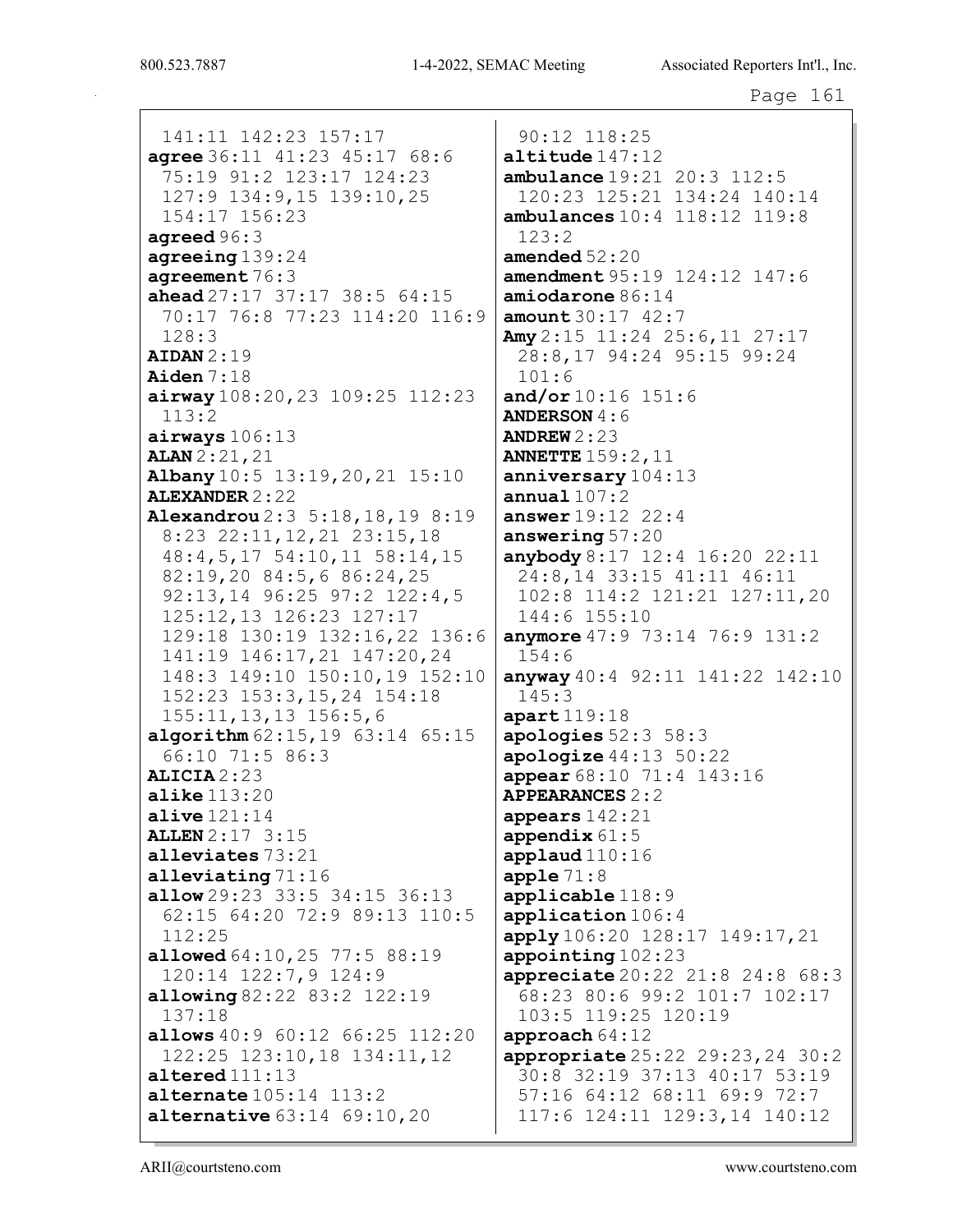141:11 142:23 157:17 agree  $36:11$   $41:23$   $45:17$   $68:6$ 75:19 91:2 123:17 124:23 127:9 134:9,15 139:10,25 154:17 156:23 agreed  $96:3$ agreeing  $139:24$ agreement  $76:3$ ahead  $27:17$   $37:17$   $38:5$   $64:15$ 70:17 76:8 77:23 114:20 116:9  $128:3$  $ALDAN 2:19$ Aiden $7:18$  $airway 108:20,23 109:25 112:23$  $113:2$  $airways 106:13$ **ALAN** 2:21,21 Albany 10:5 13:19, 20, 21 15:10 **ALEXANDER 2:22** Alexandrou 2:3 5:18,18,19 8:19 8:23 22:11, 12, 21 23:15, 18 48: 4, 5, 17 54: 10, 11 58: 14, 15 82:19,20 84:5,6 86:24,25 92:13,14 96:25 97:2 122:4,5 125:12,13 126:23 127:17 129:18 130:19 132:16,22 136:6 141:19 146:17, 21 147:20, 24 148:3 149:10 150:10,19 152:10 152:23 153:3,15,24 154:18  $155:11, 13, 13$   $156:5, 6$ algorithm  $62:15,19$   $63:14$   $65:15$ 66:10 71:5 86:3  $ALICIA 2:23$  $\texttt{alike}$   $113:20$ alive  $121:14$ **ALLEN** 2:17 3:15 alleviates 73:21 alleviating  $71:16$ **allow** 29:23 33:5 34:15 36:13 62:15 64:20 72:9 89:13 110:5  $112:25$ allowed 64:10, 25 77:5 88:19 120:14 122:7,9 124:9 allowing  $82:22$   $83:2$   $122:19$  $137:18$ allows 40:9 60:12 66:25 112:20  $122:25$   $123:10,18$   $134:11,12$  $\texttt{altered}111:13$ **alternate**  $105:14$   $113:2$ **alternative**  $63:14$   $69:10,20$ 

 $90:12$   $118:25$  $\texttt{altitude}$  $147:12$  $ambulance 19:21 20:3 112:5$ 120:23 125:21 134:24 140:14 ambulances  $10:4$   $118:12$   $119:8$  $123:2$ amended  $52:20$ **amendment** 95:19 124:12 147:6  $amiodarone$  86:14  $amount 30:17 42:7$ Amy  $2:15$  11:24 25:6,11 27:17 28:8,17 94:24 95:15 99:24  $101:6$ and/or  $10:16$  151:6 **ANDERSON 4:6** ANDREW  $2:23$ **ANNETTE** 159:2, 11 anniversary  $104:13$ annual  $107:2$ answer  $19:12$  22:4 answering  $57:20$ anybody 8:17 12:4 16:20 22:11 24:8,14 33:15 41:11 46:11 102:8 114:2 121:21 127:11,20 144:6 155:10 anymore  $47:9$  73:14 76:9 131:2  $154:6$ anyway  $40:4$  92:11 141:22 142:10  $145:3$  $apart119:18$ apologies  $52:3$   $58:3$  $apologue44:1350:22$ appear  $68:10$  71:4 143:16 **APPEARANCES 2:2** appears 142:21 appendix  $61:5$ applaud $110:16$ apple  $71:8$  $applicable$   $118:9$ application 106:4 apply 106:20 128:17 149:17, 21 appointing  $102:23$ appreciate 20:22 21:8 24:8 68:3 68:23 80:6 99:2 101:7 102:17 103:5 119:25 120:19 approach  $64:12$ appropriate  $25:22$   $29:23$ ,  $24$   $30:2$ 30:8 32:19 37:13 40:17 53:19 57:16 64:12 68:11 69:9 72:7 117:6 124:11 129:3,14 140:12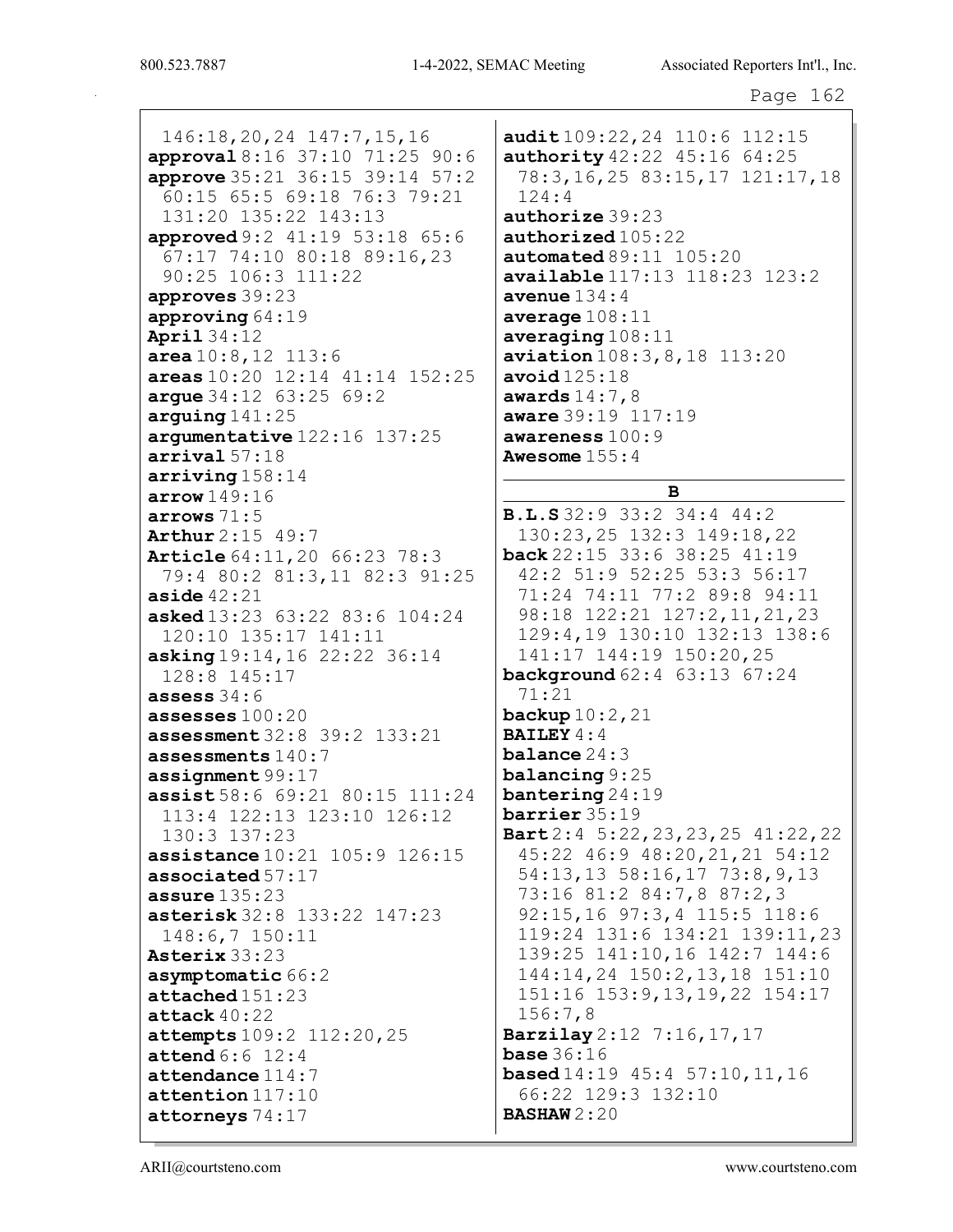146:18,20,24 147:7,15,16 approval 8:16 37:10 71:25 90:6 approve 35:21 36:15 39:14 57:2 60:15 65:5 69:18 76:3 79:21 131:20 135:22 143:13 approved 9:2 41:19 53:18 65:6 67:17 74:10 80:18 89:16,23 90:25 106:3 111:22 approves 39:23 approving 64:19 April 34:12 area 10:8,12 113:6 areas 10:20 12:14 41:14 152:25 argue 34:12 63:25 69:2 arguing  $141:25$ argumentative 122:16 137:25 arrival 57:18 arriving 158:14 arrow 149:16 arrows 71:5 Arthur 2:15 49:7 Article 64:11,20 66:23 78:3 79:4 80:2 81:3,11 82:3 91:25 aside  $42:21$ asked 13:23 63:22 83:6 104:24 120:10 135:17 141:11 asking 19:14,16 22:22 36:14 128:8 145:17 assess  $34:6$ assesses 100:20 assessment 32:8 39:2 133:21 assessments 140:7 assignment 99:17 assist 58:6 69:21 80:15 111:24 113:4 122:13 123:10 126:12 130:3 137:23 assistance 10:21 105:9 126:15 associated 57:17 assure 135:23 asterisk 32:8 133:22 147:23 148:6,7 150:11 Asterix 33:23 asymptomatic 66:2 attached 151:23 attack  $40:22$ attempts 109:2 112:20,25 attend 6:6 12:4 attendance 114:7 attention 117:10 attorneys 74:17

audit 109:22, 24 110:6 112:15 authority 42:22 45:16 64:25 78:3,16,25 83:15,17 121:17,18 124:4 authorize 39:23 authorized 105:22 automated  $89:11$  105:20 available 117:13 118:23 123:2 avenue  $134:4$ average 108:11 averaging 108:11 aviation 108:3,8,18 113:20 avoid 125:18 awards  $14:7,8$ aware 39:19 117:19 awareness 100:9 Awesome 155:4

# B

B.L.S 32:9 33:2 34:4 44:2 130:23,25 132:3 149:18,22 back 22:15 33:6 38:25 41:19 42:2 51:9 52:25 53:3 56:17 71:24 74:11 77:2 89:8 94:11 98:18 122:21 127:2,11,21,23 129:4,19 130:10 132:13 138:6 141:17 144:19 150:20,25 background 62:4 63:13 67:24 71:21 backup 10:2,21 BAILEY 4:4 balance 24:3 balancing 9:25 bantering 24:19 barrier 35:19 Bart 2:4 5:22,23,23,25 41:22,22 45:22 46:9 48:20,21,21 54:12 54:13,13 58:16,17 73:8,9,13 73:16 81:2 84:7,8 87:2,3 92:15,16 97:3,4 115:5 118:6 119:24 131:6 134:21 139:11,23 139:25 141:10,16 142:7 144:6 144:14,24 150:2,13,18 151:10 151:16 153:9,13,19,22 154:17 156:7,8 Barzilay 2:12 7:16,17,17 **base** 36:16 **based** 14:19 45:4 57:10, 11, 16 66:22 129:3 132:10 BASHAW 2:20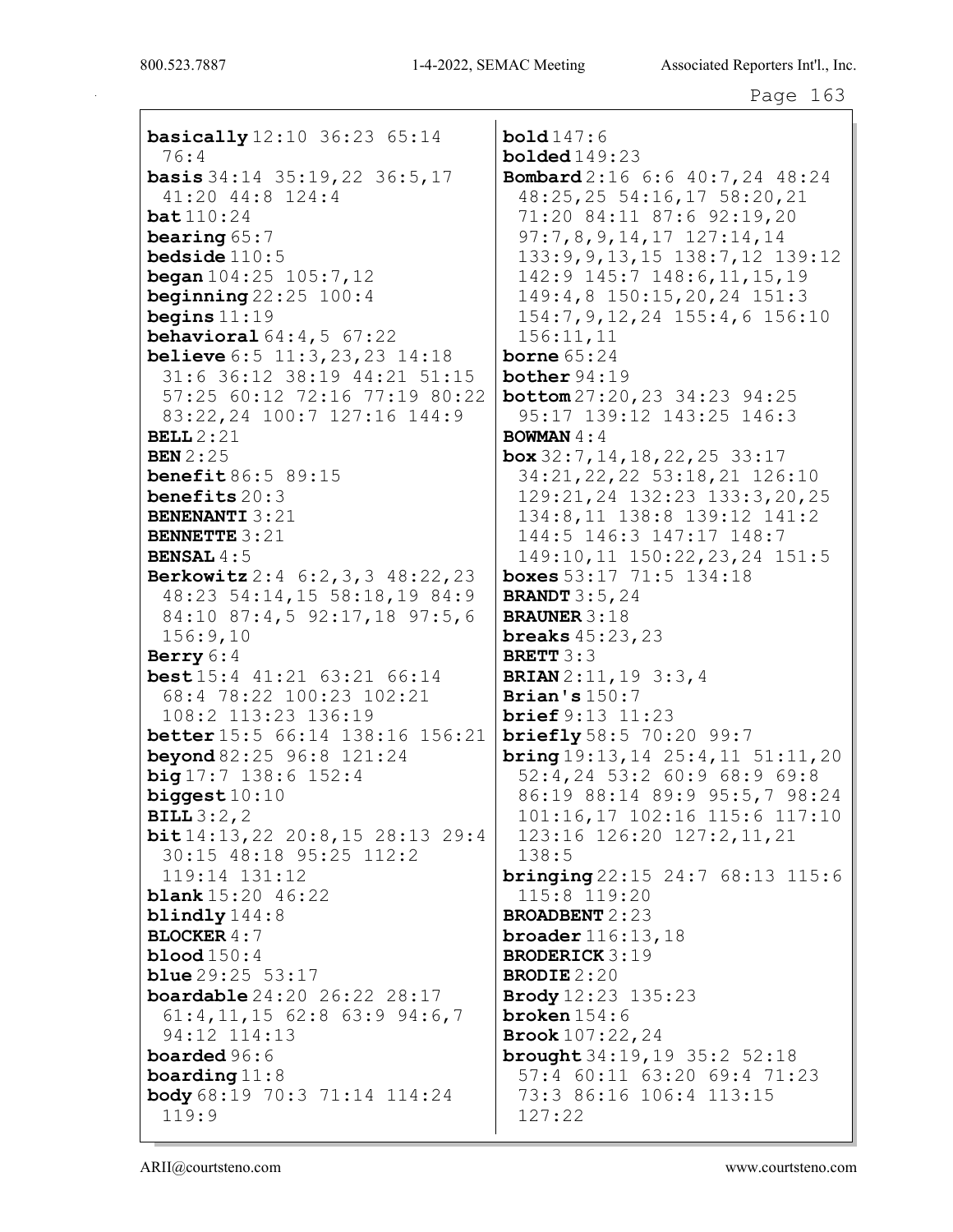basically 12:10 36:23 65:14 76:4 basis 34:14 35:19,22 36:5,17 41:20 44:8 124:4 bat 110:24 bearing 65:7 bedside 110:5 began 104:25 105:7,12 beginning 22:25 100:4 begins 11:19 **behavioral**  $64:4,5$   $67:22$ **believe** 6:5 11:3, 23, 23 14:18 31:6 36:12 38:19 44:21 51:15 57:25 60:12 72:16 77:19 80:22 83:22,24 100:7 127:16 144:9 BELL 2:21 BEN 2:25 **benefit 86:5 89:15** benefits 20:3 BENENANTI 3:21 BENNETTE 3:21 BENSAL  $4:5$ Berkowitz 2:4 6:2,3,3 48:22,23 48:23 54:14,15 58:18,19 84:9 84:10 87:4,5 92:17,18 97:5,6 156:9,10 Berry 6:4 best 15:4 41:21 63:21 66:14 68:4 78:22 100:23 102:21 108:2 113:23 136:19 better 15:5 66:14 138:16 156:21 beyond 82:25 96:8 121:24  $big 17:7 138:6 152:4$ biggest 10:10 BILL 3:2,2 bit 14:13,22 20:8,15 28:13 29:4 30:15 48:18 95:25 112:2 119:14 131:12 **blank** 15:20 46:22 blindly 144:8 BLOCKER 4:7 **blood**  $150:4$ **blue** 29:25 53:17 boardable 24:20 26:22 28:17 61:4,11,15 62:8 63:9 94:6,7 94:12 114:13 boarded 96:6 boarding 11:8 body 68:19 70:3 71:14 114:24 119:9

bold 147:6 bolded 149:23 Bombard 2:16 6:6 40:7,24 48:24 48:25,25 54:16,17 58:20,21 71:20 84:11 87:6 92:19,20 97:7,8,9,14,17 127:14,14 133:9,9,13,15 138:7,12 139:12 142:9 145:7 148:6,11,15,19 149:4,8 150:15,20,24 151:3 154:7,9,12,24 155:4,6 156:10 156:11,11 **borne** 65:24 bother 94:19 bottom 27:20,23 34:23 94:25 95:17 139:12 143:25 146:3 BOWMAN 4:4 box 32:7,14,18,22,25 33:17 34:21,22,22 53:18,21 126:10 129:21,24 132:23 133:3,20,25 134:8,11 138:8 139:12 141:2 144:5 146:3 147:17 148:7 149:10,11 150:22,23,24 151:5 boxes 53:17 71:5 134:18 BRANDT 3:5,24 BRAUNER 3:18 breaks 45:23,23 BRETT 3:3 BRIAN 2:11,19 3:3,4 Brian's  $150:7$ brief 9:13 11:23 briefly 58:5 70:20 99:7 bring 19:13,14 25:4,11 51:11,20 52:4,24 53:2 60:9 68:9 69:8 86:19 88:14 89:9 95:5,7 98:24 101:16,17 102:16 115:6 117:10 123:16 126:20 127:2,11,21 138:5 **bringing** 22:15 24:7 68:13 115:6 115:8 119:20 BROADBENT 2:23 broader 116:13,18 BRODERICK 3:19 BRODIE 2:20 Brody 12:23 135:23 broken 154:6 Brook 107:22,24 brought 34:19,19 35:2 52:18 57:4 60:11 63:20 69:4 71:23 73:3 86:16 106:4 113:15 127:22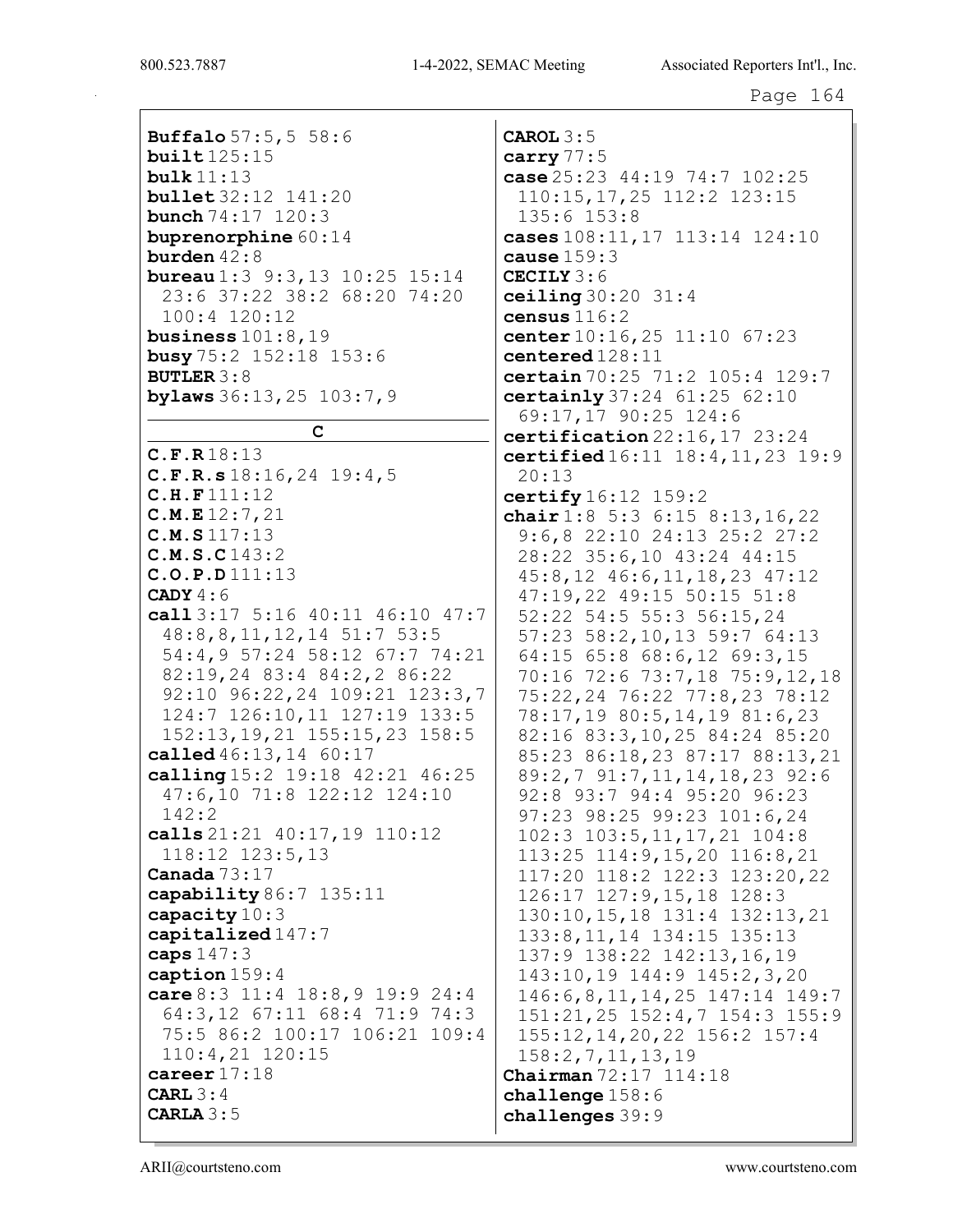Buffalo 57:5, 5 58:6  $build125:15$  ${\tt bulk}$  11:13 **bullet** 32:12 141:20 **bunch**  $74:17$   $120:3$ buprenorphine  $60:14$ burden  $42:8$ **bureau**  $1:3$  9:3, 13 10:25 15:14 23:6 37:22 38:2 68:20 74:20  $100:4$   $120:12$ business  $101:8.19$ **busy**  $75:2$   $152:18$   $153:6$ **BUTLER 3:8** bylaws  $36:13,25$   $103:7,9$  $\mathbf C$  $C.F.R18:13$  $C.F.R.s 18:16, 24 19:4, 5$  $C.H.F111:12$  $C.M.E12:7,21$  $C.M.S.117:13$  $C.M.S.C143:2$  $C.O.P.D 111:13$ CADY  $4:6$ call 3:17 5:16 40:11 46:10 47:7 48:8,8,11,12,14 51:7 53:5 54:4,9 57:24 58:12 67:7 74:21 82:19,24 83:4 84:2,2 86:22 92:10 96:22,24 109:21 123:3,7 124:7 126:10,11 127:19 133:5 152:13, 19, 21 155: 15, 23 158: 5 called 46:13, 14 60:17 calling  $15:2$   $19:18$   $42:21$   $46:25$ 47:6,10 71:8 122:12 124:10  $142:2$ calls 21:21 40:17, 19 110:12 118:12 123:5,13 Canada  $73:17$ capability 86:7 135:11 capacity  $10:3$ capitalized  $147:7$ caps  $147:3$ caption  $159:4$ care 8:3 11:4 18:8,9 19:9 24:4 64:3,12 67:11 68:4 71:9 74:3 75:5 86:2 100:17 106:21 109:4  $110:4,21$   $120:15$ career  $17:18$ CARL  $3:4$ CARLA  $3:5$ 

CAROL  $3:5$ carry  $77:5$ case  $25:23$  44:19 74:7 102:25 110:15, 17, 25 112:2 123:15  $135:6$   $153:8$ cases  $108:11, 17$   $113:14$   $124:10$ cause  $159:3$ CECILY 3:6 ceiling  $30:20$   $31:4$ census  $116:2$ center  $10:16,25$   $11:10$   $67:23$  $centered128:11$ certain 70:25 71:2 105:4 129:7 certainly  $37:24$   $61:25$   $62:10$ 69:17,17 90:25 124:6 certification  $22:16,17$   $23:24$ certified 16:11 18:4, 11, 23 19:9  $20:13$ certify  $16:12$   $159:2$ chair  $1:8$  5:3 6:15 8:13,16,22  $9:6, 8$  22:10 24:13 25:2 27:2 28:22 35:6,10 43:24 44:15  $45:8, 12$   $46:6, 11, 18, 23$   $47:12$ 47:19,22 49:15 50:15 51:8 52:22 54:5 55:3 56:15,24 57:23 58:2,10,13 59:7 64:13 64:15 65:8 68:6,12 69:3,15 70:16 72:6 73:7,18 75:9,12,18 75:22,24 76:22 77:8,23 78:12 78:17,19 80:5,14,19 81:6,23 82:16 83:3,10,25 84:24 85:20 85:23 86:18,23 87:17 88:13,21 89:2,7 91:7,11,14,18,23 92:6 92:8 93:7 94:4 95:20 96:23 97:23 98:25 99:23 101:6,24  $102:3$   $103:5, 11, 17, 21$   $104:8$ 113:25 114:9,15,20 116:8,21 117:20 118:2 122:3 123:20,22 126:17 127:9,15,18 128:3 130:10, 15, 18 131:4 132:13, 21 133:8, 11, 14 134: 15 135: 13 137:9 138:22 142:13,16,19 143:10,19 144:9 145:2,3,20 146: 6, 8, 11, 14, 25 147: 14 149: 7 151:21,25 152:4,7 154:3 155:9 155:12, 14, 20, 22 156: 2 157: 4  $158:2, 7, 11, 13, 19$ **Chairman**  $72:17$   $114:18$ challenge  $158:6$ challenges  $39:9$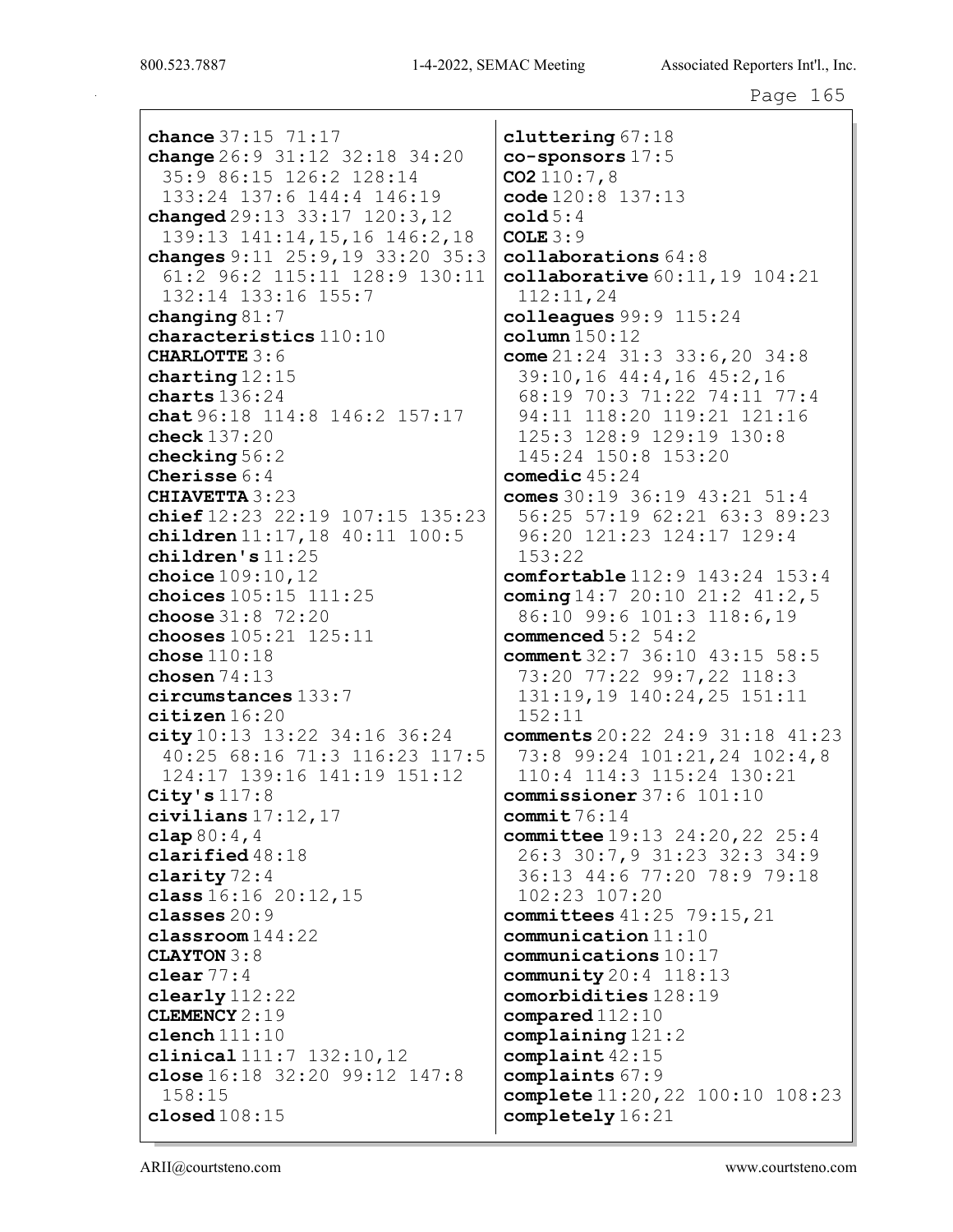chance 37:15 71:17 change 26:9 31:12 32:18 34:20 35:9 86:15 126:2 128:14 133:24 137:6 144:4 146:19 changed 29:13 33:17 120:3,12 139:13 141:14,15,16 146:2,18 changes 9:11 25:9,19 33:20 35:3 61:2 96:2 115:11 128:9 130:11 132:14 133:16 155:7 changing 81:7 characteristics 110:10 CHARLOTTE 3:6 charting 12:15 charts 136:24 chat 96:18 114:8 146:2 157:17 check 137:20 checking 56:2 Cherisse 6:4 CHIAVETTA 3:23 chief 12:23 22:19 107:15 135:23 children 11:17,18 40:11 100:5 children's 11:25 choice 109:10,12 choices 105:15 111:25 choose 31:8 72:20 chooses 105:21 125:11 chose 110:18 chosen 74:13 circumstances 133:7 citizen 16:20 city 10:13 13:22 34:16 36:24 40:25 68:16 71:3 116:23 117:5 124:17 139:16 141:19 151:12 City's  $117:8$ civilians 17:12,17  $clap 80:4,4$ clarified 48:18 clarity 72:4 class 16:16 20:12,15 classes 20:9 classroom 144:22 CLAYTON 3:8 clear 77:4 clearly 112:22 CLEMENCY 2:19 clench 111:10 clinical 111:7 132:10,12 close 16:18 32:20 99:12 147:8 158:15 closed 108:15

cluttering 67:18 co-sponsors 17:5  $CO2110:7,8$ code 120:8 137:13 cold  $5:4$ COLE 3:9 collaborations 64:8 collaborative 60:11,19 104:21 112:11,24 colleagues 99:9 115:24 column  $150:12$ come 21:24 31:3 33:6,20 34:8 39:10,16 44:4,16 45:2,16 68:19 70:3 71:22 74:11 77:4 94:11 118:20 119:21 121:16 125:3 128:9 129:19 130:8 145:24 150:8 153:20 comedic 45:24 comes  $30:19$   $36:19$   $43:21$   $51:4$ 56:25 57:19 62:21 63:3 89:23 96:20 121:23 124:17 129:4 153:22 comfortable 112:9 143:24 153:4 coming 14:7 20:10 21:2 41:2,5 86:10 99:6 101:3 118:6,19 commenced  $5:2 \quad 54:2$ comment 32:7 36:10 43:15 58:5 73:20 77:22 99:7,22 118:3 131:19,19 140:24,25 151:11 152:11 comments 20:22 24:9 31:18 41:23 73:8 99:24 101:21,24 102:4,8 110:4 114:3 115:24 130:21 commissioner 37:6 101:10 commit  $76:14$ committee 19:13 24:20,22 25:4 26:3 30:7,9 31:23 32:3 34:9 36:13 44:6 77:20 78:9 79:18 102:23 107:20 committees 41:25 79:15,21 communication 11:10 communications 10:17 community 20:4 118:13 comorbidities 128:19 compared 112:10 complaining 121:2 complaint 42:15 complaints 67:9 complete 11:20,22 100:10 108:23 completely 16:21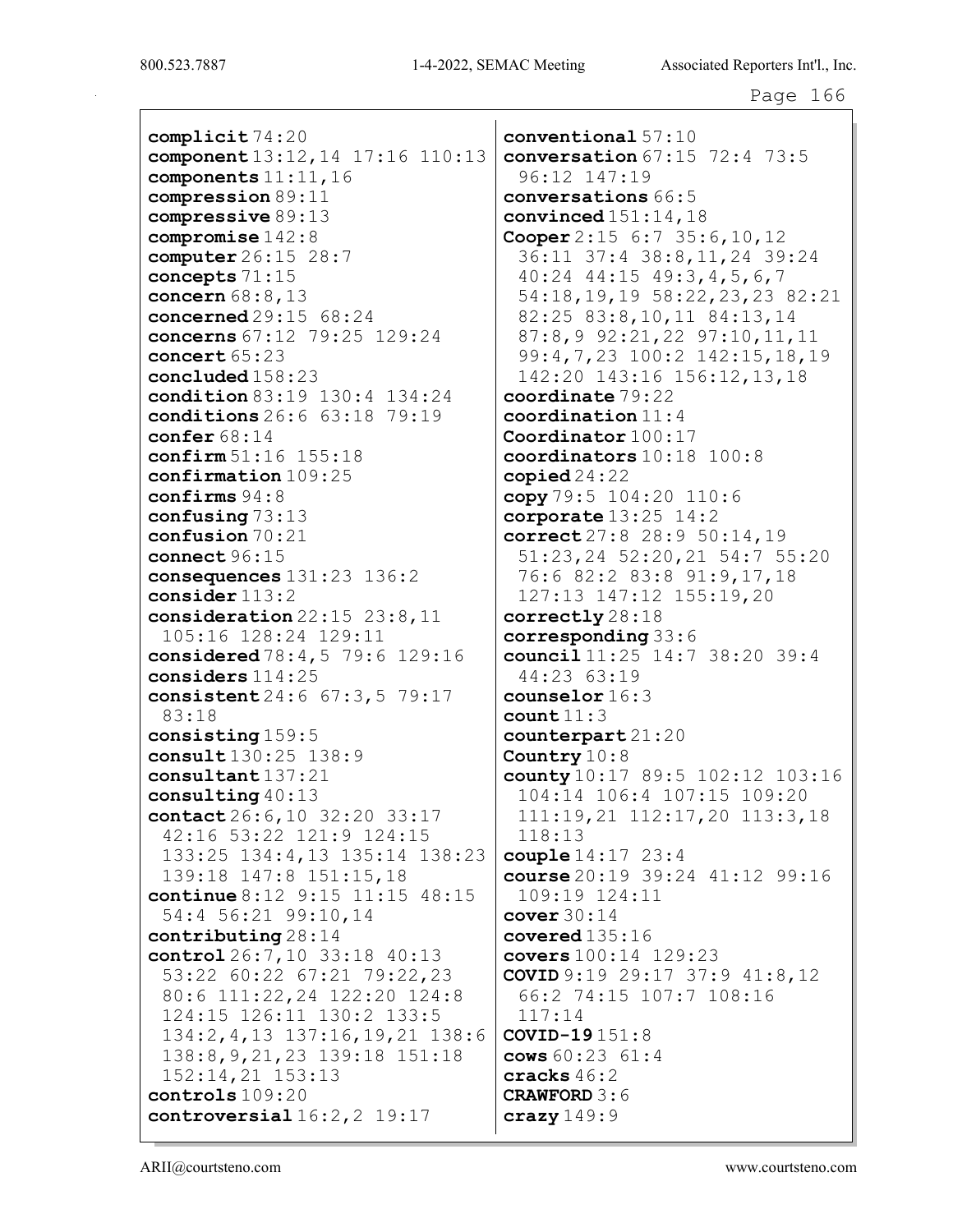complicit 74:20 component 13:12,14 17:16 110:13 components 11:11,16 compression 89:11 compressive 89:13 compromise 142:8 computer 26:15 28:7 concepts 71:15 concern 68:8,13 concerned 29:15 68:24 concerns 67:12 79:25 129:24 concert 65:23 concluded 158:23 condition 83:19 130:4 134:24 conditions 26:6 63:18 79:19 confer 68:14 confirm 51:16 155:18 confirmation 109:25 confirms 94:8 confusing 73:13 confusion 70:21 connect 96:15 consequences 131:23 136:2 consider 113:2 consideration 22:15 23:8,11 105:16 128:24 129:11 considered 78:4,5 79:6 129:16 considers 114:25 consistent 24:6 67:3,5 79:17 83:18 consisting 159:5 consult 130:25 138:9 consultant 137:21 consulting 40:13 contact 26:6,10 32:20 33:17 42:16 53:22 121:9 124:15 133:25 134:4,13 135:14 138:23 139:18 147:8 151:15,18 continue 8:12 9:15 11:15 48:15 54:4 56:21 99:10,14 contributing 28:14 control 26:7,10 33:18 40:13 53:22 60:22 67:21 79:22,23 80:6 111:22,24 122:20 124:8 124:15 126:11 130:2 133:5 134:2,4,13 137:16,19,21 138:6 138:8,9,21,23 139:18 151:18 152:14,21 153:13 controls 109:20 controversial  $16:2,2$  19:17

conventional 57:10 conversation 67:15 72:4 73:5 96:12 147:19 conversations 66:5 convinced  $151:14$ ,  $18$ Cooper 2:15 6:7 35:6,10,12 36:11 37:4 38:8,11,24 39:24 40:24 44:15 49:3,4,5,6,7 54:18,19,19 58:22,23,23 82:21 82:25 83:8,10,11 84:13,14 87:8,9 92:21,22 97:10,11,11 99:4,7,23 100:2 142:15,18,19 142:20 143:16 156:12,13,18 coordinate 79:22 coordination 11:4 Coordinator 100:17 coordinators 10:18 100:8 copied  $24:22$ copy  $79:5 104:20 110:6$ corporate  $13:25$   $14:2$ correct 27:8 28:9 50:14,19 51:23,24 52:20,21 54:7 55:20 76:6 82:2 83:8 91:9,17,18 127:13 147:12 155:19,20 correctly 28:18 corresponding 33:6 council 11:25 14:7 38:20 39:4 44:23 63:19 counselor 16:3 count 11:3 counterpart 21:20 Country  $10:8$ county 10:17 89:5 102:12 103:16 104:14 106:4 107:15 109:20 111:19,21 112:17,20 113:3,18 118:13 couple 14:17 23:4 course 20:19 39:24 41:12 99:16 109:19 124:11 cover  $30:14$ covered 135:16 covers 100:14 129:23 COVID 9:19 29:17 37:9 41:8,12 66:2 74:15 107:7 108:16 117:14 COVID-19 151:8 cows 60:23 61:4 cracks 46:2 CRAWFORD 3:6  $c$ razy  $149:9$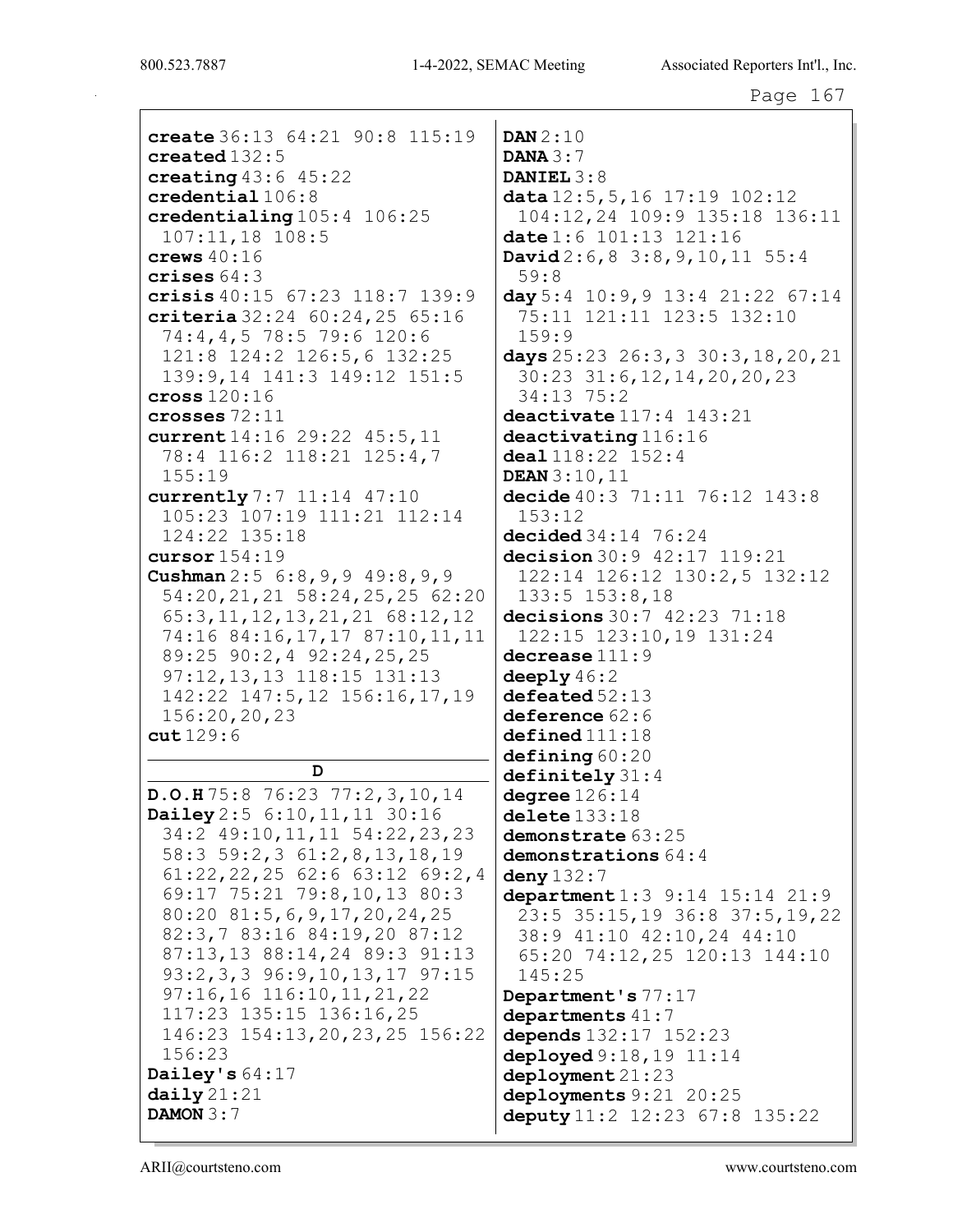create 36:13 64:21 90:8 115:19 created 132:5 creating  $43:6$   $45:22$ credential 106:8 credentialing 105:4 106:25 107:11,18 108:5 crews 40:16 crises 64:3 crisis 40:15 67:23 118:7 139:9 criteria 32:24 60:24,25 65:16 74:4,4,5 78:5 79:6 120:6 121:8 124:2 126:5,6 132:25 139:9,14 141:3 149:12 151:5 cross 120:16 crosses 72:11 current 14:16 29:22 45:5,11 78:4 116:2 118:21 125:4,7 155:19 currently 7:7 11:14 47:10 105:23 107:19 111:21 112:14 124:22 135:18 cursor 154:19 Cushman 2:5 6:8,9,9 49:8,9,9 54:20,21,21 58:24,25,25 62:20 65:3,11,12,13,21,21 68:12,12 74:16 84:16,17,17 87:10,11,11 89:25 90:2,4 92:24,25,25 97:12,13,13 118:15 131:13 142:22 147:5,12 156:16,17,19 156:20,20,23 cut 129:6 D D.O.H 75:8 76:23 77:2,3,10,14 Dailey 2:5 6:10,11,11 30:16 34:2 49:10,11,11 54:22,23,23 58:3 59:2,3 61:2,8,13,18,19 61:22,22,25 62:6 63:12 69:2,4 69:17 75:21 79:8,10,13 80:3 80:20 81:5,6,9,17,20,24,25

82:3,7 83:16 84:19,20 87:12 87:13,13 88:14,24 89:3 91:13 93:2,3,3 96:9,10,13,17 97:15 97:16,16 116:10,11,21,22 117:23 135:15 136:16,25

146:23 154:13,20,23,25 156:22

DAN 2:10 **DANA** 3:7 DANIEL 3:8 data 12:5,5,16 17:19 102:12 104:12,24 109:9 135:18 136:11 date 1:6 101:13 121:16 David 2:6,8 3:8,9,10,11 55:4 59:8 day 5:4 10:9,9 13:4 21:22 67:14 75:11 121:11 123:5 132:10 159:9 days 25:23 26:3,3 30:3,18,20,21 30:23 31:6,12,14,20,20,23 34:13 75:2 deactivate 117:4 143:21 deactivating 116:16 deal 118:22 152:4 DEAN 3:10,11 decide 40:3 71:11 76:12 143:8 153:12 decided 34:14 76:24 decision 30:9 42:17 119:21 122:14 126:12 130:2,5 132:12 133:5 153:8,18 decisions 30:7 42:23 71:18 122:15 123:10,19 131:24 decrease 111:9 deeply  $46:2$  $\text{defeated } 52:13$ deference 62:6  $\texttt{defined} \, 111:18$ defining 60:20 definitely 31:4  $degree 126:14$ delete 133:18 demonstrate  $63:25$ demonstrations  $64:4$ deny 132:7 department 1:3 9:14 15:14 21:9 23:5 35:15,19 36:8 37:5,19,22 38:9 41:10 42:10,24 44:10 65:20 74:12,25 120:13 144:10 145:25 Department's 77:17 departments  $41:7$ depends 132:17 152:23 deployed  $9:18,19$   $11:14$ deployment 21:23 deployments 9:21 20:25 deputy 11:2 12:23 67:8 135:22

156:23

Dailey's 64:17  $daily 21:21$ DAMON 3:7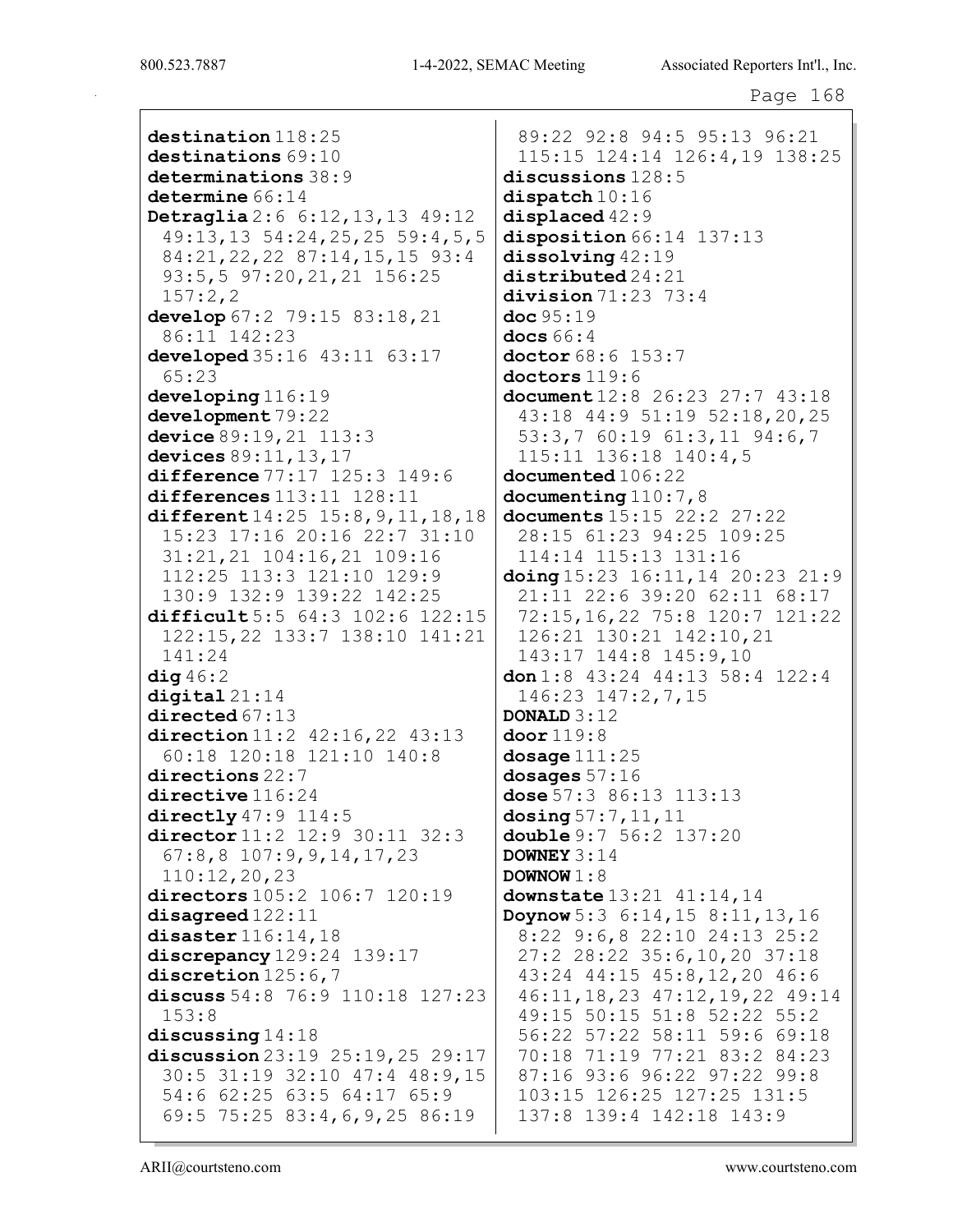destination  $118:25$ destinations 69:10 determinations 38:9 determine  $66:14$ Detraglia 2:6 6:12,13,13 49:12 49:13,13 54:24,25,25 59:4,5,5 84:21,22,22 87:14,15,15 93:4 93:5,5 97:20,21,21 156:25 157:2,2 develop 67:2 79:15 83:18,21 86:11 142:23 developed 35:16 43:11 63:17 65:23 developing 116:19 development 79:22 device 89:19,21 113:3 devices 89:11,13,17 difference 77:17 125:3 149:6 differences 113:11 128:11 different  $14:25$  15:8, 9, 11, 18, 18 15:23 17:16 20:16 22:7 31:10 31:21,21 104:16,21 109:16 112:25 113:3 121:10 129:9 130:9 132:9 139:22 142:25 difficult 5:5 64:3 102:6 122:15 122:15,22 133:7 138:10 141:21 141:24  $diag 46:2$ digital 21:14 directed 67:13 direction 11:2 42:16,22 43:13 60:18 120:18 121:10 140:8 directions 22:7 directive  $116:24$ directly  $47:9$   $114:5$ director 11:2 12:9 30:11 32:3 67:8,8 107:9,9,14,17,23 110:12,20,23 directors 105:2 106:7 120:19 disagreed 122:11 disaster 116:14,18 discrepancy 129:24 139:17 discretion 125:6,7 discuss 54:8 76:9 110:18 127:23 153:8 discussing 14:18 discussion 23:19 25:19,25 29:17 30:5 31:19 32:10 47:4 48:9,15 54:6 62:25 63:5 64:17 65:9 69:5 75:25 83:4,6,9,25 86:19

89:22 92:8 94:5 95:13 96:21 115:15 124:14 126:4,19 138:25 discussions 128:5 dispatch  $10:16$ displaced  $42:9$ disposition 66:14 137:13 dissolving 42:19 distributed 24:21 division 71:23 73:4 doc 95:19 docs  $66:4$ doctor 68:6 153:7 doctors 119:6 document 12:8 26:23 27:7 43:18 43:18 44:9 51:19 52:18,20,25 53:3,7 60:19 61:3,11 94:6,7 115:11 136:18 140:4,5 documented  $106:22$ documenting  $110:7,8$ documents 15:15 22:2 27:22 28:15 61:23 94:25 109:25 114:14 115:13 131:16 doing 15:23 16:11,14 20:23 21:9 21:11 22:6 39:20 62:11 68:17 72:15,16,22 75:8 120:7 121:22 126:21 130:21 142:10,21 143:17 144:8 145:9,10 don 1:8 43:24 44:13 58:4 122:4 146:23 147:2,7,15 DONALD 3:12 door 119:8 dosage  $111:25$ dosages 57:16 dose 57:3 86:13 113:13  $d$ osing 57:7, 11, 11 double 9:7 56:2 137:20 DOWNEY 3:14 DOWNOW  $1:8$ downstate  $13:21$   $41:14$ ,  $14$ Doynow 5:3 6:14,15 8:11,13,16 8:22 9:6,8 22:10 24:13 25:2 27:2 28:22 35:6,10,20 37:18 43:24 44:15 45:8,12,20 46:6 46:11,18,23 47:12,19,22 49:14 49:15 50:15 51:8 52:22 55:2 56:22 57:22 58:11 59:6 69:18 70:18 71:19 77:21 83:2 84:23 87:16 93:6 96:22 97:22 99:8 103:15 126:25 127:25 131:5 137:8 139:4 142:18 143:9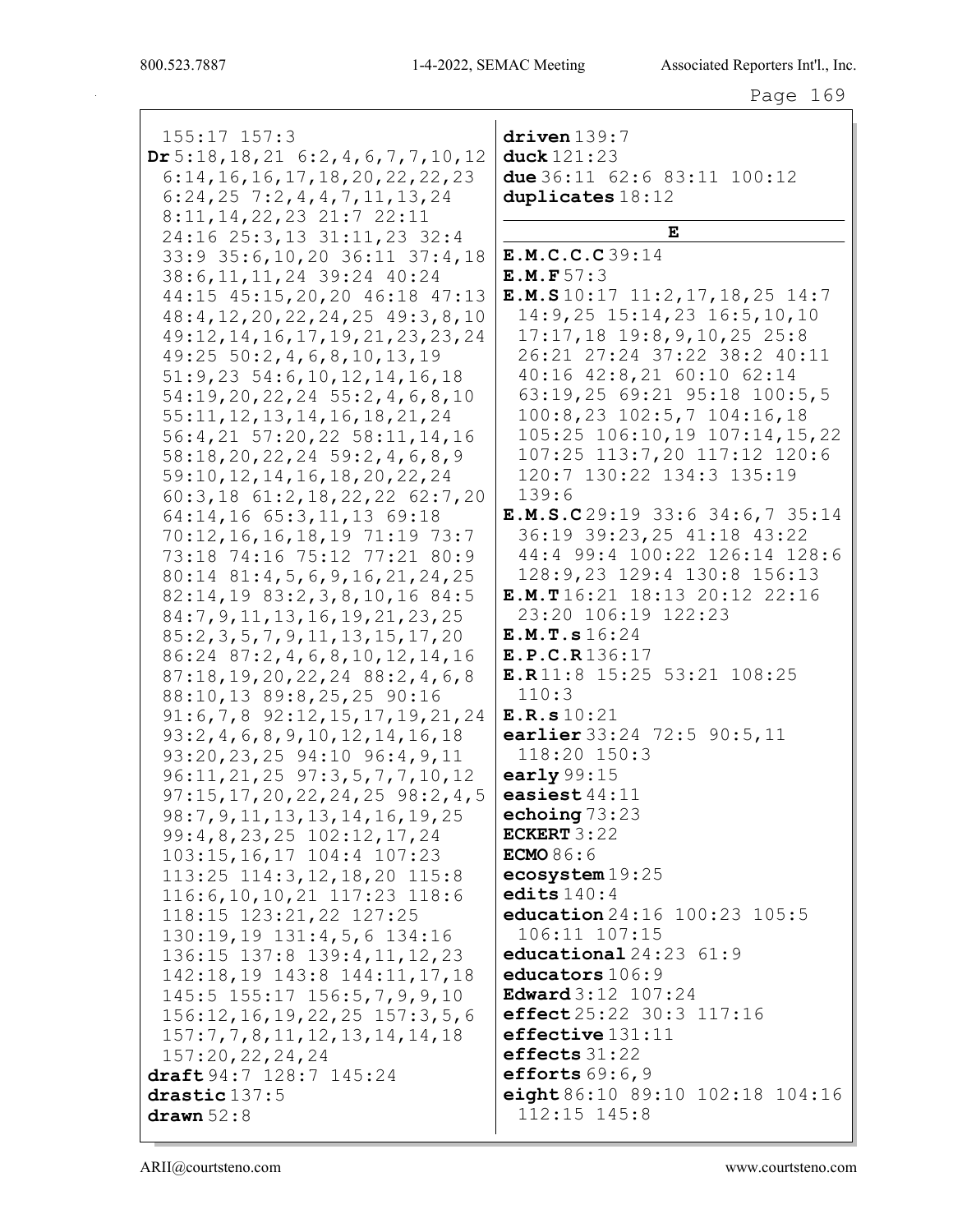| $155:17$ $157:3$                          | driven 139:7                                            |
|-------------------------------------------|---------------------------------------------------------|
| $Dr 5:18, 18, 21$ 6:2, 4, 6, 7, 7, 10, 12 | duck 121:23                                             |
| 6:14, 16, 16, 17, 18, 20, 22, 22, 23      | due $36:11$ $62:6$ $83:11$ $100:12$                     |
| $6:24,25$ 7:2, 4, 4, 7, 11, 13, 24        | duplicates 18:12                                        |
| 8:11, 14, 22, 23 21:7 22:11               |                                                         |
| 24:16 25:3,13 31:11,23 32:4               | Е                                                       |
| 33:9 35:6, 10, 20 36: 11 37: 4, 18        | E.M.C.C.C39:14                                          |
| 38:6, 11, 11, 24 39:24 40:24              | E.M.F 57:3                                              |
| 44:15 45:15,20,20 46:18 47:13             | <b>E.M.S</b> $10:17$ $11:2$ , $17$ , $18$ , $25$ $14:7$ |
| $48:4, 12, 20, 22, 24, 25$ $49:3, 8, 10$  | 14:9,25 15:14,23 16:5,10,10                             |
| 49:12, 14, 16, 17, 19, 21, 23, 23, 24     | $17:17, 18$ $19:8, 9, 10, 25$ 25:8                      |
| $49:25$ 50:2, 4, 6, 8, 10, 13, 19         | 26:21 27:24 37:22 38:2 40:11                            |
| $51:9,23$ $54:6,10,12,14,16,18$           | 40:16 42:8,21 60:10 62:14                               |
| 54:19,20,22,24 55:2,4,6,8,10              | 63:19,25 69:21 95:18 100:5,5                            |
| 55:11, 12, 13, 14, 16, 18, 21, 24         | 100:8,23 102:5,7 104:16,18                              |
| 56: 4, 21 57: 20, 22 58: 11, 14, 16       | 105:25 106:10,19 107:14,15,22                           |
| $58:18, 20, 22, 24$ $59:2, 4, 6, 8, 9$    | 107:25 113:7,20 117:12 120:6                            |
| 59:10, 12, 14, 16, 18, 20, 22, 24         | 120:7 130:22 134:3 135:19                               |
| 60:3,18 61:2,18,22,22 62:7,20             | 139:6                                                   |
| 64:14,16 65:3,11,13 69:18                 | E.M.S.C29:19 33:6 34:6,7 35:14                          |
| 70:12, 16, 16, 18, 19 71:19 73:7          | 36:19 39:23, 25 41:18 43:22                             |
| 73:18 74:16 75:12 77:21 80:9              | 44:4 99:4 100:22 126:14 128:6                           |
| $80:14$ $81:4,5,6,9,16,21,24,25$          | 128:9,23 129:4 130:8 156:13                             |
| 82:14,19 83:2,3,8,10,16 84:5              | E.M.T 16:21 18:13 20:12 22:16                           |
| 84: 7, 9, 11, 13, 16, 19, 21, 23, 25      | 23:20 106:19 122:23                                     |
| 85: 2, 3, 5, 7, 9, 11, 13, 15, 17, 20     | E.M.T.s 16:24                                           |
| 86:24 87:2, 4, 6, 8, 10, 12, 14, 16       | E.P.C.R136:17                                           |
| $87:18, 19, 20, 22, 24$ $88:2, 4, 6, 8$   | E.R11:8 15:25 53:21 108:25                              |
| 88:10,13 89:8,25,25 90:16                 | 110:3                                                   |
| $91:6,7,8$ $92:12,15,17,19,21,24$         | E.R.s 10:21                                             |
| 93:2,4,6,8,9,10,12,14,16,18               | earlier 33:24 72:5 90:5,11                              |
| 93:20,23,25 94:10 96:4,9,11               | 118:20 150:3                                            |
| $96:11, 21, 25$ $97:3, 5, 7, 7, 10, 12$   | early $99:15$                                           |
| $97:15, 17, 20, 22, 24, 25$ $98:2, 4, 5$  | easiest $44:11$                                         |
| 98: 7, 9, 11, 13, 13, 14, 16, 19, 25      | echoing $73:23$                                         |
| 99: 4, 8, 23, 25 102: 12, 17, 24          | ECKERT $3:22$                                           |
| 103:15,16,17 104:4 107:23                 | <b>ECMO</b> 86:6                                        |
| $113:25$ $114:3,12,18,20$ $115:8$         | ecosystem19:25                                          |
| $116:6, 10, 10, 21$ $117:23$ $118:6$      | edits $140:4$                                           |
| 118:15 123:21,22 127:25                   | education 24:16 100:23 105:5                            |
| 130:19,19 131:4,5,6 134:16                | 106:11 107:15                                           |
| 136:15 137:8 139:4, 11, 12, 23            | educational $24:23$ $61:9$                              |
| 142:18,19 143:8 144:11,17,18              | educators 106:9                                         |
| 145:5 155:17 156:5,7,9,9,10               | <b>Edward</b> 3:12 107:24                               |
| 156:12, 16, 19, 22, 25 157: 3, 5, 6       | effect 25:22 30:3 117:16                                |
| 157:7,7,8,11,12,13,14,14,18               | $effective$ $131:11$                                    |
| 157:20,22,24,24                           | effects $31:22$                                         |
| draft 94:7 128:7 145:24                   | efforts $69:6,9$                                        |
| drastic 137:5                             | eight 86:10 89:10 102:18 104:16                         |
| drawn $52:8$                              | $112:15$ $145:8$                                        |
|                                           |                                                         |

ARII@courtsteno.com www.courtsteno.com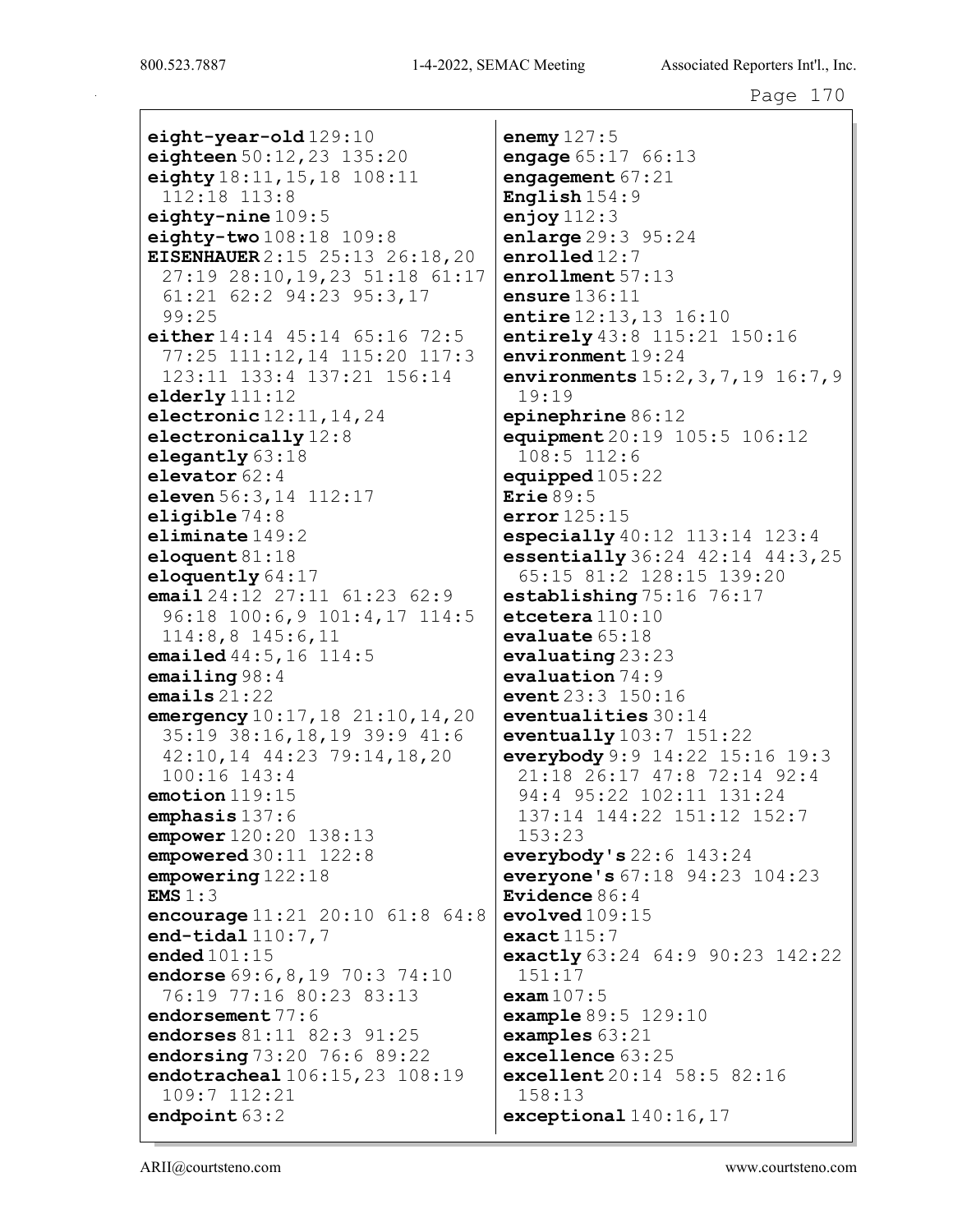eight-year-old 129:10 eighteen  $50:12,23$   $135:20$ eighty  $18:11, 15, 18$   $108:11$ 112:18 113:8 eighty-nine  $109:5$ eighty-two  $108:18$   $109:8$ **EISENHAUER** 2:15 25:13 26:18,20 27:19 28:10, 19, 23 51:18 61:17 61:21 62:2 94:23 95:3,17  $99:25$ either  $14:14$   $45:14$   $65:16$   $72:5$ 77:25 111:12,14 115:20 117:3 123:11 133:4 137:21 156:14 elderly  $111:12$ electronic  $12:11, 14, 24$ electronically  $12:8$ elegantly 63:18 elevator  $62:4$ eleven  $56:3, 14$   $112:17$ eligible  $74:8$ eliminate  $149:2$ eloquent  $81:18$ eloquently  $64:17$ email  $24:12$   $27:11$   $61:23$   $62:9$ 96:18 100:6, 9 101:4, 17 114:5  $114:8,8$   $145:6,11$ emailed  $44:5, 16$   $114:5$  $emailing 98:4$ emails  $21:22$ emergency 10:17, 18 21:10, 14, 20 35:19 38:16,18,19 39:9 41:6 42:10,14 44:23 79:14,18,20  $100:16$   $143:4$  $emotion$  119:15 emphasis 137:6 empower  $120:20$   $138:13$ empowered  $30:11$   $122:8$  $empowering 122:18$  $EMS 1:3$ encourage 11:21 20:10 61:8 64:8 end-tidal $110:7.7$ ended  $101:15$ endorse 69: 6, 8, 19 70: 3 74: 10 76:19 77:16 80:23 83:13 endorsement  $77:6$ endorses 81:11 82:3 91:25 endorsing 73:20 76:6 89:22 endotracheal 106:15, 23 108:19 109:7 112:21 endpoint  $63:2$ 

enemy  $127:5$ engage  $65:17$   $66:13$ engagement  $67:21$ English $154:9$ enjoy  $112:3$ enlarge  $29:3$   $95:24$ enrolled $12:7$  $enrollment 57:13$ ensure  $136:11$ entire 12:13, 13 16:10 entirely 43:8 115:21 150:16 environment $19:24$ environments 15:2, 3, 7, 19 16:7, 9  $19:19$  $e$ pinephrine 86:12 equipment 20:19 105:5 106:12  $108:5$   $112:6$ equipped  $105:22$ Erie  $89:5$  $error 125:15$ especially  $40:12$   $113:14$   $123:4$ essentially 36:24 42:14 44:3, 25 65:15 81:2 128:15 139:20 establishing 75:16 76:17  $\texttt{etcetera110:10}$  $evaluate 65:18$  $evaluating 23:23$ evaluation  $74:9$ event  $23:3$   $150:16$  $eventualities 30:14$ eventually  $103:7$   $151:22$ everybody 9:9 14:22 15:16 19:3 21:18 26:17 47:8 72:14 92:4 94:4 95:22 102:11 131:24 137:14 144:22 151:12 152:7  $153:23$ everybody's  $22:6$  143:24 everyone's  $67:18$  94:23  $104:23$ Evidence  $86:4$  $evolved109:15$  $exact115:7$ exactly  $63:24$   $64:9$   $90:23$   $142:22$  $151:17$ exam  $107:5$ **example**  $89:5$   $129:10$  $\texttt{examples} 63:21$  $\epsilon$ xcellence  $63:25$ excellent 20:14 58:5 82:16  $158:13$  $exceptional 140:16,17$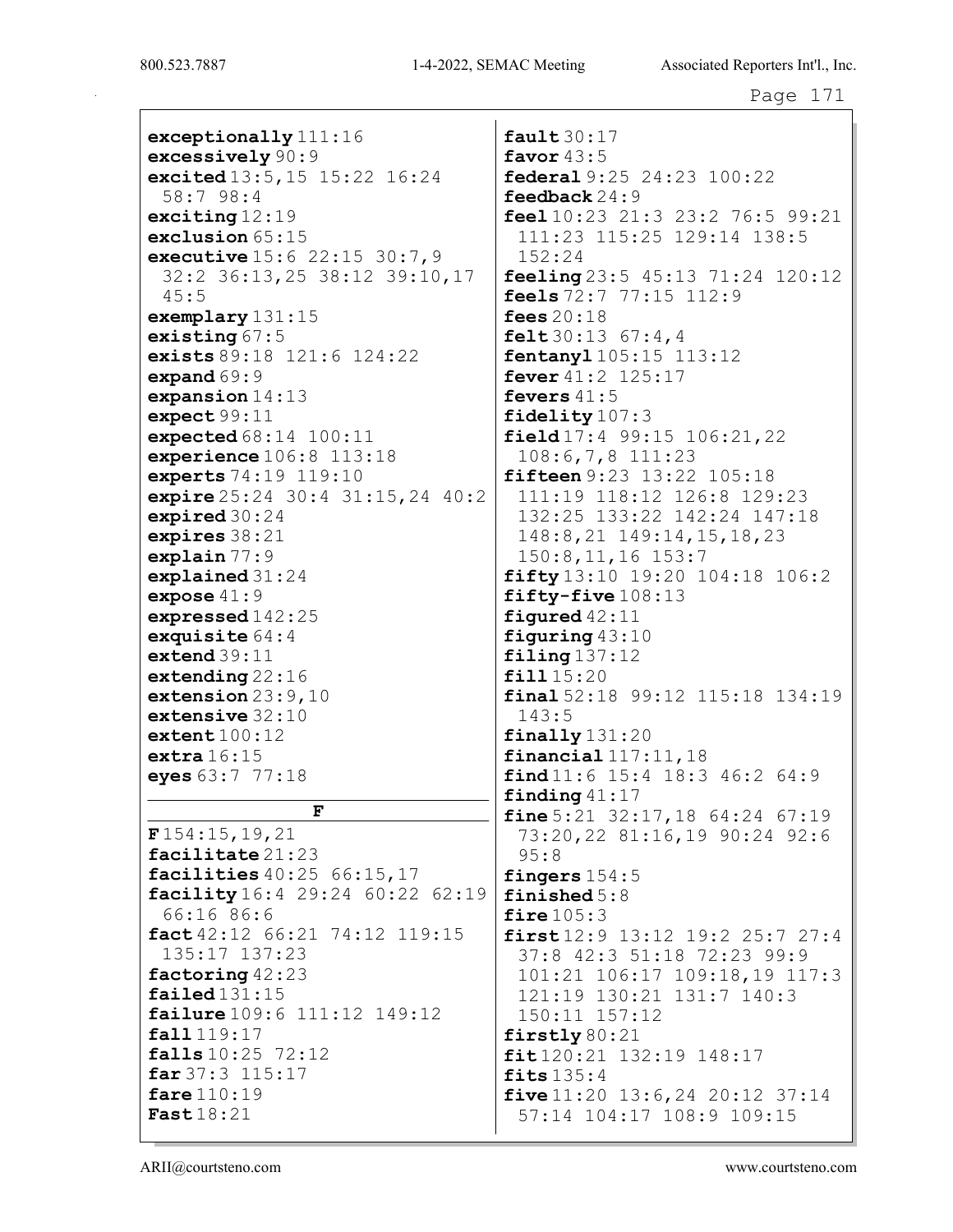exceptionally 111:16 excessively 90:9 excited 13:5,15 15:22 16:24 58:7 98:4 exciting 12:19 exclusion 65:15 executive 15:6 22:15 30:7,9 32:2 36:13,25 38:12 39:10,17 45:5 exemplary 131:15 existing 67:5 exists 89:18 121:6 124:22 expand 69:9 expansion 14:13 expect 99:11 expected 68:14 100:11 experience 106:8 113:18 experts 74:19 119:10 expire 25:24 30:4 31:15,24 40:2 expired 30:24 expires 38:21 explain 77:9 explained 31:24 expose 41:9 expressed 142:25 exquisite  $64:4$ extend 39:11 extending 22:16 extension 23:9,10 extensive 32:10 extent 100:12 extra  $16:15$ eyes 63:7 77:18 F F 154:15,19,21 facilitate 21:23 facilities 40:25 66:15,17 facility 16:4 29:24 60:22 62:19 66:16 86:6 fact 42:12 66:21 74:12 119:15 135:17 137:23 factoring 42:23 failed 131:15 failure 109:6 111:12 149:12 fall 119:17 falls 10:25 72:12 far 37:3 115:17 fare 110:19 Fast 18:21

fault  $30:17$ favor  $43:5$ federal 9:25 24:23 100:22 feedback 24:9 feel 10:23 21:3 23:2 76:5 99:21 111:23 115:25 129:14 138:5 152:24 feeling  $23:5$   $45:13$   $71:24$   $120:12$ feels 72:7 77:15 112:9 fees  $20:18$ felt  $30:13$   $67:4,4$ fentanyl 105:15 113:12 fever  $41:2$  125:17 fevers 41:5 fidelity 107:3 field 17:4 99:15 106:21,22 108:6,7,8 111:23 fifteen 9:23 13:22 105:18 111:19 118:12 126:8 129:23 132:25 133:22 142:24 147:18 148:8,21 149:14,15,18,23 150:8,11,16 153:7 fifty 13:10 19:20 104:18 106:2 fifty-five 108:13 figured 42:11 figuring 43:10 filing 137:12 fill 15:20 final 52:18 99:12 115:18 134:19 143:5 finally 131:20 financial 117:11,18  $final 11:6 15:4 18:3 46:2 64:9$ finding  $41:17$ fine 5:21 32:17, 18 64:24 67:19 73:20,22 81:16,19 90:24 92:6 95:8 fingers 154:5 finished 5:8 fire  $105:3$  $first 12:9 13:12 19:2 25:7 27:4$ 37:8 42:3 51:18 72:23 99:9 101:21 106:17 109:18,19 117:3 121:19 130:21 131:7 140:3 150:11 157:12 firstly 80:21 fit 120:21 132:19 148:17 fits 135:4 five 11:20 13:6,24 20:12 37:14 57:14 104:17 108:9 109:15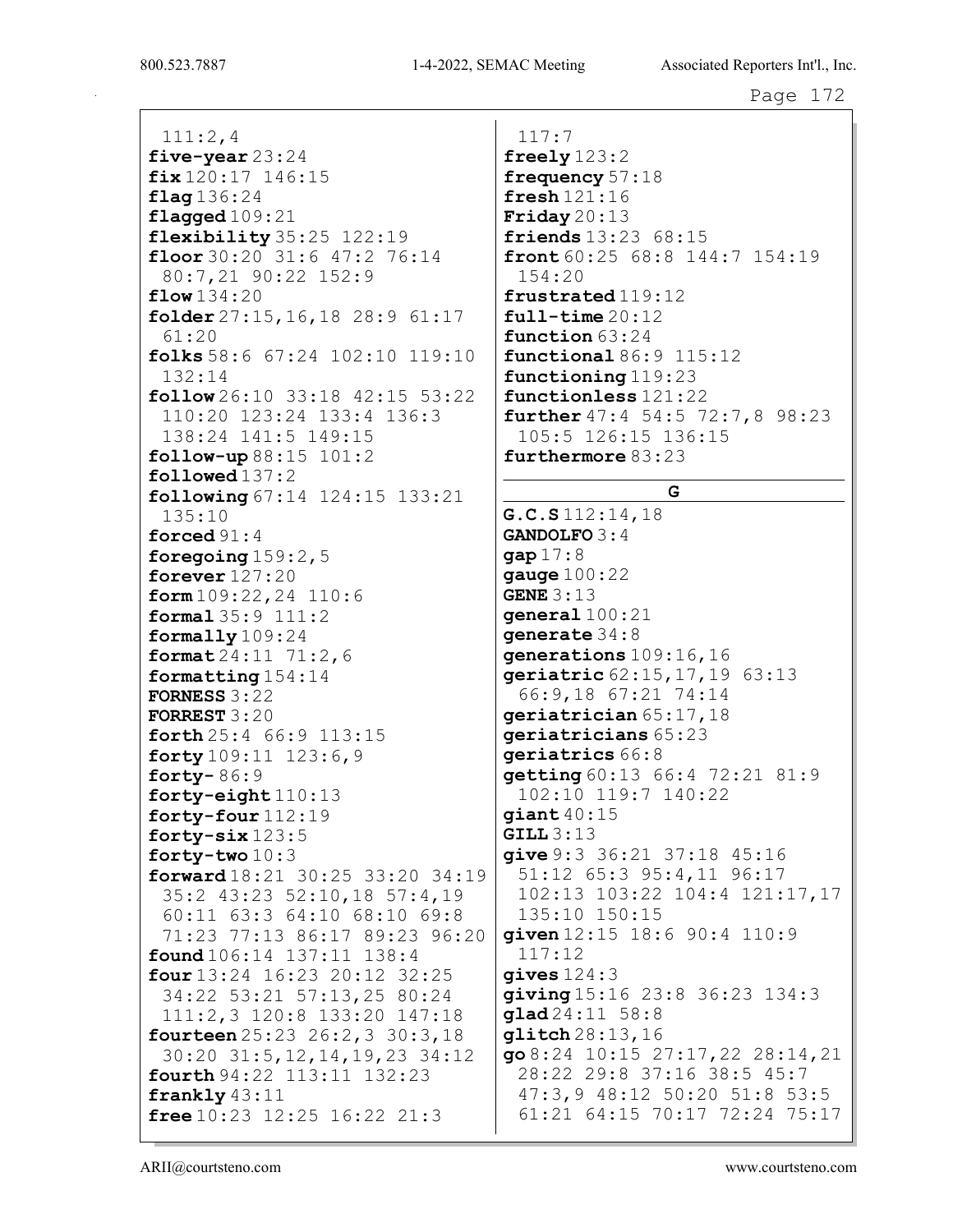$111:2,4$ five-year  $23:24$  $fix$  120:17 146:15  $flaq136:24$  $\texttt{flagged109:21}$ **flexibility**  $35:25$   $122:19$ floor 30:20 31:6 47:2 76:14 80:7,21 90:22 152:9  $flow 134:20$ folder  $27:15, 16, 18$   $28:9$   $61:17$  $61:20$ folks 58:6  $67:24$  102:10 119:10  $132:14$  $\texttt{follow} 26:10$  33:18 42:15 53:22 110:20 123:24 133:4 136:3 138:24 141:5 149:15  $\texttt{follow-up} 88:15 101:2$  $followed 137:2$ following  $67:14$   $124:15$   $133:21$  $135:10$ forced  $91:4$ foregoing  $159:2,5$ forever  $127:20$  $form 109:22, 24 110:6$ formal  $35:9$   $111:2$ formally  $109:24$ format  $24:11$   $71:2$ , 6 formatting  $154:14$ FORNESS  $3:22$ **FORREST**  $3:20$ forth  $25:4$  66:9 113:15 forty  $109:11$   $123:6,9$ forty- $86:9$ forty-eight 110:13 forty-four  $112:19$ forty- $six123:5$ forty-two  $10:3$ forward  $18:21$   $30:25$   $33:20$   $34:19$ 35:2 43:23 52:10,18 57:4,19 60:11 63:3 64:10 68:10 69:8 71:23 77:13 86:17 89:23 96:20  $found 106:14 137:11 138:4$ four  $13:24$   $16:23$   $20:12$   $32:25$ 34:22 53:21 57:13,25 80:24 111:2,3 120:8 133:20 147:18 fourteen  $25:23$   $26:2$ ,  $3$   $30:3$ ,  $18$ 30:20 31:5, 12, 14, 19, 23 34:12 **fourth** 94:22 113:11 132:23 frankly  $43:11$ **free**  $10:23$   $12:25$   $16:22$   $21:3$ 

 $117:7$ freely  $123:2$ frequency  $57:18$  ${\tt fresh}$ 121:16 Friday  $20:13$ **friends**  $13:23$   $68:15$ front  $60:25$   $68:8$   $144:7$   $154:19$  $154:20$ frustrated 119:12  $full-time 20:12$ function  $63:24$ functional  $86:9$   $115:12$ functioning 119:23 functionless 121:22 further  $47:4$  54:5 72:7,8 98:23 105:5 126:15 136:15 furthermore  $83:23$ 

### G.

 $G.C.S.112:14,18$ **GANDOLFO 3:4**  $gap 17:8$ gauge  $100:22$ GENE  $3:13$  $general100:21$ qenerate  $34:8$ generations 109:16,16 geriatric 62:15, 17, 19 63:13 66:9,18 67:21 74:14 qeriatrician 65:17,18 geriatricians 65:23 geriatrics 66:8 qetting  $60:13$   $66:4$   $72:21$   $81:9$ 102:10 119:7 140:22  $qiant\,40:15$  $GILL3:13$ give 9:3 36:21 37:18 45:16 51:12 65:3 95:4,11 96:17 102:13 103:22 104:4 121:17,17 135:10 150:15 given 12:15 18:6 90:4 110:9  $117:12$  $qives 124:3$ giving 15:16 23:8 36:23 134:3  $qlad24:11 58:8$ glitch 28:13,16  $qo8:24$  10:15 27:17, 22 28:14, 21 28:22 29:8 37:16 38:5 45:7 47:3,9 48:12 50:20 51:8 53:5 61:21 64:15 70:17 72:24 75:17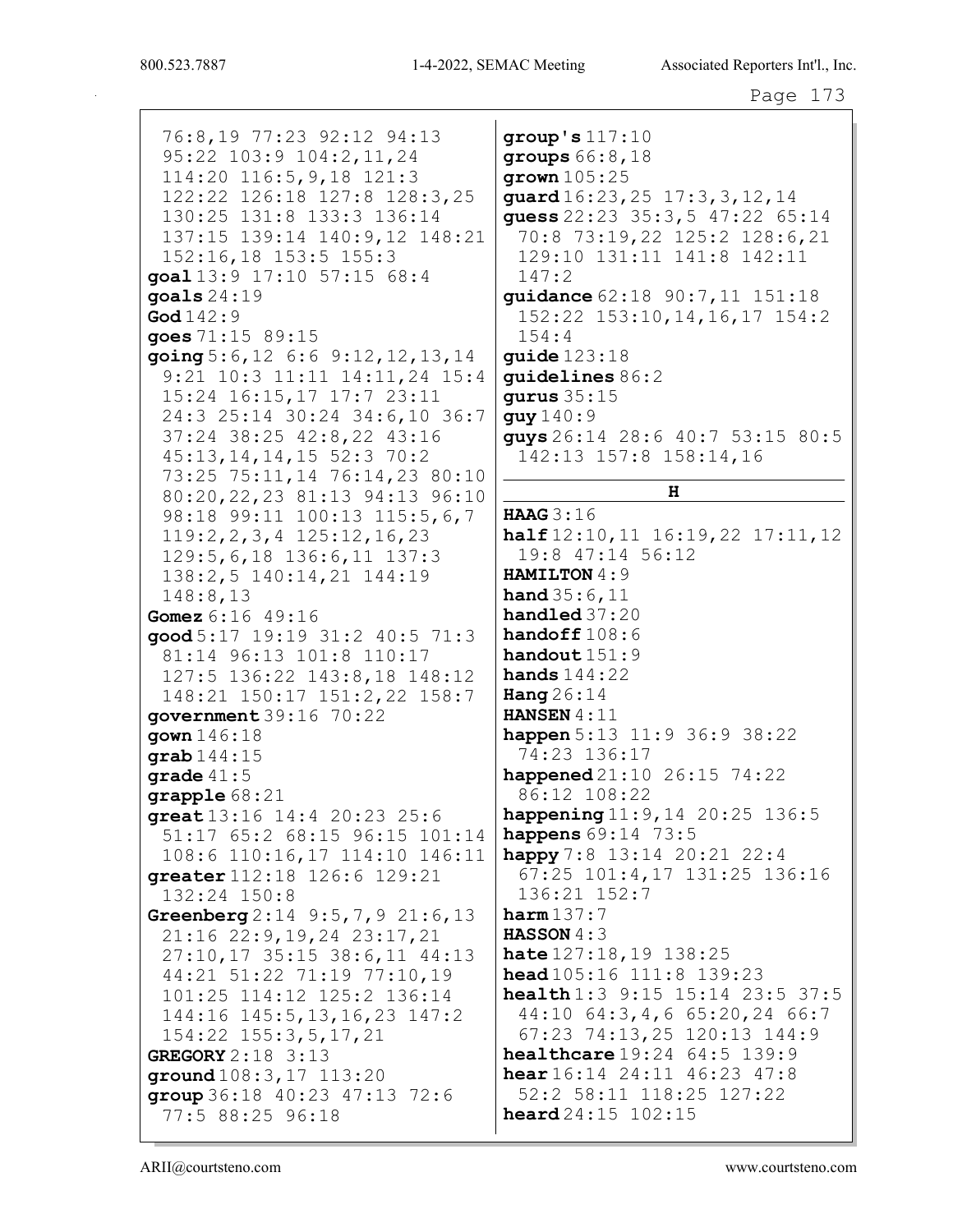76:8,19 77:23 92:12 94:13 95:22 103:9 104:2, 11, 24  $114:20$   $116:5,9,18$   $121:3$ 122:22 126:18 127:8 128:3,25 130:25 131:8 133:3 136:14 137:15 139:14 140:9,12 148:21 152:16,18 153:5 155:3  $\text{goal} 13:9 17:10 57:15 68:4$  $147:2$ goals  $24:19$  $\text{God } 142:9$ goes 71:15 89:15  $154:4$ going  $5:6, 12 \ 6:6 \ 9:12, 12, 13, 14$ 9:21 10:3 11:11 14:11,24 15:4 15:24 16:15,17 17:7 23:11 24:3 25:14 30:24 34:6,10 36:7 quy  $140:9$ 37:24 38:25 42:8,22 43:16 45:13, 14, 14, 15 52:3 70:2 73:25 75:11,14 76:14,23 80:10 80:20, 22, 23 81:13 94:13 96:10 98:18 99:11 100:13 115:5,6,7 HAAG 3:16  $119:2, 2, 3, 4$   $125:12, 16, 23$ 129:5, 6, 18 136: 6, 11 137: 3 138:2,5 140:14,21 144:19  $148:8,13$ Gomez 6:16 49:16  $\texttt{good} 5:17 19:19 31:2 40:5 71:3$ 81:14 96:13 101:8 110:17 127:5 136:22 143:8,18 148:12 Hang  $26:14$ 148:21 150:17 151:2,22 158:7 government  $39:16$   $70:22$ gown 146:18 qrab $144:15$ qrade  $41:5$ grapple  $68:21$ qreat  $13:16$   $14:4$   $20:23$   $25:6$ 51:17 65:2 68:15 96:15 101:14 108:6 110:16,17 114:10 146:11 greater 112:18 126:6 129:21 132:24 150:8 Greenberg  $2:14$  9:5, 7, 9 21:6, 13  $harm137:7$ **HASSON**  $4:3$ 21:16 22:9,19,24 23:17,21  $27:10, 17$  35:15 38:6,11 44:13 44:21 51:22 71:19 77:10,19 101:25 114:12 125:2 136:14 144:16 145:5, 13, 16, 23 147:2 154:22 155:3,5,17,21 GREGORY  $2:18$  3:13 ground 108:3, 17 113:20 group 36:18 40:23 47:13 72:6 77:5 88:25 96:18

 $group's 117:10$  $qroups 66:8,18$  $qrown 105:25$ guard 16:23, 25 17:3, 3, 12, 14 quess  $22:23$   $35:3,5$   $47:22$   $65:14$ 70:8 73:19,22 125:2 128:6,21 129:10 131:11 141:8 142:11 guidance 62:18 90:7, 11 151:18 152:22 153:10, 14, 16, 17 154:2 **guide** 123:18 quidelines  $86:2$ **gurus** 35:15 guys 26:14 28:6 40:7 53:15 80:5 142:13 157:8 158:14,16  $H$  $half 12:10, 11 16:19, 22 17:11, 12$ 19:8 47:14 56:12 HAMILTON 4:9 **hand**  $35:6,11$  $handled 37:20$ handoff  $108:6$ handout 151:9 hands  $144:22$ **HANSEN**  $4:11$ happen 5:13 11:9 36:9 38:22 74:23 136:17 happened  $21:10$   $26:15$   $74:22$ 86:12 108:22 happening  $11:9, 14$  20:25 136:5 **happens**  $69:14$  73:5 happy 7:8  $13:14$  20:21 22:4 67:25 101:4,17 131:25 136:16 136:21 152:7 hate 127:18, 19 138:25 head 105:16 111:8 139:23 health 1:3 9:15 15:14 23:5 37:5  $44:10$  64:3,4,6 65:20,24 66:7 67:23 74:13,25 120:13 144:9 healthcare 19:24 64:5 139:9 hear 16:14 24:11 46:23 47:8 52:2 58:11 118:25 127:22 **heard**  $24:15$   $102:15$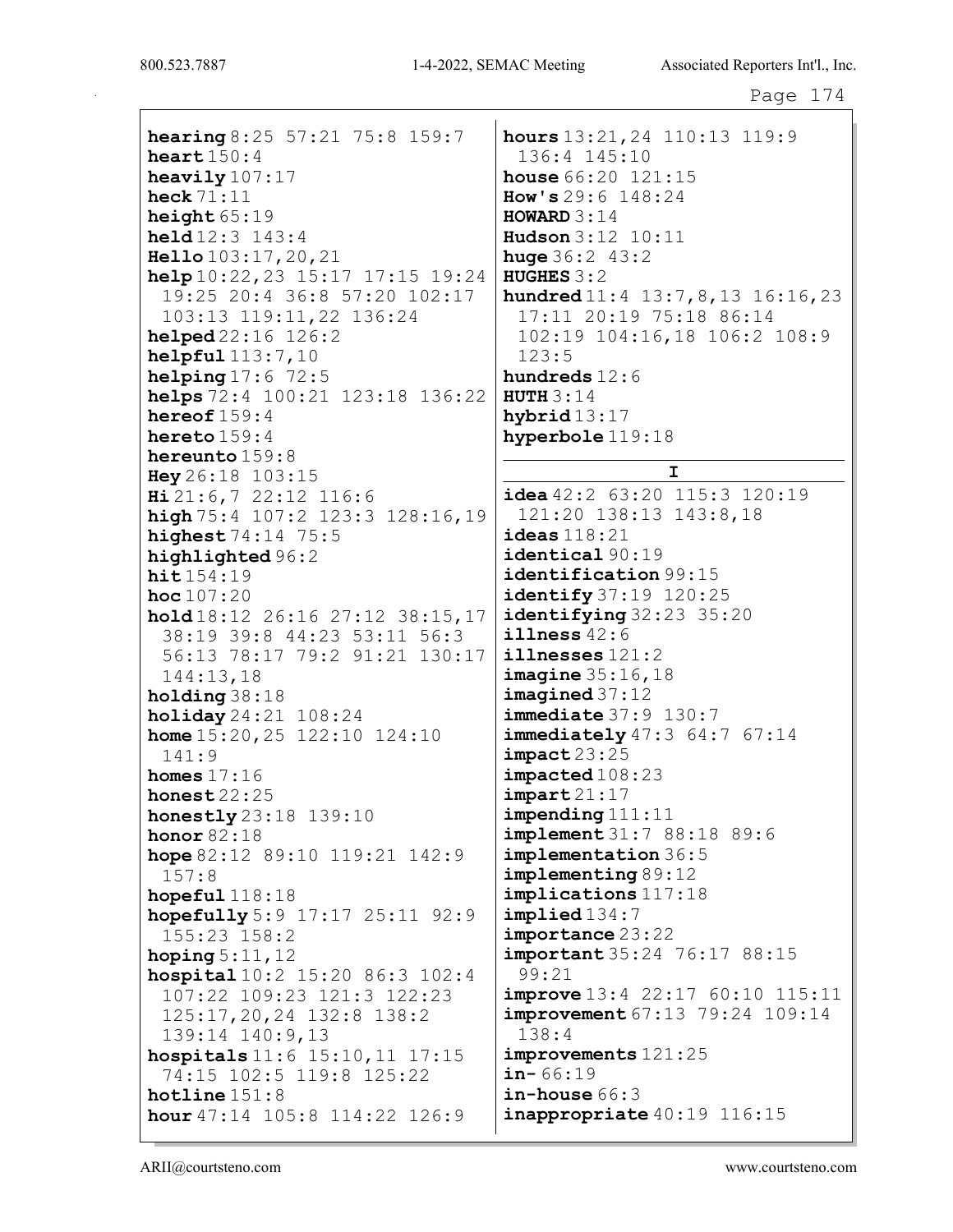Page 174

hearing 8:25 57:21 75:8 159:7 heart  $150:4$ heavily 107:17 heck 71:11 height  $65:19$ held 12:3 143:4 Hello 103:17,20,21 help 10:22,23 15:17 17:15 19:24 19:25 20:4 36:8 57:20 102:17 103:13 119:11,22 136:24 helped 22:16 126:2 helpful 113:7,10 helping 17:6 72:5 helps 72:4 100:21 123:18 136:22 hereof 159:4 hereto 159:4 hereunto 159:8 Hey 26:18 103:15 Hi 21:6,7 22:12 116:6 high 75:4 107:2 123:3 128:16,19 highest 74:14 75:5 highlighted 96:2 hit  $154:19$ hoc  $107:20$ hold 18:12 26:16 27:12 38:15,17 38:19 39:8 44:23 53:11 56:3 56:13 78:17 79:2 91:21 130:17 144:13,18 holding 38:18 holiday 24:21 108:24 home 15:20,25 122:10 124:10 141:9 homes  $17:16$ honest 22:25 honestly 23:18 139:10 honor 82:18 hope 82:12 89:10 119:21 142:9 157:8 hopeful  $118:18$ hopefully 5:9 17:17 25:11 92:9 155:23 158:2 hoping  $5:11,12$ hospital 10:2 15:20 86:3 102:4 107:22 109:23 121:3 122:23 125:17,20,24 132:8 138:2 139:14 140:9,13 hospitals 11:6 15:10,11 17:15 74:15 102:5 119:8 125:22 hotline 151:8 hour 47:14 105:8 114:22 126:9

hours 13:21,24 110:13 119:9 136:4 145:10 **house** 66:20 121:15 How's 29:6 148:24  $HOWARD$  3:14 Hudson 3:12 10:11 huge 36:2 43:2 HUGHES 3:2 hundred 11:4 13:7,8,13 16:16,23 17:11 20:19 75:18 86:14 102:19 104:16,18 106:2 108:9 123:5 hundreds 12:6 **HUTH 3:14** hybrid 13:17 hyperbole 119:18 I  $i$ dea  $42:2$  63:20 115:3 120:19 121:20 138:13 143:8,18 ideas 118:21 identical 90:19 identification 99:15 identify 37:19 120:25 identifying 32:23 35:20 illness 42:6 illnesses 121:2 **imagine** 35:16,18 imagined 37:12 **immediate** 37:9 130:7 **immediately** 47:3 64:7 67:14  $impack$  23:25 impacted 108:23  $\texttt{import 21:17}$ impending 111:11 implement 31:7 88:18 89:6 implementation 36:5 implementing 89:12 implications 117:18 implied 134:7 importance 23:22 important 35:24 76:17 88:15 99:21 **improve** 13:4 22:17 60:10 115:11 improvement 67:13 79:24 109:14 138:4 improvements 121:25  $in-66:19$ in-house 66:3 inappropriate  $40:19$  116:15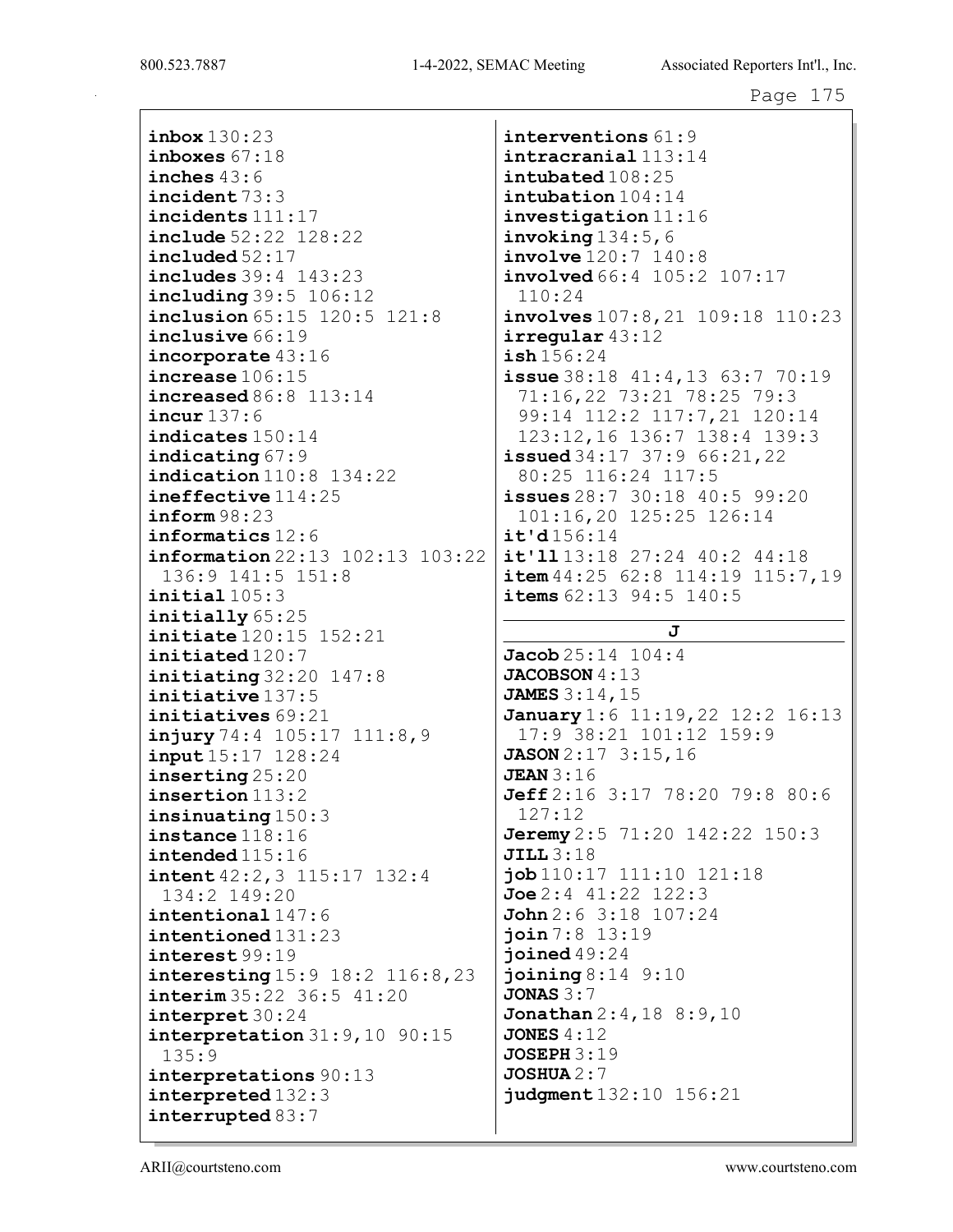inbox 130:23 inboxes 67:18 inches 43:6 incident 73:3 incidents 111:17 include 52:22 128:22 included 52:17 includes 39:4 143:23 including 39:5 106:12 inclusion 65:15 120:5 121:8 inclusive 66:19 incorporate 43:16 increase 106:15 increased 86:8 113:14 incur 137:6 indicates 150:14 indicating 67:9 indication 110:8 134:22 ineffective 114:25 inform 98:23 informatics 12:6 information 22:13 102:13 103:22 136:9 141:5 151:8 initial 105:3 initially 65:25 initiate 120:15 152:21 initiated 120:7  $initiating 32:20 147:8$ initiative 137:5 initiatives 69:21 injury 74:4 105:17 111:8,9 input 15:17 128:24 inserting 25:20 insertion 113:2 insinuating 150:3 instance 118:16 intended 115:16 intent 42:2,3 115:17 132:4 134:2 149:20 intentional 147:6 intentioned 131:23 interest 99:19 interesting 15:9 18:2 116:8,23 interim 35:22 36:5 41:20 interpret 30:24 interpretation 31:9,10 90:15 135:9 interpretations 90:13 interpreted 132:3 interrupted 83:7

interventions 61:9 intracranial 113:14 intubated 108:25 intubation 104:14 investigation 11:16  $invoking 134:5,6$ involve 120:7 140:8 involved 66:4 105:2 107:17 110:24 involves 107:8,21 109:18 110:23 irregular 43:12 ish 156:24 issue 38:18 41:4,13 63:7 70:19 71:16,22 73:21 78:25 79:3 99:14 112:2 117:7,21 120:14 123:12,16 136:7 138:4 139:3 **issued** 34:17 37:9 66:21, 22 80:25 116:24 117:5 issues 28:7 30:18 40:5 99:20 101:16,20 125:25 126:14 it'd 156:14 it'll 13:18 27:24 40:2 44:18  $item 44:25 62:8 114:19 115:7,19$  $i$ tems  $62:13$  94:5  $140:5$ J  $Jacob 25:14 104:4$ JACOBSON  $4:13$ JAMES 3:14,15 **January** 1:6 11:19, 22 12:2 16:13 17:9 38:21 101:12 159:9 JASON 2:17 3:15,16 **JEAN** 3:16 Jeff 2:16 3:17 78:20 79:8 80:6 127:12 **Jeremy** 2:5 71:20 142:22 150:3 JILL 3:18 job 110:17 111:10 121:18 Joe 2:4 41:22 122:3 John 2:6 3:18 107:24 join 7:8 13:19 joined 49:24 joining 8:14 9:10 JONAS 3:7 Jonathan 2:4,18 8:9,10 **JONES 4:12** JOSEPH 3:19  $JOSHUA 2:7$ judgment 132:10 156:21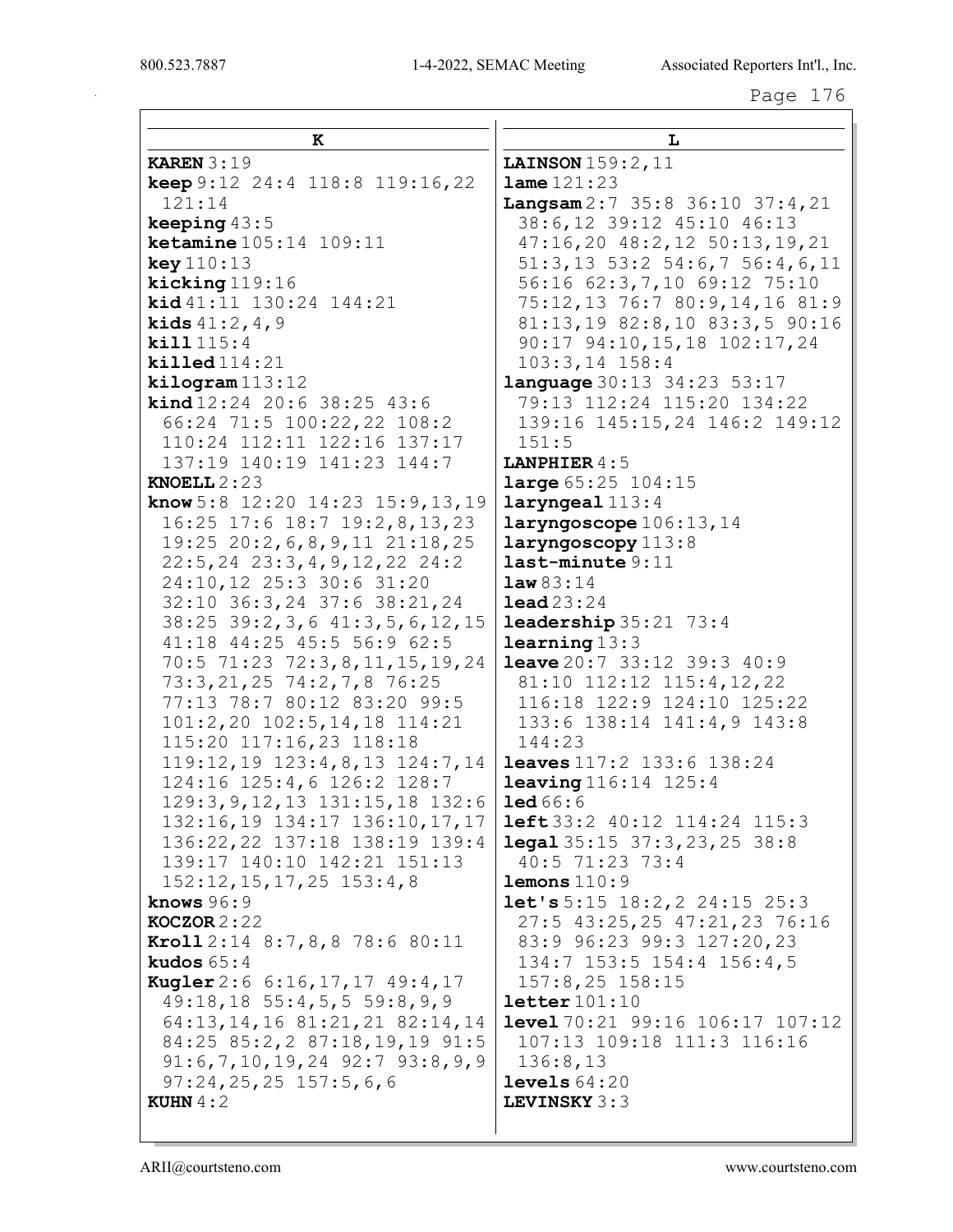| к                                                                 | L                                                                      |
|-------------------------------------------------------------------|------------------------------------------------------------------------|
| <b>KAREN</b> $3:19$                                               | LAINSON 159:2, 11                                                      |
| keep 9:12 24:4 118:8 119:16,22                                    | $1$ ame $121:23$                                                       |
| 121:14                                                            | $\texttt{Langsam}$ 2:7 35:8 36:10 37:4, 21                             |
| keeping $43:5$                                                    | 38:6,12 39:12 45:10 46:13                                              |
| <b>ketamine</b> $105:14$ $109:11$                                 | $47:16,20$ $48:2,12$ $50:13,19,21$                                     |
| <b>key</b> 110:13                                                 | $51:3, 13$ $53:2$ $54:6, 7$ $56:4, 6, 11$                              |
| kicking 119:16                                                    | 56:16 62:3, 7, 10 69:12 75:10                                          |
| kid 41:11 130:24 144:21                                           | 75:12,13 76:7 80:9,14,16 81:9                                          |
| <b>kids</b> $41:2, 4, 9$                                          | 81:13,19 82:8,10 83:3,5 90:16                                          |
| kill 115:4                                                        | 90:17 94:10, 15, 18 102:17, 24                                         |
| $\text{killed}114:21$                                             | $103:3, 14$ $158:4$                                                    |
| $\texttt{kilogram}$ 113:12<br><b>kind</b> $12:24$ 20:6 38:25 43:6 | <b>language</b> 30:13 34:23 53:17<br>79:13 112:24 115:20 134:22        |
| 66:24 71:5 100:22,22 108:2                                        | 139:16 145:15,24 146:2 149:12                                          |
| 110:24 112:11 122:16 137:17                                       | 151:5                                                                  |
| 137:19 140:19 141:23 144:7                                        | <b>LANPHIER</b> $4:5$                                                  |
| KNOELL $2:23$                                                     | large 65:25 104:15                                                     |
| <b>know</b> 5:8 12:20 14:23 15:9, 13, 19                          | $laryngeal$ $113:4$                                                    |
| 16:25 17:6 18:7 19:2,8,13,23                                      | laryngoscope 106:13, 14                                                |
| 19:25 20:2, 6, 8, 9, 11 21:18, 25                                 | laryngoscopy 113:8                                                     |
| $22:5, 24$ $23:3, 4, 9, 12, 22$ $24:2$                            | $last$ -minute $9:11$                                                  |
| 24:10,12 25:3 30:6 31:20                                          | law83:14                                                               |
| 32:10 36:3,24 37:6 38:21,24                                       | $\texttt{lead}23:24$                                                   |
| 38:25 39:2, 3, 6 41:3, 5, 6, 12, 15<br>41:18 44:25 45:5 56:9 62:5 | $\texttt{leadership} 35:21 \quad 73:4$<br>learning13:3                 |
| 70:5 71:23 72:3,8,11,15,19,24                                     | <b>leave</b> $20:7$ 33:12 39:3 40:9                                    |
| 73:3, 21, 25 74:2, 7, 8 76:25                                     | 81:10 112:12 115:4,12,22                                               |
| 77:13 78:7 80:12 83:20 99:5                                       | 116:18 122:9 124:10 125:22                                             |
| 101:2,20 102:5,14,18 114:21                                       | 133:6 138:14 141:4,9 143:8                                             |
| 115:20 117:16,23 118:18                                           | 144:23                                                                 |
| 119:12, 19 123:4, 8, 13 124:7, 14                                 | <b>leaves</b> 117:2 133:6 138:24                                       |
| 124:16 125:4,6 126:2 128:7                                        | <b>leaving</b> $116:14$ $125:4$                                        |
| 129:3, 9, 12, 13 131: 15, 18 132: 6                               | $\text{1ed }66:6$                                                      |
| 132:16,19 134:17 136:10,17,17                                     | <b>left</b> 33:2 40:12 114:24 115:3                                    |
| 136:22, 22 137:18 138:19 139:4<br>139:17 140:10 142:21 151:13     | $\texttt{legal } 35:15 \quad 37:3,23,25 \quad 38:8$<br>40:5 71:23 73:4 |
| $152:12, 15, 17, 25$ $153:4, 8$                                   | $1$ emons $110:9$                                                      |
| knows $96:9$                                                      | <b>let's</b> 5:15 18:2, 2 24:15 25:3                                   |
| $KOCZOR 2:22$                                                     | 27:5 43:25,25 47:21,23 76:16                                           |
| <b>Kroll</b> $2:14$ $8:7,8,8$ 78:6 80:11                          | 83:9 96:23 99:3 127:20,23                                              |
| kudos $65:4$                                                      | 134:7 153:5 154:4 156:4,5                                              |
| Kugler 2:6 6:16, 17, 17 49:4, 17                                  | 157:8,25 158:15                                                        |
| $49:18, 18$ 55:4,5,5 59:8,9,9                                     | letter101:10                                                           |
| 64:13, 14, 16 81:21, 21 82:14, 14                                 | <b>level</b> $70:21$ $99:16$ $106:17$ $107:12$                         |
| 84:25 85:2,2 87:18,19,19 91:5                                     | 107:13 109:18 111:3 116:16                                             |
| $91:6,7,10,19,24$ $92:7$ $93:8,9,9$<br>$97:24,25,25$ 157:5,6,6    | 136:8,13<br>levels $64:20$                                             |
| <b>KUHN</b> $4:2$                                                 | LEVINSKY 3:3                                                           |
|                                                                   |                                                                        |
|                                                                   |                                                                        |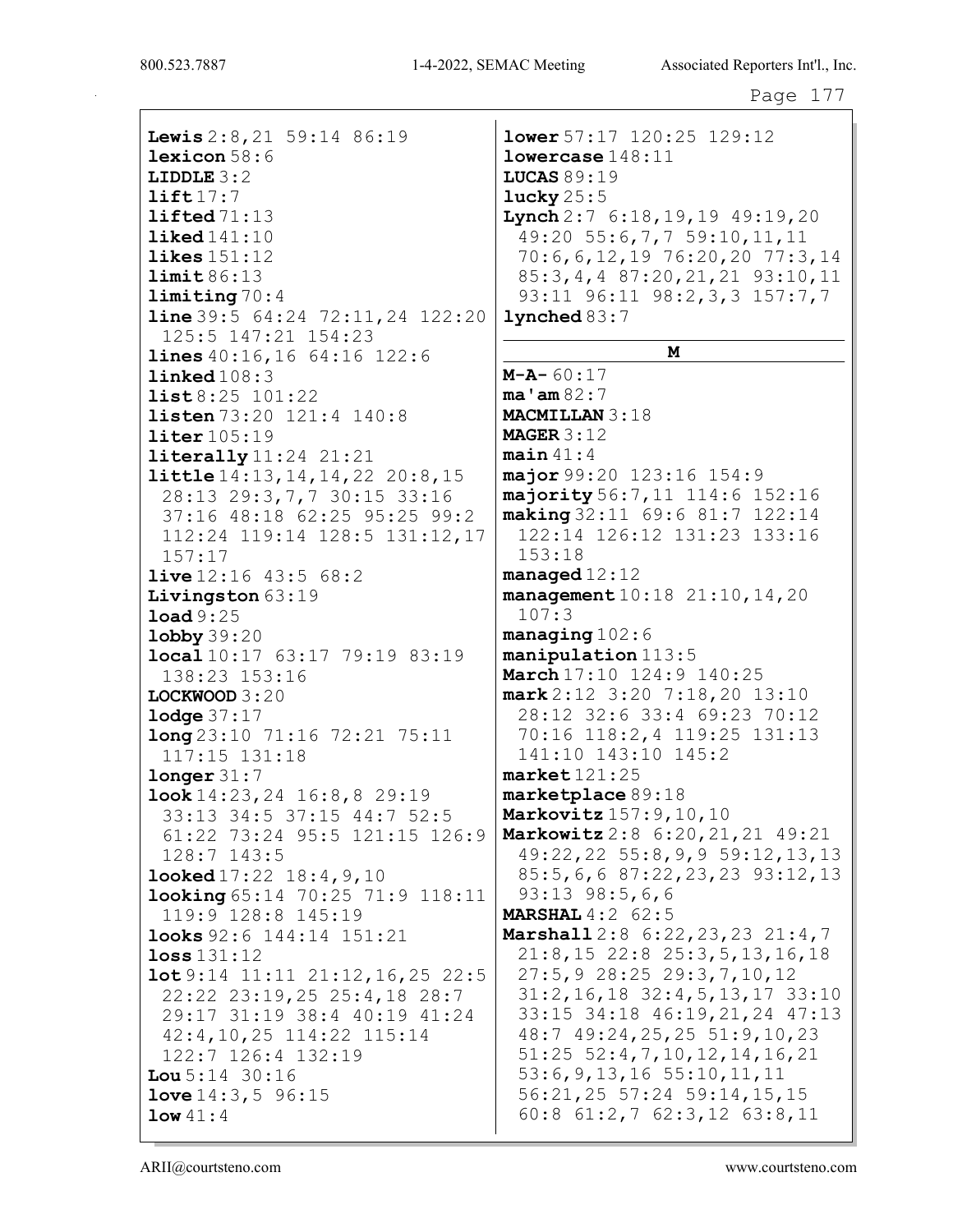800.523.7887 1-4-2022, SEMAC Meeting Associated Reporters Int'l., Inc.

Lewis 2:8, 21 59:14 86:19 lexicon 58:6 LIDDLE 3:2 lift  $17:7$ lifted 71:13 liked 141:10 likes 151:12 limit 86:13 limiting 70:4 line 39:5 64:24 72:11,24 122:20 125:5 147:21 154:23 lines 40:16,16 64:16 122:6 linked 108:3 list 8:25 101:22 1isten 73:20 121:4 140:8 liter 105:19 literally 11:24 21:21 little 14:13,14,14,22 20:8,15 28:13 29:3,7,7 30:15 33:16 37:16 48:18 62:25 95:25 99:2 112:24 119:14 128:5 131:12,17 157:17 live 12:16 43:5 68:2 Livingston 63:19 load 9:25 lobby 39:20 local 10:17 63:17 79:19 83:19 138:23 153:16 LOCKWOOD 3:20 **lodge** 37:17 long 23:10 71:16 72:21 75:11 117:15 131:18 longer 31:7 look 14:23,24 16:8,8 29:19 33:13 34:5 37:15 44:7 52:5 61:22 73:24 95:5 121:15 126:9 128:7 143:5 looked 17:22 18:4,9,10 looking 65:14 70:25 71:9 118:11 119:9 128:8 145:19 looks 92:6 144:14 151:21 loss 131:12 lot 9:14 11:11 21:12,16,25 22:5 22:22 23:19,25 25:4,18 28:7 29:17 31:19 38:4 40:19 41:24 42:4,10,25 114:22 115:14 122:7 126:4 132:19 Lou 5:14 30:16 love 14:3,5 96:15 low 41:4

lower 57:17 120:25 129:12 lowercase 148:11 LUCAS  $89:19$ lucky  $25:5$ Lynch 2:7 6:18, 19, 19 49:19, 20 49:20 55:6,7,7 59:10,11,11 70:6,6,12,19 76:20,20 77:3,14 85:3,4,4 87:20,21,21 93:10,11 93:11 96:11 98:2,3,3 157:7,7 lynched 83:7 M M-A- 60:17 ma'am 82:7 MACMILLAN 3:18 MAGER 3:12  $main 41:4$ major 99:20 123:16 154:9 majority 56:7,11 114:6 152:16 making 32:11 69:6 81:7 122:14 122:14 126:12 131:23 133:16 153:18 managed 12:12 management 10:18 21:10,14,20 107:3 managing 102:6 manipulation 113:5 March 17:10 124:9 140:25 mark 2:12 3:20 7:18,20 13:10 28:12 32:6 33:4 69:23 70:12 70:16 118:2,4 119:25 131:13 141:10 143:10 145:2 market 121:25 marketplace 89:18 Markovitz 157:9,10,10 Markowitz 2:8 6:20,21,21 49:21 49:22,22 55:8,9,9 59:12,13,13 85:5,6,6 87:22,23,23 93:12,13 93:13 98:5,6,6 **MARSHAL** 4:2 62:5 Marshall 2:8 6:22, 23, 23 21:4, 7 21:8,15 22:8 25:3,5,13,16,18 27:5,9 28:25 29:3,7,10,12 31:2,16,18 32:4,5,13,17 33:10 33:15 34:18 46:19,21,24 47:13 48:7 49:24,25,25 51:9,10,23 51:25 52:4,7,10,12,14,16,21 53:6,9,13,16 55:10,11,11 56:21,25 57:24 59:14,15,15 60:8 61:2,7 62:3,12 63:8,11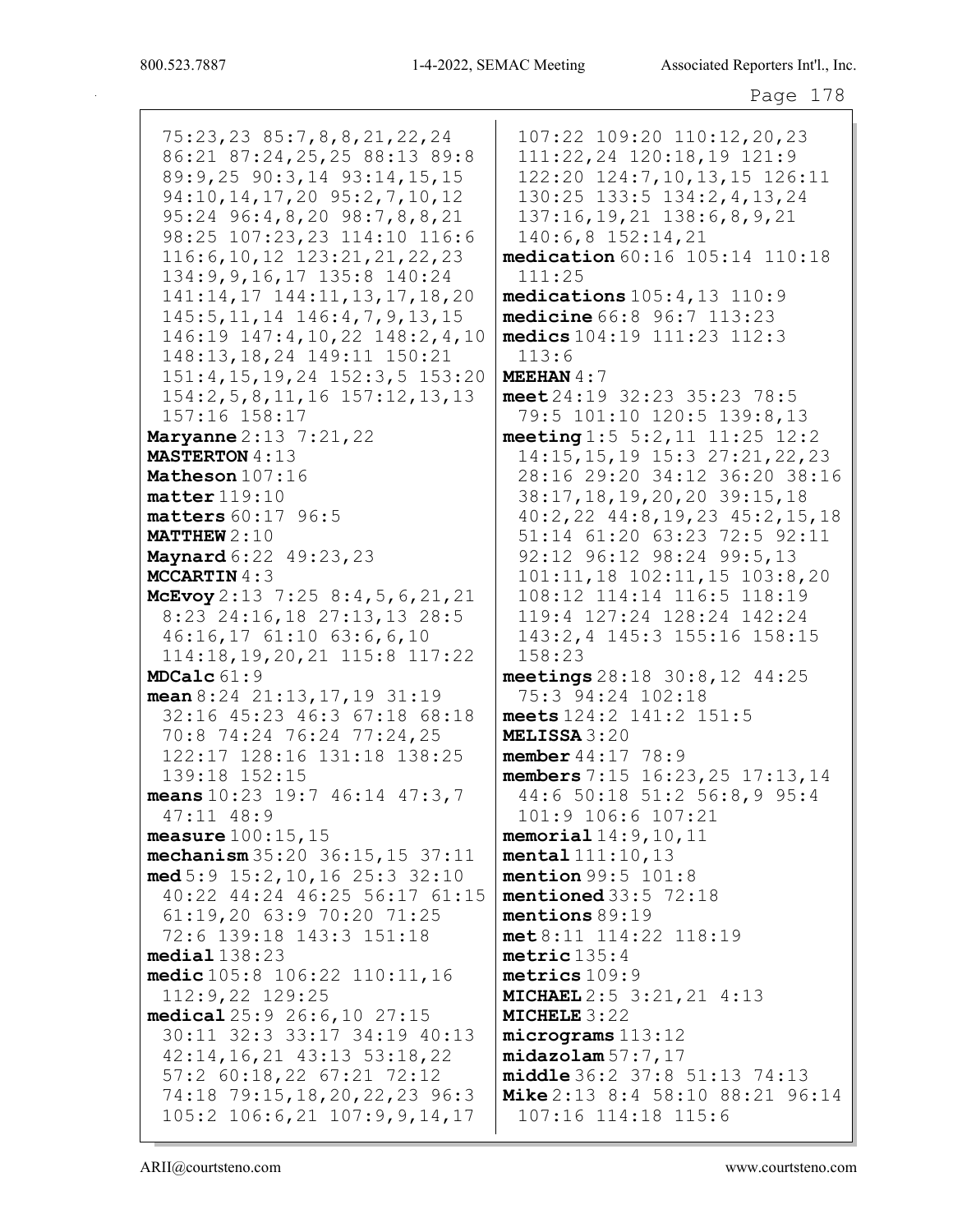75:23,23 85:7,8,8,21,22,24 86:21 87:24,25,25 88:13 89:8 89:9,25 90:3,14 93:14,15,15 94:10, 14, 17, 20 95: 2, 7, 10, 12 95:24 96:4,8,20 98:7,8,8,21 98:25 107:23,23 114:10 116:6 116:6, 10, 12 123:21, 21, 22, 23 134: 9, 9, 16, 17 135: 8 140: 24 141:14, 17 144:11, 13, 17, 18, 20 145:5, 11, 14 146:4, 7, 9, 13, 15 146:19 147:4,10,22 148:2,4,10 148:13,18,24 149:11 150:21 151:4, 15, 19, 24 152:3, 5 153:20  $154:2, 5, 8, 11, 16$   $157:12, 13, 13$ 157:16 158:17 **Maryanne** 2:13 7:21, 22 **MASTERTON 4:13** Matheson  $107:16$  $\texttt{matter}$  119:10  $matters 60:17 96:5$ **MATTHEW**  $2:10$ Maynard 6:22 49:23, 23 **MCCARTIN** $4:3$ McEvoy 2:13 7:25 8:4, 5, 6, 21, 21 8:23 24:16,18 27:13,13 28:5  $46:16,17$   $61:10$   $63:6,6,10$ 114:18, 19, 20, 21 115:8 117:22 MDCalc 61:9 mean  $8:24$   $21:13$ ,  $17$ ,  $19$   $31:19$ 32:16 45:23 46:3 67:18 68:18 70:8 74:24 76:24 77:24,25 122:17 128:16 131:18 138:25 139:18 152:15 means  $10:23$  19:7 46:14 47:3,7  $47:11$   $48:9$ measure  $100:15$ ,  $15$ mechanism  $35:20$   $36:15$ ,  $15$   $37:11$  $med\,5:9\,15:2,10,16\,25:3\,32:10$ 40:22 44:24 46:25 56:17 61:15 61:19,20 63:9 70:20 71:25 72:6 139:18 143:3 151:18  $median138:23$ medic 105:8 106:22 110:11, 16  $112:9,22$   $129:25$ medical 25:9 26:6,10 27:15 30:11 32:3 33:17 34:19 40:13 42:14, 16, 21 43:13 53:18, 22 57:2 60:18,22 67:21 72:12 74:18 79:15, 18, 20, 22, 23 96:3 105:2 106:6,21 107:9,9,14,17

107:22 109:20 110:12,20,23 111:22,24 120:18,19 121:9 122:20 124:7,10,13,15 126:11 130:25 133:5 134:2,4,13,24  $137:16, 19, 21$   $138:6, 8, 9, 21$  $140:6,8$  152:14,21 medication 60:16 105:14 110:18  $111:25$ medications  $105:4, 13$   $110:9$ medicine 66:8 96:7 113:23 medics  $104:19$   $111:23$   $112:3$  $113:6$ MEEHAN  $4:7$ meet  $24:19$  32:23 35:23 78:5 79:5 101:10 120:5 139:8,13 meeting 1:5 5:2, 11 11:25 12:2 14:15, 15, 19 15:3 27:21, 22, 23 28:16 29:20 34:12 36:20 38:16 38:17, 18, 19, 20, 20 39: 15, 18 40:2,22 44:8,19,23 45:2,15,18 51:14 61:20 63:23 72:5 92:11 92:12 96:12 98:24 99:5,13  $101:11,18$   $102:11,15$   $103:8,20$ 108:12 114:14 116:5 118:19 119:4 127:24 128:24 142:24 143:2,4 145:3 155:16 158:15  $158:23$ meetings  $28:18$   $30:8$ ,  $12$   $44:25$ 75:3 94:24 102:18 meets 124:2 141:2 151:5 **MELISSA 3:20** member  $44:17$  78:9 members  $7:15$   $16:23$ ,  $25$   $17:13$ ,  $14$ 44:6 50:18 51:2 56:8,9 95:4 101:9 106:6 107:21 memorial  $14:9, 10, 11$ mental 111:10,13 mention  $99:5$   $101:8$ mentioned  $33:5$   $72:18$ mentions  $89:19$  $met 8:11$  114:22 118:19 metric  $135:4$ metrics 109:9 **MICHAEL** 2:5 3:21, 21 4:13 MICHELE  $3:22$  $micrograms$  113:12  $midazolam 57:7,17$ middle 36:2 37:8 51:13 74:13 Mike 2:13 8:4 58:10 88:21 96:14 107:16 114:18 115:6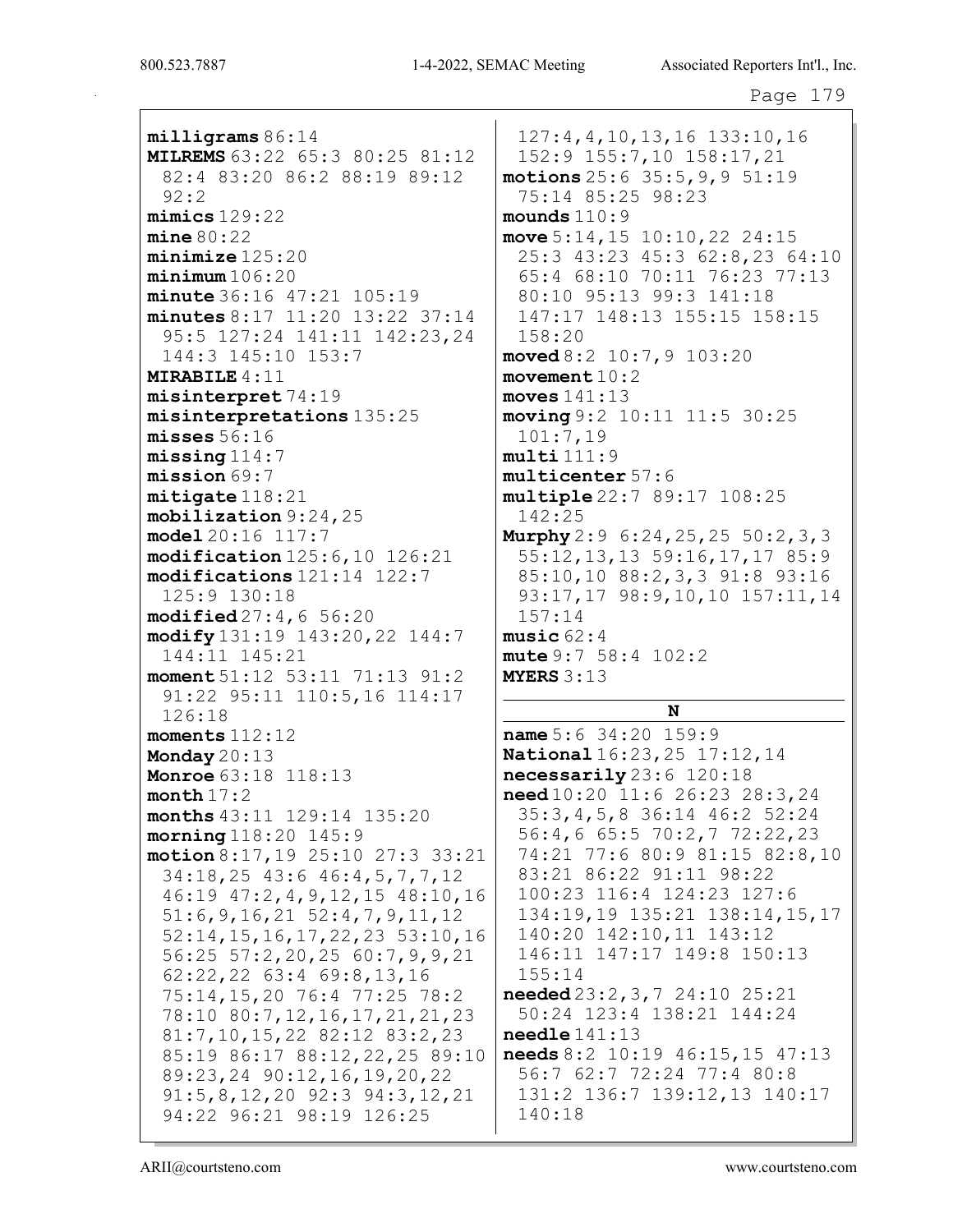milligrams 86:14 MILREMS 63:22 65:3 80:25 81:12 82:4 83:20 86:2 88:19 89:12 92:2 mimics 129:22  $mine 80:22$ minimize 125:20  $minimum 106:20$ minute 36:16 47:21 105:19 minutes 8:17 11:20 13:22 37:14 95:5 127:24 141:11 142:23,24 144:3 145:10 153:7 MIRABILE 4:11 misinterpret 74:19 misinterpretations 135:25 misses 56:16 missing 114:7 mission 69:7 mitigate 118:21 mobilization 9:24,25 model 20:16 117:7 modification 125:6,10 126:21 modifications 121:14 122:7 125:9 130:18 modified 27:4,6 56:20 modify 131:19 143:20,22 144:7 144:11 145:21 moment 51:12 53:11 71:13 91:2 91:22 95:11 110:5,16 114:17 126:18 moments 112:12 Monday 20:13 **Monroe** 63:18 118:13 month 17:2 months 43:11 129:14 135:20 morning 118:20 145:9 motion 8:17,19 25:10 27:3 33:21 34:18,25 43:6 46:4,5,7,7,12 46:19 47:2,4,9,12,15 48:10,16 51:6,9,16,21 52:4,7,9,11,12 52:14,15,16,17,22,23 53:10,16 56:25 57:2,20,25 60:7,9,9,21 62:22,22 63:4 69:8,13,16 75:14,15,20 76:4 77:25 78:2 78:10 80:7,12,16,17,21,21,23 81:7,10,15,22 82:12 83:2,23 85:19 86:17 88:12,22,25 89:10 89:23,24 90:12,16,19,20,22 91:5,8,12,20 92:3 94:3,12,21 94:22 96:21 98:19 126:25

127:4,4,10,13,16 133:10,16 152:9 155:7,10 158:17,21 motions 25:6 35:5,9,9 51:19 75:14 85:25 98:23 mounds 110:9 move 5:14,15 10:10,22 24:15 25:3 43:23 45:3 62:8,23 64:10 65:4 68:10 70:11 76:23 77:13 80:10 95:13 99:3 141:18 147:17 148:13 155:15 158:15 158:20 moved 8:2 10:7,9 103:20 movement 10:2 moves  $141:13$ moving 9:2 10:11 11:5 30:25 101:7,19  $multi 111:9$ multicenter 57:6 multiple 22:7 89:17 108:25 142:25 Murphy 2:9 6:24,25,25 50:2,3,3 55:12,13,13 59:16,17,17 85:9 85:10,10 88:2,3,3 91:8 93:16 93:17,17 98:9,10,10 157:11,14 157:14 music 62:4 mute 9:7 58:4 102:2 MYERS 3:13 N name 5:6 34:20 159:9 National 16:23,25 17:12,14 necessarily 23:6 120:18

need 10:20 11:6 26:23 28:3,24 35:3,4,5,8 36:14 46:2 52:24 56:4,6 65:5 70:2,7 72:22,23 74:21 77:6 80:9 81:15 82:8,10 83:21 86:22 91:11 98:22 100:23 116:4 124:23 127:6 134:19,19 135:21 138:14,15,17 140:20 142:10,11 143:12 146:11 147:17 149:8 150:13 155:14 needed 23:2,3,7 24:10 25:21 50:24 123:4 138:21 144:24

needle 141:13 needs 8:2 10:19 46:15,15 47:13 56:7 62:7 72:24 77:4 80:8 131:2 136:7 139:12,13 140:17 140:18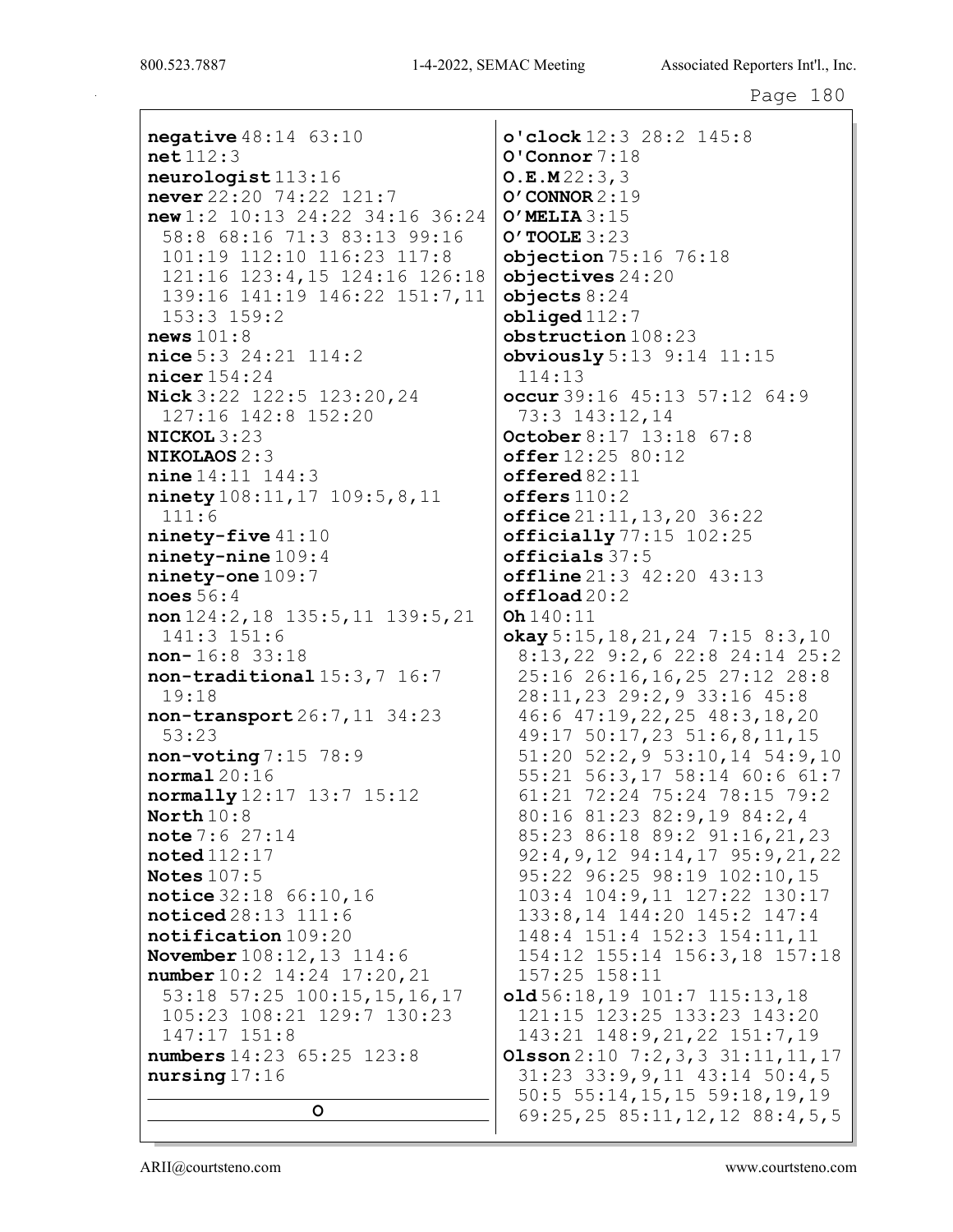**negative**  $48:14$   $63:10$  $net112:3$  $neuroloqist113:16$ never 22:20 74:22 121:7  $new1:2 10:13 24:22 34:16 36:24$ 58:8 68:16 71:3 83:13 99:16 101:19 112:10 116:23 117:8 121:16 123:4,15 124:16 126:18 139:16 141:19 146:22 151:7,11  $153:3$   $159:2$ news  $101:8$  $nice$  5:3 24:21 114:2  $nicer$  154:24 Nick 3:22 122:5 123:20, 24 127:16 142:8 152:20  $NICKOL 3:23$ **NIKOLAOS 2:3**  $nine 14:11 144:3$ ninety 108:11, 17 109:5, 8, 11  $111:6$  $ninety-five$  41:10  $\texttt{ninety}-\texttt{nine109:4}$  $ninety-one 109:7$  $\texttt{noes}~56:4$ non  $124:2, 18$   $135:5, 11$   $139:5, 21$  $141:3$   $151:6$  $non-16:8$  33:18 non-traditional 15:3,7 16:7  $19:18$ non-transport 26:7, 11 34:23  $53:23$  $non-voting 7:15 78:9$  $normal 20:16$ normally 12:17 13:7 15:12 North  $10:8$  $note 7:627:14$  $\texttt{noted}$ 112:17 Notes  $107:5$ notice 32:18 66:10,16  $\texttt{noticed28:13}$   $111:6$ notification 109:20 **November**  $108:12, 13$   $114:6$ number 10:2 14:24 17:20, 21 53:18 57:25 100:15,15,16,17 105:23 108:21 129:7 130:23  $147:17$   $151:8$ numbers  $14:23$   $65:25$   $123:8$  $nursing 17:16$ 

 $\circ$ 

o'clock 12:3 28:2 145:8  $O'$ Connor  $7:18$  $O.E.M22:3,3$  $O'$  CONNOR  $2:19$  $O'$  MELIA  $3:15$  $O'$  TOOLE  $3:23$  $objection 75:16 76:18$  $objectives 24:20$  $\bf{objects}$   $8:24$  $obliged$  $112:7$  $$ obviously  $5:13$   $9:14$   $11:15$  $114:13$ occur  $39:16$   $45:13$   $57:12$   $64:9$ 73:3 143:12,14 October 8:17 13:18 67:8  $offer 12:25 80:12$  $offered 82:11$ offers  $110:2$ office  $21:11, 13, 20$   $36:22$  $officially 77:15 102:25$ officials 37:5 offline 21:3 42:20 43:13  $offload20:2$  $Oh 140:11$  $okay 5:15, 18, 21, 24$  7:15 8:3, 10 8:13,22 9:2,6 22:8 24:14 25:2 25:16 26:16,16,25 27:12 28:8 28:11,23 29:2,9 33:16 45:8  $46:6$   $47:19$ , 22, 25  $48:3$ , 18, 20 49:17 50:17,23 51:6,8,11,15  $51:20$   $52:2,9$   $53:10,14$   $54:9,10$ 55:21 56:3,17 58:14 60:6 61:7 61:21 72:24 75:24 78:15 79:2 80:16 81:23 82:9,19 84:2,4 85:23 86:18 89:2 91:16,21,23 92:4, 9, 12 94:14, 17 95:9, 21, 22 95:22 96:25 98:19 102:10,15 103:4 104:9,11 127:22 130:17 133:8,14 144:20 145:2 147:4 148:4 151:4 152:3 154:11,11 154:12 155:14 156:3,18 157:18 157:25 158:11  $old56:18,19$   $101:7$   $115:13,18$ 121:15 123:25 133:23 143:20 143:21 148:9,21,22 151:7,19 **Olsson**  $2:10$   $7:2$ ,  $3$ ,  $3$   $31:11$ ,  $11$ ,  $17$ 31:23 33:9, 9, 11 43:14 50:4, 5  $50:5$   $55:14, 15, 15$   $59:18, 19, 19$ 69:25,25 85:11,12,12 88:4,5,5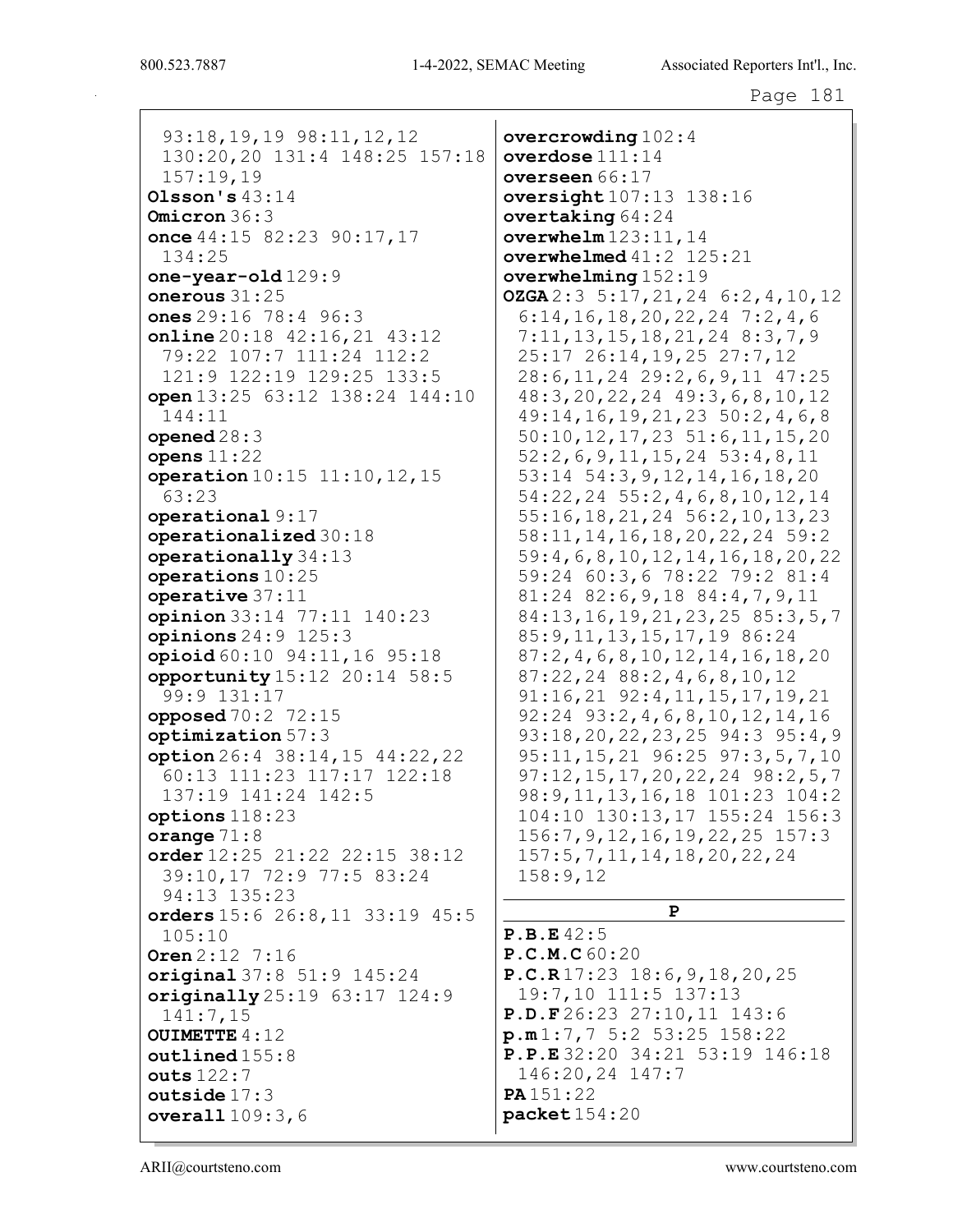93:18,19,19 98:11,12,12 130:20,20 131:4 148:25 157:18 157:19,19 Olsson's 43:14 Omicron 36:3 once 44:15 82:23 90:17,17 134:25 one-year-old 129:9 onerous 31:25 ones 29:16 78:4 96:3 online 20:18 42:16,21 43:12 79:22 107:7 111:24 112:2 121:9 122:19 129:25 133:5 open 13:25 63:12 138:24 144:10 144:11 opened 28:3 opens 11:22 operation 10:15 11:10,12,15 63:23 operational 9:17 operationalized 30:18 operationally 34:13 operations 10:25 operative 37:11 opinion 33:14 77:11 140:23 opinions 24:9 125:3 opioid 60:10 94:11,16 95:18 opportunity 15:12 20:14 58:5 99:9 131:17 opposed 70:2 72:15 optimization 57:3 option 26:4 38:14,15 44:22,22 60:13 111:23 117:17 122:18 137:19 141:24 142:5 options 118:23 orange 71:8 order 12:25 21:22 22:15 38:12 39:10,17 72:9 77:5 83:24 94:13 135:23 orders 15:6 26:8,11 33:19 45:5 105:10 Oren 2:12 7:16 original 37:8 51:9 145:24 originally 25:19 63:17 124:9 141:7,15 OUIMETTE 4:12 outlined 155:8 outs 122:7 outside 17:3 overall 109:3,6

overcrowding 102:4 overdose 111:14 overseen 66:17 oversight  $107:13$  138:16 overtaking 64:24 overwhelm 123:11,14 overwhelmed 41:2 125:21 overwhelming 152:19 OZGA 2:3 5:17,21,24 6:2,4,10,12 6:14,16,18,20,22,24 7:2,4,6 7:11,13,15,18,21,24 8:3,7,9 25:17 26:14,19,25 27:7,12 28:6,11,24 29:2,6,9,11 47:25 48:3,20,22,24 49:3,6,8,10,12 49:14,16,19,21,23 50:2,4,6,8 50:10,12,17,23 51:6,11,15,20 52:2,6,9,11,15,24 53:4,8,11 53:14 54:3,9,12,14,16,18,20 54:22,24 55:2,4,6,8,10,12,14 55:16,18,21,24 56:2,10,13,23 58:11,14,16,18,20,22,24 59:2 59:4,6,8,10,12,14,16,18,20,22 59:24 60:3,6 78:22 79:2 81:4 81:24 82:6,9,18 84:4,7,9,11 84:13,16,19,21,23,25 85:3,5,7 85:9,11,13,15,17,19 86:24 87:2,4,6,8,10,12,14,16,18,20 87:22,24 88:2,4,6,8,10,12 91:16,21 92:4,11,15,17,19,21 92:24 93:2,4,6,8,10,12,14,16 93:18,20,22,23,25 94:3 95:4,9 95:11,15,21 96:25 97:3,5,7,10 97:12,15,17,20,22,24 98:2,5,7 98:9,11,13,16,18 101:23 104:2 104:10 130:13,17 155:24 156:3 156:7,9,12,16,19,22,25 157:3 157:5,7,11,14,18,20,22,24 158:9,12 P P.B.E 42:5 P.C.M.C 60:20 P.C.R 17:23 18:6,9,18,20,25 19:7,10 111:5 137:13 P.D.F 26:23 27:10,11 143:6 p.m 1:7,7 5:2 53:25 158:22 P.P.E 32:20 34:21 53:19 146:18 146:20,24 147:7 PA 151:22 packet 154:20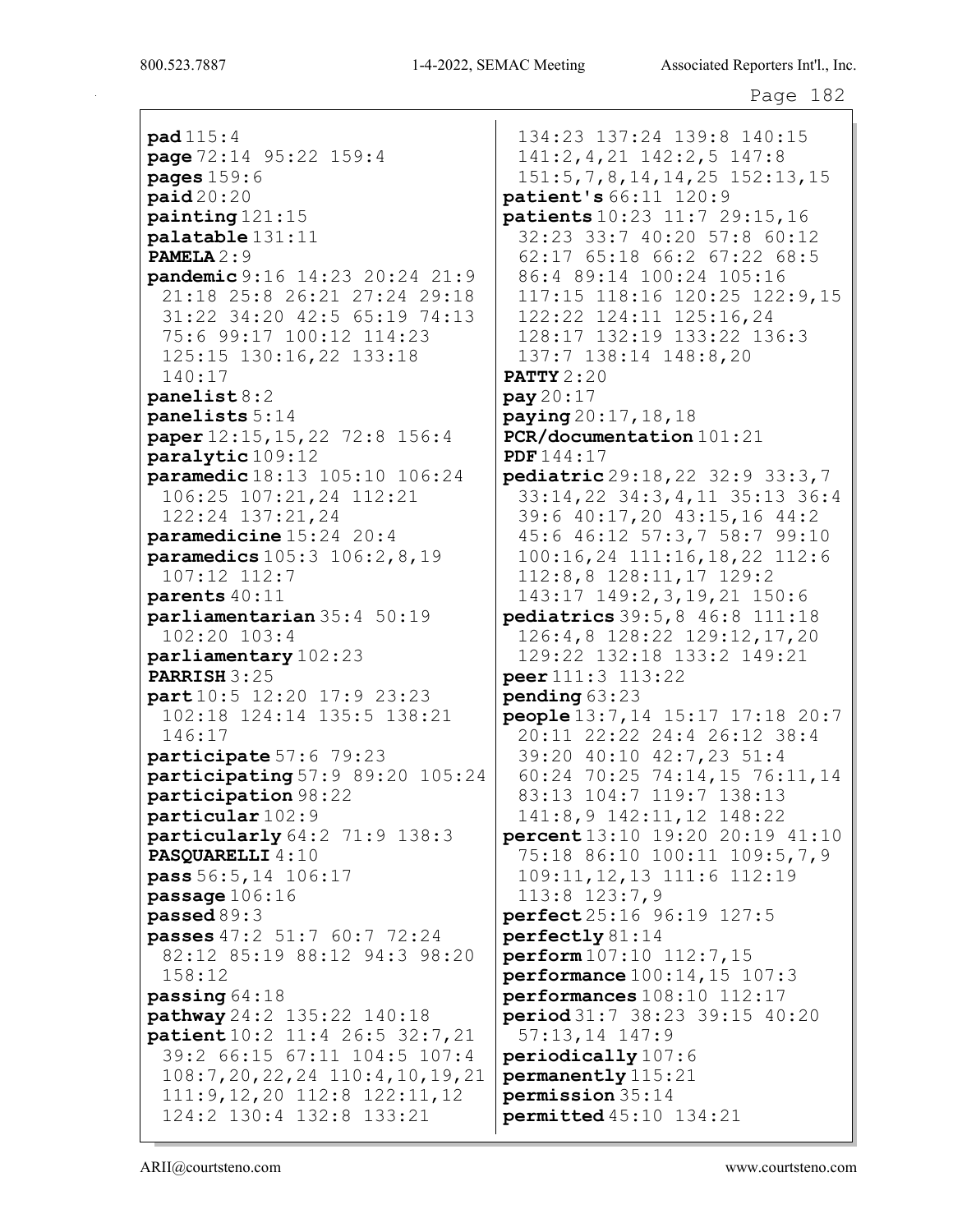pad 115:4 page 72:14 95:22 159:4 pages  $159:6$ paid 20:20 painting 121:15 palatable 131:11 PAMELA 2:9 pandemic 9:16 14:23 20:24 21:9 21:18 25:8 26:21 27:24 29:18 31:22 34:20 42:5 65:19 74:13 75:6 99:17 100:12 114:23 125:15 130:16,22 133:18 140:17 panelist 8:2 panelists 5:14 paper 12:15,15,22 72:8 156:4 paralytic 109:12 paramedic 18:13 105:10 106:24 106:25 107:21,24 112:21 122:24 137:21,24 paramedicine 15:24 20:4 paramedics 105:3 106:2,8,19 107:12 112:7 parents 40:11 parliamentarian 35:4 50:19 102:20 103:4 parliamentary 102:23 PARRISH 3:25 part 10:5 12:20 17:9 23:23 102:18 124:14 135:5 138:21 146:17 participate 57:6 79:23 participating 57:9 89:20 105:24 participation 98:22 particular 102:9 particularly 64:2 71:9 138:3 PASQUARELLI  $4:10$ pass 56:5,14 106:17 passage 106:16 passed 89:3 passes 47:2 51:7 60:7 72:24 82:12 85:19 88:12 94:3 98:20 158:12 passing 64:18 pathway 24:2 135:22 140:18 patient 10:2 11:4 26:5 32:7,21 39:2 66:15 67:11 104:5 107:4 108:7,20,22,24 110:4,10,19,21 111:9,12,20 112:8 122:11,12 124:2 130:4 132:8 133:21

134:23 137:24 139:8 140:15 141:2,4,21 142:2,5 147:8 151:5,7,8,14,14,25 152:13,15 patient's 66:11 120:9 patients 10:23 11:7 29:15,16 32:23 33:7 40:20 57:8 60:12 62:17 65:18 66:2 67:22 68:5 86:4 89:14 100:24 105:16 117:15 118:16 120:25 122:9,15 122:22 124:11 125:16,24 128:17 132:19 133:22 136:3 137:7 138:14 148:8,20 **PATTY 2:20** pay 20:17 paying 20:17,18,18 PCR/documentation 101:21 PDF 144:17 pediatric 29:18,22 32:9 33:3,7 33:14,22 34:3,4,11 35:13 36:4 39:6 40:17,20 43:15,16 44:2 45:6 46:12 57:3,7 58:7 99:10 100:16,24 111:16,18,22 112:6 112:8,8 128:11,17 129:2 143:17 149:2,3,19,21 150:6 pediatrics 39:5,8 46:8 111:18 126:4,8 128:22 129:12,17,20 129:22 132:18 133:2 149:21 peer 111:3 113:22 pending 63:23 people 13:7,14 15:17 17:18 20:7 20:11 22:22 24:4 26:12 38:4 39:20 40:10 42:7,23 51:4 60:24 70:25 74:14,15 76:11,14 83:13 104:7 119:7 138:13 141:8,9 142:11,12 148:22 percent 13:10 19:20 20:19 41:10 75:18 86:10 100:11 109:5,7,9 109:11,12,13 111:6 112:19 113:8 123:7,9 perfect 25:16 96:19 127:5 perfectly 81:14 perform 107:10 112:7,15 performance 100:14,15 107:3 performances 108:10 112:17 period 31:7 38:23 39:15 40:20 57:13,14 147:9 periodically 107:6 permanently 115:21 permission 35:14 permitted 45:10 134:21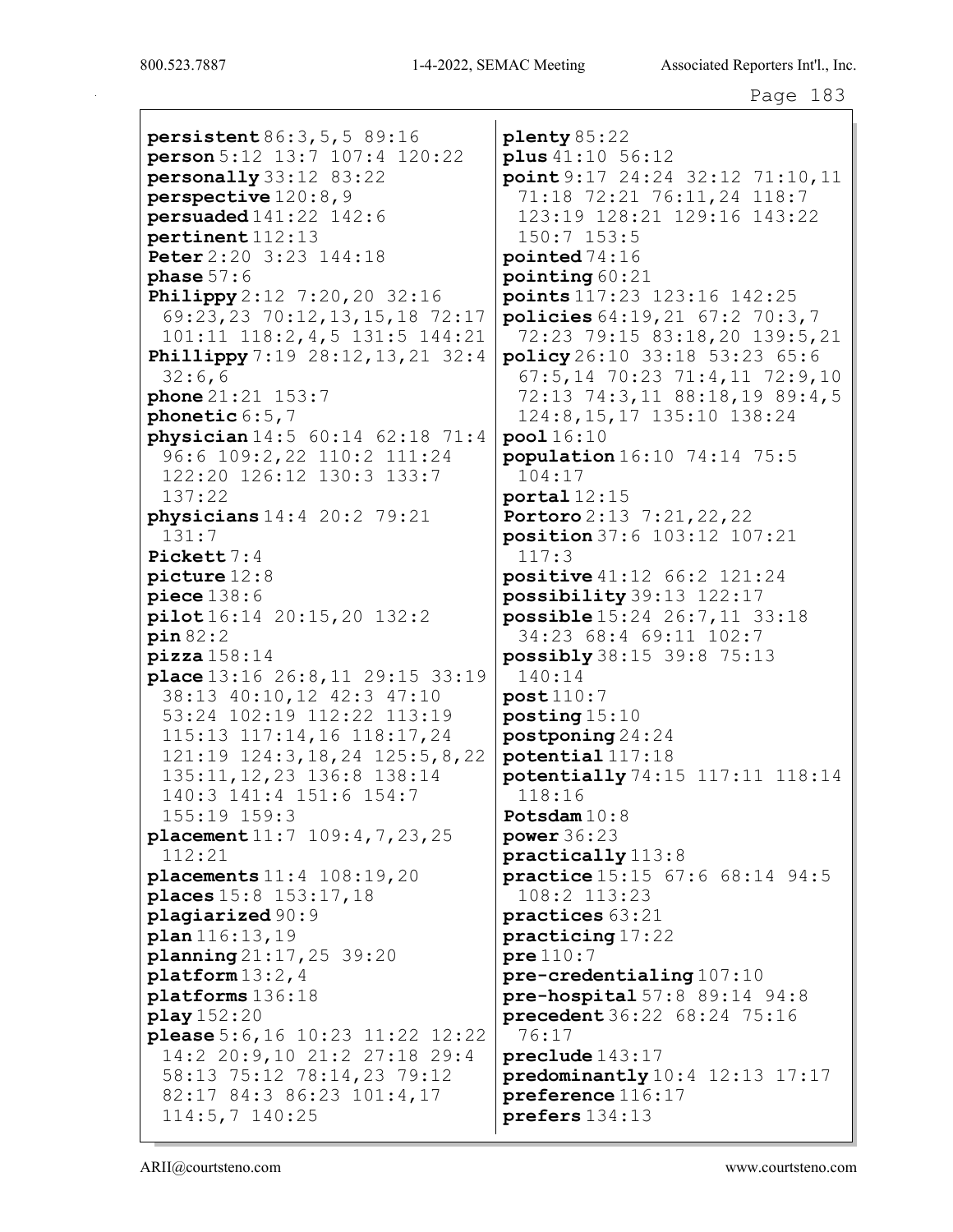persistent 86:3,5,5 89:16 person 5:12 13:7 107:4 120:22 personally 33:12 83:22 perspective 120:8,9 persuaded 141:22 142:6 pertinent 112:13 Peter 2:20 3:23 144:18 phase  $57:6$ **Philippy** 2:12 7:20, 20 32:16 69:23,23 70:12,13,15,18 72:17 101:11 118:2,4,5 131:5 144:21 **Phillippy** 7:19 28:12, 13, 21 32:4 32:6,6 phone 21:21 153:7 phonetic 6:5,7 physician 14:5 60:14 62:18 71:4 96:6 109:2,22 110:2 111:24 122:20 126:12 130:3 133:7 137:22 physicians 14:4 20:2 79:21 131:7 Pickett 7:4 picture 12:8 piece 138:6 pilot 16:14 20:15,20 132:2 pin 82:2  $\texttt{pizza}$  158:14 place 13:16 26:8,11 29:15 33:19 38:13 40:10,12 42:3 47:10 53:24 102:19 112:22 113:19 115:13 117:14,16 118:17,24 121:19 124:3,18,24 125:5,8,22 135:11,12,23 136:8 138:14 140:3 141:4 151:6 154:7 155:19 159:3 placement 11:7 109:4,7,23,25 112:21 placements 11:4 108:19,20 places 15:8 153:17,18 plagiarized 90:9 plan 116:13,19 planning 21:17,25 39:20 platform 13:2,4 platforms 136:18 play 152:20 please 5:6,16 10:23 11:22 12:22 14:2 20:9,10 21:2 27:18 29:4 58:13 75:12 78:14,23 79:12 82:17 84:3 86:23 101:4,17 114:5,7 140:25

plenty 85:22 plus 41:10 56:12 point 9:17 24:24 32:12 71:10,11 71:18 72:21 76:11,24 118:7 123:19 128:21 129:16 143:22 150:7 153:5 pointed 74:16 pointing 60:21 points 117:23 123:16 142:25 policies 64:19,21 67:2 70:3,7 72:23 79:15 83:18,20 139:5,21 policy 26:10 33:18 53:23 65:6 67:5,14 70:23 71:4,11 72:9,10 72:13 74:3,11 88:18,19 89:4,5 124:8,15,17 135:10 138:24 pool 16:10 population 16:10 74:14 75:5 104:17 portal 12:15 Portoro 2:13 7:21,22,22 position 37:6 103:12 107:21 117:3 positive 41:12 66:2 121:24 possibility 39:13 122:17 possible 15:24 26:7,11 33:18 34:23 68:4 69:11 102:7 possibly 38:15 39:8 75:13 140:14 post 110:7 posting 15:10 postponing 24:24 potential 117:18 potentially 74:15 117:11 118:14 118:16 Potsdam 10:8 power 36:23 practically 113:8 practice 15:15 67:6 68:14 94:5 108:2 113:23 practices 63:21 practicing 17:22 pre 110:7 pre-credentialing 107:10 pre-hospital 57:8 89:14 94:8 precedent 36:22 68:24 75:16 76:17 preclude 143:17 predominantly 10:4 12:13 17:17 preference 116:17 prefers 134:13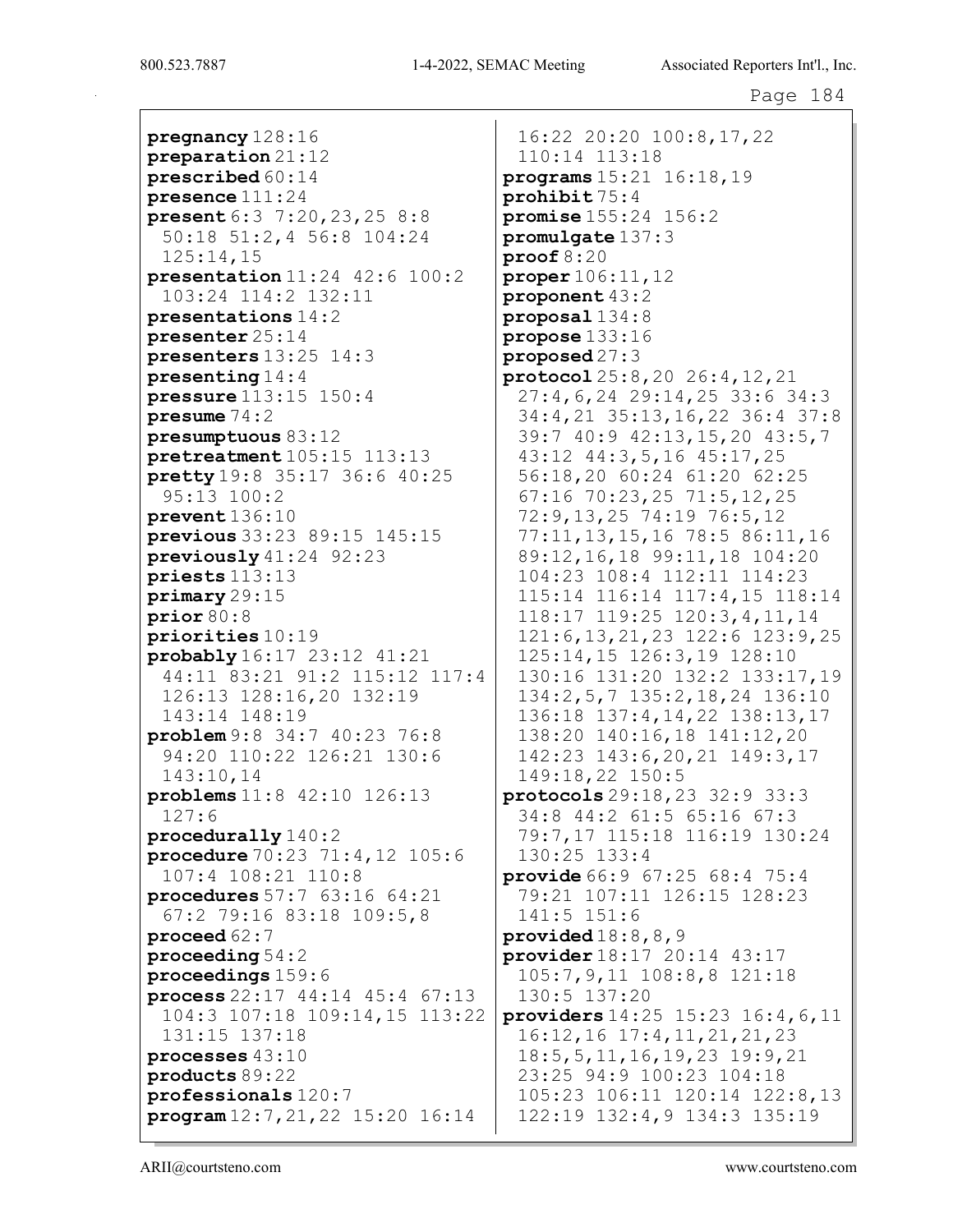pregnancy 128:16 preparation 21:12 prescribed 60:14 presence 111:24 present 6:3 7:20,23,25 8:8 50:18 51:2,4 56:8 104:24 125:14,15 presentation 11:24 42:6 100:2 103:24 114:2 132:11 presentations 14:2 presenter 25:14 presenters 13:25 14:3 presenting 14:4 pressure 113:15 150:4 presume 74:2 presumptuous 83:12 pretreatment 105:15 113:13 pretty 19:8 35:17 36:6 40:25 95:13 100:2 prevent 136:10 previous 33:23 89:15 145:15 previously 41:24 92:23 priests 113:13 primary 29:15 prior 80:8 priorities 10:19 probably 16:17 23:12 41:21 44:11 83:21 91:2 115:12 117:4 126:13 128:16,20 132:19 143:14 148:19 problem 9:8 34:7 40:23 76:8 94:20 110:22 126:21 130:6 143:10,14 problems 11:8 42:10 126:13 127:6 procedurally 140:2 procedure 70:23 71:4,12 105:6 107:4 108:21 110:8 procedures 57:7 63:16 64:21 67:2 79:16 83:18 109:5,8 proceed 62:7 proceeding 54:2 proceedings 159:6 process 22:17 44:14 45:4 67:13 104:3 107:18 109:14,15 113:22 131:15 137:18 processes 43:10 products 89:22 professionals 120:7 program 12:7,21,22 15:20 16:14

16:22 20:20 100:8,17,22 110:14 113:18 programs 15:21 16:18,19 prohibit 75:4 promise 155:24 156:2 promulgate 137:3 proof 8:20 proper 106:11,12 proponent 43:2 proposal 134:8 propose 133:16 proposed 27:3 protocol 25:8,20 26:4,12,21 27:4,6,24 29:14,25 33:6 34:3 34:4,21 35:13,16,22 36:4 37:8 39:7 40:9 42:13,15,20 43:5,7 43:12 44:3,5,16 45:17,25 56:18,20 60:24 61:20 62:25 67:16 70:23,25 71:5,12,25 72:9,13,25 74:19 76:5,12 77:11,13,15,16 78:5 86:11,16 89:12,16,18 99:11,18 104:20 104:23 108:4 112:11 114:23 115:14 116:14 117:4,15 118:14 118:17 119:25 120:3,4,11,14 121:6,13,21,23 122:6 123:9,25 125:14,15 126:3,19 128:10 130:16 131:20 132:2 133:17,19 134:2,5,7 135:2,18,24 136:10 136:18 137:4,14,22 138:13,17 138:20 140:16,18 141:12,20 142:23 143:6,20,21 149:3,17 149:18,22 150:5 protocols 29:18,23 32:9 33:3 34:8 44:2 61:5 65:16 67:3 79:7,17 115:18 116:19 130:24 130:25 133:4 provide 66:9 67:25 68:4 75:4 79:21 107:11 126:15 128:23 141:5 151:6 provided  $18:8,8,9$ provider 18:17 20:14 43:17 105:7,9,11 108:8,8 121:18 130:5 137:20 providers 14:25 15:23 16:4,6,11 16:12,16 17:4,11,21,21,23 18:5,5,11,16,19,23 19:9,21 23:25 94:9 100:23 104:18 105:23 106:11 120:14 122:8,13 122:19 132:4,9 134:3 135:19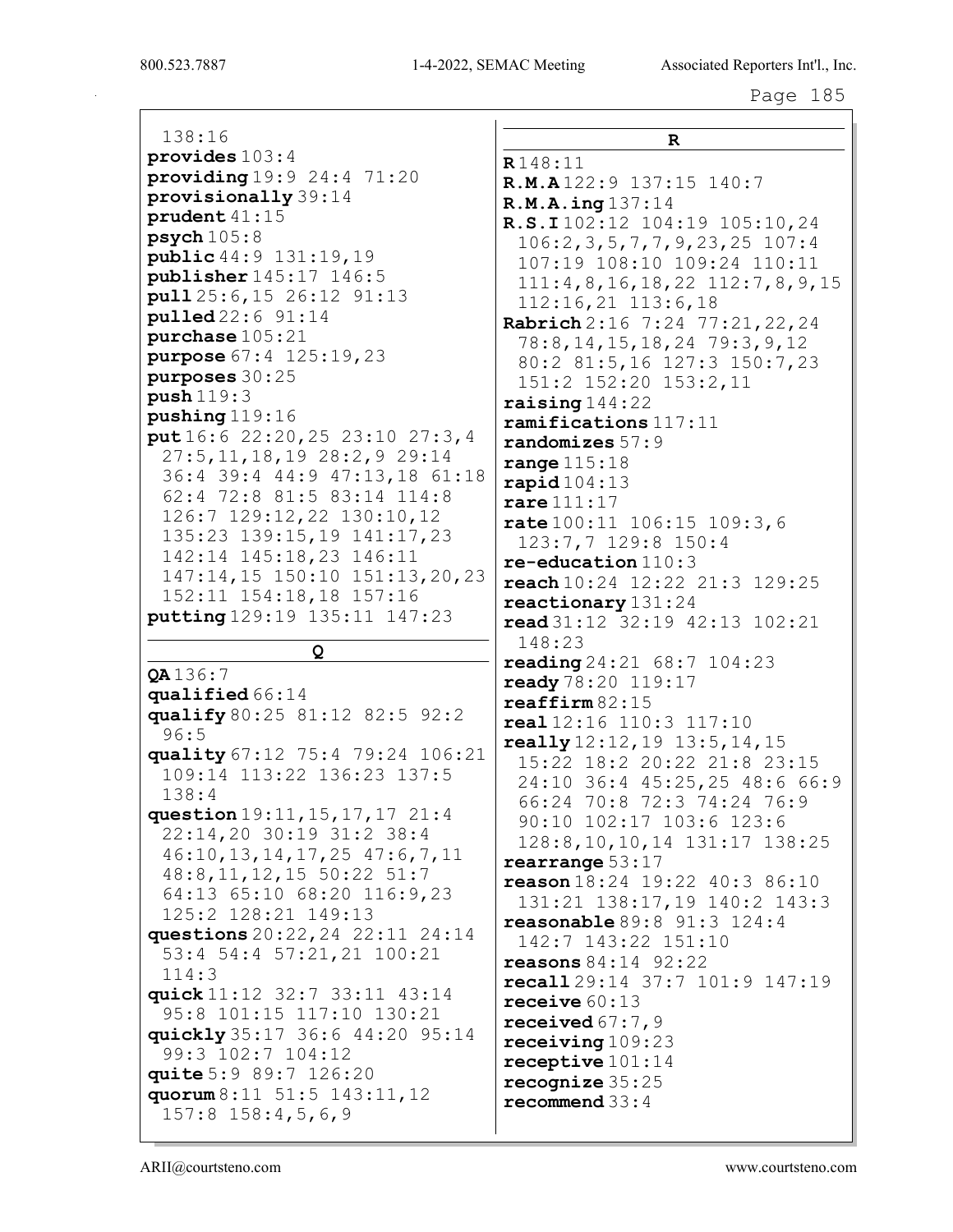138:16 provides 103:4 providing 19:9 24:4 71:20 provisionally 39:14 prudent 41:15  $psych 105:8$ public 44:9 131:19,19 publisher 145:17 146:5 pull 25:6,15 26:12 91:13 pulled 22:6 91:14 purchase 105:21 purpose 67:4 125:19,23 purposes 30:25 push 119:3 pushing 119:16 put 16:6 22:20,25 23:10 27:3,4 27:5,11,18,19 28:2,9 29:14 36:4 39:4 44:9 47:13,18 61:18 62:4 72:8 81:5 83:14 114:8 126:7 129:12,22 130:10,12 135:23 139:15,19 141:17,23 142:14 145:18,23 146:11 147:14,15 150:10 151:13,20,23 152:11 154:18,18 157:16 putting 129:19 135:11 147:23

Q

QA 136:7 qualified 66:14 qualify 80:25 81:12 82:5 92:2 96:5 quality 67:12 75:4 79:24 106:21 109:14 113:22 136:23 137:5 138:4 question 19:11,15,17,17 21:4 22:14,20 30:19 31:2 38:4 46:10,13,14,17,25 47:6,7,11 48:8,11,12,15 50:22 51:7 64:13 65:10 68:20 116:9,23 125:2 128:21 149:13 questions 20:22,24 22:11 24:14 53:4 54:4 57:21,21 100:21 114:3 quick 11:12 32:7 33:11 43:14 95:8 101:15 117:10 130:21 quickly 35:17 36:6 44:20 95:14 99:3 102:7 104:12 quite 5:9 89:7 126:20 quorum 8:11 51:5 143:11,12 157:8 158:4,5,6,9

R R 148:11 R.M.A 122:9 137:15 140:7 R.M.A.ing 137:14 R.S.I 102:12 104:19 105:10,24 106:2,3,5,7,7,9,23,25 107:4 107:19 108:10 109:24 110:11 111:4,8,16,18,22 112:7,8,9,15 112:16,21 113:6,18 Rabrich 2:16 7:24 77:21,22,24 78:8,14,15,18,24 79:3,9,12 80:2 81:5,16 127:3 150:7,23 151:2 152:20 153:2,11 raising 144:22 ramifications 117:11 randomizes 57:9 range 115:18  $\texttt{rapid}$   $104:13$ rare 111:17 rate 100:11 106:15 109:3,6 123:7,7 129:8 150:4 re-education 110:3 reach 10:24 12:22 21:3 129:25 reactionary 131:24 read 31:12 32:19 42:13 102:21 148:23 reading 24:21 68:7 104:23 ready 78:20 119:17 reaffirm 82:15 real 12:16 110:3 117:10  $\texttt{really} 12:12,19 13:5,14,15$ 15:22 18:2 20:22 21:8 23:15 24:10 36:4 45:25,25 48:6 66:9 66:24 70:8 72:3 74:24 76:9 90:10 102:17 103:6 123:6 128:8,10,10,14 131:17 138:25 rearrange 53:17 reason 18:24 19:22 40:3 86:10 131:21 138:17,19 140:2 143:3 reasonable 89:8 91:3 124:4 142:7 143:22 151:10 reasons 84:14 92:22 recall 29:14 37:7 101:9 147:19 receive 60:13 received 67:7,9 receiving 109:23 receptive 101:14 recognize 35:25 recommend 33:4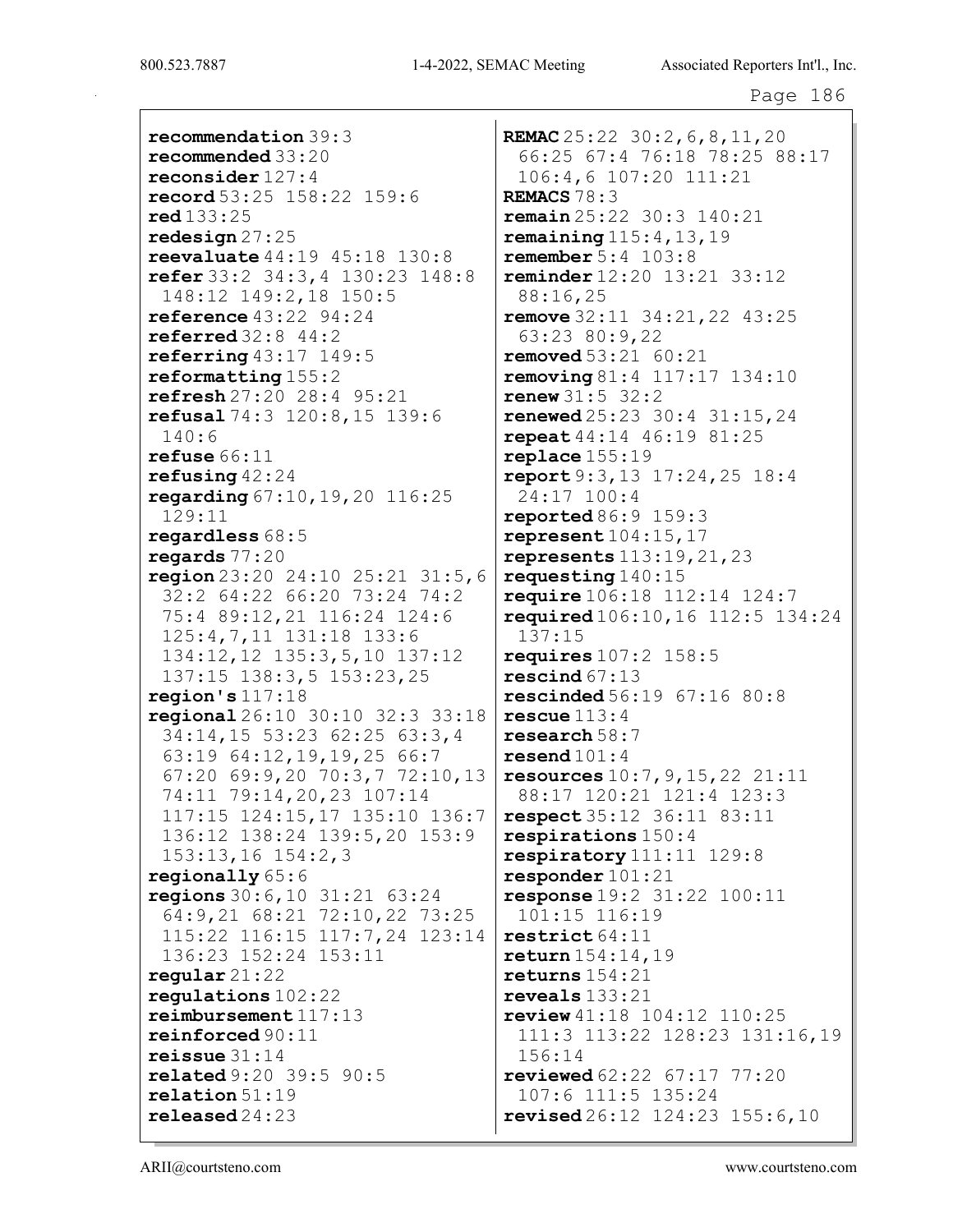recommendation 39:3 recommended 33:20 reconsider 127:4 record 53:25 158:22 159:6 red 133:25 redesign 27:25 reevaluate 44:19 45:18 130:8 refer 33:2 34:3,4 130:23 148:8 148:12 149:2,18 150:5 reference 43:22 94:24 referred 32:8 44:2 referring  $43:17$  149:5 reformatting 155:2 refresh 27:20 28:4 95:21 refusal 74:3 120:8,15 139:6 140:6 refuse 66:11 refusing 42:24 regarding 67:10,19,20 116:25 129:11 regardless 68:5 regards 77:20 region 23:20 24:10 25:21 31:5,6 32:2 64:22 66:20 73:24 74:2 75:4 89:12,21 116:24 124:6 125:4,7,11 131:18 133:6 134:12,12 135:3,5,10 137:12 137:15 138:3,5 153:23,25 region's 117:18 regional 26:10 30:10 32:3 33:18 34:14,15 53:23 62:25 63:3,4 63:19 64:12,19,19,25 66:7 67:20 69:9,20 70:3,7 72:10,13 74:11 79:14,20,23 107:14 117:15 124:15,17 135:10 136:7 136:12 138:24 139:5,20 153:9 153:13,16 154:2,3 regionally 65:6 regions 30:6,10 31:21 63:24 64:9,21 68:21 72:10,22 73:25 115:22 116:15 117:7,24 123:14 136:23 152:24 153:11 regular 21:22 regulations 102:22 reimbursement 117:13 reinforced 90:11 reissue 31:14 related 9:20 39:5 90:5 relation 51:19 released 24:23

REMAC 25:22 30:2, 6, 8, 11, 20 66:25 67:4 76:18 78:25 88:17 106:4,6 107:20 111:21 REMACS 78:3 remain 25:22 30:3 140:21 remaining  $115:4,13,19$ remember 5:4 103:8 reminder 12:20 13:21 33:12 88:16,25 remove 32:11 34:21,22 43:25 63:23 80:9,22 removed 53:21 60:21 **removing** 81:4 117:17 134:10 renew 31:5 32:2 renewed 25:23 30:4 31:15,24 repeat 44:14 46:19 81:25 replace 155:19 report 9:3,13 17:24,25 18:4 24:17 100:4 reported 86:9 159:3 represent 104:15,17 represents 113:19,21,23 requesting 140:15 require 106:18 112:14 124:7 required 106:10,16 112:5 134:24 137:15 requires 107:2 158:5 rescind 67:13 rescinded 56:19 67:16 80:8 rescue 113:4 research 58:7  $\texttt{resend}$  101:4 resources 10:7,9,15,22 21:11 88:17 120:21 121:4 123:3 respect 35:12 36:11 83:11 respirations 150:4 respiratory 111:11 129:8 responder 101:21 response 19:2 31:22 100:11 101:15 116:19 restrict 64:11 return 154:14,19 returns 154:21 reveals 133:21 review 41:18 104:12 110:25 111:3 113:22 128:23 131:16,19 156:14 reviewed 62:22 67:17 77:20 107:6 111:5 135:24 revised 26:12 124:23 155:6,10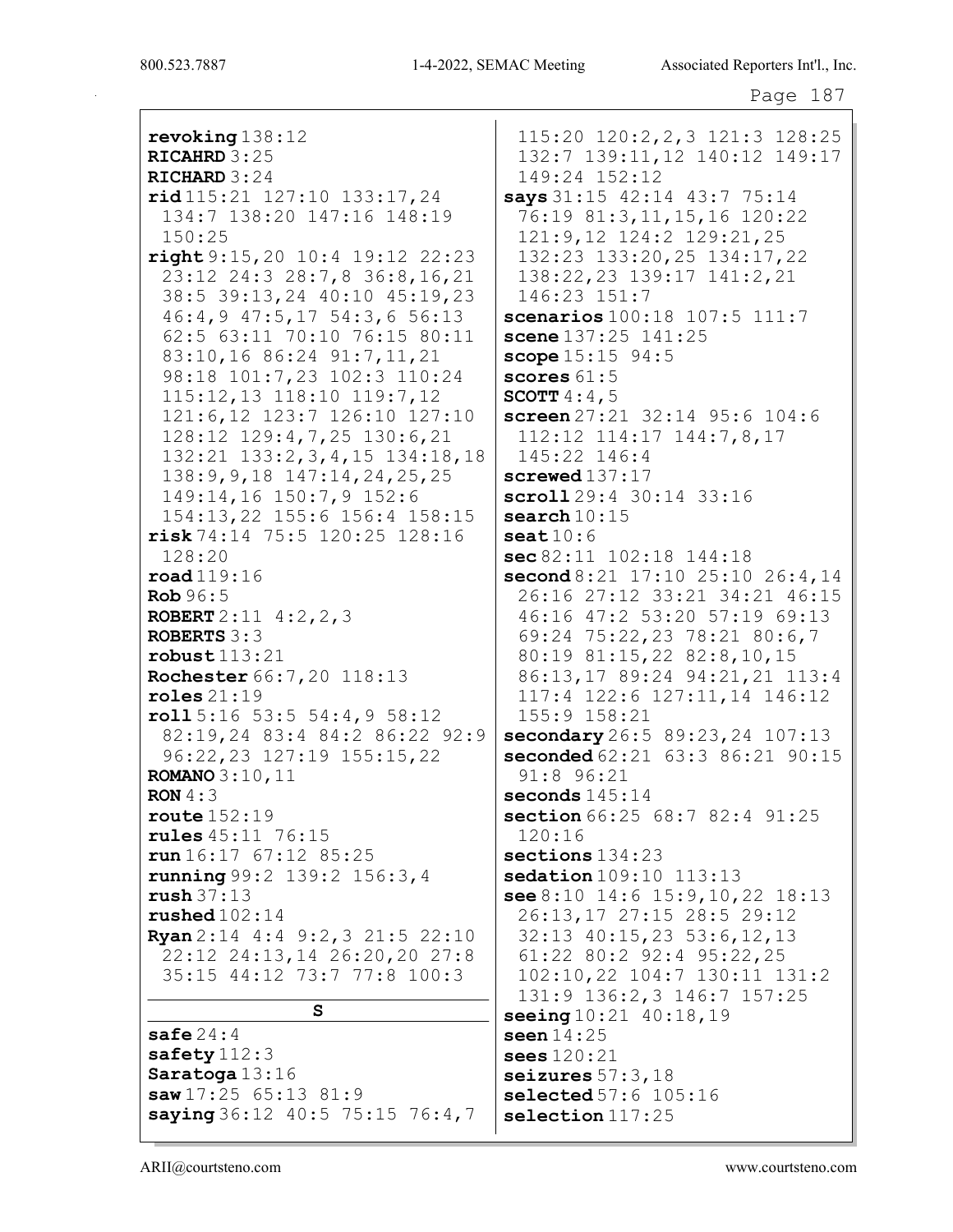revoking 138:12 RICAHRD 3:25 RICHARD 3:24 rid 115:21 127:10 133:17,24 134:7 138:20 147:16 148:19 150:25 right 9:15,20 10:4 19:12 22:23 23:12 24:3 28:7,8 36:8,16,21 38:5 39:13,24 40:10 45:19,23 46:4,9 47:5,17 54:3,6 56:13 62:5 63:11 70:10 76:15 80:11 83:10,16 86:24 91:7,11,21 98:18 101:7,23 102:3 110:24 115:12,13 118:10 119:7,12 121:6,12 123:7 126:10 127:10 128:12 129:4,7,25 130:6,21 132:21 133:2,3,4,15 134:18,18 138:9,9,18 147:14,24,25,25 149:14,16 150:7,9 152:6 154:13,22 155:6 156:4 158:15 risk 74:14 75:5 120:25 128:16 128:20 road 119:16 Rob 96:5 ROBERT 2:11 4:2,2,3 ROBERTS 3:3 robust 113:21 Rochester 66:7,20 118:13 roles 21:19 roll 5:16 53:5 54:4,9 58:12 82:19,24 83:4 84:2 86:22 92:9 96:22,23 127:19 155:15,22 ROMANO 3:10,11 RON 4:3 route 152:19 rules 45:11 76:15 run 16:17 67:12 85:25 running 99:2 139:2 156:3,4 rush 37:13 rushed 102:14 Ryan 2:14 4:4 9:2,3 21:5 22:10 22:12 24:13,14 26:20,20 27:8 35:15 44:12 73:7 77:8 100:3 S safe 24:4 safety 112:3 Saratoga 13:16 saw 17:25 65:13 81:9 saying 36:12 40:5 75:15 76:4,7 115:20 120:2,2,3 121:3 128:25 132:7 139:11,12 140:12 149:17 149:24 152:12 says 31:15 42:14 43:7 75:14 76:19 81:3,11,15,16 120:22 121:9,12 124:2 129:21,25 132:23 133:20,25 134:17,22 138:22,23 139:17 141:2,21 146:23 151:7 scenarios 100:18 107:5 111:7 scene  $137:25$   $141:25$ scope  $15:15$   $94:5$ scores  $61:5$ **SCOTT**  $4:4,5$ screen 27:21 32:14 95:6 104:6 112:12 114:17 144:7,8,17 145:22 146:4 screwed  $137:17$ scroll 29:4 30:14 33:16 search  $10:15$  $\texttt{seat} 10:6$ sec 82:11 102:18 144:18 second 8:21 17:10 25:10 26:4,14 26:16 27:12 33:21 34:21 46:15 46:16 47:2 53:20 57:19 69:13 69:24 75:22,23 78:21 80:6,7 80:19 81:15,22 82:8,10,15 86:13,17 89:24 94:21,21 113:4 117:4 122:6 127:11,14 146:12 155:9 158:21 secondary 26:5 89:23,24 107:13 seconded  $62:21$   $63:3$   $86:21$   $90:15$ 91:8 96:21 seconds 145:14 section 66:25 68:7 82:4 91:25 120:16 sections  $134:23$ sedation 109:10 113:13 see 8:10 14:6 15:9,10,22 18:13 26:13,17 27:15 28:5 29:12 32:13 40:15,23 53:6,12,13 61:22 80:2 92:4 95:22,25 102:10,22 104:7 130:11 131:2 131:9 136:2,3 146:7 157:25 seeing 10:21 40:18,19 seen 14:25 sees 120:21 seizures  $57:3$ ,  $18$ selected 57:6 105:16 selection 117:25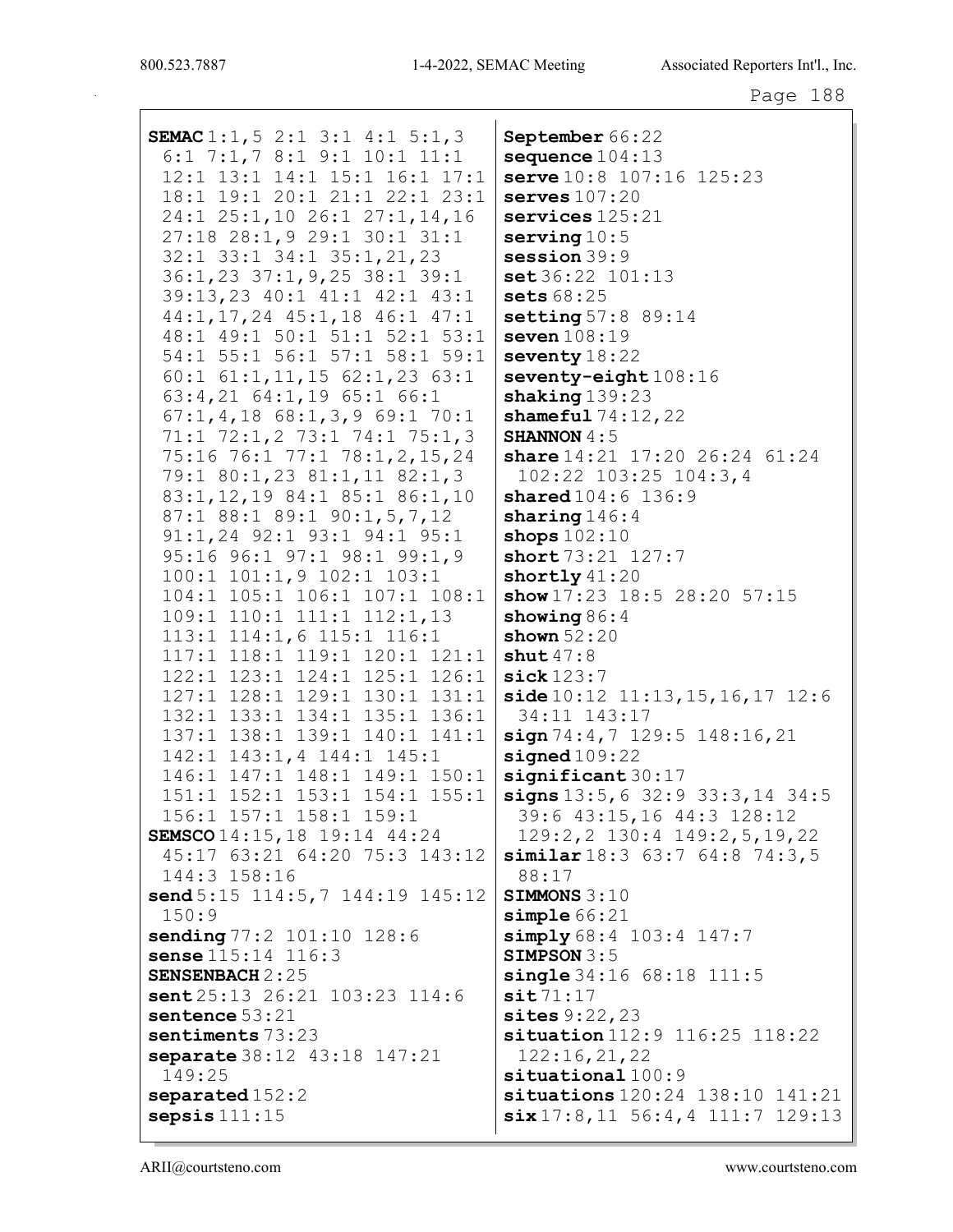SEMAC 1:1,5 2:1 3:1 4:1 5:1,3 6:1 7:1,7 8:1 9:1 10:1 11:1 12:1 13:1 14:1 15:1 16:1 17:1 18:1 19:1 20:1 21:1 22:1 23:1 24:1 25:1,10 26:1 27:1,14,16 27:18 28:1,9 29:1 30:1 31:1 32:1 33:1 34:1 35:1,21,23 36:1,23 37:1,9,25 38:1 39:1 39:13,23 40:1 41:1 42:1 43:1 44:1,17,24 45:1,18 46:1 47:1 48:1 49:1 50:1 51:1 52:1 53:1 54:1 55:1 56:1 57:1 58:1 59:1 60:1 61:1,11,15 62:1,23 63:1 63:4,21 64:1,19 65:1 66:1 67:1,4,18 68:1,3,9 69:1 70:1 71:1 72:1,2 73:1 74:1 75:1,3 75:16 76:1 77:1 78:1,2,15,24 79:1 80:1,23 81:1,11 82:1,3 83:1,12,19 84:1 85:1 86:1,10 87:1 88:1 89:1 90:1,5,7,12 91:1,24 92:1 93:1 94:1 95:1 95:16 96:1 97:1 98:1 99:1,9 100:1 101:1,9 102:1 103:1 104:1 105:1 106:1 107:1 108:1 109:1 110:1 111:1 112:1,13 113:1 114:1,6 115:1 116:1 117:1 118:1 119:1 120:1 121:1 122:1 123:1 124:1 125:1 126:1 127:1 128:1 129:1 130:1 131:1 132:1 133:1 134:1 135:1 136:1 137:1 138:1 139:1 140:1 141:1 142:1 143:1,4 144:1 145:1 146:1 147:1 148:1 149:1 150:1 151:1 152:1 153:1 154:1 155:1 156:1 157:1 158:1 159:1 SEMSCO 14:15,18 19:14 44:24 45:17 63:21 64:20 75:3 143:12 144:3 158:16 send 5:15 114:5,7 144:19 145:12 150:9 sending 77:2 101:10 128:6 sense 115:14 116:3 SENSENBACH 2:25 sent 25:13 26:21 103:23 114:6 sentence 53:21 sentiments 73:23 separate 38:12 43:18 147:21 149:25 separated 152:2 sepsis 111:15 September 66:22 sequence  $104:13$ serve 10:8 107:16 125:23 serves 107:20 services  $125:21$ serving  $10:5$ session 39:9 set 36:22 101:13 sets 68:25 setting 57:8 89:14 seven  $108:19$ seventy 18:22 seventy-eight  $108:16$ shaking  $139:23$ shameful  $74:12,22$ SHANNON  $4:5$ share 14:21 17:20 26:24 61:24 102:22 103:25 104:3,4 shared  $104:6$  136:9 sharing  $146:4$ shops  $102:10$ short 73:21 127:7 shortly  $41:20$ show 17:23 18:5 28:20 57:15 showing 86:4 shown 52:20 shut  $47:8$ sick 123:7  $side 10:12 11:13,15,16,17 12:6$ 34:11 143:17 sign 74:4, 7 129:5 148:16, 21 signed  $109:22$ significant 30:17 signs 13:5, 6 32:9 33:3, 14 34:5 39:6 43:15,16 44:3 128:12 129:2,2 130:4 149:2,5,19,22 similar 18:3 63:7 64:8 74:3,5 88:17 SIMMONS 3:10 simple  $66:21$ simply 68:4 103:4 147:7 SIMPSON 3:5 single 34:16 68:18 111:5  $s$ it  $71:17$ sites 9:22, 23 situation 112:9 116:25 118:22 122:16,21,22 situational  $100:9$ situations 120:24 138:10 141:21 six 17:8,11 56:4,4 111:7 129:13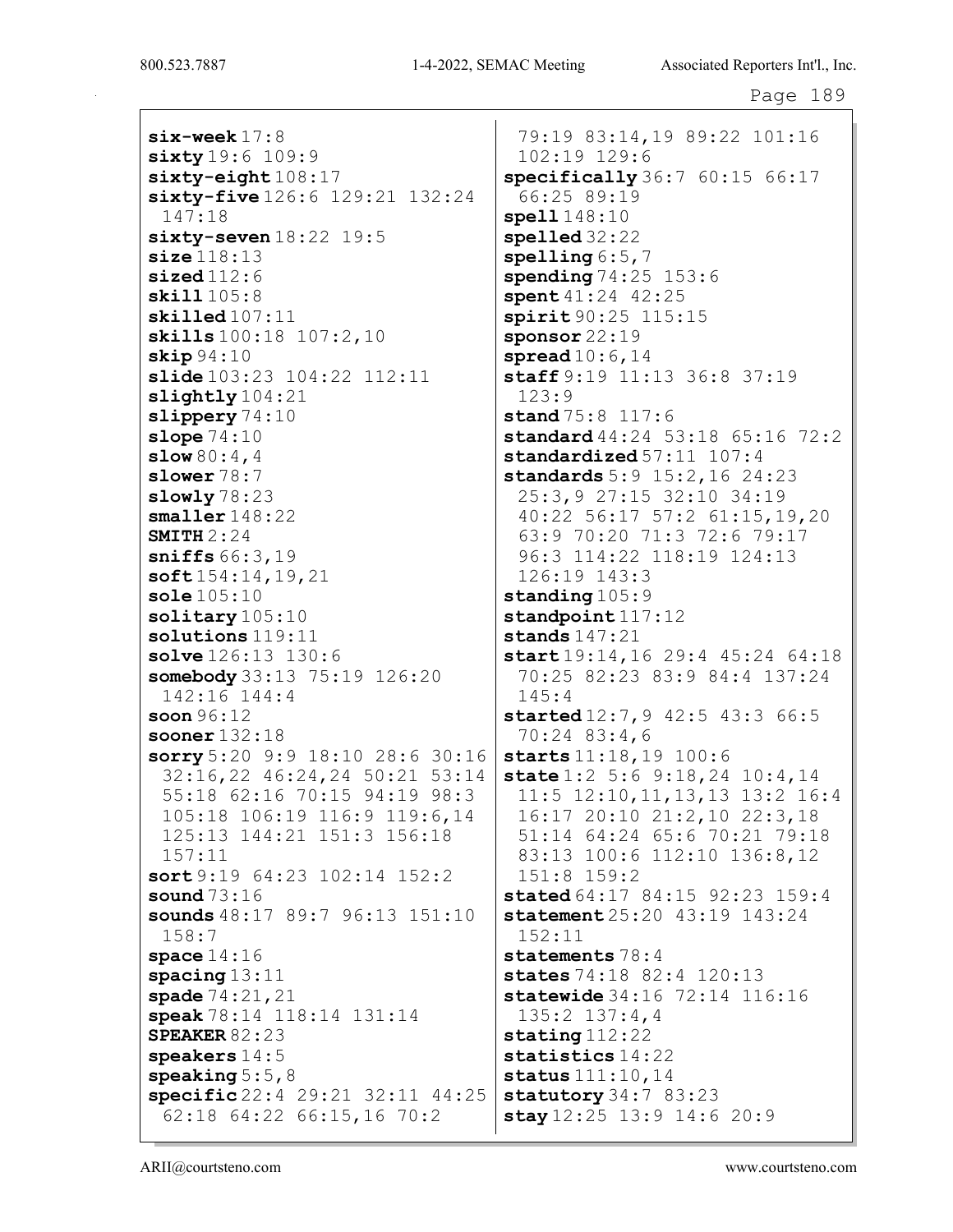six-week 17:8 sixty 19:6 109:9 sixty-eight  $108:17$ sixty-five 126:6 129:21 132:24 147:18  $sixty$ -seven  $18:22$  19:5 size 118:13  $sized112:6$ skill 105:8 skilled 107:11 skills  $100:18$  107:2, 10 skip 94:10 slide 103:23 104:22 112:11 slightly 104:21 slippery 74:10 slope 74:10  $slow 80:4,4$ slower 78:7 slowly 78:23 smaller 148:22 SMITH  $2:24$ sniffs 66:3,19 soft 154:14,19,21 sole 105:10 solitary  $105:10$ solutions 119:11 solve 126:13 130:6 somebody 33:13 75:19 126:20 142:16 144:4 soon 96:12 sooner 132:18 sorry 5:20 9:9 18:10 28:6 30:16 32:16,22 46:24,24 50:21 53:14 55:18 62:16 70:15 94:19 98:3 105:18 106:19 116:9 119:6,14 125:13 144:21 151:3 156:18 157:11 sort 9:19 64:23 102:14 152:2 sound 73:16 sounds 48:17 89:7 96:13 151:10 158:7 space  $14:16$ spacing 13:11 spade 74:21,21 speak 78:14 118:14 131:14 SPEAKER 82:23 speakers 14:5 speaking  $5:5,8$ specific 22:4 29:21 32:11 44:25 62:18 64:22 66:15,16 70:2

79:19 83:14,19 89:22 101:16 102:19 129:6 specifically 36:7 60:15 66:17 66:25 89:19 spell 148:10 spelled 32:22 spelling  $6:5,7$ spending 74:25 153:6 spent  $41:24$   $42:25$ spirit 90:25 115:15 sponsor 22:19 spread  $10:6$ ,  $14$ staff 9:19 11:13 36:8 37:19 123:9 stand 75:8 117:6 standard 44:24 53:18 65:16 72:2 standardized 57:11 107:4 standards 5:9 15:2,16 24:23 25:3,9 27:15 32:10 34:19 40:22 56:17 57:2 61:15,19,20 63:9 70:20 71:3 72:6 79:17 96:3 114:22 118:19 124:13 126:19 143:3 standing  $105:9$ standpoint  $117:12$ stands 147:21 start 19:14, 16 29:4 45:24 64:18 70:25 82:23 83:9 84:4 137:24 145:4 started 12:7, 9 42:5 43:3 66:5 70:24 83:4,6 starts 11:18,19 100:6 state 1:2 5:6 9:18, 24 10:4, 14 11:5 12:10,11,13,13 13:2 16:4 16:17 20:10 21:2,10 22:3,18 51:14 64:24 65:6 70:21 79:18 83:13 100:6 112:10 136:8,12 151:8 159:2 stated 64:17 84:15 92:23 159:4 statement 25:20 43:19 143:24 152:11 statements 78:4 states 74:18 82:4 120:13 statewide 34:16 72:14 116:16 135:2 137:4,4 stating 112:22 statistics 14:22 status 111:10,14 statutory 34:7 83:23 stay 12:25 13:9 14:6 20:9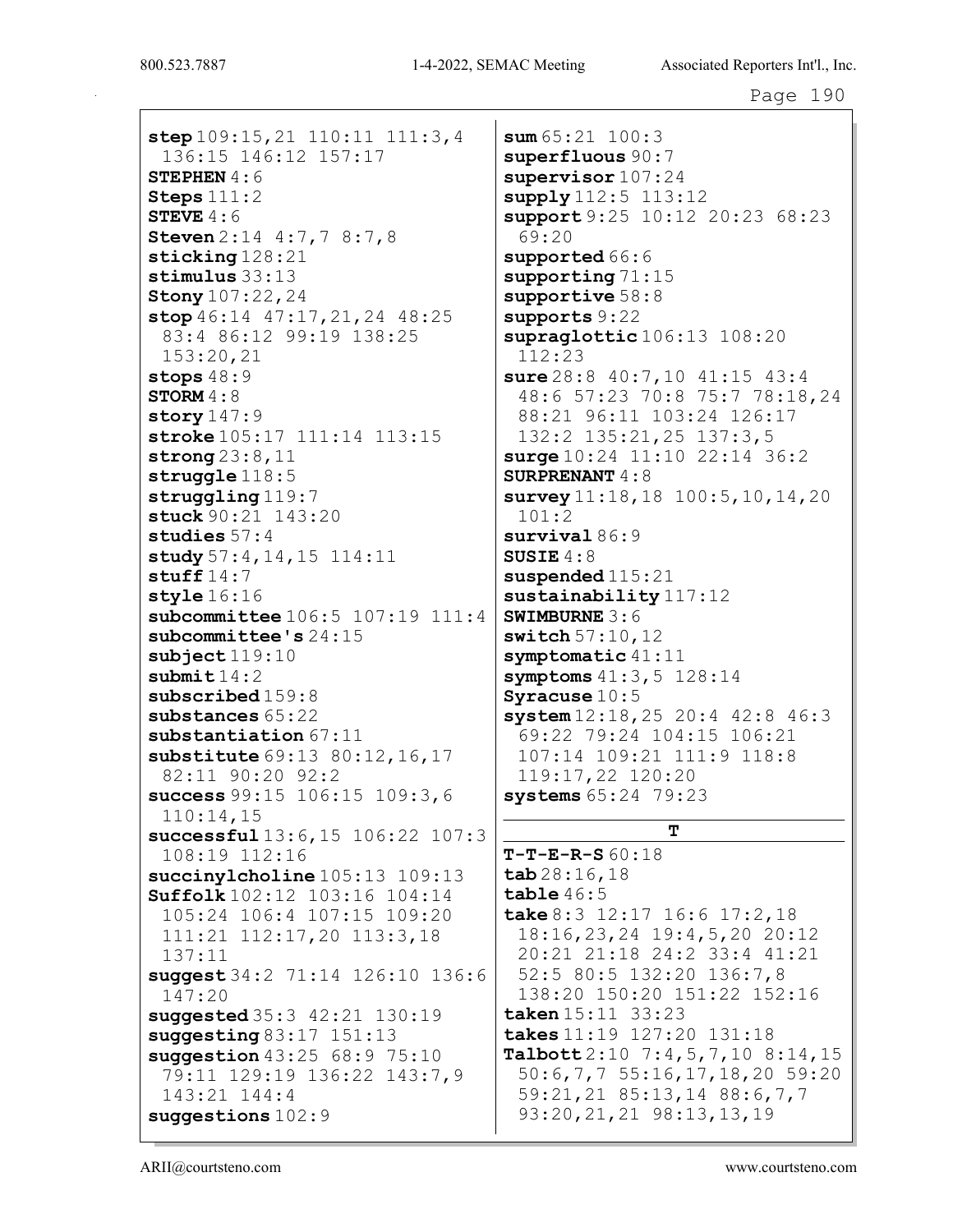step 109:15, 21 110:11 111:3, 4 136:15 146:12 157:17 STEPHEN  $4:6$ Steps 111:2 STEVE  $4:6$ Steven 2:14 4:7,7 8:7,8 sticking 128:21 stimulus 33:13 Stony 107:22,24 stop 46:14 47:17, 21, 24 48:25 83:4 86:12 99:19 138:25 153:20,21 stops  $48:9$ STORM  $4:8$ story  $147:9$ stroke 105:17 111:14 113:15 strong 23:8,11 struggle 118:5 struggling 119:7 stuck 90:21 143:20 studies 57:4 study 57:4, 14, 15 114:11 stuff  $14:7$ style 16:16 subcommittee 106:5 107:19 111:4 subcommittee's 24:15 subject 119:10 submit  $14:2$ subscribed 159:8 substances 65:22 substantiation 67:11 substitute  $69:13$   $80:12$ ,  $16$ ,  $17$ 82:11 90:20 92:2 success 99:15 106:15 109:3,6 110:14,15 successful 13:6,15 106:22 107:3 108:19 112:16 succinylcholine 105:13 109:13 Suffolk 102:12 103:16 104:14 105:24 106:4 107:15 109:20 111:21 112:17,20 113:3,18 137:11 suggest 34:2 71:14 126:10 136:6 147:20 suggested 35:3 42:21 130:19 suggesting 83:17 151:13 suggestion 43:25 68:9 75:10 79:11 129:19 136:22 143:7,9 143:21 144:4 suggestions 102:9

 $sum 65:21 100:3$ superfluous 90:7 supervisor  $107:24$ supply 112:5 113:12 support 9:25 10:12 20:23 68:23 69:20 supported  $66:6$ supporting 71:15 supportive 58:8 supports 9:22 supraglottic 106:13 108:20 112:23 sure 28:8 40:7,10 41:15 43:4 48:6 57:23 70:8 75:7 78:18,24 88:21 96:11 103:24 126:17 132:2 135:21,25 137:3,5  $surge 10:24 11:10 22:14 36:2$ SURPRENANT 4:8 survey  $11:18,18$  100:5, 10, 14, 20 101:2 survival 86:9 SUSIE 4:8 suspended  $115:21$ sustainability 117:12 SWIMBURNE 3:6 switch 57:10,12 symptomatic 41:11 symptoms  $41:3,5$  128:14 Syracuse 10:5 system 12:18,25 20:4 42:8 46:3 69:22 79:24 104:15 106:21 107:14 109:21 111:9 118:8 119:17,22 120:20 systems 65:24 79:23

# T

 $T-T-E-R-S 60:18$ tab 28:16,18 table 46:5 take 8:3 12:17 16:6 17:2,18 18:16,23,24 19:4,5,20 20:12 20:21 21:18 24:2 33:4 41:21 52:5 80:5 132:20 136:7,8 138:20 150:20 151:22 152:16 taken 15:11 33:23 takes 11:19 127:20 131:18  $\texttt{Tableott2:10} \quad 7:4,5,7,10 \quad 8:14,15$ 50:6,7,7 55:16,17,18,20 59:20 59:21,21 85:13,14 88:6,7,7 93:20,21,21 98:13,13,19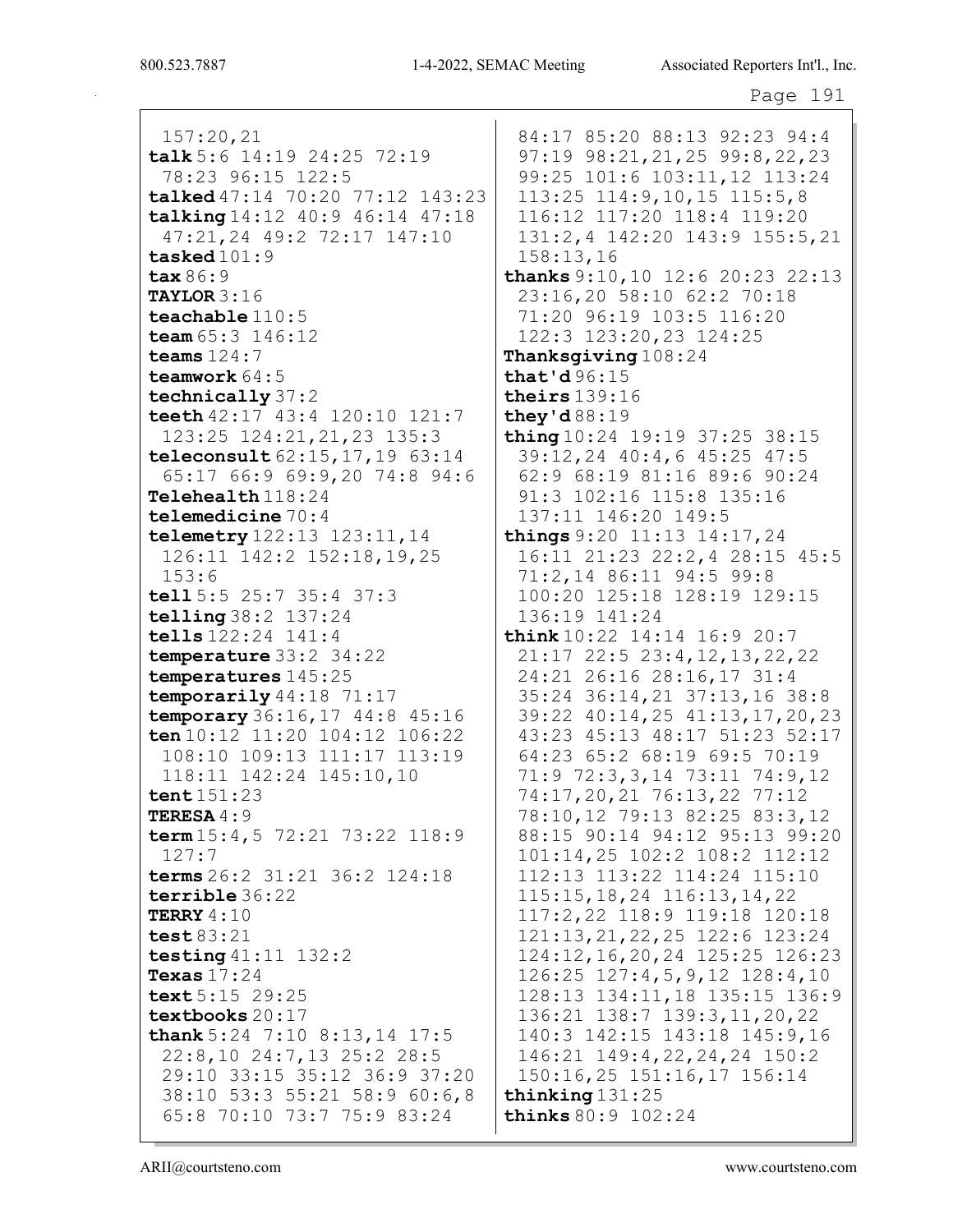157:20,21 talk 5:6 14:19 24:25 72:19 78:23 96:15 122:5 talked 47:14 70:20 77:12 143:23 talking 14:12 40:9 46:14 47:18 47:21,24 49:2 72:17 147:10 tasked 101:9 tax 86:9 TAYLOR 3:16 teachable 110:5 team  $65:3$  146:12 teams 124:7 teamwork 64:5 technically 37:2 teeth 42:17 43:4 120:10 121:7 123:25 124:21,21,23 135:3 teleconsult 62:15,17,19 63:14 65:17 66:9 69:9,20 74:8 94:6 Telehealth 118:24 telemedicine 70:4 telemetry 122:13 123:11,14 126:11 142:2 152:18,19,25 153:6 tell 5:5 25:7 35:4 37:3 telling 38:2 137:24 tells 122:24 141:4 temperature 33:2 34:22 temperatures 145:25 temporarily 44:18 71:17 temporary 36:16,17 44:8 45:16 ten 10:12 11:20 104:12 106:22 108:10 109:13 111:17 113:19 118:11 142:24 145:10,10 tent 151:23 TERESA 4:9 term 15:4,5 72:21 73:22 118:9 127:7 terms 26:2 31:21 36:2 124:18 terrible 36:22 TERRY 4:10 test 83:21 testing 41:11 132:2 Texas 17:24 text 5:15 29:25 textbooks 20:17 thank 5:24 7:10 8:13, 14 17:5 22:8,10 24:7,13 25:2 28:5 29:10 33:15 35:12 36:9 37:20 38:10 53:3 55:21 58:9 60:6,8 65:8 70:10 73:7 75:9 83:24

84:17 85:20 88:13 92:23 94:4 97:19 98:21,21,25 99:8,22,23 99:25 101:6 103:11,12 113:24 113:25 114:9,10,15 115:5,8 116:12 117:20 118:4 119:20 131:2,4 142:20 143:9 155:5,21 158:13,16 thanks 9:10,10 12:6 20:23 22:13 23:16,20 58:10 62:2 70:18 71:20 96:19 103:5 116:20 122:3 123:20,23 124:25 Thanksgiving  $108:24$ that'd 96:15 theirs 139:16 they'd 88:19 thing 10:24 19:19 37:25 38:15 39:12,24 40:4,6 45:25 47:5 62:9 68:19 81:16 89:6 90:24 91:3 102:16 115:8 135:16 137:11 146:20 149:5 things 9:20 11:13 14:17,24 16:11 21:23 22:2,4 28:15 45:5 71:2,14 86:11 94:5 99:8 100:20 125:18 128:19 129:15 136:19 141:24 think 10:22 14:14 16:9 20:7 21:17 22:5 23:4,12,13,22,22 24:21 26:16 28:16,17 31:4 35:24 36:14,21 37:13,16 38:8 39:22 40:14,25 41:13,17,20,23 43:23 45:13 48:17 51:23 52:17 64:23 65:2 68:19 69:5 70:19 71:9 72:3,3,14 73:11 74:9,12 74:17,20,21 76:13,22 77:12 78:10,12 79:13 82:25 83:3,12 88:15 90:14 94:12 95:13 99:20 101:14,25 102:2 108:2 112:12 112:13 113:22 114:24 115:10 115:15,18,24 116:13,14,22 117:2,22 118:9 119:18 120:18 121:13,21,22,25 122:6 123:24 124:12,16,20,24 125:25 126:23 126:25 127:4,5,9,12 128:4,10 128:13 134:11,18 135:15 136:9 136:21 138:7 139:3,11,20,22 140:3 142:15 143:18 145:9,16 146:21 149:4,22,24,24 150:2 150:16,25 151:16,17 156:14 thinking 131:25 thinks 80:9 102:24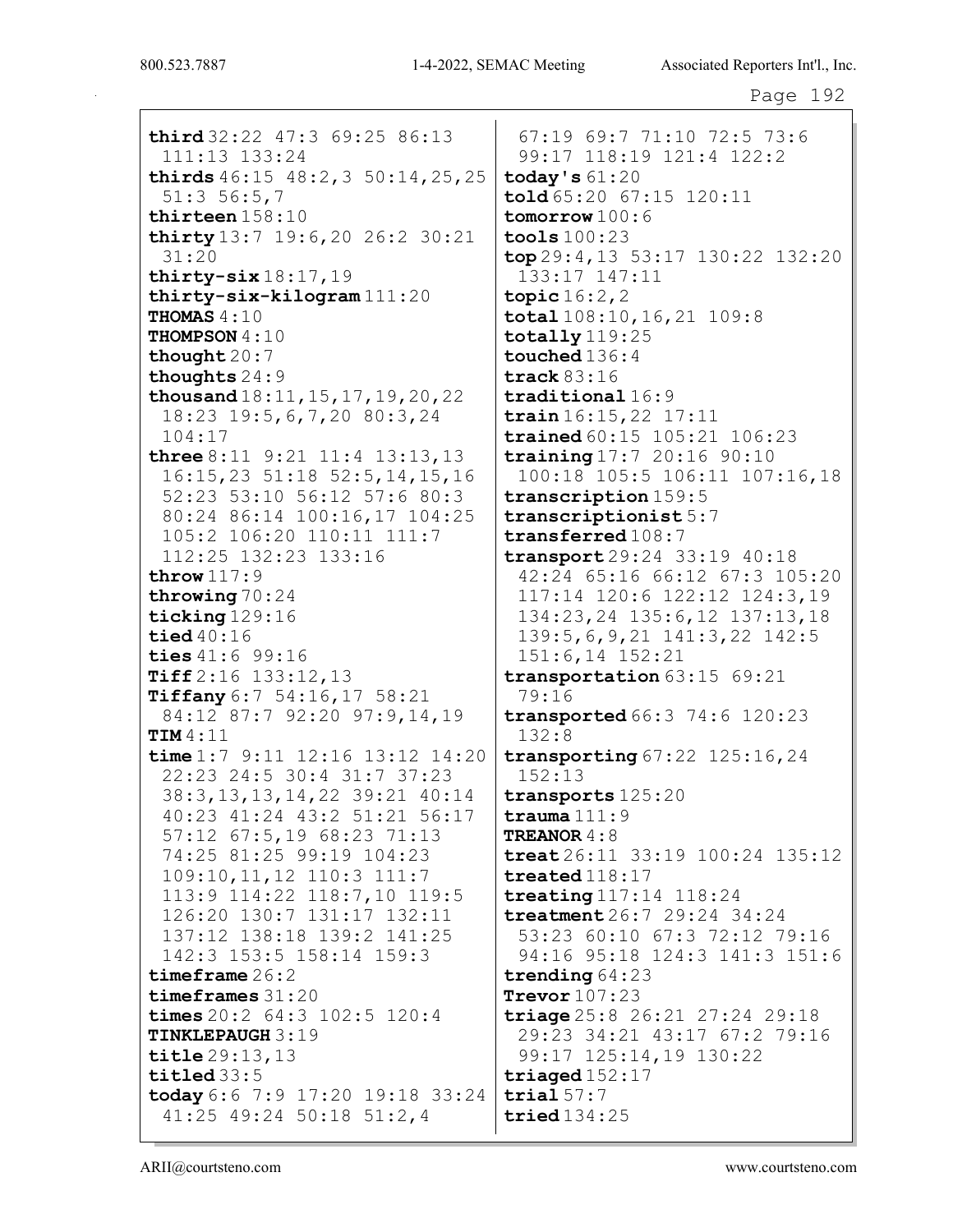third  $32:22$   $47:3$   $69:25$   $86:13$ 111:13 133:24 thirds  $46:15$   $48:2,3$   $50:14,25,25$  $51:356:57$ thirteen  $158:10$ thirty  $13:7$  19:6, 20 26:2 30:21  $31:20$ thirty-six  $18:17,19$  $thirty-six-kilogram 111:20$ THOMAS  $4:10$ THOMPSON 4:10 thought  $20:7$ thoughts  $24:9$ thousand  $18:11, 15, 17, 19, 20, 22$ 18:23 19:5, 6, 7, 20 80:3, 24  $104:17$ **three**  $8:11$   $9:21$   $11:4$   $13:13,13$  $16:15,23$  51:18 52:5,14,15,16 52:23 53:10 56:12 57:6 80:3 80:24 86:14 100:16,17 104:25 105:2 106:20 110:11 111:7 112:25 132:23 133:16 throw  $117:9$ throwing  $70:24$ ticking  $129:16$ tied  $40:16$ ties 41:6 99:16 Tiff 2:16 133:12,13 Tiffany  $6:7$  54:16, 17 58:21 84:12 87:7 92:20 97:9,14,19  $TIM4:11$ time  $1:7$  9:11 12:16 13:12 14:20 22:23 24:5 30:4 31:7 37:23 38:3, 13, 13, 14, 22 39: 21 40: 14 40:23 41:24 43:2 51:21 56:17 57:12 67:5,19 68:23 71:13 74:25 81:25 99:19 104:23 109:10, 11, 12 110:3 111:7 113:9 114:22 118:7,10 119:5 126:20 130:7 131:17 132:11 137:12 138:18 139:2 141:25 142:3 153:5 158:14 159:3 timeframe  $26:2$  $timeframes 31:20$ times  $20:2$  64:3  $102:5$  120:4 **TINKLEPAUGH 3:19**  $\text{title} 29:13.13$ titled  $33:5$ today 6:6 7:9 17:20 19:18 33:24 41:25 49:24 50:18 51:2,4

67:19 69:7 71:10 72:5 73:6 99:17 118:19 121:4 122:2 today's  $61:20$ told 65:20 67:15 120:11  $tomorrow 100:6$  $\texttt{tools}$  100:23 top 29:4, 13 53:17 130:22 132:20 133:17 147:11 topic  $16:2, 2$  $\texttt{total}$  108:10, 16, 21 109:8  $\texttt{totallv}$  119:25 touched  $136:4$ track  $83:16$  $\texttt{traditional}$  16:9  $train16:15,22$  17:11 trained 60:15 105:21 106:23 training  $17:7$  20:16 90:10 100:18 105:5 106:11 107:16,18 transcription 159:5  $transcriptionist 5:7$  $transferred108:7$ transport 29:24 33:19 40:18 42:24 65:16 66:12 67:3 105:20 117:14 120:6 122:12 124:3,19 134:23, 24 135:6, 12 137:13, 18  $139:5, 6, 9, 21$   $141:3, 22$   $142:5$  $151:6, 14$   $152:21$  $transportation 63:15 69:21$  $79:16$ transported 66:3 74:6 120:23  $132:8$ transporting  $67:22$  125:16, 24  $152:13$ transports 125:20 trauma $111:9$ TREANOR  $4:8$ treat  $26:11$  33:19 100:24 135:12  $treated$  $118:17$ treating  $117:14$   $118:24$  $treatment 26:7 29:24 34:24$ 53:23 60:10 67:3 72:12 79:16 94:16 95:18 124:3 141:3 151:6 trending  $64:23$ Trevor  $107:23$ triage  $25:8$   $26:21$   $27:24$   $29:18$ 29:23 34:21 43:17 67:2 79:16 99:17 125:14,19 130:22 triaged  $152:17$  $trial 57:7$  $tried134:25$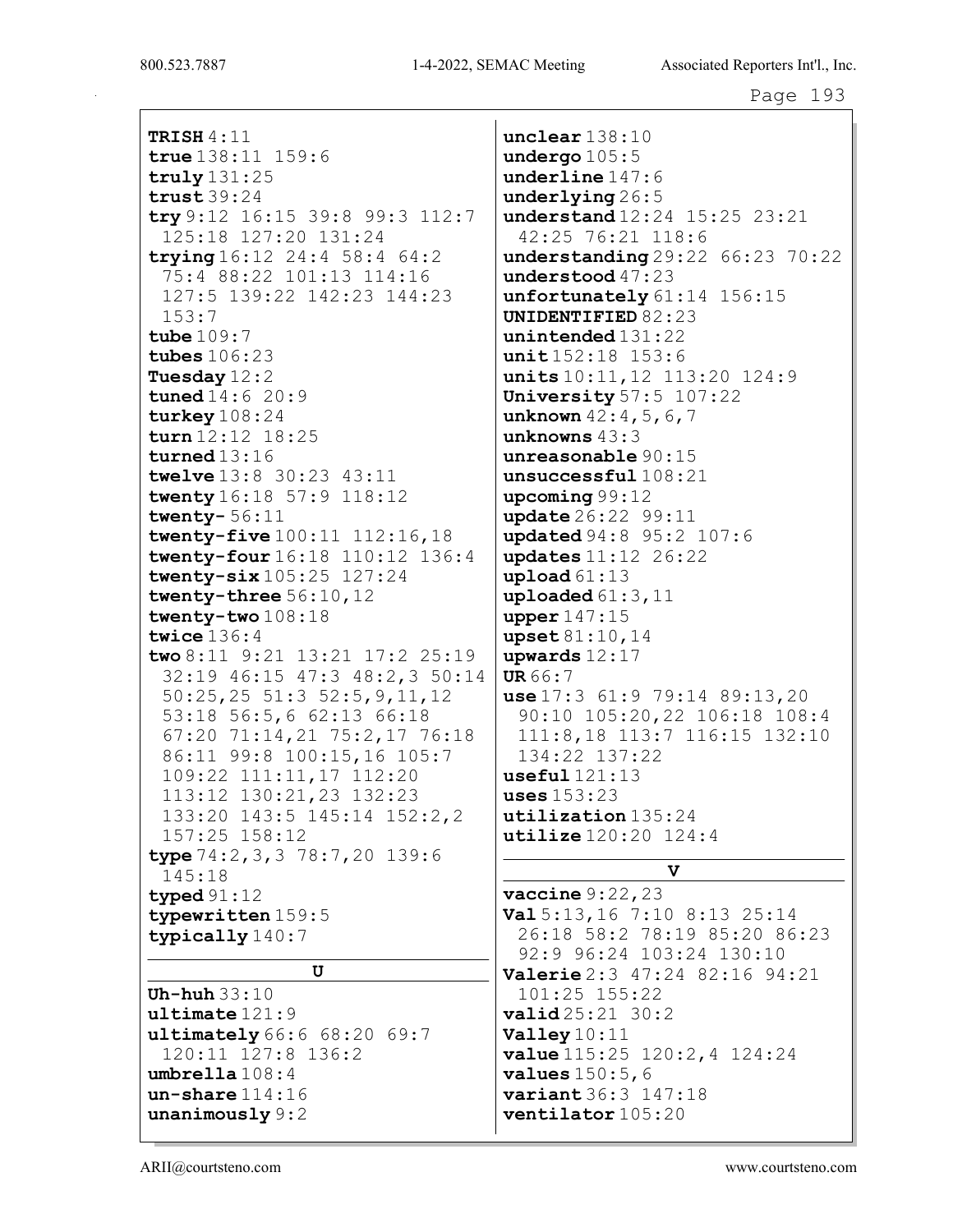**TRISH 4:11** true  $138:11$   $159:6$  $truly 131:25$  $trust39:24$ try 9:12 16:15 39:8 99:3 112:7 125:18 127:20 131:24 trying  $16:12$  24:4 58:4 64:2 75:4 88:22 101:13 114:16 127:5 139:22 142:23 144:23  $153:7$ tube  $109:7$ tubes  $106:23$ Tuesday  $12:2$ **tuned**  $14:6$   $20:9$ turkey  $108:24$  $turn 12:12 18:25$ turned  $13:16$ twelve 13:8 30:23 43:11 twenty 16:18 57:9 118:12 twenty- $56:11$ twenty-five  $100:11$   $112:16,18$ twenty-four 16:18 110:12 136:4 twenty- $six 105:25 127:24$ twenty-three 56:10, 12 twenty-two 108:18 twice  $136:4$ two 8:11  $9:21$  13:21 17:2 25:19 32:19 46:15 47:3 48:2,3 50:14  $50:25,25$  51:3 52:5,9,11,12 53:18 56:5,6 62:13 66:18 67:20 71:14,21 75:2,17 76:18 86:11 99:8 100:15,16 105:7 109:22 111:11,17 112:20 113:12 130:21,23 132:23 133:20 143:5 145:14 152:2,2 157:25 158:12 type  $74:2, 3, 3, 78:7, 20, 139:6$ 145:18 typed  $91:12$ typewritten 159:5 typically 140:7  $\mathbf U$ Uh-huh  $33:10$  $ultime121:9$  $ultimately 66:6 68:20 69:7$ 120:11 127:8 136:2  $umbrella108:4$  $un$ -share  $114:16$  $$ 

 $unclear$  $138:10$ undergo  $105:5$  $underline 147:6$  $underlying 26:5$ understand 12:24 15:25 23:21 42:25 76:21 118:6  $understanding 29:22 66:23 70:22$ understood 47:23 unfortunately  $61:14$   $156:15$ UNIDENTIFIED 82:23  $unintended 131:22$  $unit152:18$  153:6 units 10:11, 12 113:20 124:9 University  $57:5$   $107:22$ unknown  $42:4,5,6,7$ unknowns  $43:3$  $unreasonable 90:15$  $unsucceeds$  $full$  $108:21$  $upcoming 99:12$ update 26:22 99:11 updated 94:8 95:2 107:6 updates 11:12 26:22 upload  $61:13$ uploaded  $61:3,11$ upper  $147:15$ upset 81:10,14 upwards  $12:17$  $UR66:7$ use  $17:3$  61:9 79:14 89:13, 20 90:10 105:20,22 106:18 108:4 111:8,18 113:7 116:15 132:10 134:22 137:22  $useful121:13$ uses  $153:23$  $utilization$  135:24 utilize  $120:20$   $124:4$ 

## $\mathbf{v}$

 $\texttt{vaccine} 9:22,23$ **Val** 5:13,16 7:10 8:13 25:14 26:18 58:2 78:19 85:20 86:23 92:9 96:24 103:24 130:10 Valerie 2:3 47:24 82:16 94:21 101:25 155:22  $valid25:21 30:2$ Valley  $10:11$ **value**  $115:25$   $120:2,4$   $124:24$ **values**  $150:5, 6$ variant 36:3 147:18 ventilator 105:20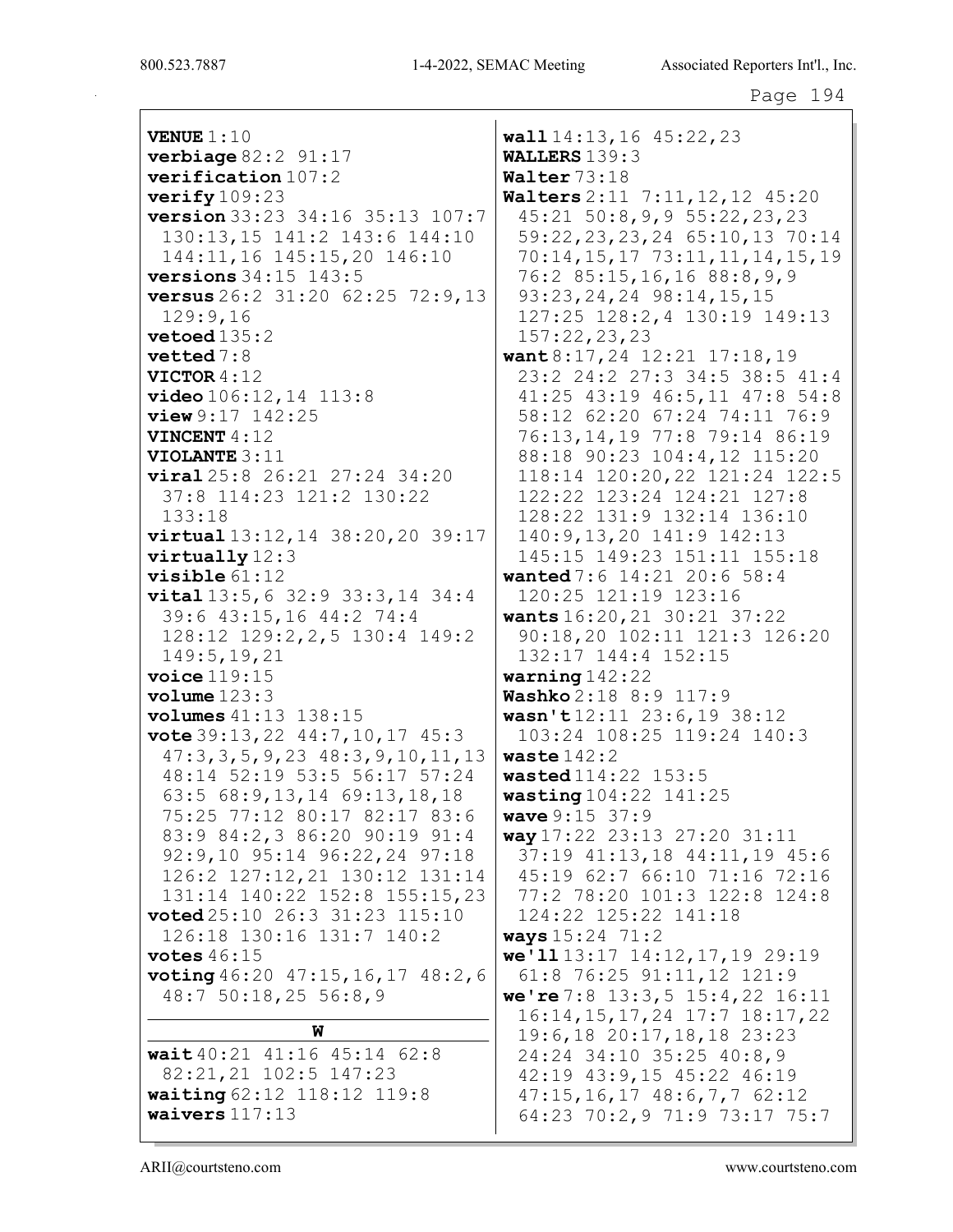VENUE 1:10 **verbiage**  $82:2$   $91:17$ verification 107:2 verify 109:23 version 33:23 34:16 35:13 107:7 130:13,15 141:2 143:6 144:10 144:11,16 145:15,20 146:10 versions 34:15 143:5 versus 26:2 31:20 62:25 72:9,13 129:9,16 vetoed 135:2 vetted 7:8 VICTOR 4:12 video 106:12,14 113:8 view 9:17 142:25 VINCENT 4:12 VIOLANTE 3:11 viral 25:8 26:21 27:24 34:20 37:8 114:23 121:2 130:22 133:18 virtual 13:12,14 38:20,20 39:17 virtually 12:3 visible 61:12 vital 13:5,6 32:9 33:3,14 34:4 39:6 43:15,16 44:2 74:4 128:12 129:2,2,5 130:4 149:2 149:5,19,21 voice 119:15 volume 123:3 volumes 41:13 138:15 vote 39:13,22 44:7,10,17 45:3 47:3,3,5,9,23 48:3,9,10,11,13 48:14 52:19 53:5 56:17 57:24 63:5 68:9,13,14 69:13,18,18 75:25 77:12 80:17 82:17 83:6 83:9 84:2,3 86:20 90:19 91:4 92:9,10 95:14 96:22,24 97:18 126:2 127:12,21 130:12 131:14 131:14 140:22 152:8 155:15,23 voted 25:10 26:3 31:23 115:10 126:18 130:16 131:7 140:2 votes  $46:15$ voting 46:20 47:15,16,17 48:2,6 48:7 50:18,25 56:8,9 W wait 40:21 41:16 45:14 62:8 82:21,21 102:5 147:23 waiting 62:12 118:12 119:8 waivers 117:13 wall 14:13,16 45:22,23 WALLERS 139:3 Walter 73:18 Walters 2:11 7:11,12,12 45:20 45:21 50:8,9,9 55:22,23,23 59:22,23,23,24 65:10,13 70:14 70:14,15,17 73:11,11,14,15,19 76:2 85:15,16,16 88:8,9,9 93:23,24,24 98:14,15,15 127:25 128:2,4 130:19 149:13 157:22,23,23 want 8:17,24 12:21 17:18,19 23:2 24:2 27:3 34:5 38:5 41:4 41:25 43:19 46:5,11 47:8 54:8 58:12 62:20 67:24 74:11 76:9 76:13,14,19 77:8 79:14 86:19 88:18 90:23 104:4,12 115:20 118:14 120:20,22 121:24 122:5 122:22 123:24 124:21 127:8 128:22 131:9 132:14 136:10 140:9,13,20 141:9 142:13 145:15 149:23 151:11 155:18 wanted 7:6 14:21 20:6 58:4 120:25 121:19 123:16 wants 16:20,21 30:21 37:22 90:18,20 102:11 121:3 126:20 132:17 144:4 152:15 warning 142:22 Washko 2:18 8:9 117:9 wasn't 12:11 23:6,19 38:12 103:24 108:25 119:24 140:3 waste 142:2 wasted 114:22 153:5 wasting 104:22 141:25 wave 9:15 37:9 way 17:22 23:13 27:20 31:11 37:19 41:13,18 44:11,19 45:6 45:19 62:7 66:10 71:16 72:16 77:2 78:20 101:3 122:8 124:8 124:22 125:22 141:18 ways 15:24 71:2 we'll 13:17 14:12,17,19 29:19 61:8 76:25 91:11,12 121:9 we're 7:8 13:3,5 15:4,22 16:11 16:14,15,17,24 17:7 18:17,22 19:6,18 20:17,18,18 23:23 24:24 34:10 35:25 40:8,9 42:19 43:9,15 45:22 46:19 47:15,16,17 48:6,7,7 62:12 64:23 70:2,9 71:9 73:17 75:7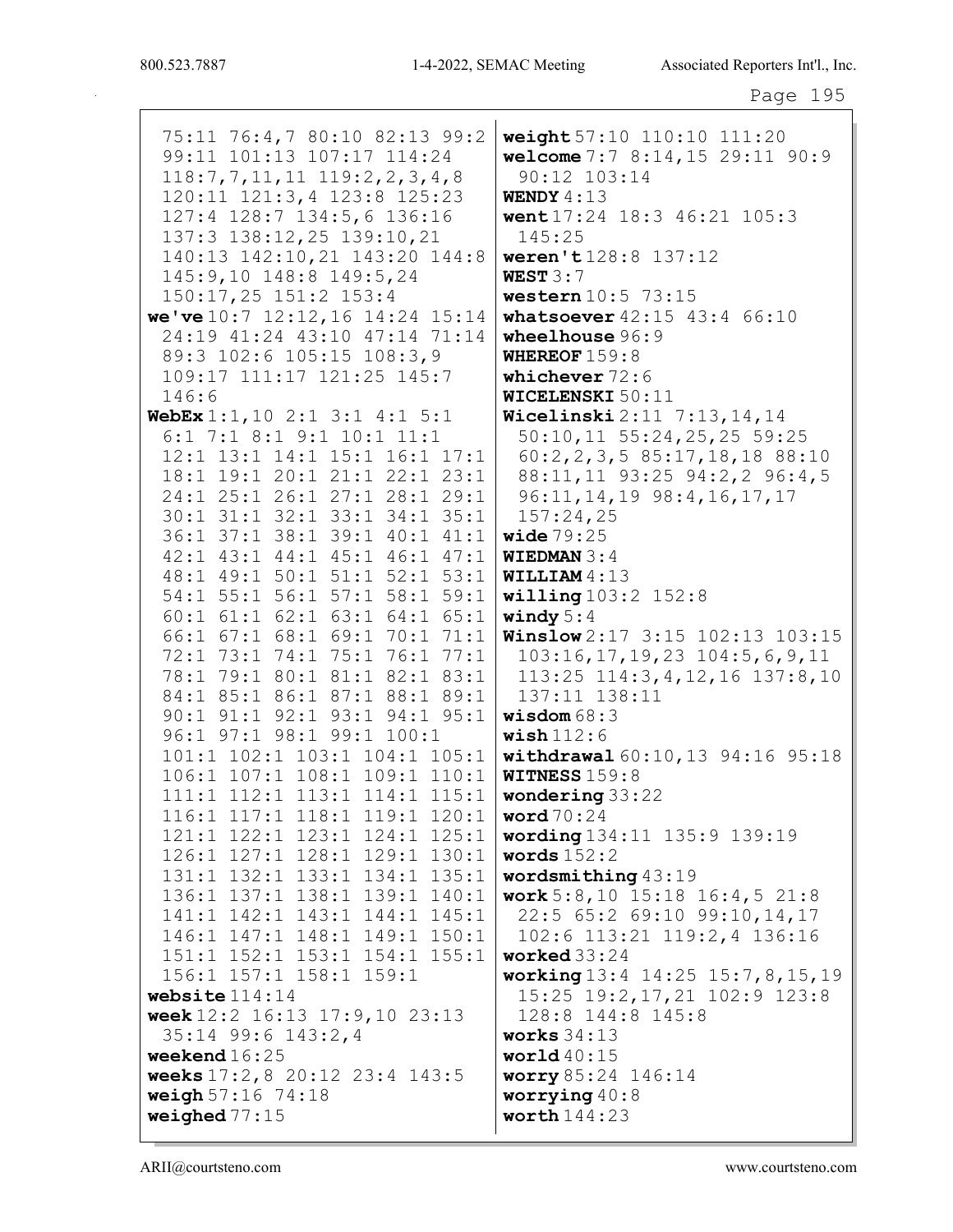75:11 76:4,7 80:10 82:13 99:2 weight 57:10 110:10 111:20 99:11 101:13 107:17 114:24 welcome 7:7 8:14, 15 29:11 90:9  $118:7, 7, 11, 11$   $119:2, 2, 3, 4, 8$  $90:12$   $103:14$ 120:11 121:3,4 123:8 125:23 WENDY  $4:13$ 127:4 128:7 134:5,6 136:16 went 17:24 18:3 46:21 105:3 137:3 138:12, 25 139:10, 21  $145:25$ 140:13 142:10, 21 143:20 144:8 weren't128:8 137:12 145:9,10 148:8 149:5,24 WEST  $3:7$ 150:17,25 151:2 153:4 western  $10:5$  73:15 we've  $10:7$  12:12, 16 14:24 15:14 whatsoever  $42:15$   $43:4$   $66:10$ 24:19 41:24 43:10 47:14 71:14 wheelhouse  $96:9$ 89:3 102:6 105:15 108:3,9 WHEREOF  $159:8$ 109:17 111:17 121:25 145:7 whichever  $72:6$  $146:6$ WICELENSKI 50:11 WebEx  $1:1, 10$   $2:1$   $3:1$   $4:1$   $5:1$ Wicelinski 2:11 7:13, 14, 14 6:1 7:1 8:1 9:1 10:1 11:1 50:10,11 55:24,25,25 59:25 12:1 13:1 14:1 15:1 16:1 17:1  $60:2, 2, 3, 5$  85:17, 18, 18 88:10 18:1 19:1 20:1 21:1 22:1 23:1 88:11,11 93:25 94:2,2 96:4,5 24:1 25:1 26:1 27:1 28:1 29:1 96:11, 14, 19 98:4, 16, 17, 17 30:1 31:1 32:1 33:1 34:1 35:1  $157:24.25$ 36:1 37:1 38:1 39:1 40:1 41:1 wide  $79:25$ 42:1 43:1 44:1 45:1 46:1 47:1 **WIEDMAN 3:4** 48:1 49:1 50:1 51:1 52:1 53:1 WILLIAM  $4:13$ 54:1 55:1 56:1 57:1 58:1 59:1  $willing 103:2 152:8$  $60:1$   $61:1$   $62:1$   $63:1$   $64:1$   $65:1$ windy  $5:4$ 66:1 67:1 68:1 69:1 70:1 71:1 **Winslow** 2:17 3:15 102:13 103:15 72:1 73:1 74:1 75:1 76:1 77:1  $103:16, 17, 19, 23$   $104:5, 6, 9, 11$ 78:1 79:1 80:1 81:1 82:1 83:1 113:25 114:3, 4, 12, 16 137:8, 10 84:1 85:1 86:1 87:1 88:1 89:1  $137:11$   $138:11$ 90:1 91:1 92:1 93:1 94:1 95:1 wisdom  $68:3$ 96:1 97:1 98:1 99:1 100:1  $\texttt{ wish}$ 112:6 101:1 102:1 103:1 104:1 105:1 withdrawal 60:10,13 94:16 95:18 106:1 107:1 108:1 109:1 110:1 **WITNESS**  $159:8$ 111:1 112:1 113:1 114:1 115:1 wondering 33:22 116:1 117:1 118:1 119:1 120:1 word  $70:24$ 121:1 122:1 123:1 124:1 125:1 wording 134:11 135:9 139:19 126:1 127:1 128:1 129:1 130:1 words  $152:2$ 131:1 132:1 133:1 134:1 135:1 wordsmithing  $43:19$ 136:1 137:1 138:1 139:1 140:1 work  $5:8,10$  15:18 16:4,5 21:8 141:1 142:1 143:1 144:1 145:1 22:5 65:2 69:10 99:10, 14, 17 146:1 147:1 148:1 149:1 150:1 102:6 113:21 119:2,4 136:16 151:1 152:1 153:1 154:1 155:1 worked  $33:24$ 156:1 157:1 158:1 159:1 working 13:4 14:25 15:7, 8, 15, 19 website  $114:14$ 15:25 19:2, 17, 21 102:9 123:8 week 12:2 16:13 17:9,10 23:13 128:8 144:8 145:8 35:14 99:6 143:2,4 works  $34:13$ weekend  $16:25$ world  $40:15$ weeks 17:2,8 20:12 23:4 143:5 worry 85:24 146:14 weigh  $57:16$   $74:18$ worrying  $40:8$ weighed  $77:15$ worth  $144:23$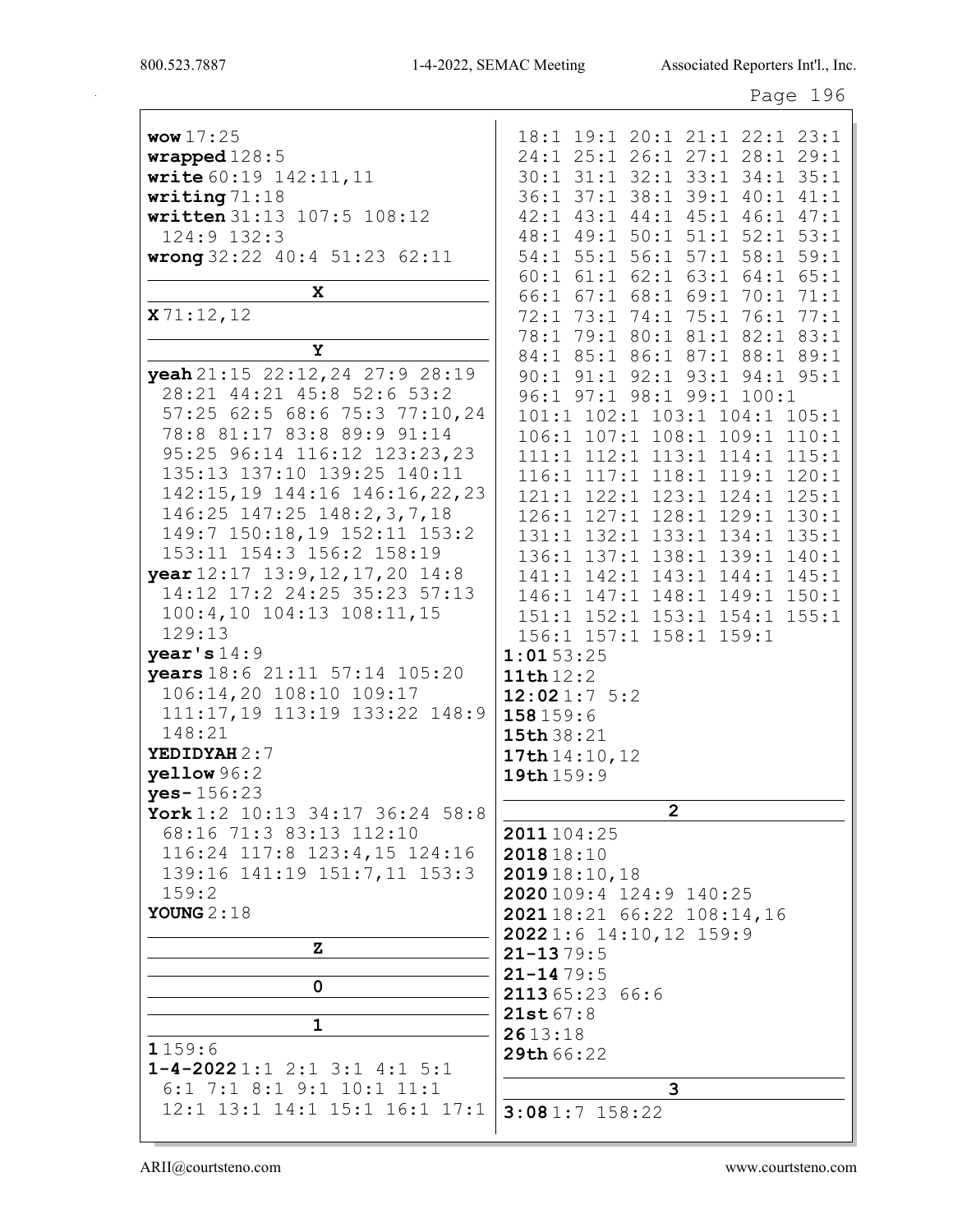|                                                                                                                                                                                                                                                                                                                                                                                                                                                                                                                                                                                                                  | Page 196                                                                                                                                                                                                                                                                                                                                                                                                                                                                                                                                                                                                                  |
|------------------------------------------------------------------------------------------------------------------------------------------------------------------------------------------------------------------------------------------------------------------------------------------------------------------------------------------------------------------------------------------------------------------------------------------------------------------------------------------------------------------------------------------------------------------------------------------------------------------|---------------------------------------------------------------------------------------------------------------------------------------------------------------------------------------------------------------------------------------------------------------------------------------------------------------------------------------------------------------------------------------------------------------------------------------------------------------------------------------------------------------------------------------------------------------------------------------------------------------------------|
| <b>wow</b> $17:25$<br>wrapped 128:5<br>write 60:19 142:11, 11<br>writing $71:18$<br>written 31:13 107:5 108:12<br>124:9 132:3<br>wrong 32:22 40:4 51:23 62:11<br>X                                                                                                                                                                                                                                                                                                                                                                                                                                               | 18:1 19:1 20:1 21:1 22:1 23:1<br>24:1 25:1 26:1 27:1 28:1 29:1<br>30:1 31:1 32:1 33:1 34:1 35:1<br>36:1 37:1 38:1 39:1 40:1 41:1<br>42:1 43:1 44:1 45:1 46:1 47:1<br>48:1 49:1 50:1 51:1 52:1 53:1<br>54:1 55:1 56:1 57:1 58:1 59:1<br>60:1 61:1 62:1 63:1 64:1 65:1<br>66:1 67:1 68:1 69:1 70:1 71:1                                                                                                                                                                                                                                                                                                                     |
| x71:12,12<br>Y                                                                                                                                                                                                                                                                                                                                                                                                                                                                                                                                                                                                   | 72:1 73:1 74:1 75:1 76:1 77:1<br>78:1 79:1 80:1 81:1 82:1 83:1                                                                                                                                                                                                                                                                                                                                                                                                                                                                                                                                                            |
| yeah 21:15 22:12, 24 27:9 28:19<br>28:21 44:21 45:8 52:6 53:2<br>57:25 62:5 68:6 75:3 77:10,24<br>78:8 81:17 83:8 89:9 91:14<br>95:25 96:14 116:12 123:23,23<br>135:13 137:10 139:25 140:11<br>142:15,19 144:16 146:16,22,23<br>146:25 147:25 148:2,3,7,18<br>149:7 150:18,19 152:11 153:2<br>153:11 154:3 156:2 158:19<br>year 12:17 13:9, 12, 17, 20 14:8<br>14:12 17:2 24:25 35:23 57:13<br>100:4,10 104:13 108:11,15<br>129:13<br>year's $14:9$<br>years 18:6 21:11 57:14 105:20<br>106:14,20 108:10 109:17<br>111:17,19 113:19 133:22 148:9<br>148:21<br>YEDIDYAH 2:7<br>$y$ ellow $96:2$<br>$yes - 156:23$ | 84:1 85:1 86:1 87:1 88:1 89:1<br>90:1 91:1 92:1 93:1 94:1 95:1<br>96:1 97:1 98:1 99:1 100:1<br>101:1 102:1 103:1 104:1 105:1<br>106:1 107:1 108:1 109:1 110:1<br>111:1 112:1 113:1 114:1 115:1<br>116:1 117:1 118:1 119:1 120:1<br>121:1 122:1 123:1 124:1 125:1<br>126:1 127:1 128:1 129:1 130:1<br>131:1 132:1 133:1 134:1 135:1<br>136:1 137:1 138:1 139:1 140:1<br>141:1 142:1 143:1 144:1 145:1<br>146:1 147:1 148:1 149:1 150:1<br>151:1 152:1 153:1 154:1 155:1<br>156:1 157:1 158:1 159:1<br>1:0153:25<br>11th $12:2$<br>12:021:75:2<br>158 159:6<br>15th 38:21<br>17th 14:10, 12<br>19th 159:9<br>$\overline{2}$ |
| York 1:2 10:13 34:17 36:24 58:8<br>68:16 71:3 83:13 112:10                                                                                                                                                                                                                                                                                                                                                                                                                                                                                                                                                       | 2011 104:25                                                                                                                                                                                                                                                                                                                                                                                                                                                                                                                                                                                                               |
| 116:24 117:8 123:4,15 124:16<br>139:16 141:19 151:7,11 153:3<br>159:2<br>YOUNG $2:18$                                                                                                                                                                                                                                                                                                                                                                                                                                                                                                                            | 201818:10<br>201918:10,18<br>2020109:4 124:9 140:25<br>202118:21 66:22 108:14,16<br>20221:6 14:10,12 159:9                                                                                                                                                                                                                                                                                                                                                                                                                                                                                                                |
| z.                                                                                                                                                                                                                                                                                                                                                                                                                                                                                                                                                                                                               | $21 - 1379:5$                                                                                                                                                                                                                                                                                                                                                                                                                                                                                                                                                                                                             |
| 0<br>$\mathbf 1$<br>1159:6                                                                                                                                                                                                                                                                                                                                                                                                                                                                                                                                                                                       | $21 - 1479:5$<br>211365:23 66:6<br>21st67:8<br>2613:18<br>29th 66:22                                                                                                                                                                                                                                                                                                                                                                                                                                                                                                                                                      |
| $1 - 4 - 20221:12:13:14:15:1$<br>$6:1$ 7:1 8:1 9:1 10:1 11:1                                                                                                                                                                                                                                                                                                                                                                                                                                                                                                                                                     | 3                                                                                                                                                                                                                                                                                                                                                                                                                                                                                                                                                                                                                         |
| 12:1 13:1 14:1 15:1 16:1 17:1                                                                                                                                                                                                                                                                                                                                                                                                                                                                                                                                                                                    | $3:081:7$ 158:22                                                                                                                                                                                                                                                                                                                                                                                                                                                                                                                                                                                                          |